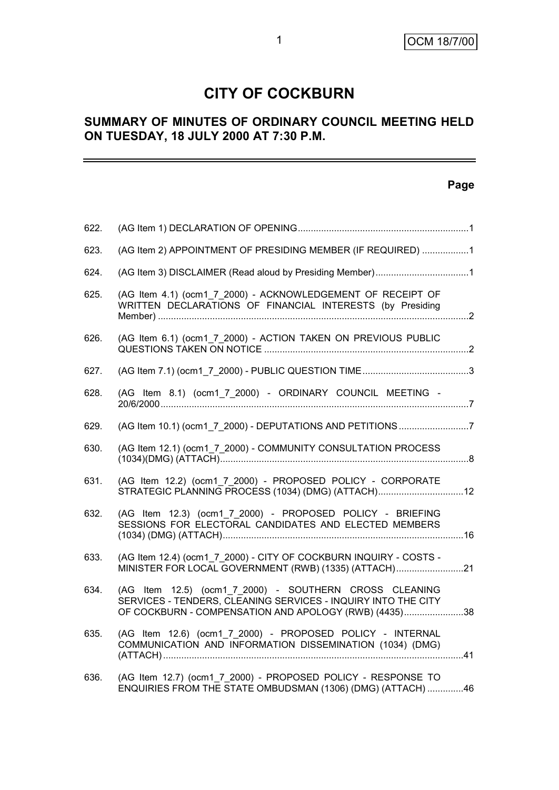# **CITY OF COCKBURN**

# **SUMMARY OF MINUTES OF ORDINARY COUNCIL MEETING HELD ON TUESDAY, 18 JULY 2000 AT 7:30 P.M.**

# **Page**

| 622. |                                                                                                                                                                                  |  |
|------|----------------------------------------------------------------------------------------------------------------------------------------------------------------------------------|--|
| 623. | (AG Item 2) APPOINTMENT OF PRESIDING MEMBER (IF REQUIRED) 1                                                                                                                      |  |
| 624. |                                                                                                                                                                                  |  |
| 625. | (AG Item 4.1) (ocm1 7 2000) - ACKNOWLEDGEMENT OF RECEIPT OF<br>WRITTEN DECLARATIONS OF FINANCIAL INTERESTS (by Presiding                                                         |  |
| 626. | (AG Item 6.1) (ocm1 7 2000) - ACTION TAKEN ON PREVIOUS PUBLIC                                                                                                                    |  |
| 627. |                                                                                                                                                                                  |  |
| 628. | (AG Item 8.1) (ocm1_7_2000) - ORDINARY COUNCIL MEETING -                                                                                                                         |  |
| 629. | (AG Item 10.1) (ocm1_7_2000) - DEPUTATIONS AND PETITIONS 7                                                                                                                       |  |
| 630. | (AG Item 12.1) (ocm1_7_2000) - COMMUNITY CONSULTATION PROCESS                                                                                                                    |  |
| 631. | (AG Item 12.2) (ocm1 7 2000) - PROPOSED POLICY - CORPORATE<br>STRATEGIC PLANNING PROCESS (1034) (DMG) (ATTACH) 12                                                                |  |
| 632. | (AG Item 12.3) (ocm1 7 2000) - PROPOSED POLICY - BRIEFING<br>SESSIONS FOR ELECTORAL CANDIDATES AND ELECTED MEMBERS                                                               |  |
| 633. | (AG Item 12.4) (ocm1 7 2000) - CITY OF COCKBURN INQUIRY - COSTS -<br>MINISTER FOR LOCAL GOVERNMENT (RWB) (1335) (ATTACH)21                                                       |  |
| 634. | (AG Item 12.5) (ocm1 7 2000) - SOUTHERN CROSS CLEANING<br>SERVICES - TENDERS, CLEANING SERVICES - INQUIRY INTO THE CITY<br>OF COCKBURN - COMPENSATION AND APOLOGY (RWB) (4435)38 |  |
| 635. | (AG Item 12.6) (ocm1_7_2000) - PROPOSED POLICY - INTERNAL<br>COMMUNICATION AND INFORMATION DISSEMINATION (1034) (DMG)                                                            |  |
| 636. | (AG Item 12.7) (ocm1_7_2000) - PROPOSED POLICY - RESPONSE TO<br>ENQUIRIES FROM THE STATE OMBUDSMAN (1306) (DMG) (ATTACH) 46                                                      |  |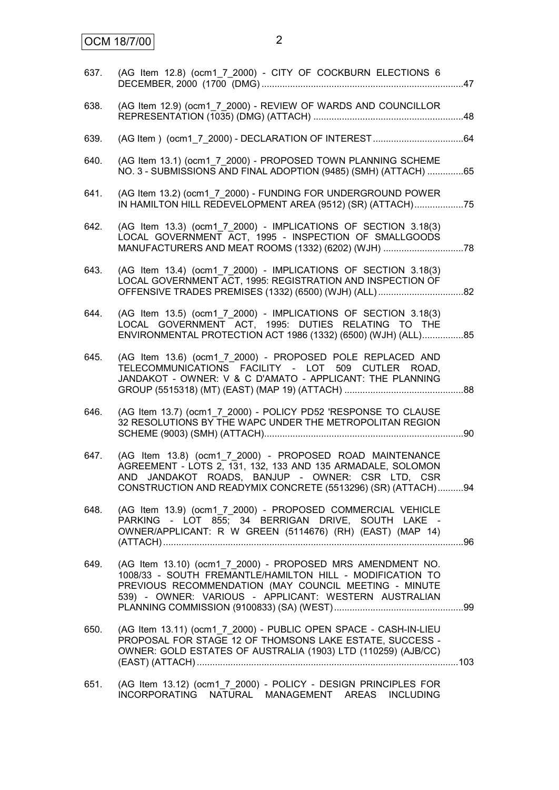| 637. | (AG Item 12.8) (ocm1_7_2000) - CITY OF COCKBURN ELECTIONS 6                                                                                                                                                                                 |  |
|------|---------------------------------------------------------------------------------------------------------------------------------------------------------------------------------------------------------------------------------------------|--|
| 638. | (AG Item 12.9) (ocm1_7_2000) - REVIEW OF WARDS AND COUNCILLOR                                                                                                                                                                               |  |
| 639. |                                                                                                                                                                                                                                             |  |
| 640. | (AG Item 13.1) (ocm1_7_2000) - PROPOSED TOWN PLANNING SCHEME<br>NO. 3 - SUBMISSIONS AND FINAL ADOPTION (9485) (SMH) (ATTACH) 65                                                                                                             |  |
| 641. | (AG Item 13.2) (ocm1 7 2000) - FUNDING FOR UNDERGROUND POWER<br>IN HAMILTON HILL REDEVELOPMENT AREA (9512) (SR) (ATTACH)75                                                                                                                  |  |
| 642. | (AG Item 13.3) (ocm1_7_2000) - IMPLICATIONS OF SECTION 3.18(3)<br>LOCAL GOVERNMENT ACT, 1995 - INSPECTION OF SMALLGOODS                                                                                                                     |  |
| 643. | (AG Item 13.4) (ocm1_7_2000) - IMPLICATIONS OF SECTION 3.18(3)<br>LOCAL GOVERNMENT ACT, 1995: REGISTRATION AND INSPECTION OF                                                                                                                |  |
| 644. | (AG Item 13.5) (ocm1_7_2000) - IMPLICATIONS OF SECTION 3.18(3)<br>LOCAL GOVERNMENT ACT, 1995: DUTIES RELATING TO THE<br>ENVIRONMENTAL PROTECTION ACT 1986 (1332) (6500) (WJH) (ALL)85                                                       |  |
| 645. | (AG Item 13.6) (ocm1_7_2000) - PROPOSED POLE REPLACED AND<br>TELECOMMUNICATIONS FACILITY - LOT 509 CUTLER ROAD,<br>JANDAKOT - OWNER: V & C D'AMATO - APPLICANT: THE PLANNING                                                                |  |
| 646. | (AG Item 13.7) (ocm1 7 2000) - POLICY PD52 'RESPONSE TO CLAUSE<br>32 RESOLUTIONS BY THE WAPC UNDER THE METROPOLITAN REGION                                                                                                                  |  |
| 647. | (AG Item 13.8) (ocm1 7 2000) - PROPOSED ROAD MAINTENANCE<br>AGREEMENT - LOTS 2, 131, 132, 133 AND 135 ARMADALE, SOLOMON<br>AND JANDAKOT ROADS, BANJUP - OWNER: CSR LTD, CSR<br>CONSTRUCTION AND READYMIX CONCRETE (5513296) (SR) (ATTACH)94 |  |
| 648. | (AG Item 13.9) (ocm1_7_2000) - PROPOSED COMMERCIAL VEHICLE<br>PARKING - LOT 855; 34 BERRIGAN DRIVE, SOUTH LAKE -<br>OWNER/APPLICANT: R W GREEN (5114676) (RH) (EAST) (MAP 14)                                                               |  |
| 649. | (AG Item 13.10) (ocm1_7_2000) - PROPOSED MRS AMENDMENT NO.<br>1008/33 - SOUTH FREMANTLE/HAMILTON HILL - MODIFICATION TO<br>PREVIOUS RECOMMENDATION (MAY COUNCIL MEETING - MINUTE<br>539) - OWNER: VARIOUS - APPLICANT: WESTERN AUSTRALIAN   |  |
| 650. | (AG Item 13.11) (ocm1 7 2000) - PUBLIC OPEN SPACE - CASH-IN-LIEU<br>PROPOSAL FOR STAGE 12 OF THOMSONS LAKE ESTATE, SUCCESS -<br>OWNER: GOLD ESTATES OF AUSTRALIA (1903) LTD (110259) (AJB/CC)                                               |  |
| 651. | (AG Item 13.12) (ocm1 7 2000) - POLICY - DESIGN PRINCIPLES FOR<br>INCORPORATING NATURAL MANAGEMENT AREAS INCLUDING                                                                                                                          |  |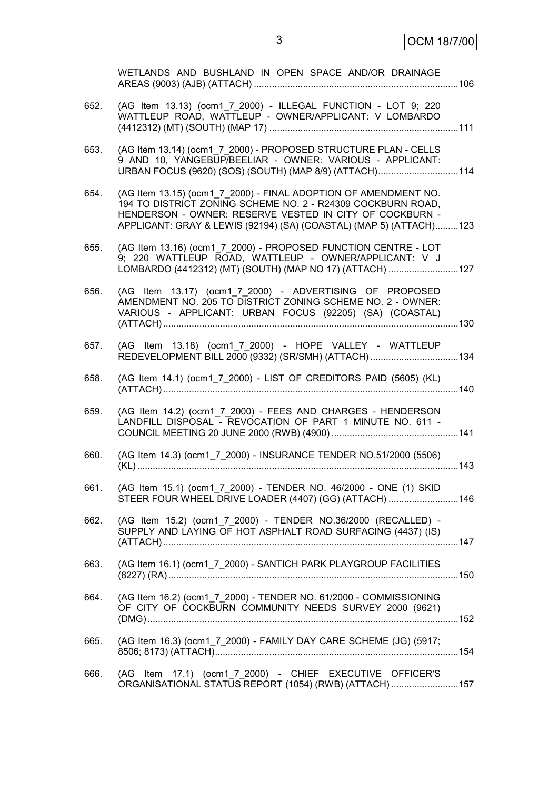3 OCM 18/7/00

|      | WETLANDS AND BUSHLAND IN OPEN SPACE AND/OR DRAINAGE                                                                                                                                                                                                             |  |
|------|-----------------------------------------------------------------------------------------------------------------------------------------------------------------------------------------------------------------------------------------------------------------|--|
| 652. | (AG Item 13.13) (ocm1_7_2000) - ILLEGAL FUNCTION - LOT 9; 220<br>WATTLEUP ROAD, WATTLEUP - OWNER/APPLICANT: V LOMBARDO                                                                                                                                          |  |
| 653. | (AG Item 13.14) (ocm1 7 2000) - PROPOSED STRUCTURE PLAN - CELLS<br>9 AND 10, YANGEBUP/BEELIAR - OWNER: VARIOUS - APPLICANT:<br>URBAN FOCUS (9620) (SOS) (SOUTH) (MAP 8/9) (ATTACH)114                                                                           |  |
| 654. | (AG Item 13.15) (ocm1 7 2000) - FINAL ADOPTION OF AMENDMENT NO.<br>194 TO DISTRICT ZONING SCHEME NO. 2 - R24309 COCKBURN ROAD,<br>HENDERSON - OWNER: RESERVE VESTED IN CITY OF COCKBURN -<br>APPLICANT: GRAY & LEWIS (92194) (SA) (COASTAL) (MAP 5) (ATTACH)123 |  |
| 655. | (AG Item 13.16) (ocm1 7 2000) - PROPOSED FUNCTION CENTRE - LOT<br>9; 220 WATTLEUP ROAD, WATTLEUP - OWNER/APPLICANT: V J<br>LOMBARDO (4412312) (MT) (SOUTH) (MAP NO 17) (ATTACH) 127                                                                             |  |
| 656. | (AG Item 13.17) (ocm1_7_2000) - ADVERTISING OF PROPOSED<br>AMENDMENT NO. 205 TO DISTRICT ZONING SCHEME NO. 2 - OWNER:<br>VARIOUS - APPLICANT: URBAN FOCUS (92205) (SA) (COASTAL)                                                                                |  |
| 657. | (AG Item 13.18) (ocm1 7 2000) - HOPE VALLEY - WATTLEUP<br>REDEVELOPMENT BILL 2000 (9332) (SR/SMH) (ATTACH) 134                                                                                                                                                  |  |
| 658. | (AG Item 14.1) (ocm1_7_2000) - LIST OF CREDITORS PAID (5605) (KL)                                                                                                                                                                                               |  |
| 659. | (AG Item 14.2) (ocm1_7_2000) - FEES AND CHARGES - HENDERSON<br>LANDFILL DISPOSAL - REVOCATION OF PART 1 MINUTE NO. 611 -                                                                                                                                        |  |
| 660. | (AG Item 14.3) (ocm1_7_2000) - INSURANCE TENDER NO.51/2000 (5506)                                                                                                                                                                                               |  |
| 661. | (AG Item 15.1) (ocm1_7_2000) - TENDER NO. 46/2000 - ONE (1) SKID<br>STEER FOUR WHEEL DRIVE LOADER (4407) (GG) (ATTACH) 146                                                                                                                                      |  |
| 662. | (AG Item 15.2) (ocm1_7_2000) - TENDER NO.36/2000 (RECALLED) -<br>SUPPLY AND LAYING OF HOT ASPHALT ROAD SURFACING (4437) (IS)                                                                                                                                    |  |
| 663. | (AG Item 16.1) (ocm1 7 2000) - SANTICH PARK PLAYGROUP FACILITIES                                                                                                                                                                                                |  |
| 664. | (AG Item 16.2) (ocm1_7_2000) - TENDER NO. 61/2000 - COMMISSIONING<br>OF CITY OF COCKBURN COMMUNITY NEEDS SURVEY 2000 (9621)                                                                                                                                     |  |
| 665. | (AG Item 16.3) (ocm1_7_2000) - FAMILY DAY CARE SCHEME (JG) (5917;                                                                                                                                                                                               |  |
| 666. | (AG Item 17.1) (ocm1_7_2000) - CHIEF EXECUTIVE OFFICER'S<br>ORGANISATIONAL STATUS REPORT (1054) (RWB) (ATTACH) 157                                                                                                                                              |  |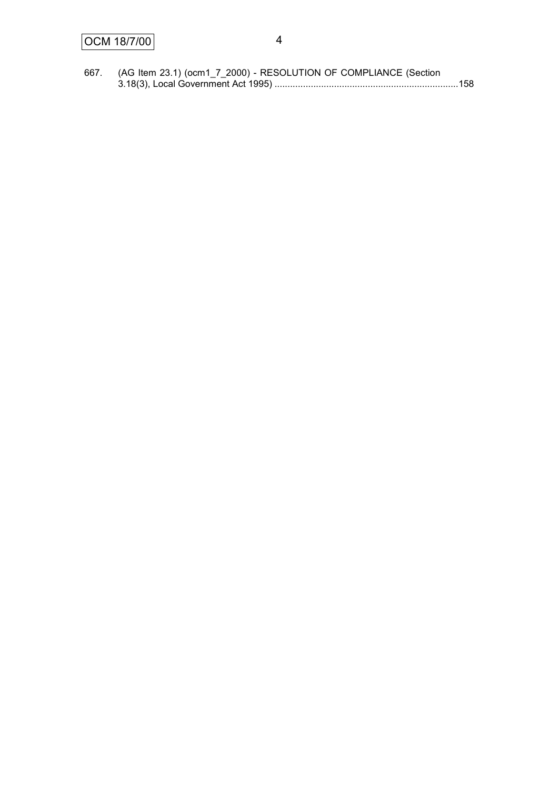| 667. | (AG Item 23.1) (ocm1_7_2000) - RESOLUTION OF COMPLIANCE (Section |  |
|------|------------------------------------------------------------------|--|
|      |                                                                  |  |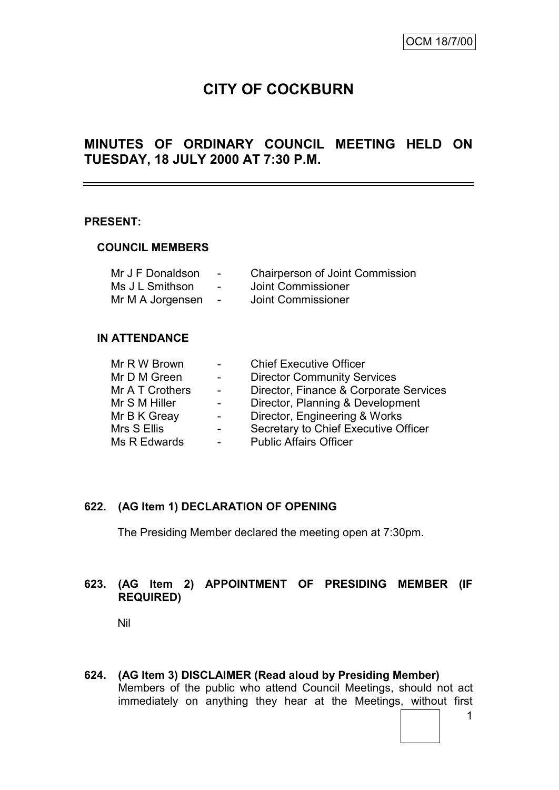# **CITY OF COCKBURN**

# **MINUTES OF ORDINARY COUNCIL MEETING HELD ON TUESDAY, 18 JULY 2000 AT 7:30 P.M.**

#### **PRESENT:**

#### **COUNCIL MEMBERS**

| Mr J F Donaldson | $\blacksquare$           | <b>Chairperson of Joint Commission</b> |
|------------------|--------------------------|----------------------------------------|
| Ms J L Smithson  | $\overline{\phantom{0}}$ | Joint Commissioner                     |
| Mr M A Jorgensen | $\overline{\phantom{a}}$ | Joint Commissioner                     |

#### **IN ATTENDANCE**

| Mr R W Brown    |                          | <b>Chief Executive Officer</b>         |
|-----------------|--------------------------|----------------------------------------|
| Mr D M Green    | $\sim$                   | <b>Director Community Services</b>     |
| Mr A T Crothers | $\sim$                   | Director, Finance & Corporate Services |
| Mr S M Hiller   | $\overline{\phantom{0}}$ | Director, Planning & Development       |
| Mr B K Greay    |                          | Director, Engineering & Works          |
| Mrs S Ellis     |                          | Secretary to Chief Executive Officer   |
| Ms R Edwards    |                          | <b>Public Affairs Officer</b>          |
|                 |                          |                                        |

# **622. (AG Item 1) DECLARATION OF OPENING**

The Presiding Member declared the meeting open at 7:30pm.

# **623. (AG Item 2) APPOINTMENT OF PRESIDING MEMBER (IF REQUIRED)**

Nil

**624. (AG Item 3) DISCLAIMER (Read aloud by Presiding Member)** Members of the public who attend Council Meetings, should not act immediately on anything they hear at the Meetings, without first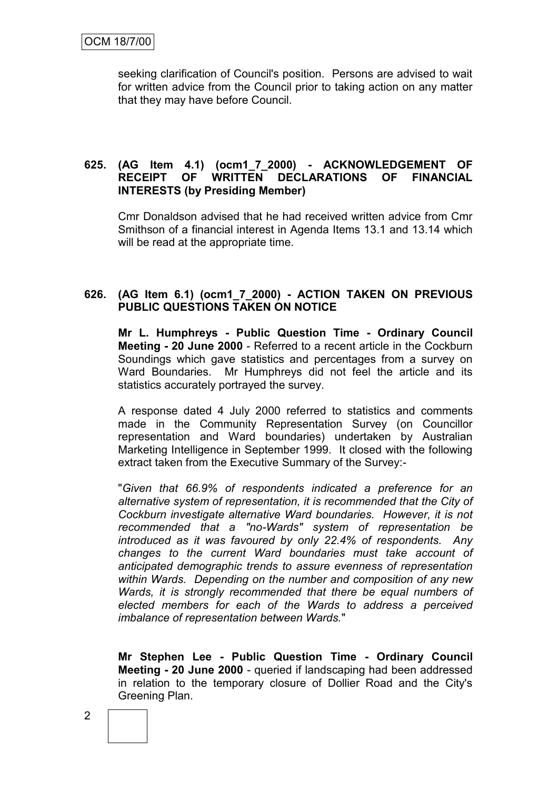seeking clarification of Council's position. Persons are advised to wait for written advice from the Council prior to taking action on any matter that they may have before Council.

# **625. (AG Item 4.1) (ocm1\_7\_2000) - ACKNOWLEDGEMENT OF RECEIPT OF WRITTEN DECLARATIONS OF FINANCIAL INTERESTS (by Presiding Member)**

Cmr Donaldson advised that he had received written advice from Cmr Smithson of a financial interest in Agenda Items 13.1 and 13.14 which will be read at the appropriate time.

### **626. (AG Item 6.1) (ocm1\_7\_2000) - ACTION TAKEN ON PREVIOUS PUBLIC QUESTIONS TAKEN ON NOTICE**

**Mr L. Humphreys - Public Question Time - Ordinary Council Meeting - 20 June 2000** - Referred to a recent article in the Cockburn Soundings which gave statistics and percentages from a survey on Ward Boundaries. Mr Humphreys did not feel the article and its statistics accurately portrayed the survey.

A response dated 4 July 2000 referred to statistics and comments made in the Community Representation Survey (on Councillor representation and Ward boundaries) undertaken by Australian Marketing Intelligence in September 1999. It closed with the following extract taken from the Executive Summary of the Survey:-

"*Given that 66.9% of respondents indicated a preference for an alternative system of representation, it is recommended that the City of Cockburn investigate alternative Ward boundaries. However, it is not recommended that a "no-Wards" system of representation be introduced as it was favoured by only 22.4% of respondents. Any changes to the current Ward boundaries must take account of anticipated demographic trends to assure evenness of representation within Wards. Depending on the number and composition of any new Wards, it is strongly recommended that there be equal numbers of elected members for each of the Wards to address a perceived imbalance of representation between Wards.*"

**Mr Stephen Lee - Public Question Time - Ordinary Council Meeting - 20 June 2000** - queried if landscaping had been addressed in relation to the temporary closure of Dollier Road and the City's Greening Plan.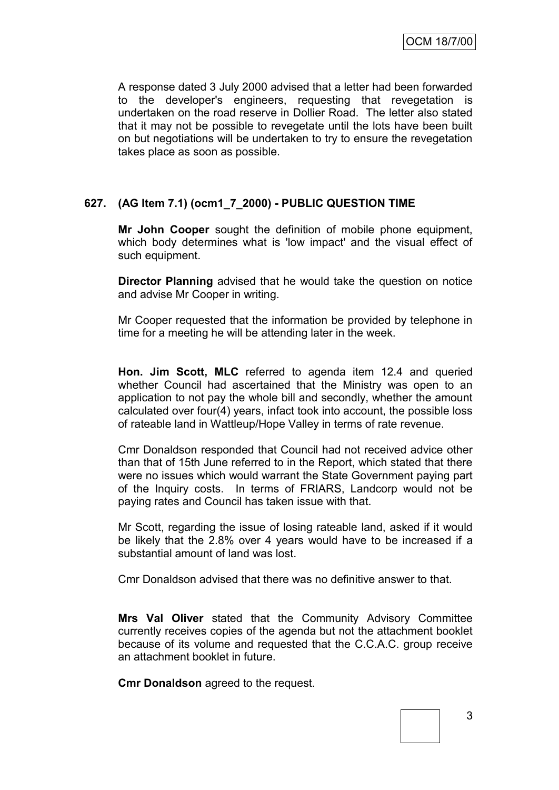A response dated 3 July 2000 advised that a letter had been forwarded to the developer's engineers, requesting that revegetation is undertaken on the road reserve in Dollier Road. The letter also stated that it may not be possible to revegetate until the lots have been built on but negotiations will be undertaken to try to ensure the revegetation takes place as soon as possible.

# **627. (AG Item 7.1) (ocm1\_7\_2000) - PUBLIC QUESTION TIME**

**Mr John Cooper** sought the definition of mobile phone equipment, which body determines what is 'low impact' and the visual effect of such equipment.

**Director Planning** advised that he would take the question on notice and advise Mr Cooper in writing.

Mr Cooper requested that the information be provided by telephone in time for a meeting he will be attending later in the week.

**Hon. Jim Scott, MLC** referred to agenda item 12.4 and queried whether Council had ascertained that the Ministry was open to an application to not pay the whole bill and secondly, whether the amount calculated over four(4) years, infact took into account, the possible loss of rateable land in Wattleup/Hope Valley in terms of rate revenue.

Cmr Donaldson responded that Council had not received advice other than that of 15th June referred to in the Report, which stated that there were no issues which would warrant the State Government paying part of the Inquiry costs. In terms of FRIARS, Landcorp would not be paying rates and Council has taken issue with that.

Mr Scott, regarding the issue of losing rateable land, asked if it would be likely that the 2.8% over 4 years would have to be increased if a substantial amount of land was lost.

Cmr Donaldson advised that there was no definitive answer to that.

**Mrs Val Oliver** stated that the Community Advisory Committee currently receives copies of the agenda but not the attachment booklet because of its volume and requested that the C.C.A.C. group receive an attachment booklet in future.

**Cmr Donaldson** agreed to the request.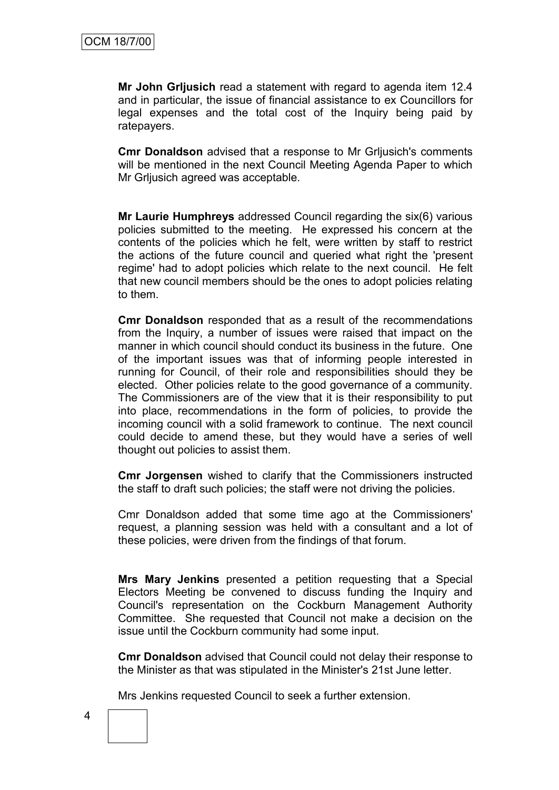**Mr John Grljusich** read a statement with regard to agenda item 12.4 and in particular, the issue of financial assistance to ex Councillors for legal expenses and the total cost of the Inquiry being paid by ratepayers.

**Cmr Donaldson** advised that a response to Mr Grljusich's comments will be mentioned in the next Council Meeting Agenda Paper to which Mr Grljusich agreed was acceptable.

**Mr Laurie Humphreys** addressed Council regarding the six(6) various policies submitted to the meeting. He expressed his concern at the contents of the policies which he felt, were written by staff to restrict the actions of the future council and queried what right the 'present regime' had to adopt policies which relate to the next council. He felt that new council members should be the ones to adopt policies relating to them.

**Cmr Donaldson** responded that as a result of the recommendations from the Inquiry, a number of issues were raised that impact on the manner in which council should conduct its business in the future. One of the important issues was that of informing people interested in running for Council, of their role and responsibilities should they be elected. Other policies relate to the good governance of a community. The Commissioners are of the view that it is their responsibility to put into place, recommendations in the form of policies, to provide the incoming council with a solid framework to continue. The next council could decide to amend these, but they would have a series of well thought out policies to assist them.

**Cmr Jorgensen** wished to clarify that the Commissioners instructed the staff to draft such policies; the staff were not driving the policies.

Cmr Donaldson added that some time ago at the Commissioners' request, a planning session was held with a consultant and a lot of these policies, were driven from the findings of that forum.

**Mrs Mary Jenkins** presented a petition requesting that a Special Electors Meeting be convened to discuss funding the Inquiry and Council's representation on the Cockburn Management Authority Committee. She requested that Council not make a decision on the issue until the Cockburn community had some input.

**Cmr Donaldson** advised that Council could not delay their response to the Minister as that was stipulated in the Minister's 21st June letter.

Mrs Jenkins requested Council to seek a further extension.

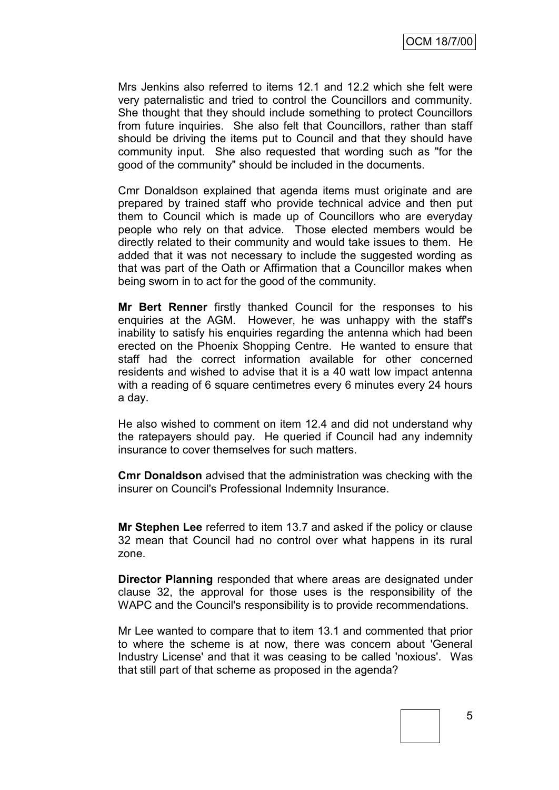Mrs Jenkins also referred to items 12.1 and 12.2 which she felt were very paternalistic and tried to control the Councillors and community. She thought that they should include something to protect Councillors from future inquiries. She also felt that Councillors, rather than staff should be driving the items put to Council and that they should have community input. She also requested that wording such as "for the good of the community" should be included in the documents.

Cmr Donaldson explained that agenda items must originate and are prepared by trained staff who provide technical advice and then put them to Council which is made up of Councillors who are everyday people who rely on that advice. Those elected members would be directly related to their community and would take issues to them. He added that it was not necessary to include the suggested wording as that was part of the Oath or Affirmation that a Councillor makes when being sworn in to act for the good of the community.

**Mr Bert Renner** firstly thanked Council for the responses to his enquiries at the AGM. However, he was unhappy with the staff's inability to satisfy his enquiries regarding the antenna which had been erected on the Phoenix Shopping Centre. He wanted to ensure that staff had the correct information available for other concerned residents and wished to advise that it is a 40 watt low impact antenna with a reading of 6 square centimetres every 6 minutes every 24 hours a day.

He also wished to comment on item 12.4 and did not understand why the ratepayers should pay. He queried if Council had any indemnity insurance to cover themselves for such matters.

**Cmr Donaldson** advised that the administration was checking with the insurer on Council's Professional Indemnity Insurance.

**Mr Stephen Lee** referred to item 13.7 and asked if the policy or clause 32 mean that Council had no control over what happens in its rural zone.

**Director Planning** responded that where areas are designated under clause 32, the approval for those uses is the responsibility of the WAPC and the Council's responsibility is to provide recommendations.

Mr Lee wanted to compare that to item 13.1 and commented that prior to where the scheme is at now, there was concern about 'General Industry License' and that it was ceasing to be called 'noxious'. Was that still part of that scheme as proposed in the agenda?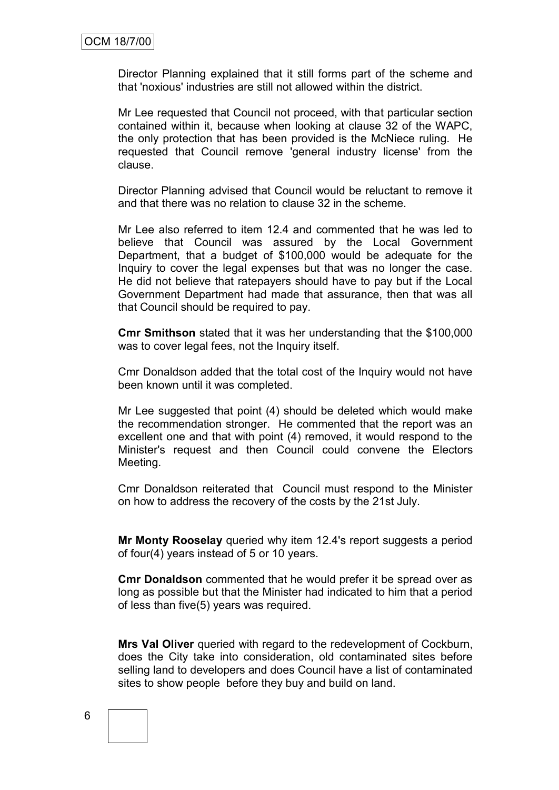Director Planning explained that it still forms part of the scheme and that 'noxious' industries are still not allowed within the district.

Mr Lee requested that Council not proceed, with that particular section contained within it, because when looking at clause 32 of the WAPC, the only protection that has been provided is the McNiece ruling. He requested that Council remove 'general industry license' from the clause.

Director Planning advised that Council would be reluctant to remove it and that there was no relation to clause 32 in the scheme.

Mr Lee also referred to item 12.4 and commented that he was led to believe that Council was assured by the Local Government Department, that a budget of \$100,000 would be adequate for the Inquiry to cover the legal expenses but that was no longer the case. He did not believe that ratepayers should have to pay but if the Local Government Department had made that assurance, then that was all that Council should be required to pay.

**Cmr Smithson** stated that it was her understanding that the \$100,000 was to cover legal fees, not the Inquiry itself.

Cmr Donaldson added that the total cost of the Inquiry would not have been known until it was completed.

Mr Lee suggested that point (4) should be deleted which would make the recommendation stronger. He commented that the report was an excellent one and that with point (4) removed, it would respond to the Minister's request and then Council could convene the Electors Meeting.

Cmr Donaldson reiterated that Council must respond to the Minister on how to address the recovery of the costs by the 21st July.

**Mr Monty Rooselay** queried why item 12.4's report suggests a period of four(4) years instead of 5 or 10 years.

**Cmr Donaldson** commented that he would prefer it be spread over as long as possible but that the Minister had indicated to him that a period of less than five(5) years was required.

**Mrs Val Oliver** queried with regard to the redevelopment of Cockburn, does the City take into consideration, old contaminated sites before selling land to developers and does Council have a list of contaminated sites to show people before they buy and build on land.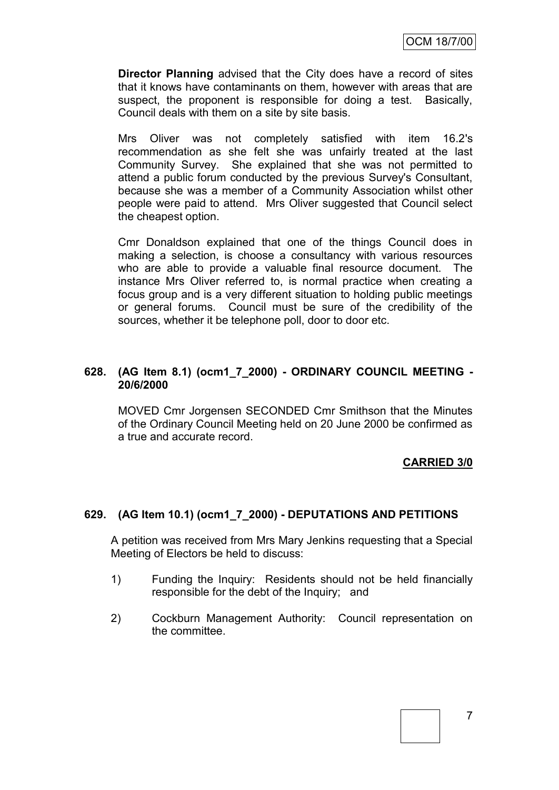**Director Planning** advised that the City does have a record of sites that it knows have contaminants on them, however with areas that are suspect, the proponent is responsible for doing a test. Basically, Council deals with them on a site by site basis.

Mrs Oliver was not completely satisfied with item 16.2's recommendation as she felt she was unfairly treated at the last Community Survey. She explained that she was not permitted to attend a public forum conducted by the previous Survey's Consultant, because she was a member of a Community Association whilst other people were paid to attend. Mrs Oliver suggested that Council select the cheapest option.

Cmr Donaldson explained that one of the things Council does in making a selection, is choose a consultancy with various resources who are able to provide a valuable final resource document. The instance Mrs Oliver referred to, is normal practice when creating a focus group and is a very different situation to holding public meetings or general forums. Council must be sure of the credibility of the sources, whether it be telephone poll, door to door etc.

# **628. (AG Item 8.1) (ocm1\_7\_2000) - ORDINARY COUNCIL MEETING - 20/6/2000**

MOVED Cmr Jorgensen SECONDED Cmr Smithson that the Minutes of the Ordinary Council Meeting held on 20 June 2000 be confirmed as a true and accurate record.

# **CARRIED 3/0**

# **629. (AG Item 10.1) (ocm1\_7\_2000) - DEPUTATIONS AND PETITIONS**

A petition was received from Mrs Mary Jenkins requesting that a Special Meeting of Electors be held to discuss:

- 1) Funding the Inquiry: Residents should not be held financially responsible for the debt of the Inquiry; and
- 2) Cockburn Management Authority: Council representation on the committee.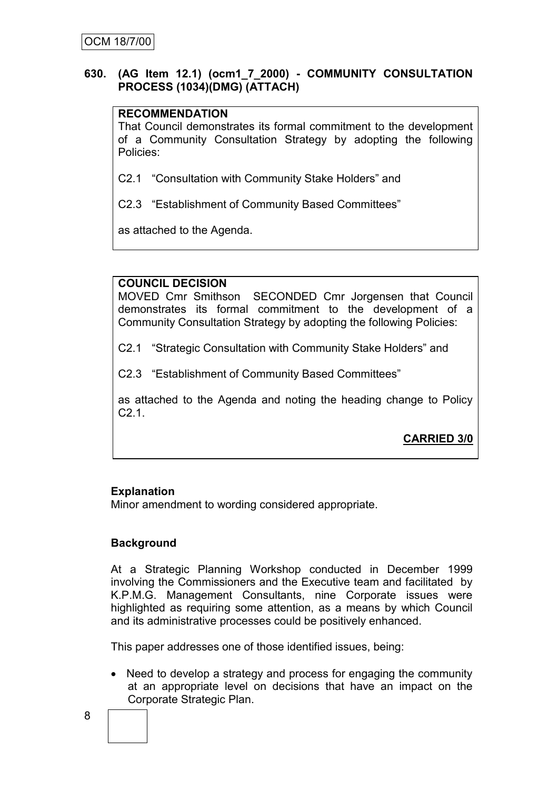# **630. (AG Item 12.1) (ocm1\_7\_2000) - COMMUNITY CONSULTATION PROCESS (1034)(DMG) (ATTACH)**

# **RECOMMENDATION**

That Council demonstrates its formal commitment to the development of a Community Consultation Strategy by adopting the following Policies:

C2.1 "Consultation with Community Stake Holders" and

C2.3 "Establishment of Community Based Committees"

as attached to the Agenda.

# **COUNCIL DECISION**

MOVED Cmr Smithson SECONDED Cmr Jorgensen that Council demonstrates its formal commitment to the development of a Community Consultation Strategy by adopting the following Policies:

C2.1 "Strategic Consultation with Community Stake Holders" and

C2.3 "Establishment of Community Based Committees"

as attached to the Agenda and noting the heading change to Policy C2.1.

# **CARRIED 3/0**

# **Explanation**

Minor amendment to wording considered appropriate.

# **Background**

At a Strategic Planning Workshop conducted in December 1999 involving the Commissioners and the Executive team and facilitated by K.P.M.G. Management Consultants, nine Corporate issues were highlighted as requiring some attention, as a means by which Council and its administrative processes could be positively enhanced.

This paper addresses one of those identified issues, being:

• Need to develop a strategy and process for engaging the community at an appropriate level on decisions that have an impact on the Corporate Strategic Plan.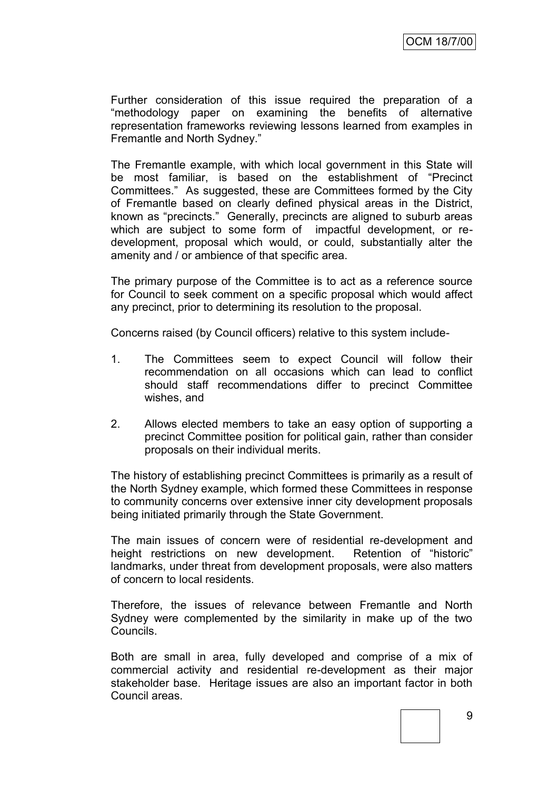Further consideration of this issue required the preparation of a "methodology paper on examining the benefits of alternative representation frameworks reviewing lessons learned from examples in Fremantle and North Sydney."

The Fremantle example, with which local government in this State will be most familiar, is based on the establishment of "Precinct Committees." As suggested, these are Committees formed by the City of Fremantle based on clearly defined physical areas in the District, known as "precincts." Generally, precincts are aligned to suburb areas which are subject to some form of impactful development, or redevelopment, proposal which would, or could, substantially alter the amenity and / or ambience of that specific area.

The primary purpose of the Committee is to act as a reference source for Council to seek comment on a specific proposal which would affect any precinct, prior to determining its resolution to the proposal.

Concerns raised (by Council officers) relative to this system include-

- 1. The Committees seem to expect Council will follow their recommendation on all occasions which can lead to conflict should staff recommendations differ to precinct Committee wishes, and
- 2. Allows elected members to take an easy option of supporting a precinct Committee position for political gain, rather than consider proposals on their individual merits.

The history of establishing precinct Committees is primarily as a result of the North Sydney example, which formed these Committees in response to community concerns over extensive inner city development proposals being initiated primarily through the State Government.

The main issues of concern were of residential re-development and height restrictions on new development. Retention of "historic" landmarks, under threat from development proposals, were also matters of concern to local residents.

Therefore, the issues of relevance between Fremantle and North Sydney were complemented by the similarity in make up of the two Councils.

Both are small in area, fully developed and comprise of a mix of commercial activity and residential re-development as their major stakeholder base. Heritage issues are also an important factor in both Council areas.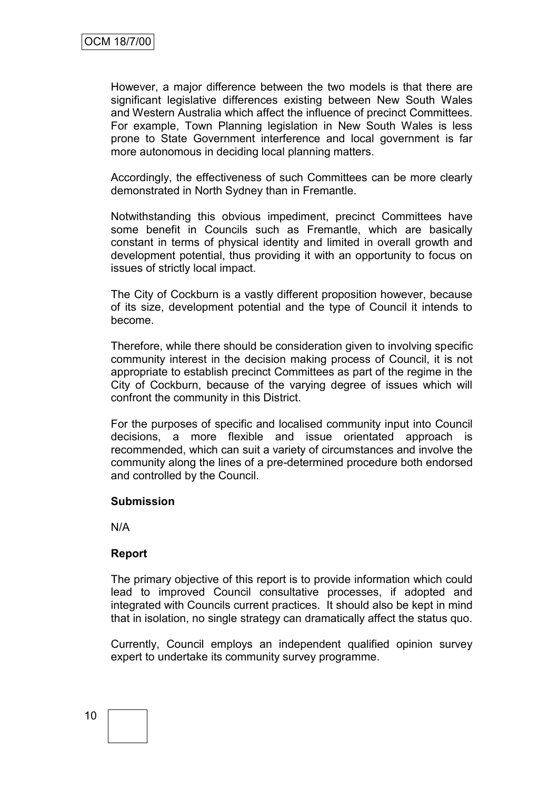However, a major difference between the two models is that there are significant legislative differences existing between New South Wales and Western Australia which affect the influence of precinct Committees. For example, Town Planning legislation in New South Wales is less prone to State Government interference and local government is far more autonomous in deciding local planning matters.

Accordingly, the effectiveness of such Committees can be more clearly demonstrated in North Sydney than in Fremantle.

Notwithstanding this obvious impediment, precinct Committees have some benefit in Councils such as Fremantle, which are basically constant in terms of physical identity and limited in overall growth and development potential, thus providing it with an opportunity to focus on issues of strictly local impact.

The City of Cockburn is a vastly different proposition however, because of its size, development potential and the type of Council it intends to become.

Therefore, while there should be consideration given to involving specific community interest in the decision making process of Council, it is not appropriate to establish precinct Committees as part of the regime in the City of Cockburn, because of the varying degree of issues which will confront the community in this District.

For the purposes of specific and localised community input into Council decisions, a more flexible and issue orientated approach is recommended, which can suit a variety of circumstances and involve the community along the lines of a pre-determined procedure both endorsed and controlled by the Council.

# **Submission**

N/A

# **Report**

The primary objective of this report is to provide information which could lead to improved Council consultative processes, if adopted and integrated with Councils current practices. It should also be kept in mind that in isolation, no single strategy can dramatically affect the status quo.

Currently, Council employs an independent qualified opinion survey expert to undertake its community survey programme.

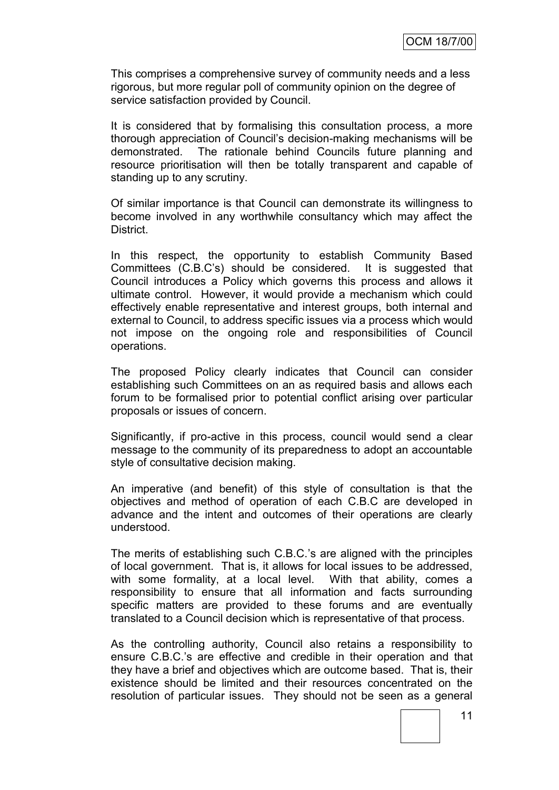This comprises a comprehensive survey of community needs and a less rigorous, but more regular poll of community opinion on the degree of service satisfaction provided by Council.

It is considered that by formalising this consultation process, a more thorough appreciation of Council"s decision-making mechanisms will be demonstrated. The rationale behind Councils future planning and resource prioritisation will then be totally transparent and capable of standing up to any scrutiny.

Of similar importance is that Council can demonstrate its willingness to become involved in any worthwhile consultancy which may affect the District.

In this respect, the opportunity to establish Community Based Committees (C.B.C"s) should be considered. It is suggested that Council introduces a Policy which governs this process and allows it ultimate control. However, it would provide a mechanism which could effectively enable representative and interest groups, both internal and external to Council, to address specific issues via a process which would not impose on the ongoing role and responsibilities of Council operations.

The proposed Policy clearly indicates that Council can consider establishing such Committees on an as required basis and allows each forum to be formalised prior to potential conflict arising over particular proposals or issues of concern.

Significantly, if pro-active in this process, council would send a clear message to the community of its preparedness to adopt an accountable style of consultative decision making.

An imperative (and benefit) of this style of consultation is that the objectives and method of operation of each C.B.C are developed in advance and the intent and outcomes of their operations are clearly understood.

The merits of establishing such C.B.C."s are aligned with the principles of local government. That is, it allows for local issues to be addressed, with some formality, at a local level. With that ability, comes a responsibility to ensure that all information and facts surrounding specific matters are provided to these forums and are eventually translated to a Council decision which is representative of that process.

As the controlling authority, Council also retains a responsibility to ensure C.B.C."s are effective and credible in their operation and that they have a brief and objectives which are outcome based. That is, their existence should be limited and their resources concentrated on the resolution of particular issues. They should not be seen as a general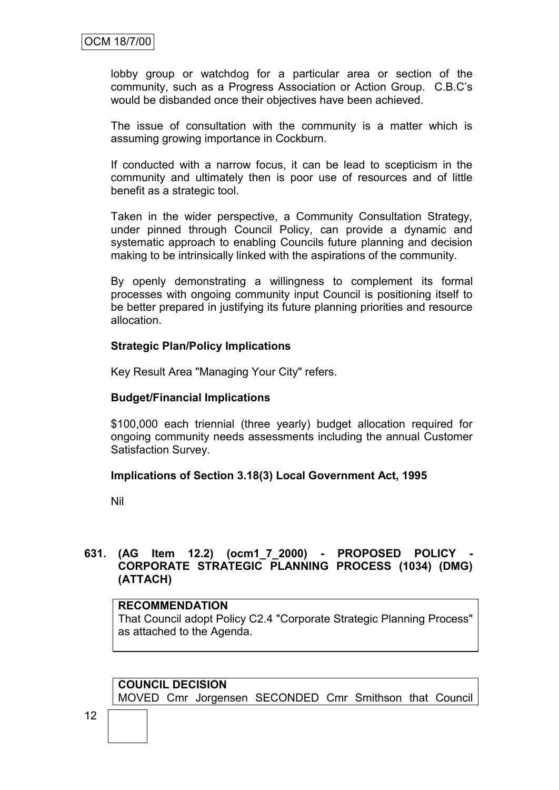lobby group or watchdog for a particular area or section of the community, such as a Progress Association or Action Group. C.B.C"s would be disbanded once their objectives have been achieved.

The issue of consultation with the community is a matter which is assuming growing importance in Cockburn.

If conducted with a narrow focus, it can be lead to scepticism in the community and ultimately then is poor use of resources and of little benefit as a strategic tool.

Taken in the wider perspective, a Community Consultation Strategy, under pinned through Council Policy, can provide a dynamic and systematic approach to enabling Councils future planning and decision making to be intrinsically linked with the aspirations of the community.

By openly demonstrating a willingness to complement its formal processes with ongoing community input Council is positioning itself to be better prepared in justifying its future planning priorities and resource allocation.

# **Strategic Plan/Policy Implications**

Key Result Area "Managing Your City" refers.

### **Budget/Financial Implications**

\$100,000 each triennial (three yearly) budget allocation required for ongoing community needs assessments including the annual Customer Satisfaction Survey.

#### **Implications of Section 3.18(3) Local Government Act, 1995**

Nil

# **631. (AG Item 12.2) (ocm1\_7\_2000) - PROPOSED POLICY - CORPORATE STRATEGIC PLANNING PROCESS (1034) (DMG) (ATTACH)**

# **RECOMMENDATION**

That Council adopt Policy C2.4 "Corporate Strategic Planning Process" as attached to the Agenda.

### **COUNCIL DECISION** MOVED Cmr Jorgensen SECONDED Cmr Smithson that Council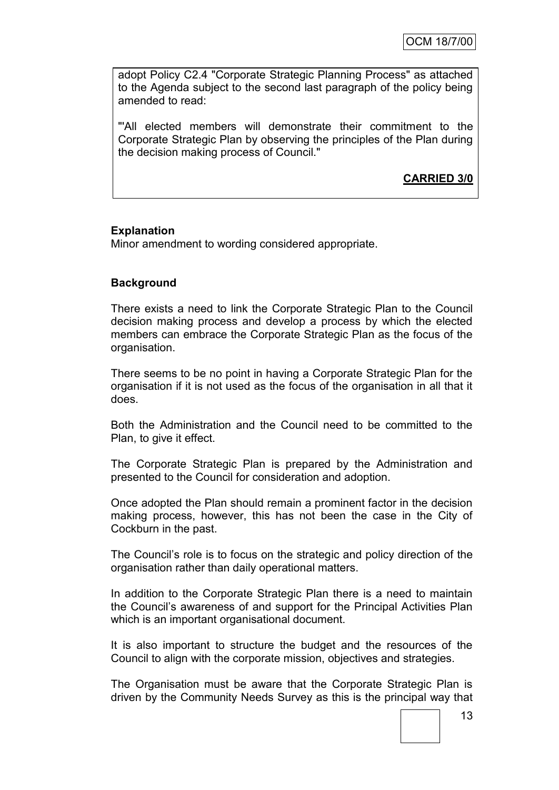adopt Policy C2.4 "Corporate Strategic Planning Process" as attached to the Agenda subject to the second last paragraph of the policy being amended to read:

"'All elected members will demonstrate their commitment to the Corporate Strategic Plan by observing the principles of the Plan during the decision making process of Council."

**CARRIED 3/0**

# **Explanation**

Minor amendment to wording considered appropriate.

# **Background**

There exists a need to link the Corporate Strategic Plan to the Council decision making process and develop a process by which the elected members can embrace the Corporate Strategic Plan as the focus of the organisation.

There seems to be no point in having a Corporate Strategic Plan for the organisation if it is not used as the focus of the organisation in all that it does.

Both the Administration and the Council need to be committed to the Plan, to give it effect.

The Corporate Strategic Plan is prepared by the Administration and presented to the Council for consideration and adoption.

Once adopted the Plan should remain a prominent factor in the decision making process, however, this has not been the case in the City of Cockburn in the past.

The Council"s role is to focus on the strategic and policy direction of the organisation rather than daily operational matters.

In addition to the Corporate Strategic Plan there is a need to maintain the Council"s awareness of and support for the Principal Activities Plan which is an important organisational document.

It is also important to structure the budget and the resources of the Council to align with the corporate mission, objectives and strategies.

The Organisation must be aware that the Corporate Strategic Plan is driven by the Community Needs Survey as this is the principal way that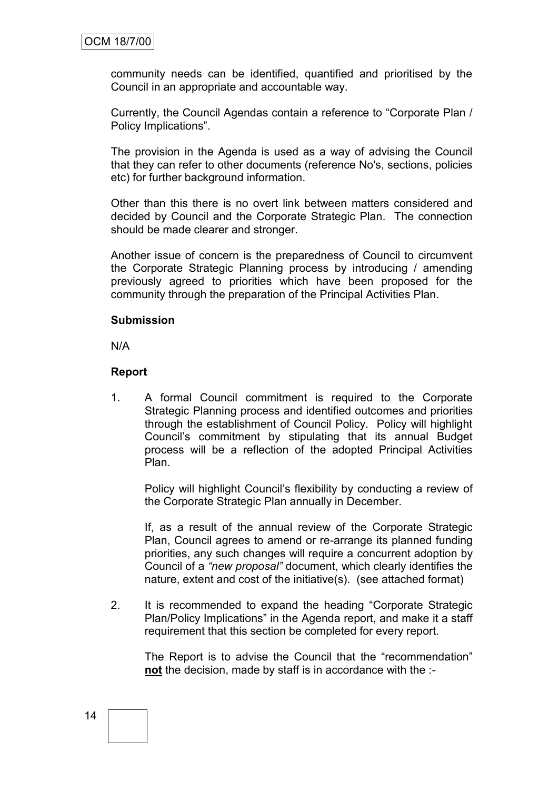community needs can be identified, quantified and prioritised by the Council in an appropriate and accountable way.

Currently, the Council Agendas contain a reference to "Corporate Plan / Policy Implications".

The provision in the Agenda is used as a way of advising the Council that they can refer to other documents (reference No's, sections, policies etc) for further background information.

Other than this there is no overt link between matters considered and decided by Council and the Corporate Strategic Plan. The connection should be made clearer and stronger.

Another issue of concern is the preparedness of Council to circumvent the Corporate Strategic Planning process by introducing / amending previously agreed to priorities which have been proposed for the community through the preparation of the Principal Activities Plan.

#### **Submission**

N/A

#### **Report**

1. A formal Council commitment is required to the Corporate Strategic Planning process and identified outcomes and priorities through the establishment of Council Policy. Policy will highlight Council"s commitment by stipulating that its annual Budget process will be a reflection of the adopted Principal Activities Plan.

Policy will highlight Council"s flexibility by conducting a review of the Corporate Strategic Plan annually in December.

If, as a result of the annual review of the Corporate Strategic Plan, Council agrees to amend or re-arrange its planned funding priorities, any such changes will require a concurrent adoption by Council of a *"new proposal"* document, which clearly identifies the nature, extent and cost of the initiative(s). (see attached format)

2. It is recommended to expand the heading "Corporate Strategic Plan/Policy Implications" in the Agenda report, and make it a staff requirement that this section be completed for every report.

The Report is to advise the Council that the "recommendation" **not** the decision, made by staff is in accordance with the :-

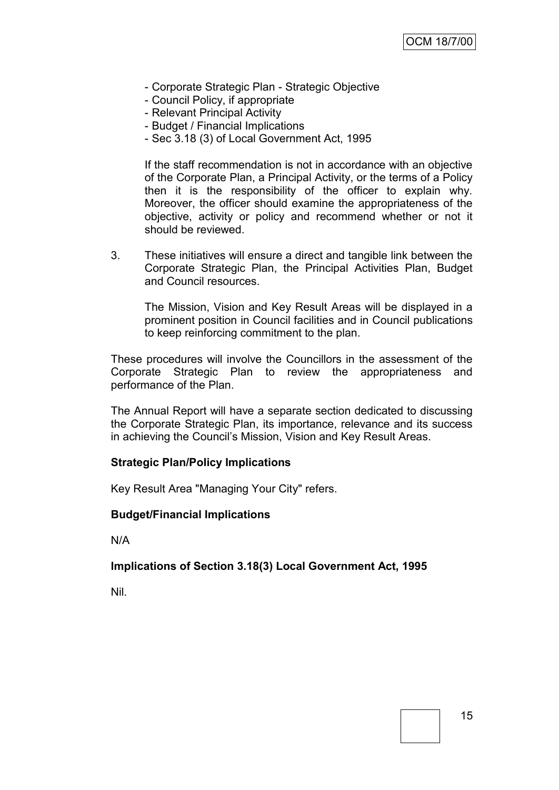- Corporate Strategic Plan Strategic Objective
- Council Policy, if appropriate
- Relevant Principal Activity
- Budget / Financial Implications
- Sec 3.18 (3) of Local Government Act, 1995

If the staff recommendation is not in accordance with an objective of the Corporate Plan, a Principal Activity, or the terms of a Policy then it is the responsibility of the officer to explain why. Moreover, the officer should examine the appropriateness of the objective, activity or policy and recommend whether or not it should be reviewed.

3. These initiatives will ensure a direct and tangible link between the Corporate Strategic Plan, the Principal Activities Plan, Budget and Council resources.

The Mission, Vision and Key Result Areas will be displayed in a prominent position in Council facilities and in Council publications to keep reinforcing commitment to the plan.

These procedures will involve the Councillors in the assessment of the Corporate Strategic Plan to review the appropriateness and performance of the Plan.

The Annual Report will have a separate section dedicated to discussing the Corporate Strategic Plan, its importance, relevance and its success in achieving the Council"s Mission, Vision and Key Result Areas.

#### **Strategic Plan/Policy Implications**

Key Result Area "Managing Your City" refers.

#### **Budget/Financial Implications**

N/A

# **Implications of Section 3.18(3) Local Government Act, 1995**

Nil.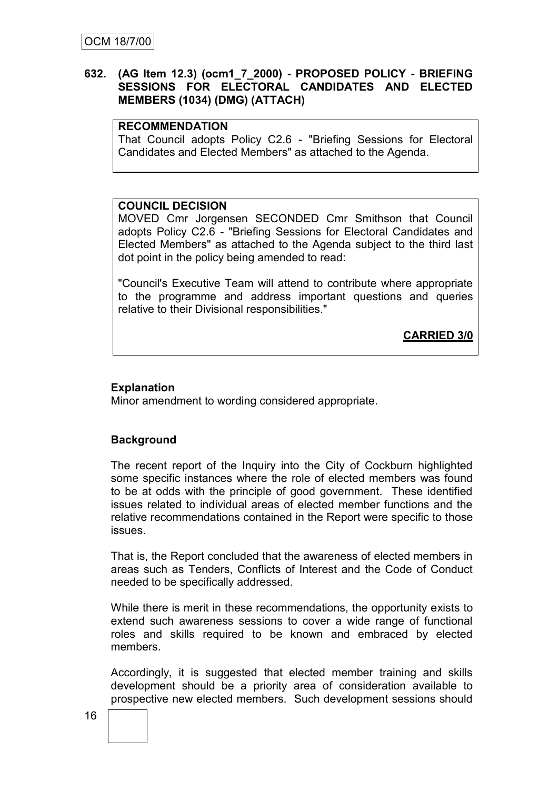# **632. (AG Item 12.3) (ocm1\_7\_2000) - PROPOSED POLICY - BRIEFING SESSIONS FOR ELECTORAL CANDIDATES AND ELECTED MEMBERS (1034) (DMG) (ATTACH)**

### **RECOMMENDATION**

That Council adopts Policy C2.6 - "Briefing Sessions for Electoral Candidates and Elected Members" as attached to the Agenda.

#### **COUNCIL DECISION**

MOVED Cmr Jorgensen SECONDED Cmr Smithson that Council adopts Policy C2.6 - "Briefing Sessions for Electoral Candidates and Elected Members" as attached to the Agenda subject to the third last dot point in the policy being amended to read:

"Council's Executive Team will attend to contribute where appropriate to the programme and address important questions and queries relative to their Divisional responsibilities."

**CARRIED 3/0**

# **Explanation**

Minor amendment to wording considered appropriate.

# **Background**

The recent report of the Inquiry into the City of Cockburn highlighted some specific instances where the role of elected members was found to be at odds with the principle of good government. These identified issues related to individual areas of elected member functions and the relative recommendations contained in the Report were specific to those issues.

That is, the Report concluded that the awareness of elected members in areas such as Tenders, Conflicts of Interest and the Code of Conduct needed to be specifically addressed.

While there is merit in these recommendations, the opportunity exists to extend such awareness sessions to cover a wide range of functional roles and skills required to be known and embraced by elected members.

Accordingly, it is suggested that elected member training and skills development should be a priority area of consideration available to prospective new elected members. Such development sessions should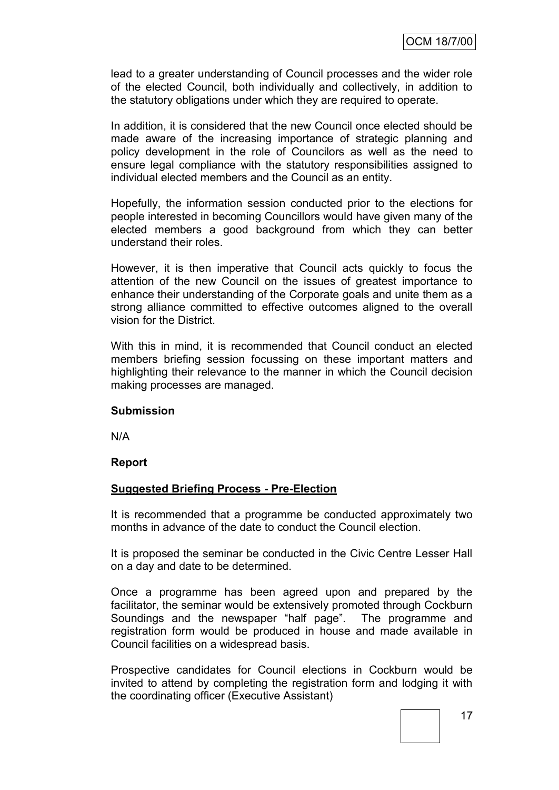lead to a greater understanding of Council processes and the wider role of the elected Council, both individually and collectively, in addition to the statutory obligations under which they are required to operate.

In addition, it is considered that the new Council once elected should be made aware of the increasing importance of strategic planning and policy development in the role of Councilors as well as the need to ensure legal compliance with the statutory responsibilities assigned to individual elected members and the Council as an entity.

Hopefully, the information session conducted prior to the elections for people interested in becoming Councillors would have given many of the elected members a good background from which they can better understand their roles.

However, it is then imperative that Council acts quickly to focus the attention of the new Council on the issues of greatest importance to enhance their understanding of the Corporate goals and unite them as a strong alliance committed to effective outcomes aligned to the overall vision for the District.

With this in mind, it is recommended that Council conduct an elected members briefing session focussing on these important matters and highlighting their relevance to the manner in which the Council decision making processes are managed.

# **Submission**

N/A

# **Report**

# **Suggested Briefing Process - Pre-Election**

It is recommended that a programme be conducted approximately two months in advance of the date to conduct the Council election.

It is proposed the seminar be conducted in the Civic Centre Lesser Hall on a day and date to be determined.

Once a programme has been agreed upon and prepared by the facilitator, the seminar would be extensively promoted through Cockburn Soundings and the newspaper "half page". The programme and registration form would be produced in house and made available in Council facilities on a widespread basis.

Prospective candidates for Council elections in Cockburn would be invited to attend by completing the registration form and lodging it with the coordinating officer (Executive Assistant)

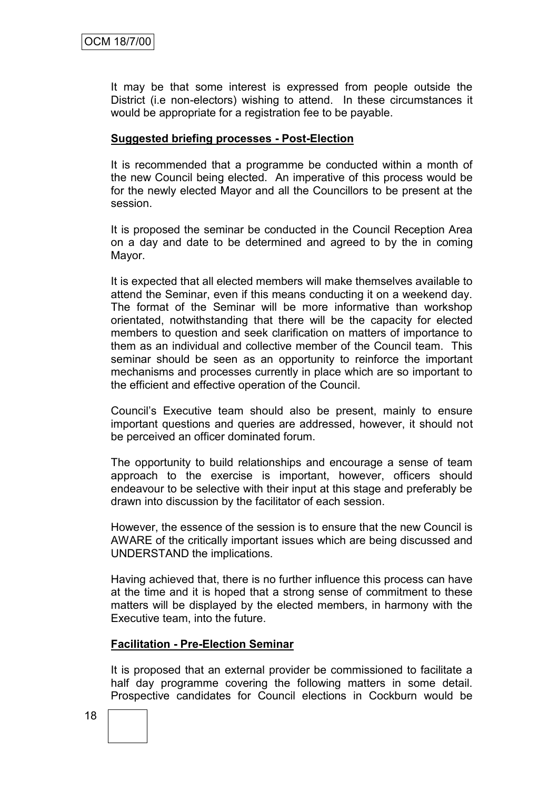It may be that some interest is expressed from people outside the District (i.e non-electors) wishing to attend. In these circumstances it would be appropriate for a registration fee to be payable.

# **Suggested briefing processes - Post-Election**

It is recommended that a programme be conducted within a month of the new Council being elected. An imperative of this process would be for the newly elected Mayor and all the Councillors to be present at the session.

It is proposed the seminar be conducted in the Council Reception Area on a day and date to be determined and agreed to by the in coming Mayor.

It is expected that all elected members will make themselves available to attend the Seminar, even if this means conducting it on a weekend day. The format of the Seminar will be more informative than workshop orientated, notwithstanding that there will be the capacity for elected members to question and seek clarification on matters of importance to them as an individual and collective member of the Council team. This seminar should be seen as an opportunity to reinforce the important mechanisms and processes currently in place which are so important to the efficient and effective operation of the Council.

Council"s Executive team should also be present, mainly to ensure important questions and queries are addressed, however, it should not be perceived an officer dominated forum.

The opportunity to build relationships and encourage a sense of team approach to the exercise is important, however, officers should endeavour to be selective with their input at this stage and preferably be drawn into discussion by the facilitator of each session.

However, the essence of the session is to ensure that the new Council is AWARE of the critically important issues which are being discussed and UNDERSTAND the implications.

Having achieved that, there is no further influence this process can have at the time and it is hoped that a strong sense of commitment to these matters will be displayed by the elected members, in harmony with the Executive team, into the future.

# **Facilitation - Pre-Election Seminar**

It is proposed that an external provider be commissioned to facilitate a half day programme covering the following matters in some detail. Prospective candidates for Council elections in Cockburn would be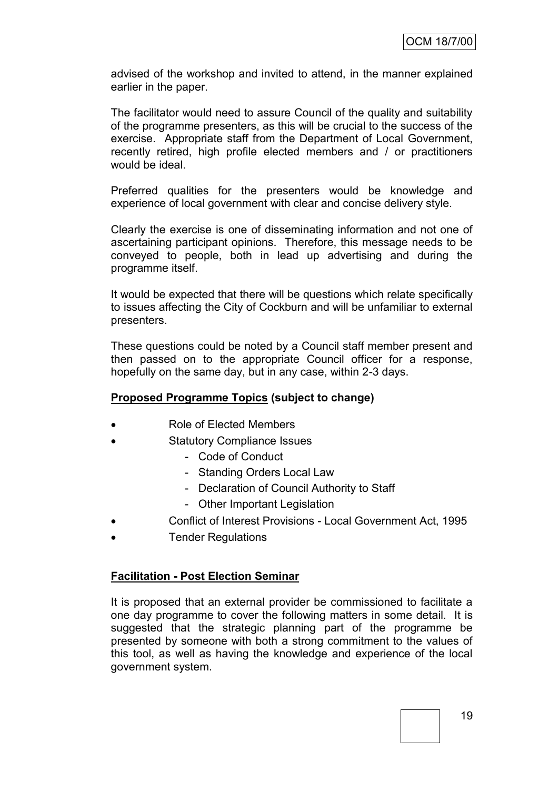advised of the workshop and invited to attend, in the manner explained earlier in the paper.

The facilitator would need to assure Council of the quality and suitability of the programme presenters, as this will be crucial to the success of the exercise. Appropriate staff from the Department of Local Government, recently retired, high profile elected members and / or practitioners would be ideal.

Preferred qualities for the presenters would be knowledge and experience of local government with clear and concise delivery style.

Clearly the exercise is one of disseminating information and not one of ascertaining participant opinions. Therefore, this message needs to be conveyed to people, both in lead up advertising and during the programme itself.

It would be expected that there will be questions which relate specifically to issues affecting the City of Cockburn and will be unfamiliar to external presenters.

These questions could be noted by a Council staff member present and then passed on to the appropriate Council officer for a response, hopefully on the same day, but in any case, within 2-3 days.

# **Proposed Programme Topics (subject to change)**

- Role of Elected Members
- Statutory Compliance Issues
	- Code of Conduct
	- Standing Orders Local Law
	- Declaration of Council Authority to Staff
	- Other Important Legislation
- Conflict of Interest Provisions Local Government Act, 1995
- Tender Regulations

# **Facilitation - Post Election Seminar**

It is proposed that an external provider be commissioned to facilitate a one day programme to cover the following matters in some detail. It is suggested that the strategic planning part of the programme be presented by someone with both a strong commitment to the values of this tool, as well as having the knowledge and experience of the local government system.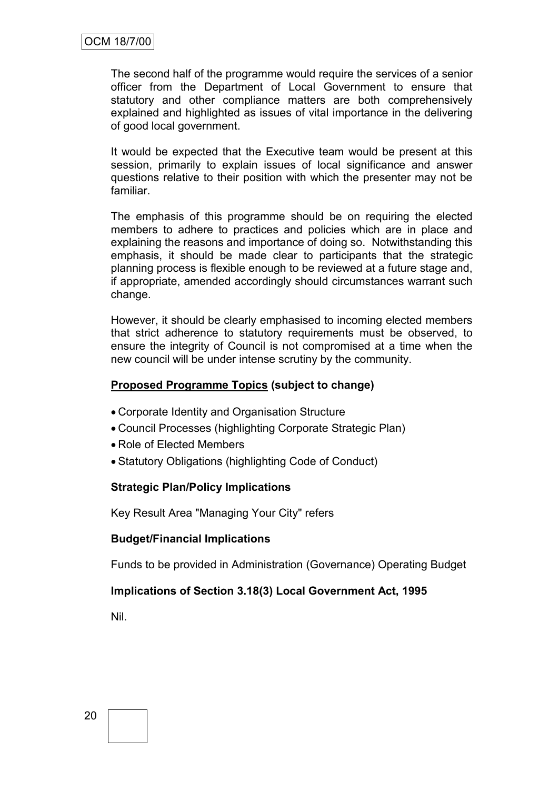The second half of the programme would require the services of a senior officer from the Department of Local Government to ensure that statutory and other compliance matters are both comprehensively explained and highlighted as issues of vital importance in the delivering of good local government.

It would be expected that the Executive team would be present at this session, primarily to explain issues of local significance and answer questions relative to their position with which the presenter may not be familiar.

The emphasis of this programme should be on requiring the elected members to adhere to practices and policies which are in place and explaining the reasons and importance of doing so. Notwithstanding this emphasis, it should be made clear to participants that the strategic planning process is flexible enough to be reviewed at a future stage and, if appropriate, amended accordingly should circumstances warrant such change.

However, it should be clearly emphasised to incoming elected members that strict adherence to statutory requirements must be observed, to ensure the integrity of Council is not compromised at a time when the new council will be under intense scrutiny by the community.

# **Proposed Programme Topics (subject to change)**

- Corporate Identity and Organisation Structure
- Council Processes (highlighting Corporate Strategic Plan)
- Role of Elected Members
- Statutory Obligations (highlighting Code of Conduct)

# **Strategic Plan/Policy Implications**

Key Result Area "Managing Your City" refers

# **Budget/Financial Implications**

Funds to be provided in Administration (Governance) Operating Budget

# **Implications of Section 3.18(3) Local Government Act, 1995**

Nil.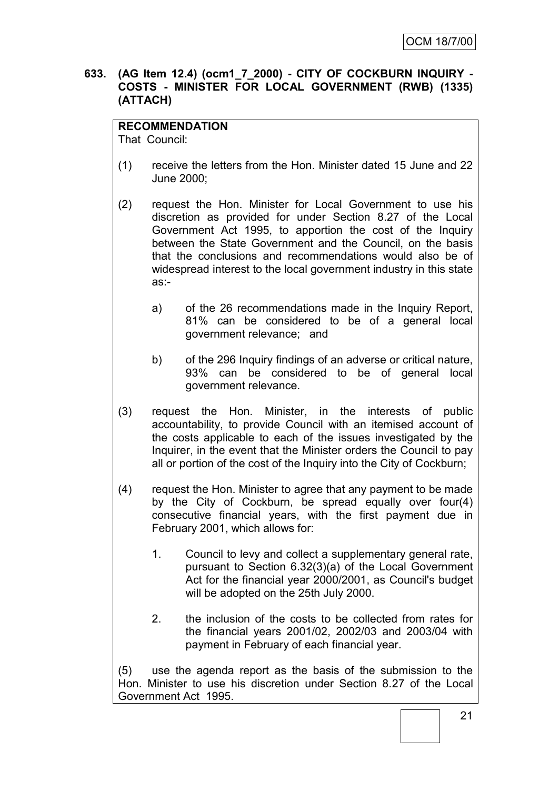# **633. (AG Item 12.4) (ocm1\_7\_2000) - CITY OF COCKBURN INQUIRY - COSTS - MINISTER FOR LOCAL GOVERNMENT (RWB) (1335) (ATTACH)**

# **RECOMMENDATION**

That Council:

- (1) receive the letters from the Hon. Minister dated 15 June and 22 June 2000;
- (2) request the Hon. Minister for Local Government to use his discretion as provided for under Section 8.27 of the Local Government Act 1995, to apportion the cost of the Inquiry between the State Government and the Council, on the basis that the conclusions and recommendations would also be of widespread interest to the local government industry in this state as:
	- a) of the 26 recommendations made in the Inquiry Report, 81% can be considered to be of a general local government relevance; and
	- b) of the 296 Inquiry findings of an adverse or critical nature, 93% can be considered to be of general local government relevance.
- (3) request the Hon. Minister, in the interests of public accountability, to provide Council with an itemised account of the costs applicable to each of the issues investigated by the Inquirer, in the event that the Minister orders the Council to pay all or portion of the cost of the Inquiry into the City of Cockburn;
- (4) request the Hon. Minister to agree that any payment to be made by the City of Cockburn, be spread equally over four(4) consecutive financial years, with the first payment due in February 2001, which allows for:
	- 1. Council to levy and collect a supplementary general rate, pursuant to Section 6.32(3)(a) of the Local Government Act for the financial year 2000/2001, as Council's budget will be adopted on the 25th July 2000.
	- 2. the inclusion of the costs to be collected from rates for the financial years 2001/02, 2002/03 and 2003/04 with payment in February of each financial year.

(5) use the agenda report as the basis of the submission to the Hon. Minister to use his discretion under Section 8.27 of the Local Government Act 1995.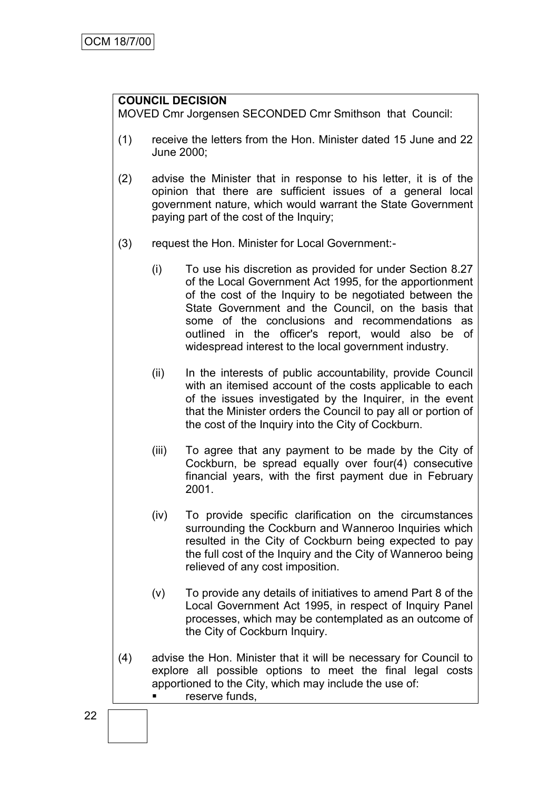# **COUNCIL DECISION**

MOVED Cmr Jorgensen SECONDED Cmr Smithson that Council:

- (1) receive the letters from the Hon. Minister dated 15 June and 22 June 2000;
- (2) advise the Minister that in response to his letter, it is of the opinion that there are sufficient issues of a general local government nature, which would warrant the State Government paying part of the cost of the Inquiry;
- (3) request the Hon. Minister for Local Government:-
	- (i) To use his discretion as provided for under Section 8.27 of the Local Government Act 1995, for the apportionment of the cost of the Inquiry to be negotiated between the State Government and the Council, on the basis that some of the conclusions and recommendations as outlined in the officer's report, would also be of widespread interest to the local government industry.
	- (ii) In the interests of public accountability, provide Council with an itemised account of the costs applicable to each of the issues investigated by the Inquirer, in the event that the Minister orders the Council to pay all or portion of the cost of the Inquiry into the City of Cockburn.
	- (iii) To agree that any payment to be made by the City of Cockburn, be spread equally over four(4) consecutive financial years, with the first payment due in February 2001.
	- (iv) To provide specific clarification on the circumstances surrounding the Cockburn and Wanneroo Inquiries which resulted in the City of Cockburn being expected to pay the full cost of the Inquiry and the City of Wanneroo being relieved of any cost imposition.
	- (v) To provide any details of initiatives to amend Part 8 of the Local Government Act 1995, in respect of Inquiry Panel processes, which may be contemplated as an outcome of the City of Cockburn Inquiry.
- (4) advise the Hon. Minister that it will be necessary for Council to explore all possible options to meet the final legal costs apportioned to the City, which may include the use of: **Figure 1** reserve funds,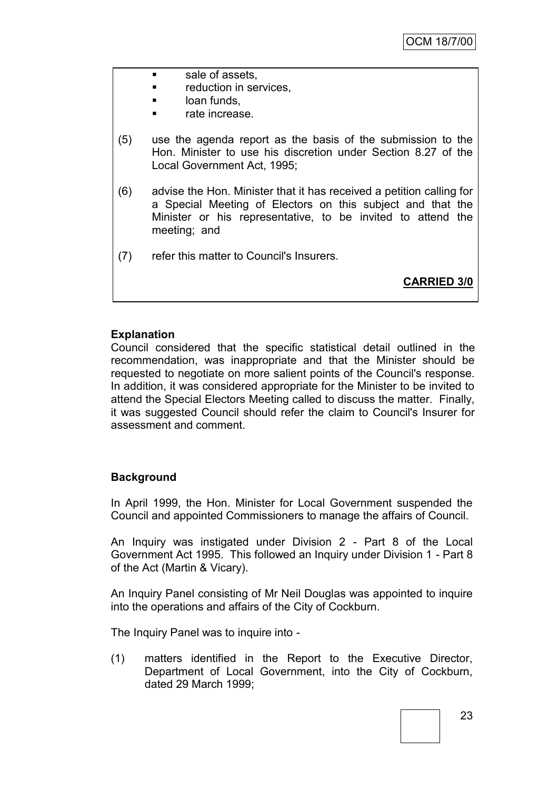- **sale of assets,**
- reduction in services,
- **Lack** loan funds.
- rate increase.
- (5) use the agenda report as the basis of the submission to the Hon. Minister to use his discretion under Section 8.27 of the Local Government Act, 1995;
- (6) advise the Hon. Minister that it has received a petition calling for a Special Meeting of Electors on this subject and that the Minister or his representative, to be invited to attend the meeting; and
- (7) refer this matter to Council's Insurers.

**CARRIED 3/0**

# **Explanation**

Council considered that the specific statistical detail outlined in the recommendation, was inappropriate and that the Minister should be requested to negotiate on more salient points of the Council's response. In addition, it was considered appropriate for the Minister to be invited to attend the Special Electors Meeting called to discuss the matter. Finally, it was suggested Council should refer the claim to Council's Insurer for assessment and comment.

# **Background**

In April 1999, the Hon. Minister for Local Government suspended the Council and appointed Commissioners to manage the affairs of Council.

An Inquiry was instigated under Division 2 - Part 8 of the Local Government Act 1995. This followed an Inquiry under Division 1 - Part 8 of the Act (Martin & Vicary).

An Inquiry Panel consisting of Mr Neil Douglas was appointed to inquire into the operations and affairs of the City of Cockburn.

The Inquiry Panel was to inquire into -

(1) matters identified in the Report to the Executive Director, Department of Local Government, into the City of Cockburn, dated 29 March 1999;

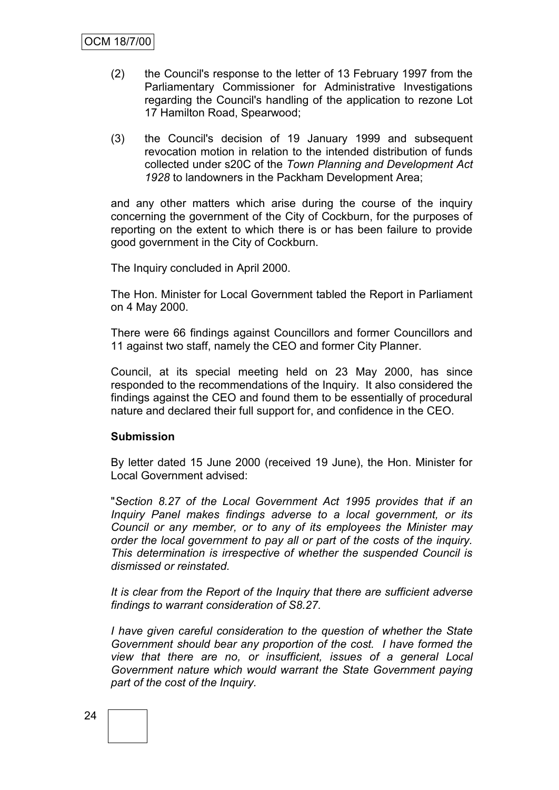- (2) the Council's response to the letter of 13 February 1997 from the Parliamentary Commissioner for Administrative Investigations regarding the Council's handling of the application to rezone Lot 17 Hamilton Road, Spearwood;
- (3) the Council's decision of 19 January 1999 and subsequent revocation motion in relation to the intended distribution of funds collected under s20C of the *Town Planning and Development Act 1928* to landowners in the Packham Development Area;

and any other matters which arise during the course of the inquiry concerning the government of the City of Cockburn, for the purposes of reporting on the extent to which there is or has been failure to provide good government in the City of Cockburn.

The Inquiry concluded in April 2000.

The Hon. Minister for Local Government tabled the Report in Parliament on 4 May 2000.

There were 66 findings against Councillors and former Councillors and 11 against two staff, namely the CEO and former City Planner.

Council, at its special meeting held on 23 May 2000, has since responded to the recommendations of the Inquiry. It also considered the findings against the CEO and found them to be essentially of procedural nature and declared their full support for, and confidence in the CEO.

# **Submission**

By letter dated 15 June 2000 (received 19 June), the Hon. Minister for Local Government advised:

"*Section 8.27 of the Local Government Act 1995 provides that if an Inquiry Panel makes findings adverse to a local government, or its Council or any member, or to any of its employees the Minister may order the local government to pay all or part of the costs of the inquiry. This determination is irrespective of whether the suspended Council is dismissed or reinstated.*

*It is clear from the Report of the Inquiry that there are sufficient adverse findings to warrant consideration of S8.27.*

*I have given careful consideration to the question of whether the State Government should bear any proportion of the cost. I have formed the view that there are no, or insufficient, issues of a general Local Government nature which would warrant the State Government paying part of the cost of the Inquiry.*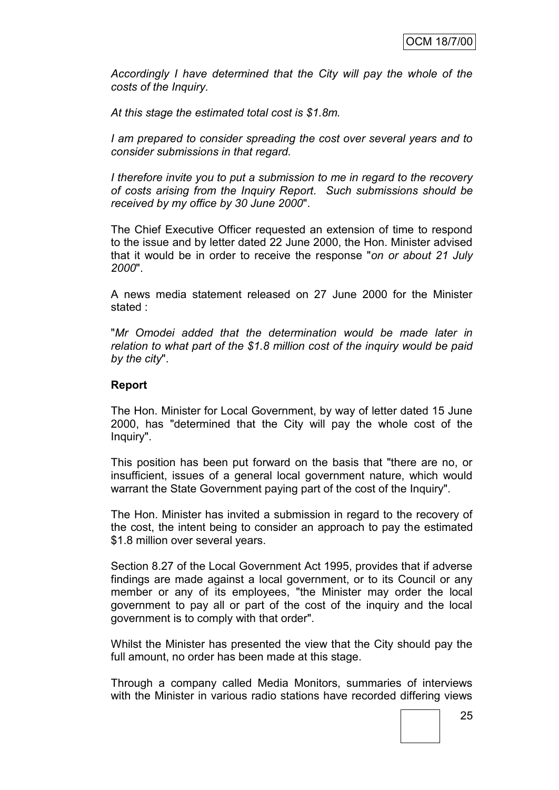*Accordingly I have determined that the City will pay the whole of the costs of the Inquiry.*

*At this stage the estimated total cost is \$1.8m.*

*I am prepared to consider spreading the cost over several years and to consider submissions in that regard.*

*I therefore invite you to put a submission to me in regard to the recovery of costs arising from the Inquiry Report. Such submissions should be received by my office by 30 June 2000*".

The Chief Executive Officer requested an extension of time to respond to the issue and by letter dated 22 June 2000, the Hon. Minister advised that it would be in order to receive the response "*on or about 21 July 2000*".

A news media statement released on 27 June 2000 for the Minister stated :

"*Mr Omodei added that the determination would be made later in relation to what part of the \$1.8 million cost of the inquiry would be paid by the city*".

#### **Report**

The Hon. Minister for Local Government, by way of letter dated 15 June 2000, has "determined that the City will pay the whole cost of the Inquiry".

This position has been put forward on the basis that "there are no, or insufficient, issues of a general local government nature, which would warrant the State Government paying part of the cost of the Inquiry".

The Hon. Minister has invited a submission in regard to the recovery of the cost, the intent being to consider an approach to pay the estimated \$1.8 million over several years.

Section 8.27 of the Local Government Act 1995, provides that if adverse findings are made against a local government, or to its Council or any member or any of its employees, "the Minister may order the local government to pay all or part of the cost of the inquiry and the local government is to comply with that order".

Whilst the Minister has presented the view that the City should pay the full amount, no order has been made at this stage.

Through a company called Media Monitors, summaries of interviews with the Minister in various radio stations have recorded differing views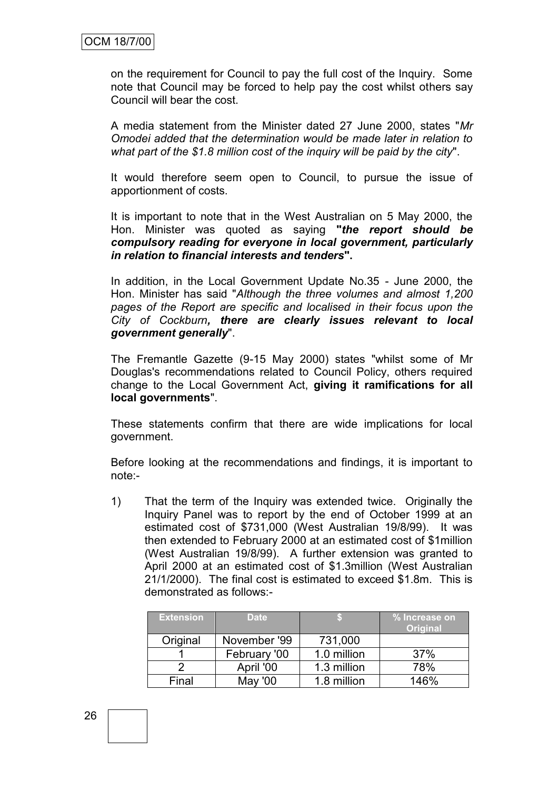on the requirement for Council to pay the full cost of the Inquiry. Some note that Council may be forced to help pay the cost whilst others say Council will bear the cost.

A media statement from the Minister dated 27 June 2000, states "*Mr Omodei added that the determination would be made later in relation to what part of the \$1.8 million cost of the inquiry will be paid by the city*".

It would therefore seem open to Council, to pursue the issue of apportionment of costs.

It is important to note that in the West Australian on 5 May 2000, the Hon. Minister was quoted as saying **"***the report should be compulsory reading for everyone in local government, particularly in relation to financial interests and tenders***".**

In addition, in the Local Government Update No.35 - June 2000, the Hon. Minister has said "*Although the three volumes and almost 1,200 pages of the Report are specific and localised in their focus upon the City of Cockburn, there are clearly issues relevant to local government generally*".

The Fremantle Gazette (9-15 May 2000) states "whilst some of Mr Douglas's recommendations related to Council Policy, others required change to the Local Government Act, **giving it ramifications for all local governments**".

These statements confirm that there are wide implications for local government.

Before looking at the recommendations and findings, it is important to note:-

1) That the term of the Inquiry was extended twice. Originally the Inquiry Panel was to report by the end of October 1999 at an estimated cost of \$731,000 (West Australian 19/8/99). It was then extended to February 2000 at an estimated cost of \$1million (West Australian 19/8/99). A further extension was granted to April 2000 at an estimated cost of \$1.3million (West Australian 21/1/2000). The final cost is estimated to exceed \$1.8m. This is demonstrated as follows:-

| <b>Extension</b> | <b>Date</b>  |             | % Increase on<br><b>Original</b> |
|------------------|--------------|-------------|----------------------------------|
| Original         | November '99 | 731,000     |                                  |
|                  | February '00 | 1.0 million | 37%                              |
|                  | April '00    | 1.3 million | 78%                              |
| Final            | May '00      | 1.8 million | 146%                             |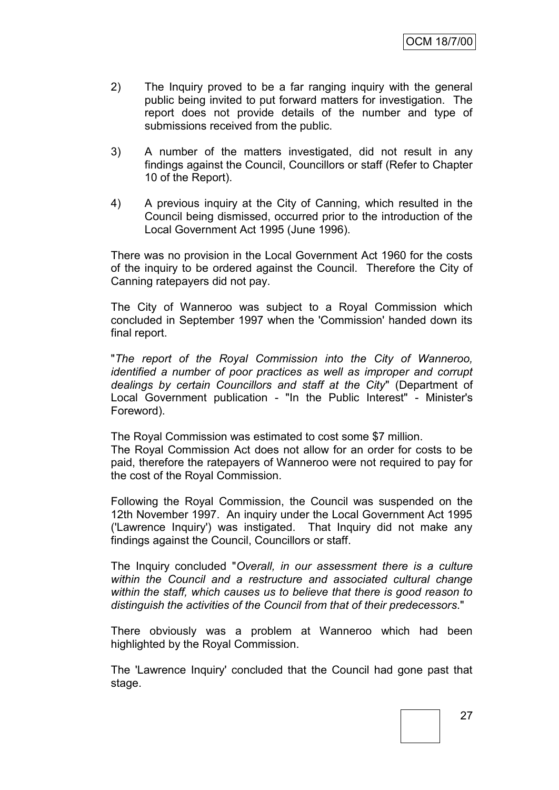- 2) The Inquiry proved to be a far ranging inquiry with the general public being invited to put forward matters for investigation. The report does not provide details of the number and type of submissions received from the public.
- 3) A number of the matters investigated, did not result in any findings against the Council, Councillors or staff (Refer to Chapter 10 of the Report).
- 4) A previous inquiry at the City of Canning, which resulted in the Council being dismissed, occurred prior to the introduction of the Local Government Act 1995 (June 1996).

There was no provision in the Local Government Act 1960 for the costs of the inquiry to be ordered against the Council. Therefore the City of Canning ratepayers did not pay.

The City of Wanneroo was subject to a Royal Commission which concluded in September 1997 when the 'Commission' handed down its final report.

"*The report of the Royal Commission into the City of Wanneroo, identified a number of poor practices as well as improper and corrupt dealings by certain Councillors and staff at the City*" (Department of Local Government publication - "In the Public Interest" - Minister's Foreword).

The Royal Commission was estimated to cost some \$7 million.

The Royal Commission Act does not allow for an order for costs to be paid, therefore the ratepayers of Wanneroo were not required to pay for the cost of the Royal Commission.

Following the Royal Commission, the Council was suspended on the 12th November 1997. An inquiry under the Local Government Act 1995 ('Lawrence Inquiry') was instigated. That Inquiry did not make any findings against the Council, Councillors or staff.

The Inquiry concluded "*Overall, in our assessment there is a culture within the Council and a restructure and associated cultural change within the staff, which causes us to believe that there is good reason to distinguish the activities of the Council from that of their predecessors*."

There obviously was a problem at Wanneroo which had been highlighted by the Royal Commission.

The 'Lawrence Inquiry' concluded that the Council had gone past that stage.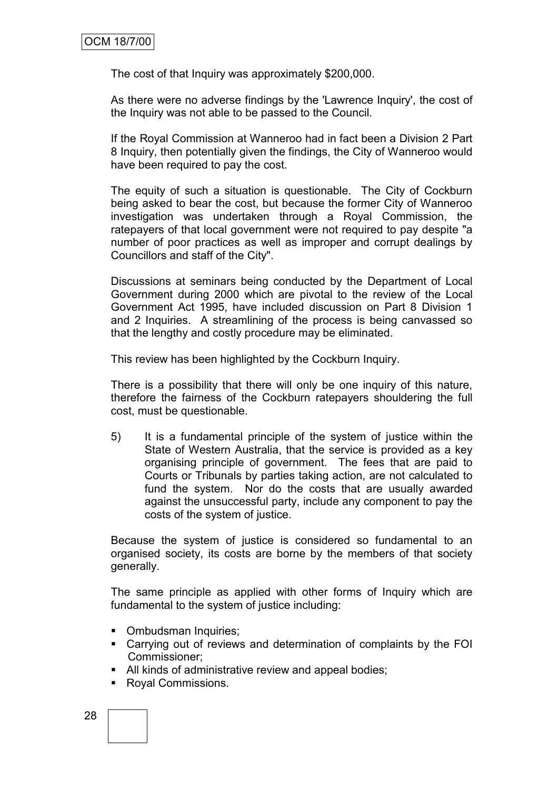The cost of that Inquiry was approximately \$200,000.

As there were no adverse findings by the 'Lawrence Inquiry', the cost of the Inquiry was not able to be passed to the Council.

If the Royal Commission at Wanneroo had in fact been a Division 2 Part 8 Inquiry, then potentially given the findings, the City of Wanneroo would have been required to pay the cost.

The equity of such a situation is questionable. The City of Cockburn being asked to bear the cost, but because the former City of Wanneroo investigation was undertaken through a Royal Commission, the ratepayers of that local government were not required to pay despite "a number of poor practices as well as improper and corrupt dealings by Councillors and staff of the City".

Discussions at seminars being conducted by the Department of Local Government during 2000 which are pivotal to the review of the Local Government Act 1995, have included discussion on Part 8 Division 1 and 2 Inquiries. A streamlining of the process is being canvassed so that the lengthy and costly procedure may be eliminated.

This review has been highlighted by the Cockburn Inquiry.

There is a possibility that there will only be one inquiry of this nature, therefore the fairness of the Cockburn ratepayers shouldering the full cost, must be questionable.

5) It is a fundamental principle of the system of justice within the State of Western Australia, that the service is provided as a key organising principle of government. The fees that are paid to Courts or Tribunals by parties taking action, are not calculated to fund the system. Nor do the costs that are usually awarded against the unsuccessful party, include any component to pay the costs of the system of justice.

Because the system of justice is considered so fundamental to an organised society, its costs are borne by the members of that society generally.

The same principle as applied with other forms of Inquiry which are fundamental to the system of justice including:

- Ombudsman Inquiries;
- Carrying out of reviews and determination of complaints by the FOI Commissioner;
- All kinds of administrative review and appeal bodies;
- Royal Commissions.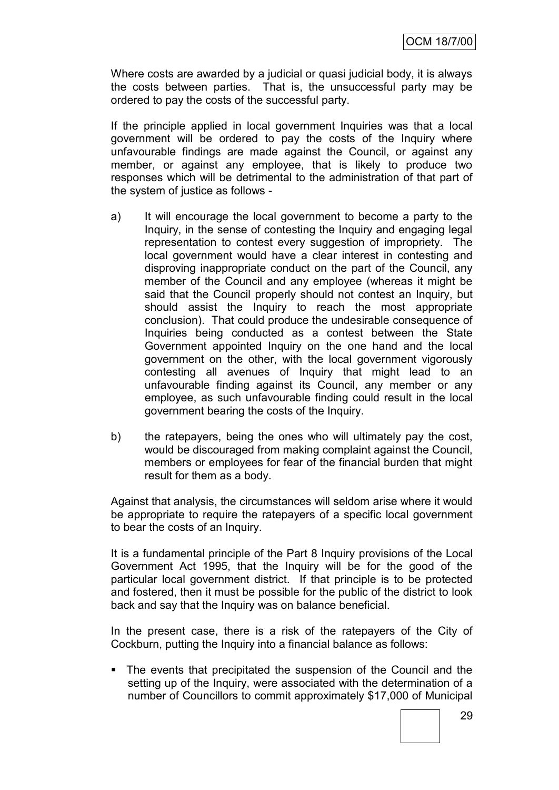Where costs are awarded by a judicial or quasi judicial body, it is always the costs between parties. That is, the unsuccessful party may be ordered to pay the costs of the successful party.

If the principle applied in local government Inquiries was that a local government will be ordered to pay the costs of the Inquiry where unfavourable findings are made against the Council, or against any member, or against any employee, that is likely to produce two responses which will be detrimental to the administration of that part of the system of justice as follows -

- a) It will encourage the local government to become a party to the Inquiry, in the sense of contesting the Inquiry and engaging legal representation to contest every suggestion of impropriety. The local government would have a clear interest in contesting and disproving inappropriate conduct on the part of the Council, any member of the Council and any employee (whereas it might be said that the Council properly should not contest an Inquiry, but should assist the Inquiry to reach the most appropriate conclusion). That could produce the undesirable consequence of Inquiries being conducted as a contest between the State Government appointed Inquiry on the one hand and the local government on the other, with the local government vigorously contesting all avenues of Inquiry that might lead to an unfavourable finding against its Council, any member or any employee, as such unfavourable finding could result in the local government bearing the costs of the Inquiry.
- b) the ratepayers, being the ones who will ultimately pay the cost, would be discouraged from making complaint against the Council, members or employees for fear of the financial burden that might result for them as a body.

Against that analysis, the circumstances will seldom arise where it would be appropriate to require the ratepayers of a specific local government to bear the costs of an Inquiry.

It is a fundamental principle of the Part 8 Inquiry provisions of the Local Government Act 1995, that the Inquiry will be for the good of the particular local government district. If that principle is to be protected and fostered, then it must be possible for the public of the district to look back and say that the Inquiry was on balance beneficial.

In the present case, there is a risk of the ratepayers of the City of Cockburn, putting the Inquiry into a financial balance as follows:

 The events that precipitated the suspension of the Council and the setting up of the Inquiry, were associated with the determination of a number of Councillors to commit approximately \$17,000 of Municipal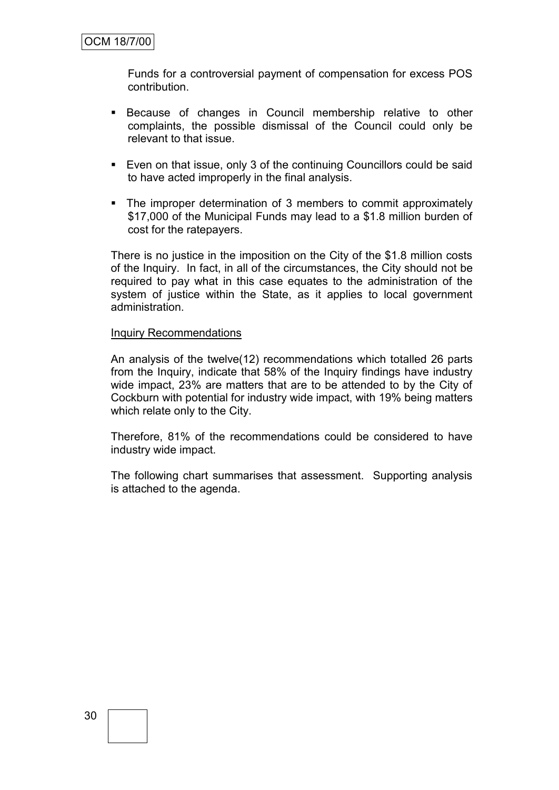Funds for a controversial payment of compensation for excess POS contribution.

- Because of changes in Council membership relative to other complaints, the possible dismissal of the Council could only be relevant to that issue.
- Even on that issue, only 3 of the continuing Councillors could be said to have acted improperly in the final analysis.
- The improper determination of 3 members to commit approximately \$17,000 of the Municipal Funds may lead to a \$1.8 million burden of cost for the ratepayers.

There is no justice in the imposition on the City of the \$1.8 million costs of the Inquiry. In fact, in all of the circumstances, the City should not be required to pay what in this case equates to the administration of the system of justice within the State, as it applies to local government administration.

#### Inquiry Recommendations

An analysis of the twelve(12) recommendations which totalled 26 parts from the Inquiry, indicate that 58% of the Inquiry findings have industry wide impact, 23% are matters that are to be attended to by the City of Cockburn with potential for industry wide impact, with 19% being matters which relate only to the City.

Therefore, 81% of the recommendations could be considered to have industry wide impact.

The following chart summarises that assessment. Supporting analysis is attached to the agenda.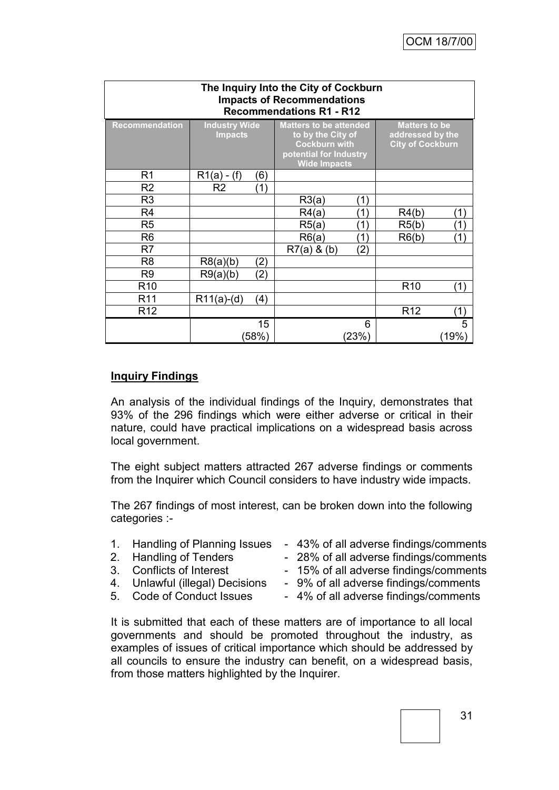| The Inquiry Into the City of Cockburn<br><b>Impacts of Recommendations</b><br><b>Recommendations R1 - R12</b> |                                        |       |                                                                                                                             |       |                                                                     |                |  |
|---------------------------------------------------------------------------------------------------------------|----------------------------------------|-------|-----------------------------------------------------------------------------------------------------------------------------|-------|---------------------------------------------------------------------|----------------|--|
| <b>Recommendation</b>                                                                                         | <b>Industry Wide</b><br><b>Impacts</b> |       | <b>Matters to be attended</b><br>to by the City of<br><b>Cockburn with</b><br>potential for Industry<br><b>Wide Impacts</b> |       | <b>Matters to be</b><br>addressed by the<br><b>City of Cockburn</b> |                |  |
| R <sub>1</sub>                                                                                                | $R1(a) - (f)$                          | (6)   |                                                                                                                             |       |                                                                     |                |  |
| R <sub>2</sub>                                                                                                | R <sub>2</sub>                         | (1)   |                                                                                                                             |       |                                                                     |                |  |
| R <sub>3</sub>                                                                                                |                                        |       | R3(a)                                                                                                                       | (1)   |                                                                     |                |  |
| R <sub>4</sub>                                                                                                |                                        |       | R4(a)                                                                                                                       | (1)   | R4(b)                                                               | ั1)            |  |
| R <sub>5</sub>                                                                                                |                                        |       | R5(a)                                                                                                                       | (1)   | R5(b)                                                               | $^{\prime}$ 1) |  |
| R <sub>6</sub>                                                                                                |                                        |       | R6(a)                                                                                                                       | (1)   | R6(b)                                                               | ั1)            |  |
| R <sub>7</sub>                                                                                                |                                        |       | $R7(a)$ & (b)                                                                                                               | (2)   |                                                                     |                |  |
| R <sub>8</sub>                                                                                                | R8(a)(b)                               | (2)   |                                                                                                                             |       |                                                                     |                |  |
| R <sub>9</sub>                                                                                                | R9(a)(b)                               | (2)   |                                                                                                                             |       |                                                                     |                |  |
| R <sub>10</sub>                                                                                               |                                        |       |                                                                                                                             |       | R <sub>10</sub>                                                     | (1)            |  |
| R <sub>11</sub>                                                                                               | $R11(a)-(d)$                           | (4)   |                                                                                                                             |       |                                                                     |                |  |
| R <sub>12</sub>                                                                                               |                                        |       |                                                                                                                             |       | R <sub>12</sub>                                                     | (1)            |  |
|                                                                                                               |                                        | 15    |                                                                                                                             | 6     |                                                                     | 5              |  |
|                                                                                                               |                                        | (58%) |                                                                                                                             | (23%) |                                                                     | (19%)          |  |

# **Inquiry Findings**

An analysis of the individual findings of the Inquiry, demonstrates that 93% of the 296 findings which were either adverse or critical in their nature, could have practical implications on a widespread basis across local government.

The eight subject matters attracted 267 adverse findings or comments from the Inquirer which Council considers to have industry wide impacts.

The 267 findings of most interest, can be broken down into the following categories :-

- 
- 
- 
- 
- 1. Handling of Planning Issues 43% of all adverse findings/comments

2. Handling of Tenders - 28% of all adverse findings/comments

- 3. Conflicts of Interest  **15% of all adverse findings/comments**
- 4. Unlawful (illegal) Decisions 9% of all adverse findings/comments
- 5. Code of Conduct Issues 4% of all adverse findings/comments

It is submitted that each of these matters are of importance to all local governments and should be promoted throughout the industry, as examples of issues of critical importance which should be addressed by all councils to ensure the industry can benefit, on a widespread basis, from those matters highlighted by the Inquirer.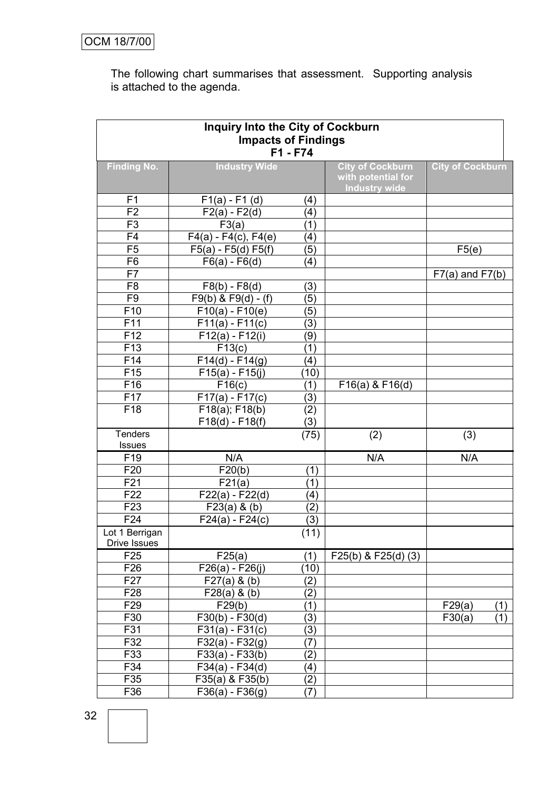The following chart summarises that assessment. Supporting analysis is attached to the agenda.

| <b>Inquiry Into the City of Cockburn</b><br><b>Impacts of Findings</b><br>F1 - F74 |                           |                   |                                                                       |                         |  |  |
|------------------------------------------------------------------------------------|---------------------------|-------------------|-----------------------------------------------------------------------|-------------------------|--|--|
| <b>Finding No.</b>                                                                 | <b>Industry Wide</b>      |                   | <b>City of Cockburn</b><br>with potential for<br><b>Industry wide</b> | <b>City of Cockburn</b> |  |  |
| F <sub>1</sub>                                                                     | $F1(a) - F1(d)$           | (4)               |                                                                       |                         |  |  |
| F <sub>2</sub>                                                                     | $F2(a) - F2(d)$           | (4)               |                                                                       |                         |  |  |
| F <sub>3</sub>                                                                     | F3(a)                     | (1)               |                                                                       |                         |  |  |
| F <sub>4</sub>                                                                     | $F4(a) - F4(c)$ , $F4(e)$ | (4)               |                                                                       |                         |  |  |
| F <sub>5</sub>                                                                     | $F5(a) - F5(d) F5(f)$     | (5)               |                                                                       | F5(e)                   |  |  |
| F <sub>6</sub>                                                                     | $F6(a) - F6(d)$           | (4)               |                                                                       |                         |  |  |
| F7                                                                                 |                           |                   |                                                                       | $F7(a)$ and $F7(b)$     |  |  |
| F <sub>8</sub>                                                                     | $F8(b) - F8(d)$           | (3)               |                                                                       |                         |  |  |
| F <sub>9</sub>                                                                     | $F9(b)$ & $F9(d) - (f)$   | (5)               |                                                                       |                         |  |  |
| F <sub>10</sub>                                                                    | $F10(a) - F10(e)$         | (5)               |                                                                       |                         |  |  |
| F11                                                                                | $F11(a) - F11(c)$         | (3)               |                                                                       |                         |  |  |
| F <sub>12</sub>                                                                    | $F12(a) - F12(i)$         | (9)               |                                                                       |                         |  |  |
| F <sub>13</sub>                                                                    | F13(c)                    | (1)               |                                                                       |                         |  |  |
| F14                                                                                | $F14(d) - F14(g)$         | (4)               |                                                                       |                         |  |  |
| F <sub>15</sub>                                                                    | $F15(a) - F15(j)$         | (10)              |                                                                       |                         |  |  |
| F16                                                                                | $\overline{F}16(c)$       | (1)               | $F16(a)$ & $F16(d)$                                                   |                         |  |  |
| F <sub>17</sub>                                                                    | $F17(a) - F17(c)$         | (3)               |                                                                       |                         |  |  |
| F <sub>18</sub>                                                                    | $F18(a)$ ; $F18(b)$       | (2)               |                                                                       |                         |  |  |
|                                                                                    | $F18(d) - F18(f)$         | (3)               |                                                                       |                         |  |  |
| <b>Tenders</b>                                                                     |                           | (75)              | (2)                                                                   | (3)                     |  |  |
| Issues                                                                             |                           |                   |                                                                       |                         |  |  |
| F <sub>19</sub>                                                                    | N/A                       |                   | N/A                                                                   | N/A                     |  |  |
| F <sub>20</sub>                                                                    | F20(b)                    | (1)               |                                                                       |                         |  |  |
| F21                                                                                | F21(a)                    | (1)               |                                                                       |                         |  |  |
| F22                                                                                | $F22(a) - F22(d)$         | (4)               |                                                                       |                         |  |  |
| F <sub>23</sub>                                                                    | F23(a) 8(b)               | (2)               |                                                                       |                         |  |  |
| F24                                                                                | $F24(a) - F24(c)$         | (3)               |                                                                       |                         |  |  |
| Lot 1 Berrigan<br>Drive Issues                                                     |                           | (11)              |                                                                       |                         |  |  |
| F <sub>25</sub>                                                                    | F25(a)                    | (1)               | $F25(b)$ & $F25(d)$ (3)                                               |                         |  |  |
| F <sub>26</sub>                                                                    | $F26(a) - F26(j)$         | (10)              |                                                                       |                         |  |  |
| F <sub>27</sub>                                                                    | F27(a) 8(b)               | (2)               |                                                                       |                         |  |  |
| F <sub>28</sub>                                                                    | F28(a) 8(b)               | (2)               |                                                                       |                         |  |  |
| F <sub>29</sub>                                                                    | F29(b)                    | (1)               |                                                                       | F29(a)<br>(1)           |  |  |
| F30                                                                                | $F30(b) - F30(d)$         | (3)               |                                                                       | F30(a)<br>(1)           |  |  |
| F31                                                                                | $F31(a) - F31(c)$         | (3)               |                                                                       |                         |  |  |
| F32                                                                                | $F32(a) - F32(g)$         | $\left( 7\right)$ |                                                                       |                         |  |  |
| F33                                                                                | $F33(a) - F33(b)$         | (2)               |                                                                       |                         |  |  |
| F34                                                                                | $F34(a) - F34(d)$         | (4)               |                                                                       |                         |  |  |
| F35                                                                                | F35(a) & F35(b)           | (2)               |                                                                       |                         |  |  |
| F36                                                                                | $F36(a) - F36(g)$         | (7)               |                                                                       |                         |  |  |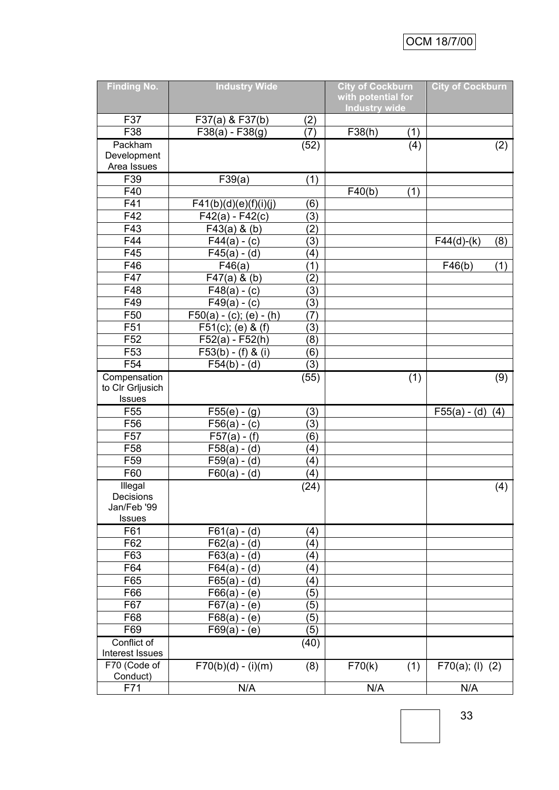| <b>Finding No.</b>         | <b>Industry Wide</b>      |                   | <b>City of Cockburn</b><br>with potential for |     | <b>City of Cockburn</b> |     |
|----------------------------|---------------------------|-------------------|-----------------------------------------------|-----|-------------------------|-----|
|                            |                           |                   | <b>Industry wide</b>                          |     |                         |     |
| F37                        | F37(a) & F37(b)           | (2)               |                                               |     |                         |     |
| F38                        | $F38(a) - F38(g)$         | (7)               | F38(h)                                        | (1) |                         |     |
| Packham                    |                           | (52)              |                                               | (4) |                         | (2) |
| Development<br>Area Issues |                           |                   |                                               |     |                         |     |
| F39                        | F39(a)                    | (1)               |                                               |     |                         |     |
| F40                        |                           |                   | F40(b)                                        | (1) |                         |     |
| F41                        | F41(b)(d)(e)(f)(i)(j)     | (6)               |                                               |     |                         |     |
| F42                        | $F42(a) - F42(c)$         | (3)               |                                               |     |                         |     |
| F43                        | $F43(a)$ & (b)            | (2)               |                                               |     |                         |     |
| F44                        | $F44(a) - (c)$            | (3)               |                                               |     | $F44(d)-(k)$            | (8) |
| F45                        | $F45(a) - (d)$            | (4)               |                                               |     |                         |     |
| F46                        | F46(a)                    | (1)               |                                               |     | F46(b)                  | (1) |
| F47                        | $F47(a)$ & (b)            | (2)               |                                               |     |                         |     |
| F48                        | $F48(a) - (c)$            | (3)               |                                               |     |                         |     |
| F49                        | $F49(a) - (c)$            | (3)               |                                               |     |                         |     |
| F50                        | $F50(a) - (c); (e) - (h)$ | (7)               |                                               |     |                         |     |
| F51                        | $F51(c)$ ; (e) & (f)      | (3)               |                                               |     |                         |     |
| F <sub>52</sub>            | $F52(a) - F52(h)$         | (8)               |                                               |     |                         |     |
| F <sub>53</sub>            | $F53(b) - (f) & (i)$      | (6)               |                                               |     |                         |     |
| F <sub>54</sub>            | $F54(b) - (d)$            | (3)               |                                               |     |                         |     |
| Compensation               |                           | (55)              |                                               | (1) |                         |     |
| to Cir Grijusich           |                           |                   |                                               |     |                         | (9) |
| Issues                     |                           |                   |                                               |     |                         |     |
| F <sub>55</sub>            | $F55(e) - (g)$            | (3)               |                                               |     | $F55(a) - (d)$          | (4) |
| F56                        | $F56(a) - (c)$            | (3)               |                                               |     |                         |     |
| F <sub>57</sub>            | $F57(a) - (f)$            | (6)               |                                               |     |                         |     |
| F <sub>58</sub>            | $F58(a) - (d)$            | (4)               |                                               |     |                         |     |
| F <sub>59</sub>            | $F59(a) - (d)$            | (4)               |                                               |     |                         |     |
| F60                        | $F60(a) - (d)$            | (4)               |                                               |     |                         |     |
| Illegal                    |                           | (24)              |                                               |     |                         | (4) |
| Decisions                  |                           |                   |                                               |     |                         |     |
| Jan/Feb '99                |                           |                   |                                               |     |                         |     |
| <b>Issues</b>              |                           |                   |                                               |     |                         |     |
| F61                        | $F61(a) - (d)$            | (4)               |                                               |     |                         |     |
| F62                        | $F62(a) - (d)$            | $\left( 4\right)$ |                                               |     |                         |     |
| F63                        | $F63(a) - (d)$            | (4)               |                                               |     |                         |     |
| F64                        | $F64(a) - (d)$            | (4)               |                                               |     |                         |     |
| F65                        | $F65(a) - (d)$            | (4)               |                                               |     |                         |     |
| F66                        | $F66(a) - (e)$            | (5)               |                                               |     |                         |     |
| F67                        | $F67(a) - (e)$            | (5)               |                                               |     |                         |     |
| F68                        | $F68(a) - (e)$            | (5)               |                                               |     |                         |     |
| F69                        | $F69(a) - (e)$            | (5)               |                                               |     |                         |     |
| Conflict of                |                           | (40)              |                                               |     |                         |     |
| Interest Issues            |                           |                   |                                               |     |                         |     |
| F70 (Code of<br>Conduct)   | $F70(b)(d) - (i)(m)$      | (8)               | F70(k)                                        | (1) | F70(a); (I) (2)         |     |
| F71                        | N/A                       |                   | N/A                                           |     | N/A                     |     |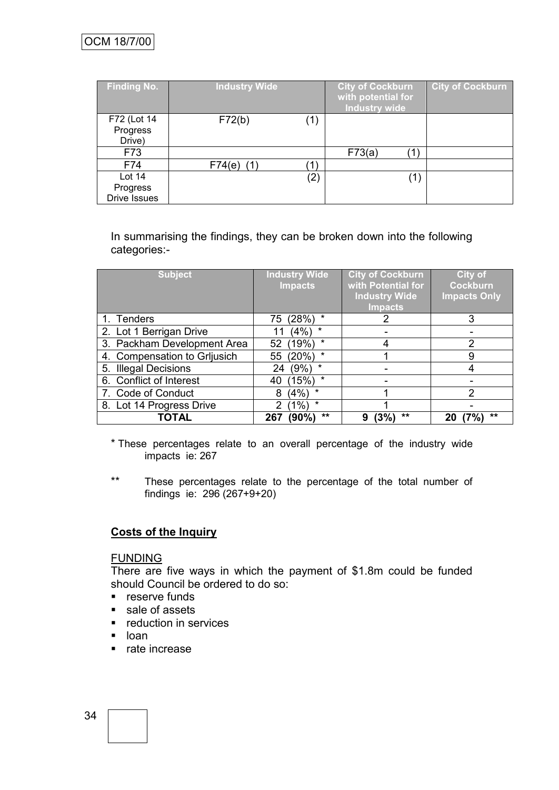| <b>Finding No.</b>                          | <b>Industry Wide</b> | <b>City of Cockburn</b><br>with potential for<br><b>Industry wide</b> | <b>City of Cockburn</b> |
|---------------------------------------------|----------------------|-----------------------------------------------------------------------|-------------------------|
| F72 (Lot 14<br>Progress<br>Drive)           | F72(b)<br>(1)        |                                                                       |                         |
| F73                                         |                      | F73(a)                                                                |                         |
| F74                                         | $F74(e)$ (1)<br>(1   |                                                                       |                         |
| Lot $14$<br>Progress<br><b>Drive Issues</b> | $\left( 2\right)$    |                                                                       |                         |

In summarising the findings, they can be broken down into the following categories:-

| <b>Subject</b>               | <b>Industry Wide</b><br><b>Impacts</b> | <b>City of Cockburn</b><br>with Potential for<br><b>Industry Wide</b><br><b>Impacts</b> | City of<br><b>Cockburn</b><br><b>Impacts Only</b> |
|------------------------------|----------------------------------------|-----------------------------------------------------------------------------------------|---------------------------------------------------|
| 1. Tenders                   | (28%)<br>75                            | 2                                                                                       | 3                                                 |
| 2. Lot 1 Berrigan Drive      | $\star$<br>(4%)                        |                                                                                         |                                                   |
| 3. Packham Development Area  | $\star$<br>(19%)<br>52                 |                                                                                         | 2                                                 |
| 4. Compensation to Grijusich | $\star$<br>(20%)<br>55                 |                                                                                         | 9                                                 |
| 5. Illegal Decisions         | $(9\%)$<br>*<br>24                     |                                                                                         |                                                   |
| 6. Conflict of Interest      | $\star$<br>(15%)<br>40                 |                                                                                         |                                                   |
| 7. Code of Conduct           | $\star$<br>(4%)<br>8                   |                                                                                         | 2                                                 |
| 8. Lot 14 Progress Drive     | $\star$<br>$(1\%)$                     |                                                                                         |                                                   |
| <b>TOTAL</b>                 | **<br>(90%)<br>267                     | $\star\star$<br>9                                                                       | $\star\star$<br>20                                |

- \* These percentages relate to an overall percentage of the industry wide impacts ie: 267
- \*\* These percentages relate to the percentage of the total number of findings ie: 296 (267+9+20)

# **Costs of the Inquiry**

### **FUNDING**

There are five ways in which the payment of \$1.8m could be funded should Council be ordered to do so:

- **reserve funds**
- sale of assets
- **•** reduction in services
- **L** loan
- rate increase

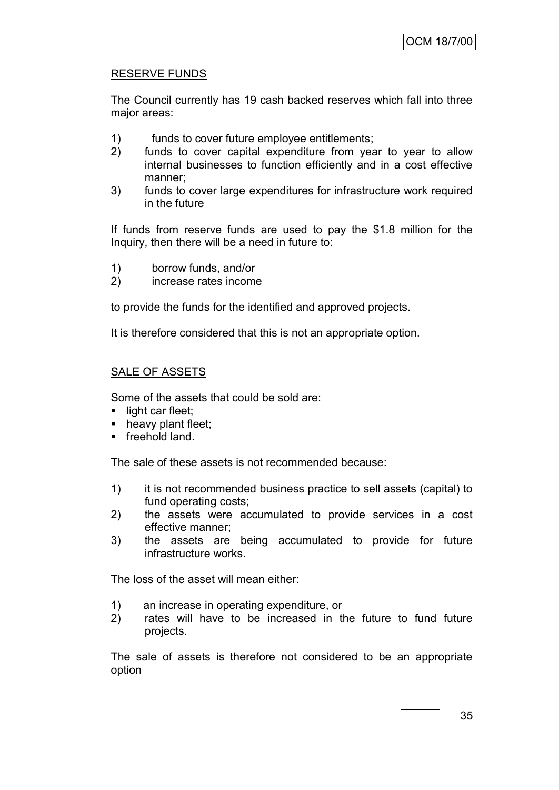# RESERVE FUNDS

The Council currently has 19 cash backed reserves which fall into three major areas:

- 1) funds to cover future employee entitlements;
- 2) funds to cover capital expenditure from year to year to allow internal businesses to function efficiently and in a cost effective manner;
- 3) funds to cover large expenditures for infrastructure work required in the future

If funds from reserve funds are used to pay the \$1.8 million for the Inquiry, then there will be a need in future to:

- 1) borrow funds, and/or
- 2) increase rates income

to provide the funds for the identified and approved projects.

It is therefore considered that this is not an appropriate option.

# SALE OF ASSETS

Some of the assets that could be sold are:

- light car fleet:
- heavy plant fleet;
- **Fireehold land.**

The sale of these assets is not recommended because:

- 1) it is not recommended business practice to sell assets (capital) to fund operating costs;
- 2) the assets were accumulated to provide services in a cost effective manner;
- 3) the assets are being accumulated to provide for future infrastructure works.

The loss of the asset will mean either:

- 1) an increase in operating expenditure, or
- 2) rates will have to be increased in the future to fund future projects.

The sale of assets is therefore not considered to be an appropriate option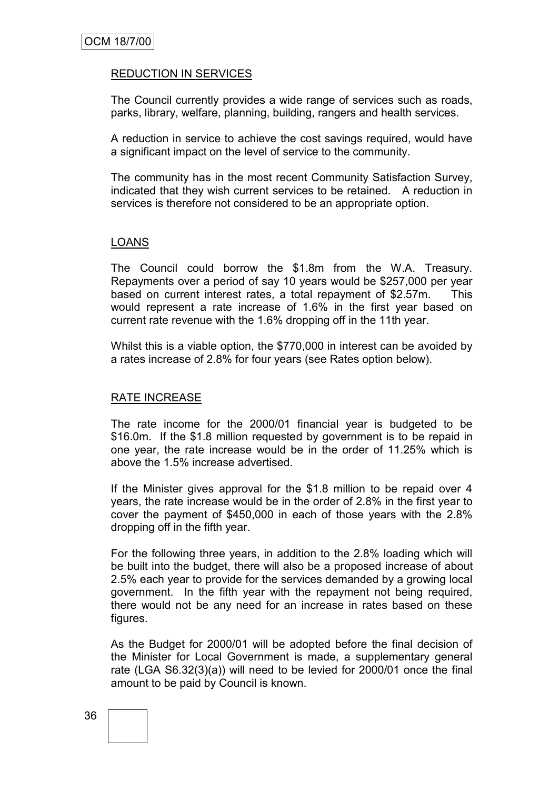# REDUCTION IN SERVICES

The Council currently provides a wide range of services such as roads, parks, library, welfare, planning, building, rangers and health services.

A reduction in service to achieve the cost savings required, would have a significant impact on the level of service to the community.

The community has in the most recent Community Satisfaction Survey, indicated that they wish current services to be retained. A reduction in services is therefore not considered to be an appropriate option.

# LOANS

The Council could borrow the \$1.8m from the W.A. Treasury. Repayments over a period of say 10 years would be \$257,000 per year based on current interest rates, a total repayment of \$2.57m. This would represent a rate increase of 1.6% in the first year based on current rate revenue with the 1.6% dropping off in the 11th year.

Whilst this is a viable option, the \$770,000 in interest can be avoided by a rates increase of 2.8% for four years (see Rates option below).

#### RATE INCREASE

The rate income for the 2000/01 financial year is budgeted to be \$16.0m. If the \$1.8 million requested by government is to be repaid in one year, the rate increase would be in the order of 11.25% which is above the 1.5% increase advertised.

If the Minister gives approval for the \$1.8 million to be repaid over 4 years, the rate increase would be in the order of 2.8% in the first year to cover the payment of \$450,000 in each of those years with the 2.8% dropping off in the fifth year.

For the following three years, in addition to the 2.8% loading which will be built into the budget, there will also be a proposed increase of about 2.5% each year to provide for the services demanded by a growing local government. In the fifth year with the repayment not being required, there would not be any need for an increase in rates based on these figures.

As the Budget for 2000/01 will be adopted before the final decision of the Minister for Local Government is made, a supplementary general rate (LGA S6.32(3)(a)) will need to be levied for 2000/01 once the final amount to be paid by Council is known.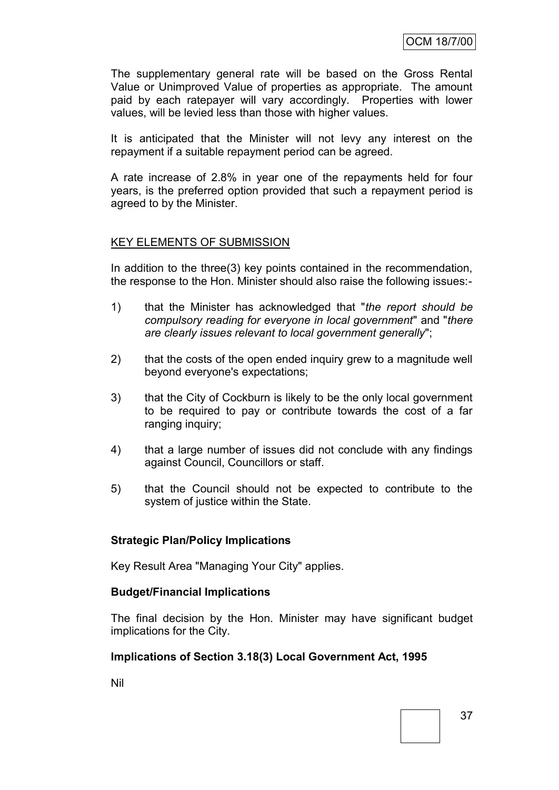The supplementary general rate will be based on the Gross Rental Value or Unimproved Value of properties as appropriate. The amount paid by each ratepayer will vary accordingly. Properties with lower values, will be levied less than those with higher values.

It is anticipated that the Minister will not levy any interest on the repayment if a suitable repayment period can be agreed.

A rate increase of 2.8% in year one of the repayments held for four years, is the preferred option provided that such a repayment period is agreed to by the Minister.

# KEY ELEMENTS OF SUBMISSION

In addition to the three(3) key points contained in the recommendation, the response to the Hon. Minister should also raise the following issues:-

- 1) that the Minister has acknowledged that "*the report should be compulsory reading for everyone in local government*" and "*there are clearly issues relevant to local government generally*";
- 2) that the costs of the open ended inquiry grew to a magnitude well beyond everyone's expectations;
- 3) that the City of Cockburn is likely to be the only local government to be required to pay or contribute towards the cost of a far ranging inquiry;
- 4) that a large number of issues did not conclude with any findings against Council, Councillors or staff.
- 5) that the Council should not be expected to contribute to the system of justice within the State.

# **Strategic Plan/Policy Implications**

Key Result Area "Managing Your City" applies.

#### **Budget/Financial Implications**

The final decision by the Hon. Minister may have significant budget implications for the City.

# **Implications of Section 3.18(3) Local Government Act, 1995**

Nil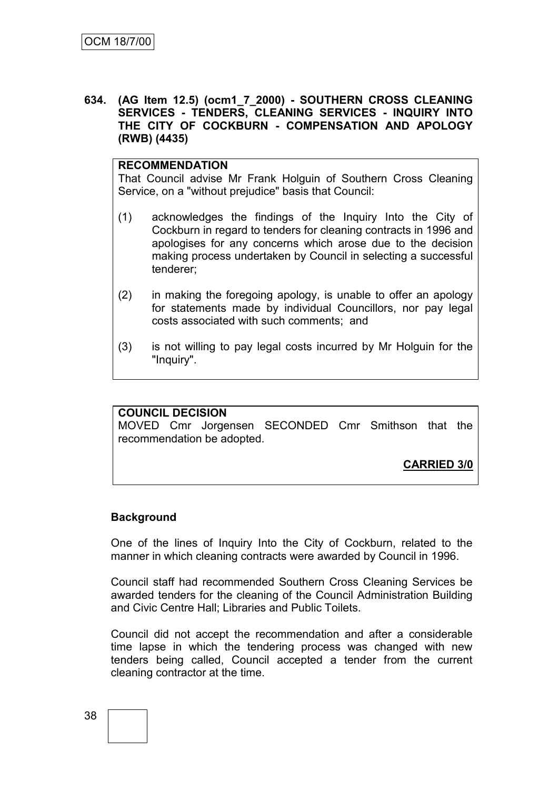### **634. (AG Item 12.5) (ocm1\_7\_2000) - SOUTHERN CROSS CLEANING SERVICES - TENDERS, CLEANING SERVICES - INQUIRY INTO THE CITY OF COCKBURN - COMPENSATION AND APOLOGY (RWB) (4435)**

#### **RECOMMENDATION**

That Council advise Mr Frank Holguin of Southern Cross Cleaning Service, on a "without prejudice" basis that Council:

- (1) acknowledges the findings of the Inquiry Into the City of Cockburn in regard to tenders for cleaning contracts in 1996 and apologises for any concerns which arose due to the decision making process undertaken by Council in selecting a successful tenderer;
- (2) in making the foregoing apology, is unable to offer an apology for statements made by individual Councillors, nor pay legal costs associated with such comments; and
- (3) is not willing to pay legal costs incurred by Mr Holguin for the "Inquiry".

# **COUNCIL DECISION**

MOVED Cmr Jorgensen SECONDED Cmr Smithson that the recommendation be adopted.

**CARRIED 3/0**

#### **Background**

One of the lines of Inquiry Into the City of Cockburn, related to the manner in which cleaning contracts were awarded by Council in 1996.

Council staff had recommended Southern Cross Cleaning Services be awarded tenders for the cleaning of the Council Administration Building and Civic Centre Hall; Libraries and Public Toilets.

Council did not accept the recommendation and after a considerable time lapse in which the tendering process was changed with new tenders being called, Council accepted a tender from the current cleaning contractor at the time.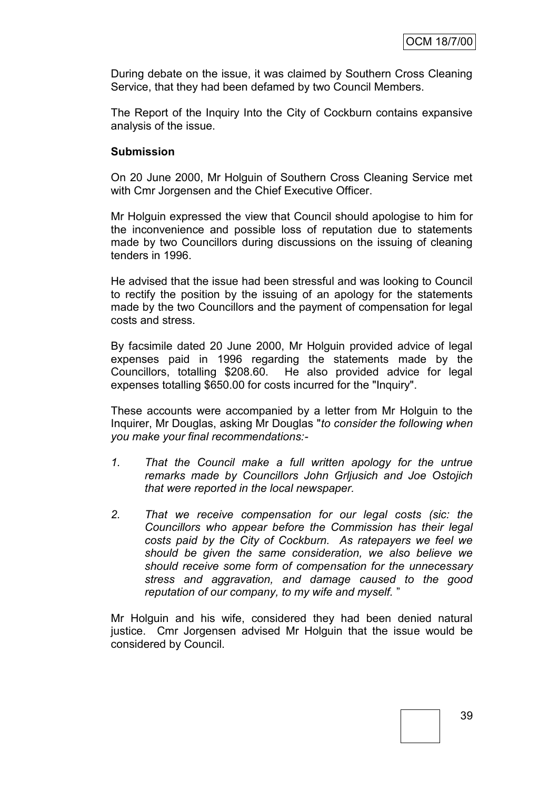During debate on the issue, it was claimed by Southern Cross Cleaning Service, that they had been defamed by two Council Members.

The Report of the Inquiry Into the City of Cockburn contains expansive analysis of the issue.

### **Submission**

On 20 June 2000, Mr Holguin of Southern Cross Cleaning Service met with Cmr Jorgensen and the Chief Executive Officer.

Mr Holguin expressed the view that Council should apologise to him for the inconvenience and possible loss of reputation due to statements made by two Councillors during discussions on the issuing of cleaning tenders in 1996.

He advised that the issue had been stressful and was looking to Council to rectify the position by the issuing of an apology for the statements made by the two Councillors and the payment of compensation for legal costs and stress.

By facsimile dated 20 June 2000, Mr Holguin provided advice of legal expenses paid in 1996 regarding the statements made by the Councillors, totalling \$208.60. He also provided advice for legal expenses totalling \$650.00 for costs incurred for the "Inquiry".

These accounts were accompanied by a letter from Mr Holguin to the Inquirer, Mr Douglas, asking Mr Douglas "*to consider the following when you make your final recommendations:-*

- *1. That the Council make a full written apology for the untrue remarks made by Councillors John Grljusich and Joe Ostojich that were reported in the local newspaper.*
- *2. That we receive compensation for our legal costs (sic: the Councillors who appear before the Commission has their legal costs paid by the City of Cockburn. As ratepayers we feel we should be given the same consideration, we also believe we should receive some form of compensation for the unnecessary stress and aggravation, and damage caused to the good reputation of our company, to my wife and myself.* "

Mr Holguin and his wife, considered they had been denied natural justice. Cmr Jorgensen advised Mr Holguin that the issue would be considered by Council.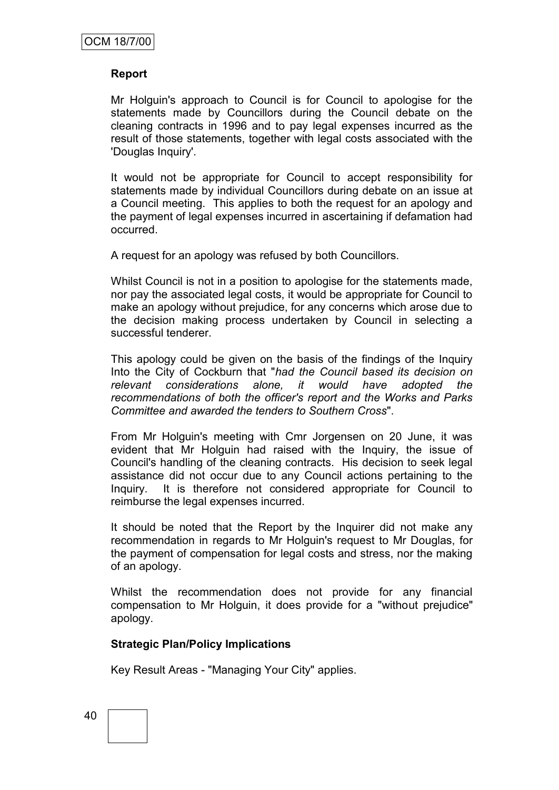# **Report**

Mr Holguin's approach to Council is for Council to apologise for the statements made by Councillors during the Council debate on the cleaning contracts in 1996 and to pay legal expenses incurred as the result of those statements, together with legal costs associated with the 'Douglas Inquiry'.

It would not be appropriate for Council to accept responsibility for statements made by individual Councillors during debate on an issue at a Council meeting. This applies to both the request for an apology and the payment of legal expenses incurred in ascertaining if defamation had occurred.

A request for an apology was refused by both Councillors.

Whilst Council is not in a position to apologise for the statements made, nor pay the associated legal costs, it would be appropriate for Council to make an apology without prejudice, for any concerns which arose due to the decision making process undertaken by Council in selecting a successful tenderer.

This apology could be given on the basis of the findings of the Inquiry Into the City of Cockburn that "*had the Council based its decision on relevant considerations alone, it would have adopted the recommendations of both the officer's report and the Works and Parks Committee and awarded the tenders to Southern Cross*".

From Mr Holguin's meeting with Cmr Jorgensen on 20 June, it was evident that Mr Holguin had raised with the Inquiry, the issue of Council's handling of the cleaning contracts. His decision to seek legal assistance did not occur due to any Council actions pertaining to the Inquiry. It is therefore not considered appropriate for Council to reimburse the legal expenses incurred.

It should be noted that the Report by the Inquirer did not make any recommendation in regards to Mr Holguin's request to Mr Douglas, for the payment of compensation for legal costs and stress, nor the making of an apology.

Whilst the recommendation does not provide for any financial compensation to Mr Holguin, it does provide for a "without prejudice" apology.

# **Strategic Plan/Policy Implications**

Key Result Areas - "Managing Your City" applies.

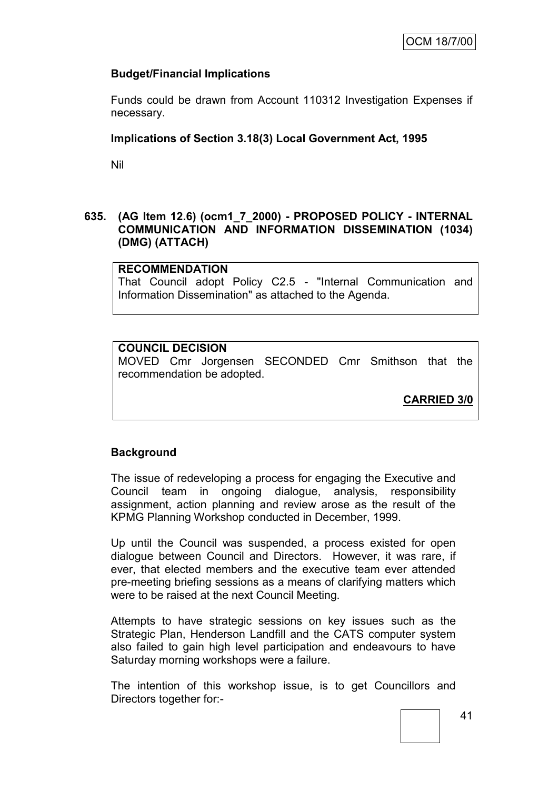# **Budget/Financial Implications**

Funds could be drawn from Account 110312 Investigation Expenses if necessary.

# **Implications of Section 3.18(3) Local Government Act, 1995**

Nil

# **635. (AG Item 12.6) (ocm1\_7\_2000) - PROPOSED POLICY - INTERNAL COMMUNICATION AND INFORMATION DISSEMINATION (1034) (DMG) (ATTACH)**

# **RECOMMENDATION**

That Council adopt Policy C2.5 - "Internal Communication and Information Dissemination" as attached to the Agenda.

# **COUNCIL DECISION**

MOVED Cmr Jorgensen SECONDED Cmr Smithson that the recommendation be adopted.

**CARRIED 3/0**

# **Background**

The issue of redeveloping a process for engaging the Executive and Council team in ongoing dialogue, analysis, responsibility assignment, action planning and review arose as the result of the KPMG Planning Workshop conducted in December, 1999.

Up until the Council was suspended, a process existed for open dialogue between Council and Directors. However, it was rare, if ever, that elected members and the executive team ever attended pre-meeting briefing sessions as a means of clarifying matters which were to be raised at the next Council Meeting.

Attempts to have strategic sessions on key issues such as the Strategic Plan, Henderson Landfill and the CATS computer system also failed to gain high level participation and endeavours to have Saturday morning workshops were a failure.

The intention of this workshop issue, is to get Councillors and Directors together for:-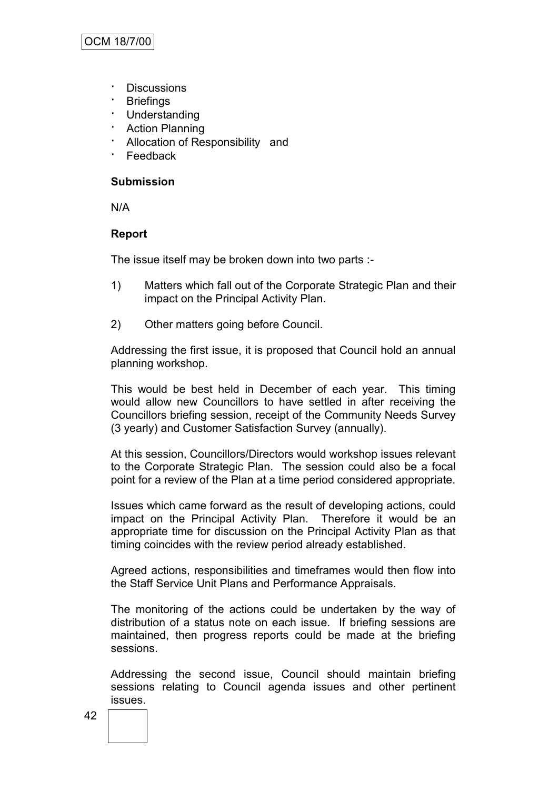- · Discussions
- · Briefings
- · Understanding
- **Action Planning**
- Allocation of Responsibility and
- · Feedback

### **Submission**

N/A

# **Report**

The issue itself may be broken down into two parts :-

- 1) Matters which fall out of the Corporate Strategic Plan and their impact on the Principal Activity Plan.
- 2) Other matters going before Council.

Addressing the first issue, it is proposed that Council hold an annual planning workshop.

This would be best held in December of each year. This timing would allow new Councillors to have settled in after receiving the Councillors briefing session, receipt of the Community Needs Survey (3 yearly) and Customer Satisfaction Survey (annually).

At this session, Councillors/Directors would workshop issues relevant to the Corporate Strategic Plan. The session could also be a focal point for a review of the Plan at a time period considered appropriate.

Issues which came forward as the result of developing actions, could impact on the Principal Activity Plan. Therefore it would be an appropriate time for discussion on the Principal Activity Plan as that timing coincides with the review period already established.

Agreed actions, responsibilities and timeframes would then flow into the Staff Service Unit Plans and Performance Appraisals.

The monitoring of the actions could be undertaken by the way of distribution of a status note on each issue. If briefing sessions are maintained, then progress reports could be made at the briefing sessions.

Addressing the second issue, Council should maintain briefing sessions relating to Council agenda issues and other pertinent issues.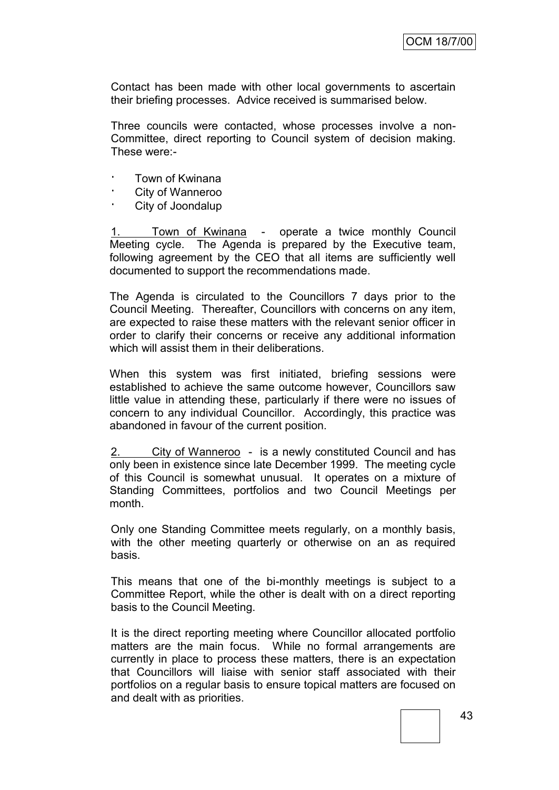Contact has been made with other local governments to ascertain their briefing processes. Advice received is summarised below.

Three councils were contacted, whose processes involve a non-Committee, direct reporting to Council system of decision making. These were:-

- · Town of Kwinana
- City of Wanneroo
- · City of Joondalup

1. Town of Kwinana - operate a twice monthly Council Meeting cycle. The Agenda is prepared by the Executive team, following agreement by the CEO that all items are sufficiently well documented to support the recommendations made.

The Agenda is circulated to the Councillors 7 days prior to the Council Meeting. Thereafter, Councillors with concerns on any item, are expected to raise these matters with the relevant senior officer in order to clarify their concerns or receive any additional information which will assist them in their deliberations.

When this system was first initiated, briefing sessions were established to achieve the same outcome however, Councillors saw little value in attending these, particularly if there were no issues of concern to any individual Councillor. Accordingly, this practice was abandoned in favour of the current position.

2. City of Wanneroo - is a newly constituted Council and has only been in existence since late December 1999. The meeting cycle of this Council is somewhat unusual. It operates on a mixture of Standing Committees, portfolios and two Council Meetings per month.

Only one Standing Committee meets regularly, on a monthly basis, with the other meeting quarterly or otherwise on an as required basis.

This means that one of the bi-monthly meetings is subject to a Committee Report, while the other is dealt with on a direct reporting basis to the Council Meeting.

It is the direct reporting meeting where Councillor allocated portfolio matters are the main focus. While no formal arrangements are currently in place to process these matters, there is an expectation that Councillors will liaise with senior staff associated with their portfolios on a regular basis to ensure topical matters are focused on and dealt with as priorities.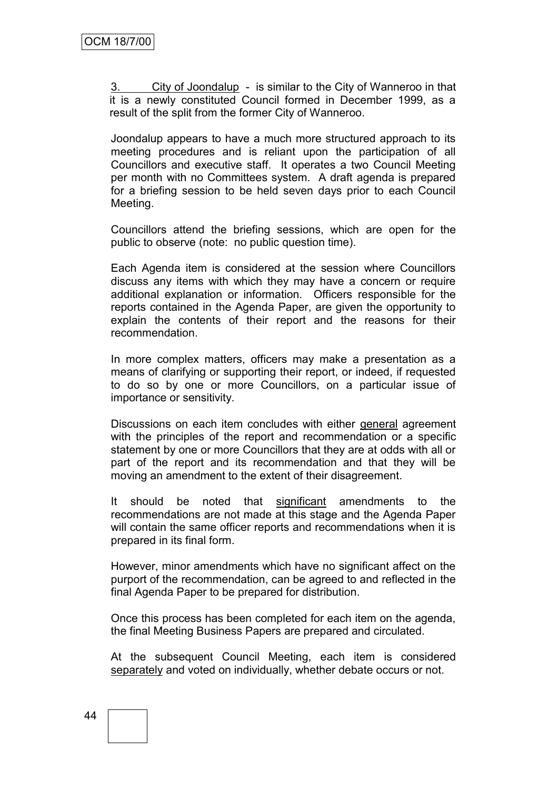City of Joondalup - is similar to the City of Wanneroo in that it is a newly constituted Council formed in December 1999, as a result of the split from the former City of Wanneroo.

Joondalup appears to have a much more structured approach to its meeting procedures and is reliant upon the participation of all Councillors and executive staff. It operates a two Council Meeting per month with no Committees system. A draft agenda is prepared for a briefing session to be held seven days prior to each Council Meeting.

Councillors attend the briefing sessions, which are open for the public to observe (note: no public question time).

Each Agenda item is considered at the session where Councillors discuss any items with which they may have a concern or require additional explanation or information. Officers responsible for the reports contained in the Agenda Paper, are given the opportunity to explain the contents of their report and the reasons for their recommendation.

In more complex matters, officers may make a presentation as a means of clarifying or supporting their report, or indeed, if requested to do so by one or more Councillors, on a particular issue of importance or sensitivity.

Discussions on each item concludes with either general agreement with the principles of the report and recommendation or a specific statement by one or more Councillors that they are at odds with all or part of the report and its recommendation and that they will be moving an amendment to the extent of their disagreement.

It should be noted that significant amendments to the recommendations are not made at this stage and the Agenda Paper will contain the same officer reports and recommendations when it is prepared in its final form.

However, minor amendments which have no significant affect on the purport of the recommendation, can be agreed to and reflected in the final Agenda Paper to be prepared for distribution.

Once this process has been completed for each item on the agenda, the final Meeting Business Papers are prepared and circulated.

At the subsequent Council Meeting, each item is considered separately and voted on individually, whether debate occurs or not.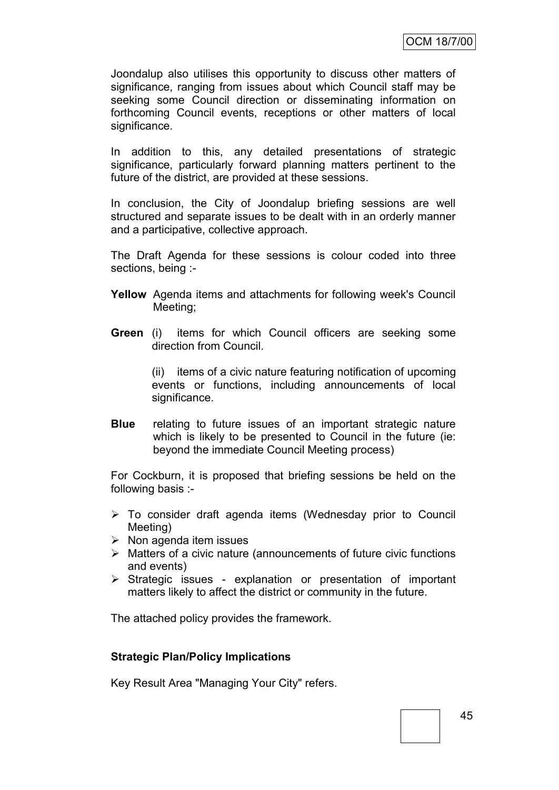Joondalup also utilises this opportunity to discuss other matters of significance, ranging from issues about which Council staff may be seeking some Council direction or disseminating information on forthcoming Council events, receptions or other matters of local significance.

In addition to this, any detailed presentations of strategic significance, particularly forward planning matters pertinent to the future of the district, are provided at these sessions.

In conclusion, the City of Joondalup briefing sessions are well structured and separate issues to be dealt with in an orderly manner and a participative, collective approach.

The Draft Agenda for these sessions is colour coded into three sections, being :-

- **Yellow** Agenda items and attachments for following week's Council Meeting;
- **Green** (i) items for which Council officers are seeking some direction from Council.

(ii) items of a civic nature featuring notification of upcoming events or functions, including announcements of local significance.

**Blue** relating to future issues of an important strategic nature which is likely to be presented to Council in the future (ie: beyond the immediate Council Meeting process)

For Cockburn, it is proposed that briefing sessions be held on the following basis :-

- To consider draft agenda items (Wednesday prior to Council Meeting)
- $\triangleright$  Non agenda item issues
- $\triangleright$  Matters of a civic nature (announcements of future civic functions and events)
- $\triangleright$  Strategic issues explanation or presentation of important matters likely to affect the district or community in the future.

The attached policy provides the framework.

# **Strategic Plan/Policy Implications**

Key Result Area "Managing Your City" refers.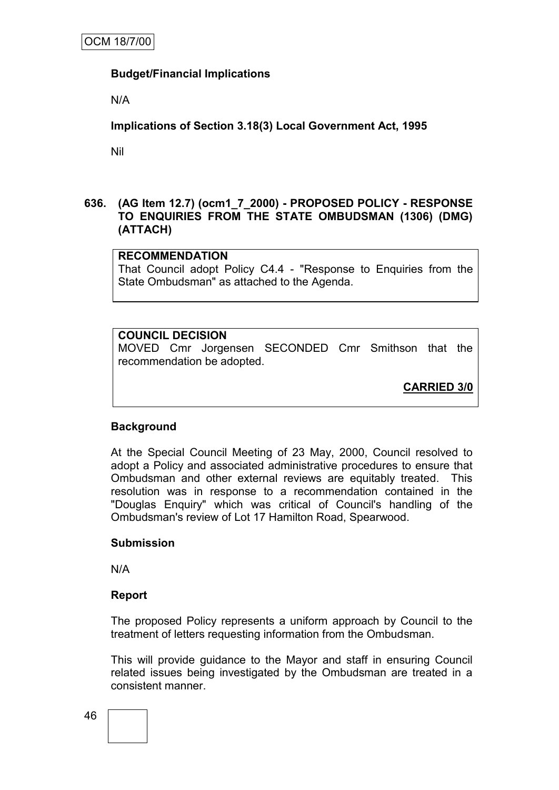# **Budget/Financial Implications**

N/A

**Implications of Section 3.18(3) Local Government Act, 1995**

Nil

# **636. (AG Item 12.7) (ocm1\_7\_2000) - PROPOSED POLICY - RESPONSE TO ENQUIRIES FROM THE STATE OMBUDSMAN (1306) (DMG) (ATTACH)**

# **RECOMMENDATION**

That Council adopt Policy C4.4 - "Response to Enquiries from the State Ombudsman" as attached to the Agenda.

# **COUNCIL DECISION**

MOVED Cmr Jorgensen SECONDED Cmr Smithson that the recommendation be adopted.

**CARRIED 3/0**

# **Background**

At the Special Council Meeting of 23 May, 2000, Council resolved to adopt a Policy and associated administrative procedures to ensure that Ombudsman and other external reviews are equitably treated. This resolution was in response to a recommendation contained in the "Douglas Enquiry" which was critical of Council's handling of the Ombudsman's review of Lot 17 Hamilton Road, Spearwood.

# **Submission**

N/A

#### **Report**

The proposed Policy represents a uniform approach by Council to the treatment of letters requesting information from the Ombudsman.

This will provide guidance to the Mayor and staff in ensuring Council related issues being investigated by the Ombudsman are treated in a consistent manner.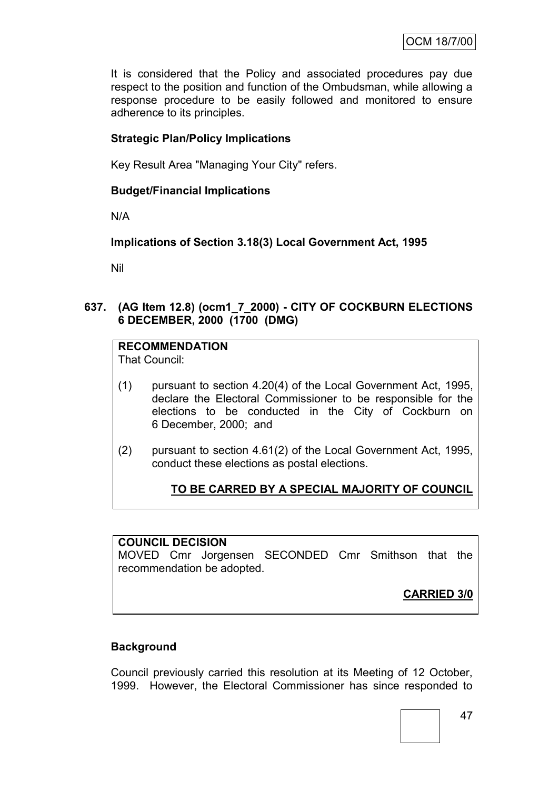It is considered that the Policy and associated procedures pay due respect to the position and function of the Ombudsman, while allowing a response procedure to be easily followed and monitored to ensure adherence to its principles.

# **Strategic Plan/Policy Implications**

Key Result Area "Managing Your City" refers.

# **Budget/Financial Implications**

N/A

**Implications of Section 3.18(3) Local Government Act, 1995**

Nil

**637. (AG Item 12.8) (ocm1\_7\_2000) - CITY OF COCKBURN ELECTIONS 6 DECEMBER, 2000 (1700 (DMG)**

**RECOMMENDATION**

That Council:

- (1) pursuant to section 4.20(4) of the Local Government Act, 1995, declare the Electoral Commissioner to be responsible for the elections to be conducted in the City of Cockburn on 6 December, 2000; and
- (2) pursuant to section 4.61(2) of the Local Government Act, 1995, conduct these elections as postal elections.

# **TO BE CARRED BY A SPECIAL MAJORITY OF COUNCIL**

# **COUNCIL DECISION**

MOVED Cmr Jorgensen SECONDED Cmr Smithson that the recommendation be adopted.

**CARRIED 3/0**

# **Background**

Council previously carried this resolution at its Meeting of 12 October, 1999. However, the Electoral Commissioner has since responded to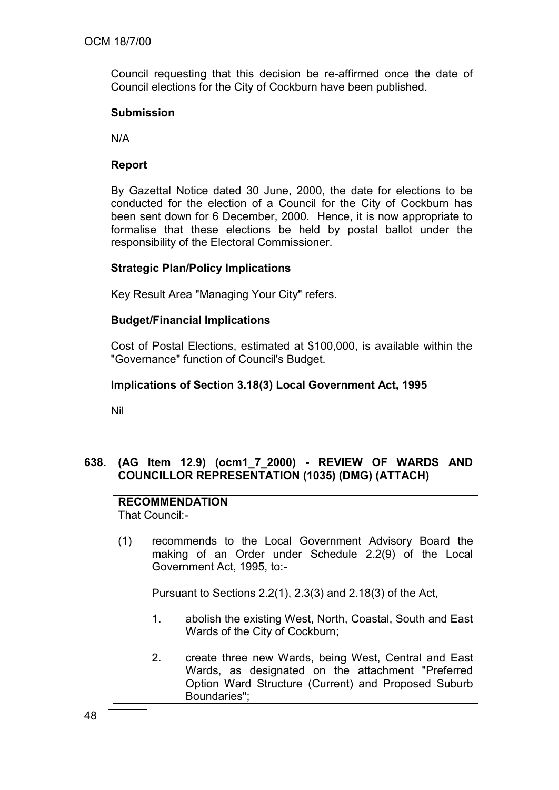Council requesting that this decision be re-affirmed once the date of Council elections for the City of Cockburn have been published.

### **Submission**

N/A

# **Report**

By Gazettal Notice dated 30 June, 2000, the date for elections to be conducted for the election of a Council for the City of Cockburn has been sent down for 6 December, 2000. Hence, it is now appropriate to formalise that these elections be held by postal ballot under the responsibility of the Electoral Commissioner.

# **Strategic Plan/Policy Implications**

Key Result Area "Managing Your City" refers.

# **Budget/Financial Implications**

Cost of Postal Elections, estimated at \$100,000, is available within the "Governance" function of Council's Budget.

### **Implications of Section 3.18(3) Local Government Act, 1995**

Nil

# **638. (AG Item 12.9) (ocm1\_7\_2000) - REVIEW OF WARDS AND COUNCILLOR REPRESENTATION (1035) (DMG) (ATTACH)**

# **RECOMMENDATION**

That Council:-

(1) recommends to the Local Government Advisory Board the making of an Order under Schedule 2.2(9) of the Local Government Act, 1995, to:-

Pursuant to Sections 2.2(1), 2.3(3) and 2.18(3) of the Act,

- 1. abolish the existing West, North, Coastal, South and East Wards of the City of Cockburn;
- 2. create three new Wards, being West, Central and East Wards, as designated on the attachment "Preferred Option Ward Structure (Current) and Proposed Suburb Boundaries";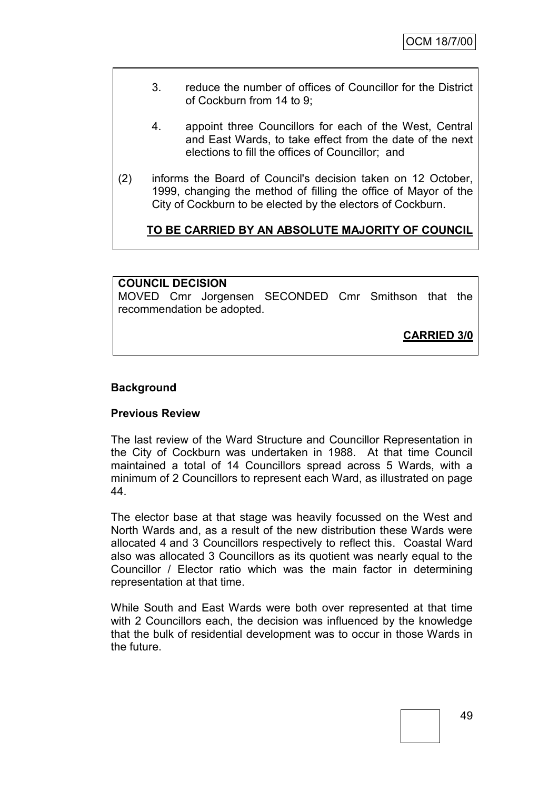- 3. reduce the number of offices of Councillor for the District of Cockburn from 14 to 9;
- 4. appoint three Councillors for each of the West, Central and East Wards, to take effect from the date of the next elections to fill the offices of Councillor; and
- (2) informs the Board of Council's decision taken on 12 October, 1999, changing the method of filling the office of Mayor of the City of Cockburn to be elected by the electors of Cockburn.

# **TO BE CARRIED BY AN ABSOLUTE MAJORITY OF COUNCIL**

### **COUNCIL DECISION**

MOVED Cmr Jorgensen SECONDED Cmr Smithson that the recommendation be adopted.

**CARRIED 3/0**

### **Background**

#### **Previous Review**

The last review of the Ward Structure and Councillor Representation in the City of Cockburn was undertaken in 1988. At that time Council maintained a total of 14 Councillors spread across 5 Wards, with a minimum of 2 Councillors to represent each Ward, as illustrated on page 44.

The elector base at that stage was heavily focussed on the West and North Wards and, as a result of the new distribution these Wards were allocated 4 and 3 Councillors respectively to reflect this. Coastal Ward also was allocated 3 Councillors as its quotient was nearly equal to the Councillor / Elector ratio which was the main factor in determining representation at that time.

While South and East Wards were both over represented at that time with 2 Councillors each, the decision was influenced by the knowledge that the bulk of residential development was to occur in those Wards in the future.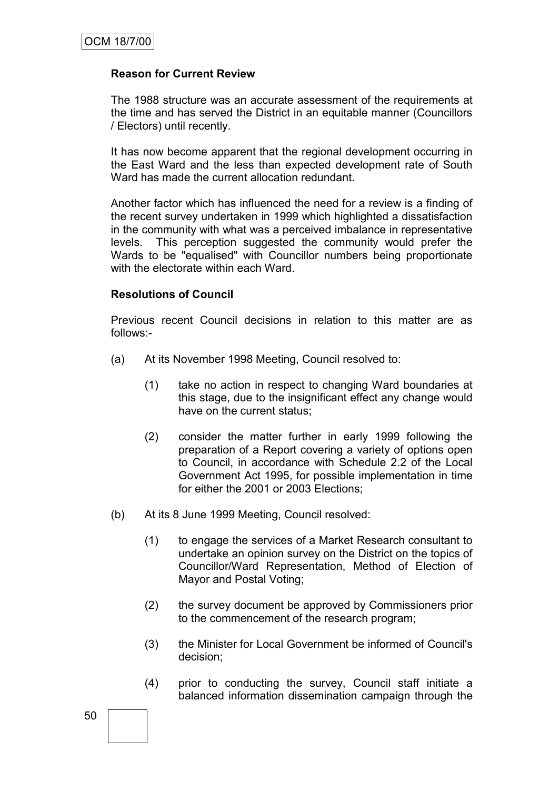# **Reason for Current Review**

The 1988 structure was an accurate assessment of the requirements at the time and has served the District in an equitable manner (Councillors / Electors) until recently.

It has now become apparent that the regional development occurring in the East Ward and the less than expected development rate of South Ward has made the current allocation redundant.

Another factor which has influenced the need for a review is a finding of the recent survey undertaken in 1999 which highlighted a dissatisfaction in the community with what was a perceived imbalance in representative levels. This perception suggested the community would prefer the Wards to be "equalised" with Councillor numbers being proportionate with the electorate within each Ward.

# **Resolutions of Council**

Previous recent Council decisions in relation to this matter are as follows:-

- (a) At its November 1998 Meeting, Council resolved to:
	- (1) take no action in respect to changing Ward boundaries at this stage, due to the insignificant effect any change would have on the current status;
	- (2) consider the matter further in early 1999 following the preparation of a Report covering a variety of options open to Council, in accordance with Schedule 2.2 of the Local Government Act 1995, for possible implementation in time for either the 2001 or 2003 Elections;
- (b) At its 8 June 1999 Meeting, Council resolved:
	- (1) to engage the services of a Market Research consultant to undertake an opinion survey on the District on the topics of Councillor/Ward Representation, Method of Election of Mayor and Postal Voting;
	- (2) the survey document be approved by Commissioners prior to the commencement of the research program;
	- (3) the Minister for Local Government be informed of Council's decision;
	- (4) prior to conducting the survey, Council staff initiate a balanced information dissemination campaign through the

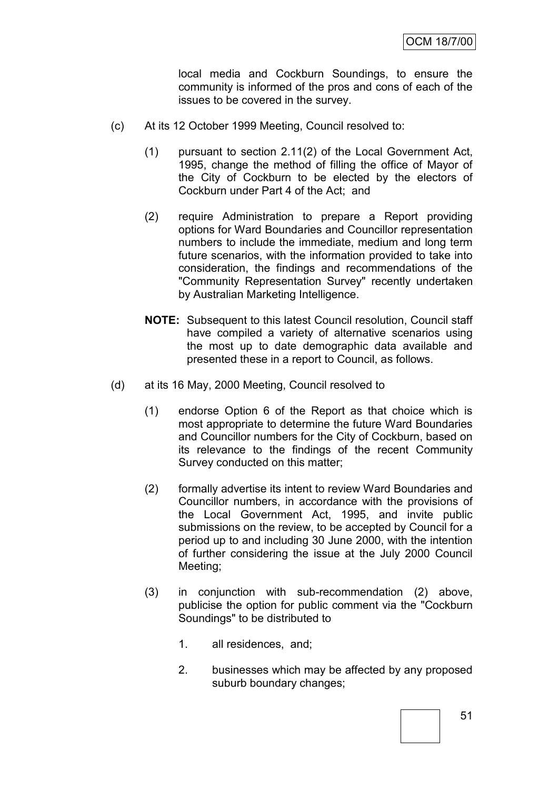local media and Cockburn Soundings, to ensure the community is informed of the pros and cons of each of the issues to be covered in the survey.

- (c) At its 12 October 1999 Meeting, Council resolved to:
	- (1) pursuant to section 2.11(2) of the Local Government Act, 1995, change the method of filling the office of Mayor of the City of Cockburn to be elected by the electors of Cockburn under Part 4 of the Act; and
	- (2) require Administration to prepare a Report providing options for Ward Boundaries and Councillor representation numbers to include the immediate, medium and long term future scenarios, with the information provided to take into consideration, the findings and recommendations of the "Community Representation Survey" recently undertaken by Australian Marketing Intelligence.
	- **NOTE:** Subsequent to this latest Council resolution, Council staff have compiled a variety of alternative scenarios using the most up to date demographic data available and presented these in a report to Council, as follows.
- (d) at its 16 May, 2000 Meeting, Council resolved to
	- (1) endorse Option 6 of the Report as that choice which is most appropriate to determine the future Ward Boundaries and Councillor numbers for the City of Cockburn, based on its relevance to the findings of the recent Community Survey conducted on this matter;
	- (2) formally advertise its intent to review Ward Boundaries and Councillor numbers, in accordance with the provisions of the Local Government Act, 1995, and invite public submissions on the review, to be accepted by Council for a period up to and including 30 June 2000, with the intention of further considering the issue at the July 2000 Council Meeting;
	- (3) in conjunction with sub-recommendation (2) above, publicise the option for public comment via the "Cockburn Soundings" to be distributed to
		- 1. all residences, and;
		- 2. businesses which may be affected by any proposed suburb boundary changes;

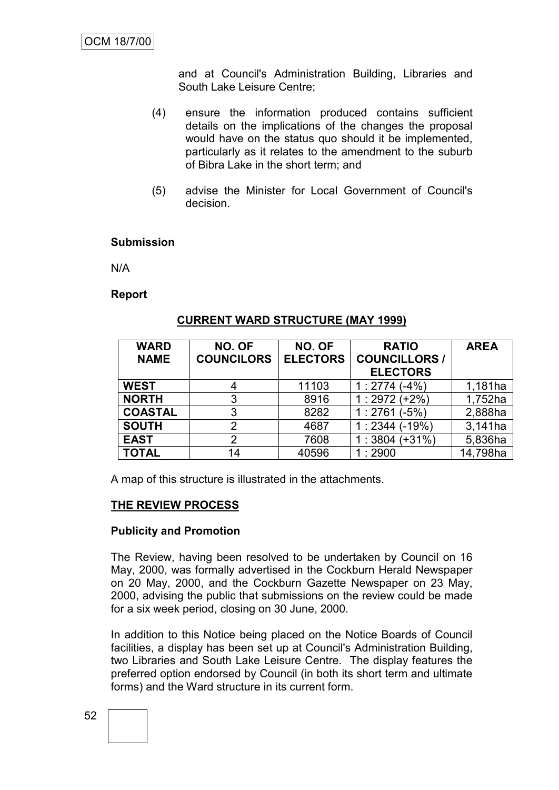and at Council's Administration Building, Libraries and South Lake Leisure Centre;

- (4) ensure the information produced contains sufficient details on the implications of the changes the proposal would have on the status quo should it be implemented, particularly as it relates to the amendment to the suburb of Bibra Lake in the short term; and
- (5) advise the Minister for Local Government of Council's decision.

# **Submission**

N/A

**Report**

| <b>WARD</b>    | NO. OF            | NO. OF          | <b>RATIO</b>         | <b>AREA</b> |
|----------------|-------------------|-----------------|----------------------|-------------|
| <b>NAME</b>    | <b>COUNCILORS</b> | <b>ELECTORS</b> | <b>COUNCILLORS /</b> |             |
|                |                   |                 | <b>ELECTORS</b>      |             |
| <b>WEST</b>    | 4                 | 11103           | 1:2774(.4%)          | 1,181ha     |
| <b>NORTH</b>   | 3                 | 8916            | $1:2972 (+2%)$       | 1,752ha     |
| <b>COASTAL</b> | 3                 | 8282            | $1:2761(-5%)$        | 2,888ha     |
| <b>SOUTH</b>   | 2                 | 4687            | $1:2344(-19%)$       | 3,141ha     |
| <b>EAST</b>    | 2                 | 7608            | $1:3804 (+31\%)$     | 5,836ha     |
| <b>TOTAL</b>   | 14                | 40596           | 1:2900               | 14,798ha    |

### **CURRENT WARD STRUCTURE (MAY 1999)**

A map of this structure is illustrated in the attachments.

# **THE REVIEW PROCESS**

#### **Publicity and Promotion**

The Review, having been resolved to be undertaken by Council on 16 May, 2000, was formally advertised in the Cockburn Herald Newspaper on 20 May, 2000, and the Cockburn Gazette Newspaper on 23 May, 2000, advising the public that submissions on the review could be made for a six week period, closing on 30 June, 2000.

In addition to this Notice being placed on the Notice Boards of Council facilities, a display has been set up at Council's Administration Building, two Libraries and South Lake Leisure Centre. The display features the preferred option endorsed by Council (in both its short term and ultimate forms) and the Ward structure in its current form.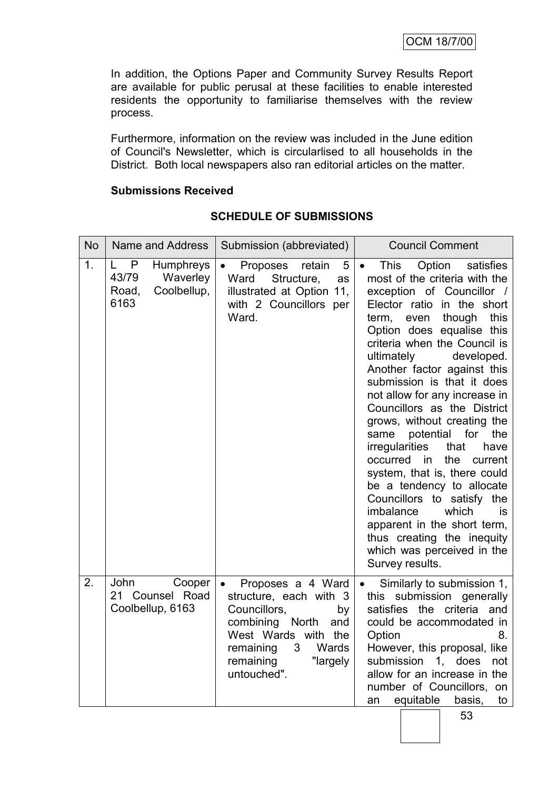In addition, the Options Paper and Community Survey Results Report are available for public perusal at these facilities to enable interested residents the opportunity to familiarise themselves with the review process.

Furthermore, information on the review was included in the June edition of Council's Newsletter, which is circularlised to all households in the District. Both local newspapers also ran editorial articles on the matter.

# **Submissions Received**

| <b>No</b> | Name and Address                                                         | Submission (abbreviated)                                                                                                                                                                           | <b>Council Comment</b>                                                                                                                                                                                                                                                                                                                                                                                                                                                                                                                                                                                                                                                                                                                                                                      |
|-----------|--------------------------------------------------------------------------|----------------------------------------------------------------------------------------------------------------------------------------------------------------------------------------------------|---------------------------------------------------------------------------------------------------------------------------------------------------------------------------------------------------------------------------------------------------------------------------------------------------------------------------------------------------------------------------------------------------------------------------------------------------------------------------------------------------------------------------------------------------------------------------------------------------------------------------------------------------------------------------------------------------------------------------------------------------------------------------------------------|
| 1.        | P<br>Humphreys<br>L<br>43/79<br>Waverley<br>Coolbellup,<br>Road,<br>6163 | 5<br>Proposes<br>retain<br>$\bullet$<br>Structure,<br>Ward<br>as<br>illustrated at Option 11,<br>with 2 Councillors per<br>Ward.                                                                   | Option<br><b>This</b><br>satisfies<br>$\bullet$<br>most of the criteria with the<br>exception of Councillor /<br>Elector ratio in the short<br>though<br>this<br>term,<br>even<br>Option does equalise this<br>criteria when the Council is<br>ultimately<br>developed.<br>Another factor against this<br>submission is that it does<br>not allow for any increase in<br>Councillors as the District<br>grows, without creating the<br>potential<br>same<br>for<br>the<br><i>irregularities</i><br>that<br>have<br>in<br>the<br>occurred<br>current<br>system, that is, there could<br>be a tendency to allocate<br>Councillors to satisfy<br>the<br>imbalance<br>which<br>is<br>apparent in the short term,<br>thus creating the inequity<br>which was perceived in the<br>Survey results. |
| 2.        | John<br>Cooper<br>21 Counsel Road<br>Coolbellup, 6163                    | Proposes a 4 Ward<br>$\bullet$<br>structure, each with 3<br>Councillors,<br>by<br>combining North<br>and<br>West Wards with the<br>Wards<br>3<br>remaining<br>"largely<br>remaining<br>untouched". | Similarly to submission 1,<br>$\bullet$<br>this submission generally<br>satisfies the criteria and<br>could be accommodated in<br>Option<br>8.<br>However, this proposal, like<br>submission<br>1. does<br>not<br>allow for an increase in the<br>number of Councillors, on<br>equitable<br>to<br>basis,<br>an                                                                                                                                                                                                                                                                                                                                                                                                                                                                              |

# **SCHEDULE OF SUBMISSIONS**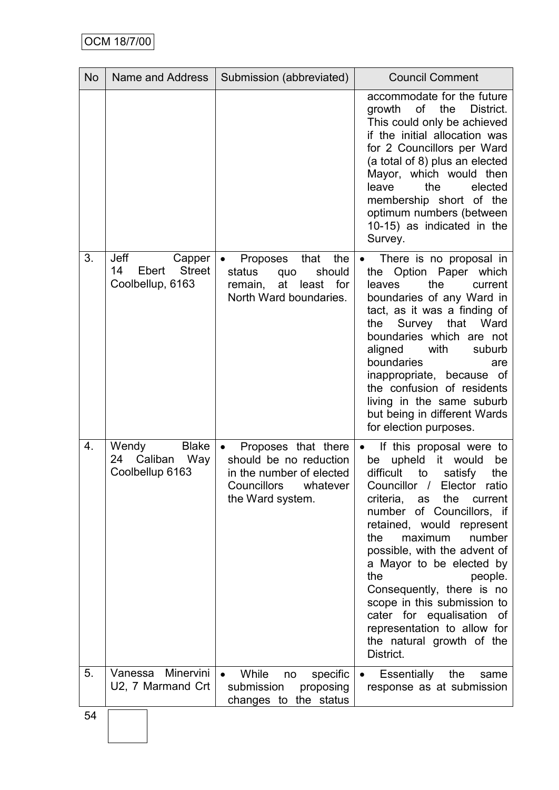| <b>No</b> | Name and Address                                                   | Submission (abbreviated)                                                                                                              | <b>Council Comment</b>                                                                                                                                                                                                                                                                                                                                                                                                                                                                                                |
|-----------|--------------------------------------------------------------------|---------------------------------------------------------------------------------------------------------------------------------------|-----------------------------------------------------------------------------------------------------------------------------------------------------------------------------------------------------------------------------------------------------------------------------------------------------------------------------------------------------------------------------------------------------------------------------------------------------------------------------------------------------------------------|
|           |                                                                    |                                                                                                                                       | accommodate for the future<br>of<br>the<br>District.<br>growth<br>This could only be achieved<br>if the initial allocation was<br>for 2 Councillors per Ward<br>(a total of 8) plus an elected<br>Mayor, which would then<br>leave<br>the<br>elected<br>membership short of the<br>optimum numbers (between<br>10-15) as indicated in the<br>Survey.                                                                                                                                                                  |
| 3.        | Jeff<br>Capper<br>14<br><b>Street</b><br>Ebert<br>Coolbellup, 6163 | that<br>the<br>Proposes<br>should<br>status<br>quo<br>at<br>least<br>for<br>remain,<br>North Ward boundaries.                         | There is no proposal in<br>Option Paper which<br>the<br>the<br>leaves<br>current<br>boundaries of any Ward in<br>tact, as it was a finding of<br>the<br>Survey<br>that<br>Ward<br>boundaries which are not<br>aligned<br>with<br>suburb<br>boundaries<br>are<br>inappropriate, because of<br>the confusion of residents<br>living in the same suburb<br>but being in different Wards<br>for election purposes.                                                                                                        |
| 4.        | <b>Blake</b><br>Wendy<br>Caliban<br>Way<br>24<br>Coolbellup 6163   | Proposes that there<br>$\bullet$<br>should be no reduction<br>in the number of elected<br>Councillors<br>whatever<br>the Ward system. | If this proposal were to<br>$\bullet$<br>upheld it<br>would<br>be<br>be<br>difficult<br>to<br>satisfy<br>the<br>Councillor / Elector<br>ratio<br>criteria, as the<br>current<br>number of Councillors, if<br>retained, would represent<br>number<br>maximum<br>the<br>possible, with the advent of<br>a Mayor to be elected by<br>the<br>people.<br>Consequently, there is no<br>scope in this submission to<br>cater for equalisation<br>of<br>representation to allow for<br>the natural growth of the<br>District. |
| 5.        | Vanessa Minervini<br>U2, 7 Marmand Crt                             | While<br>$\bullet$<br>specific<br>no<br>submission<br>proposing<br>changes to the status                                              | Essentially the<br>same<br>response as at submission                                                                                                                                                                                                                                                                                                                                                                                                                                                                  |
| 54        |                                                                    |                                                                                                                                       |                                                                                                                                                                                                                                                                                                                                                                                                                                                                                                                       |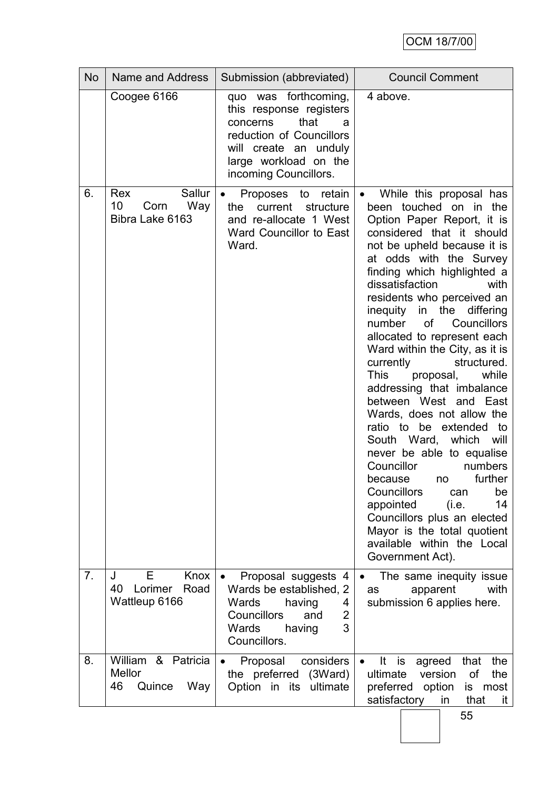| Coogee 6166<br>was forthcoming,<br>quo<br>this response registers<br>that<br>concerns<br>reduction of Councillors<br>will create an unduly<br>large workload on the<br>incoming Councillors.                           | 4 above.<br>a                                                                                                                                                                                                                                                                                                                                                                                                                                                                                                                                                                                                                                                                                                                                                                                                                                                                                               |
|------------------------------------------------------------------------------------------------------------------------------------------------------------------------------------------------------------------------|-------------------------------------------------------------------------------------------------------------------------------------------------------------------------------------------------------------------------------------------------------------------------------------------------------------------------------------------------------------------------------------------------------------------------------------------------------------------------------------------------------------------------------------------------------------------------------------------------------------------------------------------------------------------------------------------------------------------------------------------------------------------------------------------------------------------------------------------------------------------------------------------------------------|
|                                                                                                                                                                                                                        |                                                                                                                                                                                                                                                                                                                                                                                                                                                                                                                                                                                                                                                                                                                                                                                                                                                                                                             |
| 6.<br>Sallur<br>Rex<br>Proposes to<br>10<br>Way<br>Corn<br>current<br>the<br>Bibra Lake 6163<br>and re-allocate 1 West<br>Ward Councillor to East<br>Ward.                                                             | While this proposal has<br>retain<br>$\bullet$<br>been touched on in the<br>structure<br>Option Paper Report, it is<br>considered that it should<br>not be upheld because it is<br>at odds with the Survey<br>finding which highlighted a<br>dissatisfaction<br>with<br>residents who perceived an<br>inequity<br>in the differing<br>number of<br>Councillors<br>allocated to represent each<br>Ward within the City, as it is<br>currently<br>structured.<br><b>This</b><br>while<br>proposal,<br>addressing that imbalance<br>between West and East<br>Wards, does not allow the<br>ratio to be extended<br>to<br>which<br>South Ward,<br>will<br>never be able to equalise<br>Councillor<br>numbers<br>further<br>because<br>no<br>Councillors<br>can<br>be<br>14<br>appointed<br>(i.e.<br>Councillors plus an elected<br>Mayor is the total quotient<br>available within the Local<br>Government Act). |
| 7 <sub>1</sub><br>Knox<br>Е<br>J<br>Proposal suggests 4<br>Lorimer<br>40<br>Road<br>Wards be established, 2<br>Wattleup 6166<br><b>Wards</b><br>having<br>Councillors<br>and<br><b>Wards</b><br>having<br>Councillors. | The same inequity issue<br>$\bullet$<br>with<br>apparent<br>as<br>submission 6 applies here.<br>4<br>$\overline{2}$<br>3                                                                                                                                                                                                                                                                                                                                                                                                                                                                                                                                                                                                                                                                                                                                                                                    |
| William & Patricia<br>8.<br>Proposal<br>Mellor<br>the preferred<br>46<br>Quince<br>Way<br>Option in its                                                                                                                | considers<br>It<br>that<br>the<br>is<br>agreed<br>$\bullet$<br>(3Ward)<br>version<br>of<br>the<br>ultimate<br>ultimate<br>preferred<br>option<br>is most<br>satisfactory<br>that<br>in<br>it.<br>55                                                                                                                                                                                                                                                                                                                                                                                                                                                                                                                                                                                                                                                                                                         |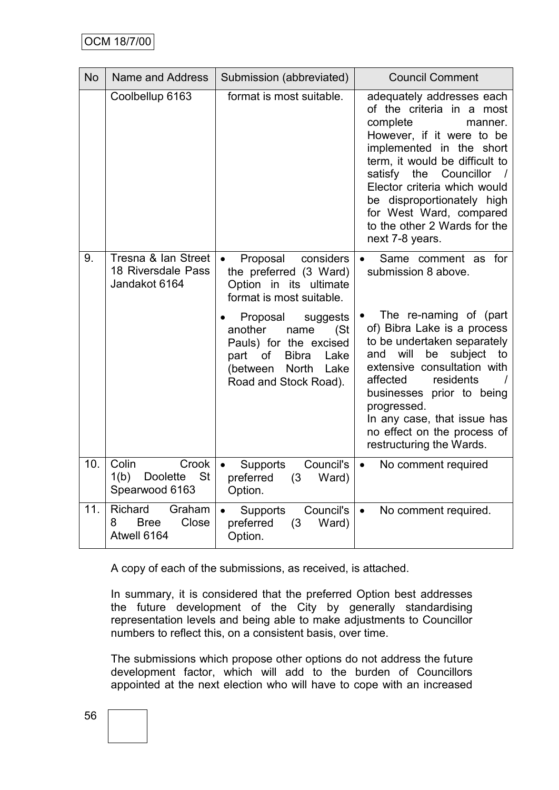| <b>No</b> | Name and Address                                                         | Submission (abbreviated)                                                                                                                                                     | <b>Council Comment</b>                                                                                                                                                                                                                                                                                                                         |
|-----------|--------------------------------------------------------------------------|------------------------------------------------------------------------------------------------------------------------------------------------------------------------------|------------------------------------------------------------------------------------------------------------------------------------------------------------------------------------------------------------------------------------------------------------------------------------------------------------------------------------------------|
|           | Coolbellup 6163                                                          | format is most suitable.                                                                                                                                                     | adequately addresses each<br>of the criteria in a most<br>complete<br>manner.<br>However, if it were to be<br>implemented in the short<br>term, it would be difficult to<br>satisfy the Councillor<br>Elector criteria which would<br>be disproportionately high<br>for West Ward, compared<br>to the other 2 Wards for the<br>next 7-8 years. |
| 9.        | Tresna & Ian Street<br>18 Riversdale Pass<br>Jandakot 6164               | Proposal<br>considers<br>the preferred (3 Ward)<br>Option in its ultimate<br>format is most suitable.                                                                        | Same comment as for<br>submission 8 above.                                                                                                                                                                                                                                                                                                     |
|           |                                                                          | Proposal<br>suggests<br>another<br>name<br>(St)<br>Pauls) for the excised<br>part<br>of<br><b>Bibra</b><br>Lake<br><b>North</b><br>(between<br>Lake<br>Road and Stock Road). | The re-naming of (part<br>of) Bibra Lake is a process<br>to be undertaken separately<br>will<br>subject<br>and<br>be<br>to<br>extensive consultation with<br>affected<br>residents<br>businesses prior to being<br>progressed.<br>In any case, that issue has<br>no effect on the process of<br>restructuring the Wards.                       |
| 10.       | Colin<br>Crook<br><b>St</b><br>1(b)<br><b>Doolette</b><br>Spearwood 6163 | Council's<br>Supports<br>preferred<br>(3)<br>Ward)<br>Option.                                                                                                                | No comment required<br>$\bullet$                                                                                                                                                                                                                                                                                                               |
| 11.       | Richard<br>Graham<br>Close<br><b>Bree</b><br>8<br>Atwell 6164            | Council's<br>Supports<br>preferred<br>(3)<br>Ward)<br>Option.                                                                                                                | No comment required.<br>$\bullet$                                                                                                                                                                                                                                                                                                              |

A copy of each of the submissions, as received, is attached.

In summary, it is considered that the preferred Option best addresses the future development of the City by generally standardising representation levels and being able to make adjustments to Councillor numbers to reflect this, on a consistent basis, over time.

The submissions which propose other options do not address the future development factor, which will add to the burden of Councillors appointed at the next election who will have to cope with an increased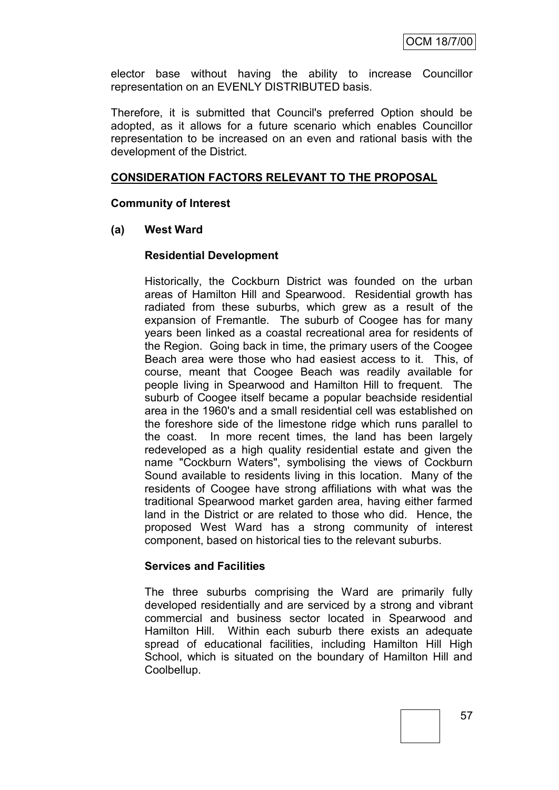elector base without having the ability to increase Councillor representation on an EVENLY DISTRIBUTED basis.

Therefore, it is submitted that Council's preferred Option should be adopted, as it allows for a future scenario which enables Councillor representation to be increased on an even and rational basis with the development of the District.

# **CONSIDERATION FACTORS RELEVANT TO THE PROPOSAL**

### **Community of Interest**

# **(a) West Ward**

### **Residential Development**

Historically, the Cockburn District was founded on the urban areas of Hamilton Hill and Spearwood. Residential growth has radiated from these suburbs, which grew as a result of the expansion of Fremantle. The suburb of Coogee has for many years been linked as a coastal recreational area for residents of the Region. Going back in time, the primary users of the Coogee Beach area were those who had easiest access to it. This, of course, meant that Coogee Beach was readily available for people living in Spearwood and Hamilton Hill to frequent. The suburb of Coogee itself became a popular beachside residential area in the 1960's and a small residential cell was established on the foreshore side of the limestone ridge which runs parallel to the coast. In more recent times, the land has been largely redeveloped as a high quality residential estate and given the name "Cockburn Waters", symbolising the views of Cockburn Sound available to residents living in this location. Many of the residents of Coogee have strong affiliations with what was the traditional Spearwood market garden area, having either farmed land in the District or are related to those who did. Hence, the proposed West Ward has a strong community of interest component, based on historical ties to the relevant suburbs.

#### **Services and Facilities**

The three suburbs comprising the Ward are primarily fully developed residentially and are serviced by a strong and vibrant commercial and business sector located in Spearwood and Hamilton Hill. Within each suburb there exists an adequate spread of educational facilities, including Hamilton Hill High School, which is situated on the boundary of Hamilton Hill and Coolbellup.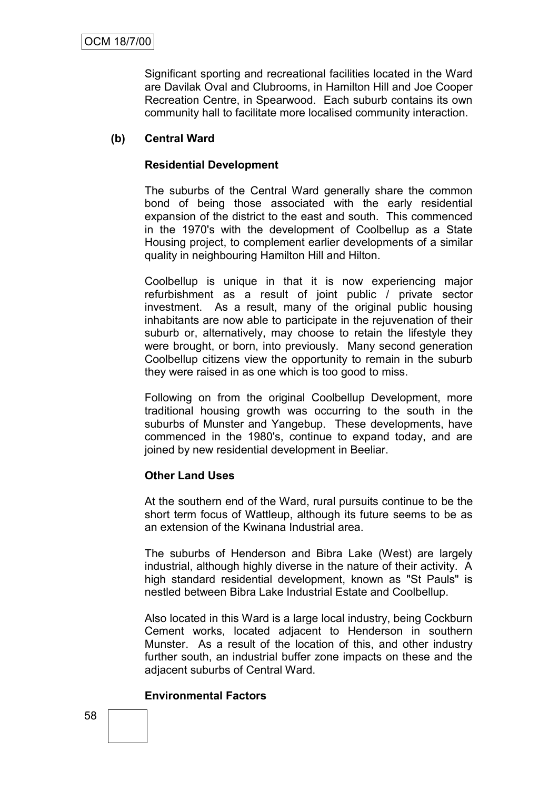Significant sporting and recreational facilities located in the Ward are Davilak Oval and Clubrooms, in Hamilton Hill and Joe Cooper Recreation Centre, in Spearwood. Each suburb contains its own community hall to facilitate more localised community interaction.

# **(b) Central Ward**

# **Residential Development**

The suburbs of the Central Ward generally share the common bond of being those associated with the early residential expansion of the district to the east and south. This commenced in the 1970's with the development of Coolbellup as a State Housing project, to complement earlier developments of a similar quality in neighbouring Hamilton Hill and Hilton.

Coolbellup is unique in that it is now experiencing major refurbishment as a result of joint public / private sector investment. As a result, many of the original public housing inhabitants are now able to participate in the rejuvenation of their suburb or, alternatively, may choose to retain the lifestyle they were brought, or born, into previously. Many second generation Coolbellup citizens view the opportunity to remain in the suburb they were raised in as one which is too good to miss.

Following on from the original Coolbellup Development, more traditional housing growth was occurring to the south in the suburbs of Munster and Yangebup. These developments, have commenced in the 1980's, continue to expand today, and are joined by new residential development in Beeliar.

# **Other Land Uses**

At the southern end of the Ward, rural pursuits continue to be the short term focus of Wattleup, although its future seems to be as an extension of the Kwinana Industrial area.

The suburbs of Henderson and Bibra Lake (West) are largely industrial, although highly diverse in the nature of their activity. A high standard residential development, known as "St Pauls" is nestled between Bibra Lake Industrial Estate and Coolbellup.

Also located in this Ward is a large local industry, being Cockburn Cement works, located adjacent to Henderson in southern Munster. As a result of the location of this, and other industry further south, an industrial buffer zone impacts on these and the adjacent suburbs of Central Ward.

# **Environmental Factors**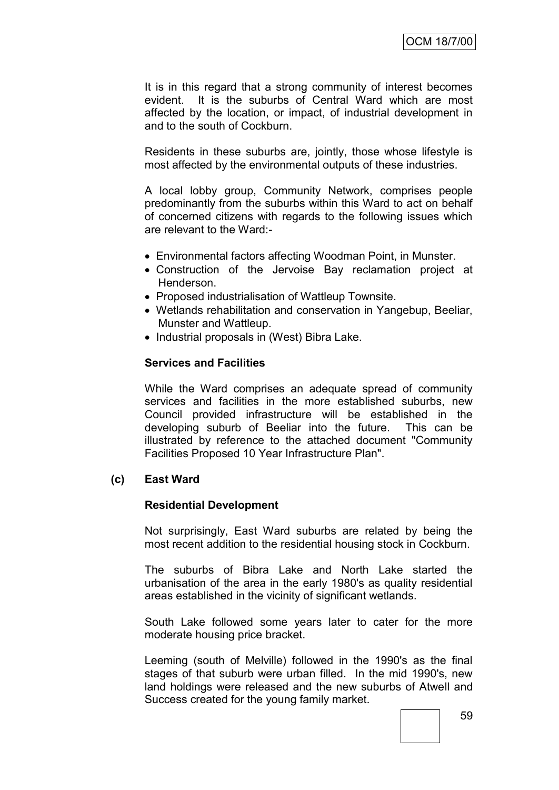It is in this regard that a strong community of interest becomes evident. It is the suburbs of Central Ward which are most affected by the location, or impact, of industrial development in and to the south of Cockburn.

Residents in these suburbs are, jointly, those whose lifestyle is most affected by the environmental outputs of these industries.

A local lobby group, Community Network, comprises people predominantly from the suburbs within this Ward to act on behalf of concerned citizens with regards to the following issues which are relevant to the Ward:-

- Environmental factors affecting Woodman Point, in Munster.
- Construction of the Jervoise Bay reclamation project at Henderson.
- Proposed industrialisation of Wattleup Townsite.
- Wetlands rehabilitation and conservation in Yangebup, Beeliar, Munster and Wattleup.
- Industrial proposals in (West) Bibra Lake.

### **Services and Facilities**

While the Ward comprises an adequate spread of community services and facilities in the more established suburbs, new Council provided infrastructure will be established in the developing suburb of Beeliar into the future. This can be illustrated by reference to the attached document "Community Facilities Proposed 10 Year Infrastructure Plan".

# **(c) East Ward**

# **Residential Development**

Not surprisingly, East Ward suburbs are related by being the most recent addition to the residential housing stock in Cockburn.

The suburbs of Bibra Lake and North Lake started the urbanisation of the area in the early 1980's as quality residential areas established in the vicinity of significant wetlands.

South Lake followed some years later to cater for the more moderate housing price bracket.

Leeming (south of Melville) followed in the 1990's as the final stages of that suburb were urban filled. In the mid 1990's, new land holdings were released and the new suburbs of Atwell and Success created for the young family market.

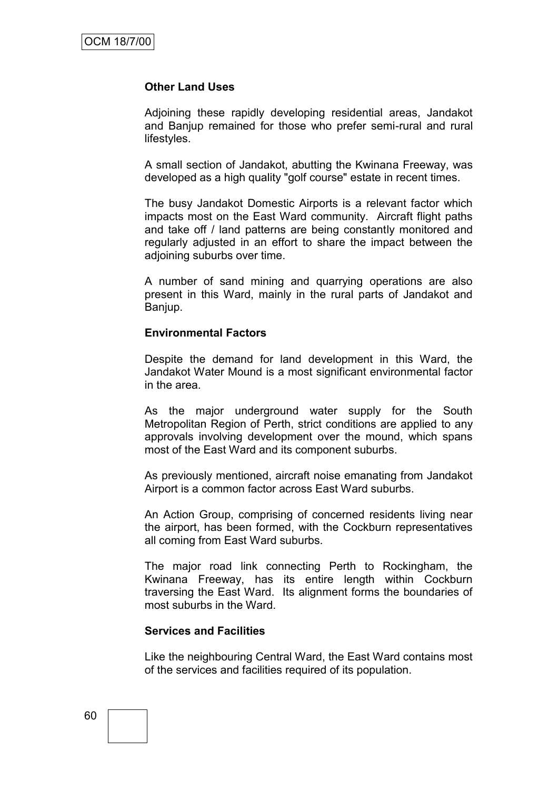#### **Other Land Uses**

Adjoining these rapidly developing residential areas, Jandakot and Banjup remained for those who prefer semi-rural and rural lifestyles.

A small section of Jandakot, abutting the Kwinana Freeway, was developed as a high quality "golf course" estate in recent times.

The busy Jandakot Domestic Airports is a relevant factor which impacts most on the East Ward community. Aircraft flight paths and take off / land patterns are being constantly monitored and regularly adjusted in an effort to share the impact between the adjoining suburbs over time.

A number of sand mining and quarrying operations are also present in this Ward, mainly in the rural parts of Jandakot and Banjup.

#### **Environmental Factors**

Despite the demand for land development in this Ward, the Jandakot Water Mound is a most significant environmental factor in the area.

As the major underground water supply for the South Metropolitan Region of Perth, strict conditions are applied to any approvals involving development over the mound, which spans most of the East Ward and its component suburbs.

As previously mentioned, aircraft noise emanating from Jandakot Airport is a common factor across East Ward suburbs.

An Action Group, comprising of concerned residents living near the airport, has been formed, with the Cockburn representatives all coming from East Ward suburbs.

The major road link connecting Perth to Rockingham, the Kwinana Freeway, has its entire length within Cockburn traversing the East Ward. Its alignment forms the boundaries of most suburbs in the Ward.

#### **Services and Facilities**

Like the neighbouring Central Ward, the East Ward contains most of the services and facilities required of its population.

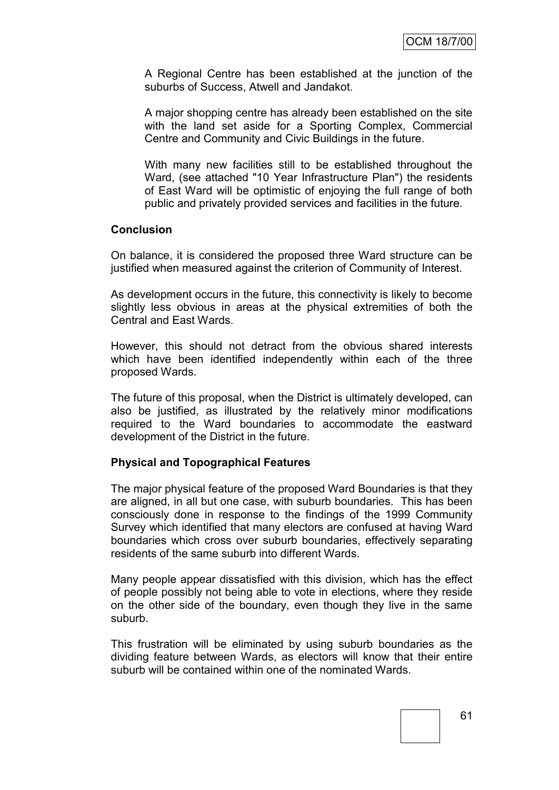A Regional Centre has been established at the junction of the suburbs of Success, Atwell and Jandakot.

A major shopping centre has already been established on the site with the land set aside for a Sporting Complex, Commercial Centre and Community and Civic Buildings in the future.

With many new facilities still to be established throughout the Ward, (see attached "10 Year Infrastructure Plan") the residents of East Ward will be optimistic of enjoying the full range of both public and privately provided services and facilities in the future.

### **Conclusion**

On balance, it is considered the proposed three Ward structure can be justified when measured against the criterion of Community of Interest.

As development occurs in the future, this connectivity is likely to become slightly less obvious in areas at the physical extremities of both the Central and East Wards.

However, this should not detract from the obvious shared interests which have been identified independently within each of the three proposed Wards.

The future of this proposal, when the District is ultimately developed, can also be justified, as illustrated by the relatively minor modifications required to the Ward boundaries to accommodate the eastward development of the District in the future.

# **Physical and Topographical Features**

The major physical feature of the proposed Ward Boundaries is that they are aligned, in all but one case, with suburb boundaries. This has been consciously done in response to the findings of the 1999 Community Survey which identified that many electors are confused at having Ward boundaries which cross over suburb boundaries, effectively separating residents of the same suburb into different Wards.

Many people appear dissatisfied with this division, which has the effect of people possibly not being able to vote in elections, where they reside on the other side of the boundary, even though they live in the same suburb.

This frustration will be eliminated by using suburb boundaries as the dividing feature between Wards, as electors will know that their entire suburb will be contained within one of the nominated Wards.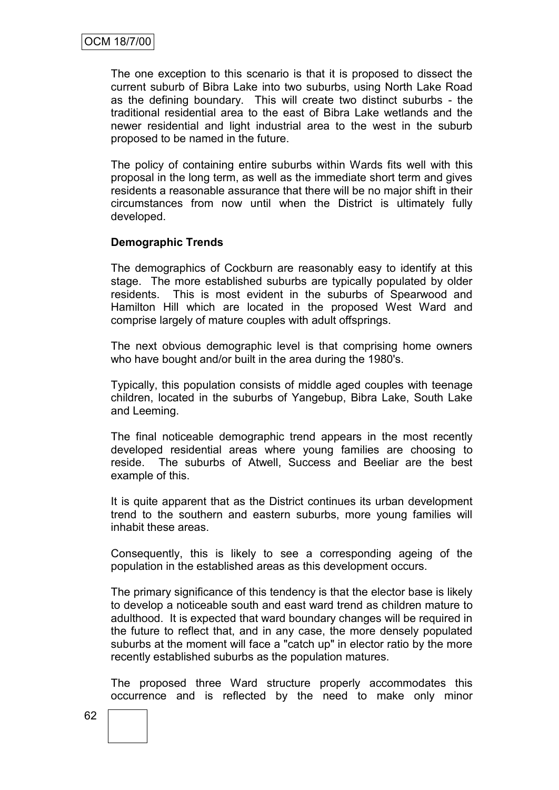The one exception to this scenario is that it is proposed to dissect the current suburb of Bibra Lake into two suburbs, using North Lake Road as the defining boundary. This will create two distinct suburbs - the traditional residential area to the east of Bibra Lake wetlands and the newer residential and light industrial area to the west in the suburb proposed to be named in the future.

The policy of containing entire suburbs within Wards fits well with this proposal in the long term, as well as the immediate short term and gives residents a reasonable assurance that there will be no major shift in their circumstances from now until when the District is ultimately fully developed.

# **Demographic Trends**

The demographics of Cockburn are reasonably easy to identify at this stage. The more established suburbs are typically populated by older residents. This is most evident in the suburbs of Spearwood and Hamilton Hill which are located in the proposed West Ward and comprise largely of mature couples with adult offsprings.

The next obvious demographic level is that comprising home owners who have bought and/or built in the area during the 1980's.

Typically, this population consists of middle aged couples with teenage children, located in the suburbs of Yangebup, Bibra Lake, South Lake and Leeming.

The final noticeable demographic trend appears in the most recently developed residential areas where young families are choosing to reside. The suburbs of Atwell, Success and Beeliar are the best example of this.

It is quite apparent that as the District continues its urban development trend to the southern and eastern suburbs, more young families will inhabit these areas.

Consequently, this is likely to see a corresponding ageing of the population in the established areas as this development occurs.

The primary significance of this tendency is that the elector base is likely to develop a noticeable south and east ward trend as children mature to adulthood. It is expected that ward boundary changes will be required in the future to reflect that, and in any case, the more densely populated suburbs at the moment will face a "catch up" in elector ratio by the more recently established suburbs as the population matures.

The proposed three Ward structure properly accommodates this occurrence and is reflected by the need to make only minor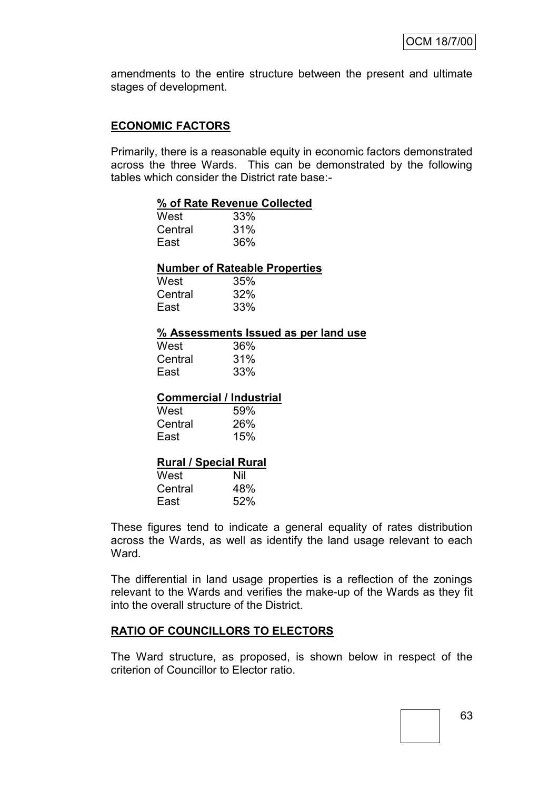amendments to the entire structure between the present and ultimate stages of development.

### **ECONOMIC FACTORS**

Primarily, there is a reasonable equity in economic factors demonstrated across the three Wards. This can be demonstrated by the following tables which consider the District rate base:-

#### **% of Rate Revenue Collected**

| West    | 33% |
|---------|-----|
| Central | 31% |
| East    | 36% |

#### **Number of Rateable Properties**

| West    | 35% |
|---------|-----|
| Central | 32% |
| East    | 33% |

#### **% Assessments Issued as per land use**

| West    | 36% |
|---------|-----|
| Central | 31% |
| East    | 33% |

#### **Commercial / Industrial**

| West    | 59% |
|---------|-----|
| Central | 26% |
| East    | 15% |

#### **Rural / Special Rural**

| West    | Nil |
|---------|-----|
| Central | 48% |
| East    | 52% |

These figures tend to indicate a general equality of rates distribution across the Wards, as well as identify the land usage relevant to each **Ward** 

The differential in land usage properties is a reflection of the zonings relevant to the Wards and verifies the make-up of the Wards as they fit into the overall structure of the District.

#### **RATIO OF COUNCILLORS TO ELECTORS**

The Ward structure, as proposed, is shown below in respect of the criterion of Councillor to Elector ratio.

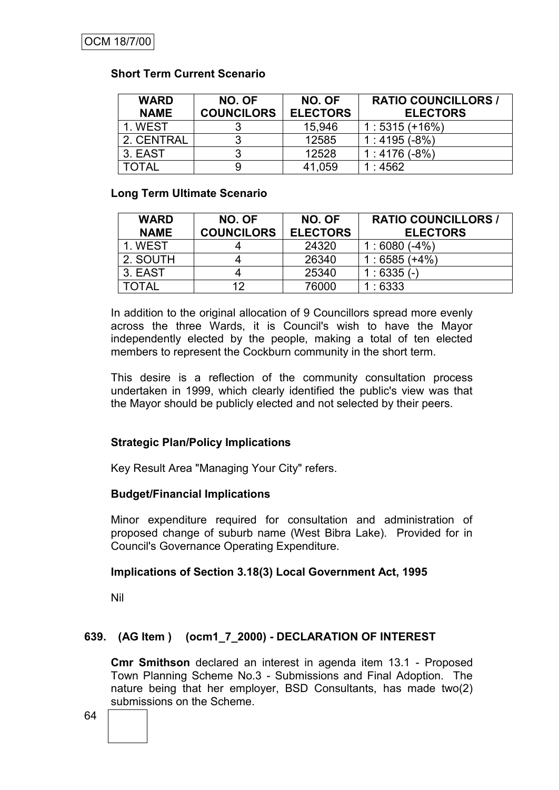# **Short Term Current Scenario**

| <b>WARD</b><br><b>NAME</b> | NO. OF<br><b>COUNCILORS</b> | NO. OF<br><b>ELECTORS</b> | <b>RATIO COUNCILLORS /</b><br><b>ELECTORS</b> |
|----------------------------|-----------------------------|---------------------------|-----------------------------------------------|
| 1. WEST                    |                             | 15,946                    | $1:5315(+16%)$                                |
| 2. CENTRAL                 |                             | 12585                     | 1:4195(.8%)                                   |
| 3. EAST                    |                             | 12528                     | 1:4176(.8%)                                   |
| TOTAL                      |                             | 41,059                    | $\therefore$ 4562                             |

# **Long Term Ultimate Scenario**

| <b>WARD</b><br><b>NAME</b> | NO. OF<br><b>COUNCILORS</b> | NO. OF<br><b>ELECTORS</b> | <b>RATIO COUNCILLORS /</b><br><b>ELECTORS</b> |
|----------------------------|-----------------------------|---------------------------|-----------------------------------------------|
| 1. WEST                    |                             | 24320                     | $1:6080(-4%)$                                 |
| 2. SOUTH                   |                             | 26340                     | $1:6585(+4%)$                                 |
| 3. EAST                    |                             | 25340                     | $1:6335(-)$                                   |
| TOTAL                      | 12                          | 76000                     | :6333                                         |

In addition to the original allocation of 9 Councillors spread more evenly across the three Wards, it is Council's wish to have the Mayor independently elected by the people, making a total of ten elected members to represent the Cockburn community in the short term.

This desire is a reflection of the community consultation process undertaken in 1999, which clearly identified the public's view was that the Mayor should be publicly elected and not selected by their peers.

# **Strategic Plan/Policy Implications**

Key Result Area "Managing Your City" refers.

# **Budget/Financial Implications**

Minor expenditure required for consultation and administration of proposed change of suburb name (West Bibra Lake). Provided for in Council's Governance Operating Expenditure.

# **Implications of Section 3.18(3) Local Government Act, 1995**

Nil

# **639. (AG Item ) (ocm1\_7\_2000) - DECLARATION OF INTEREST**

**Cmr Smithson** declared an interest in agenda item 13.1 - Proposed Town Planning Scheme No.3 - Submissions and Final Adoption. The nature being that her employer, BSD Consultants, has made two(2) submissions on the Scheme.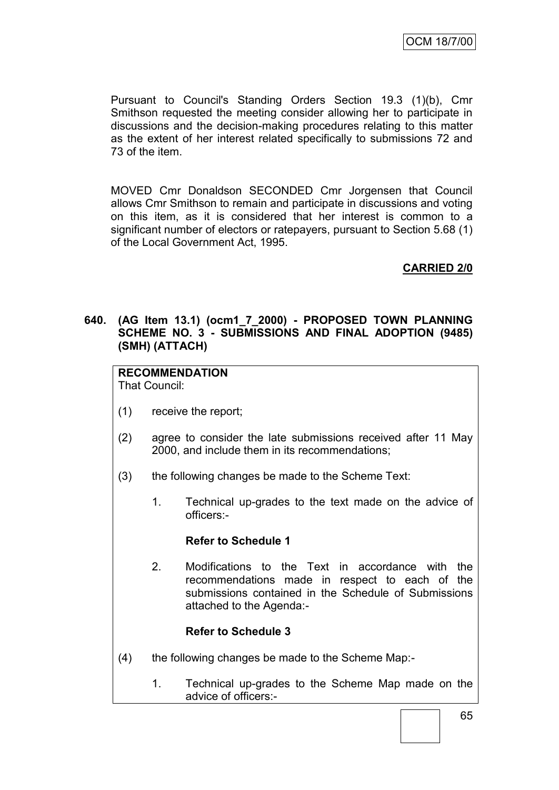Pursuant to Council's Standing Orders Section 19.3 (1)(b), Cmr Smithson requested the meeting consider allowing her to participate in discussions and the decision-making procedures relating to this matter as the extent of her interest related specifically to submissions 72 and 73 of the item.

MOVED Cmr Donaldson SECONDED Cmr Jorgensen that Council allows Cmr Smithson to remain and participate in discussions and voting on this item, as it is considered that her interest is common to a significant number of electors or ratepayers, pursuant to Section 5.68 (1) of the Local Government Act, 1995.

# **CARRIED 2/0**

# **640. (AG Item 13.1) (ocm1\_7\_2000) - PROPOSED TOWN PLANNING SCHEME NO. 3 - SUBMISSIONS AND FINAL ADOPTION (9485) (SMH) (ATTACH)**

# **RECOMMENDATION**

That Council:

- (1) receive the report;
- (2) agree to consider the late submissions received after 11 May 2000, and include them in its recommendations;
- (3) the following changes be made to the Scheme Text:
	- 1. Technical up-grades to the text made on the advice of officers:-

# **Refer to Schedule 1**

2. Modifications to the Text in accordance with the recommendations made in respect to each of the submissions contained in the Schedule of Submissions attached to the Agenda:-

# **Refer to Schedule 3**

- (4) the following changes be made to the Scheme Map:-
	- 1. Technical up-grades to the Scheme Map made on the advice of officers:-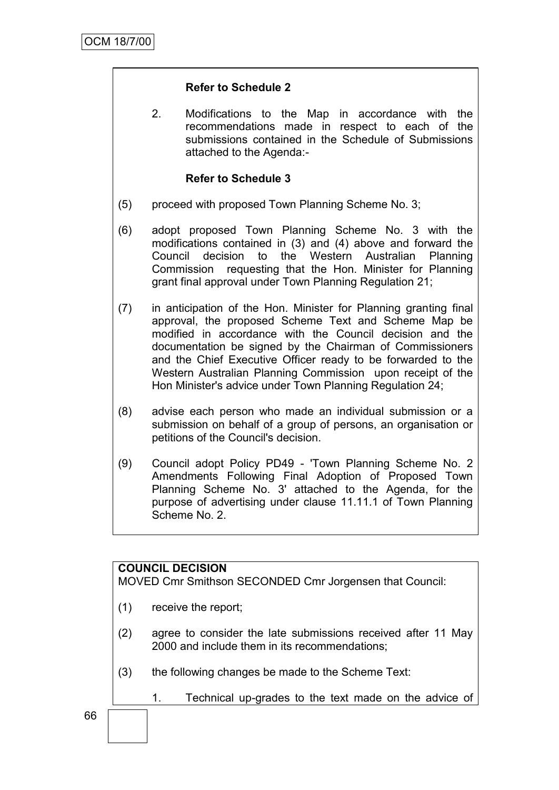# **Refer to Schedule 2**

2. Modifications to the Map in accordance with the recommendations made in respect to each of the submissions contained in the Schedule of Submissions attached to the Agenda:-

# **Refer to Schedule 3**

- (5) proceed with proposed Town Planning Scheme No. 3;
- (6) adopt proposed Town Planning Scheme No. 3 with the modifications contained in (3) and (4) above and forward the Council decision to the Western Australian Planning Commission requesting that the Hon. Minister for Planning grant final approval under Town Planning Regulation 21;
- (7) in anticipation of the Hon. Minister for Planning granting final approval, the proposed Scheme Text and Scheme Map be modified in accordance with the Council decision and the documentation be signed by the Chairman of Commissioners and the Chief Executive Officer ready to be forwarded to the Western Australian Planning Commission upon receipt of the Hon Minister's advice under Town Planning Regulation 24;
- (8) advise each person who made an individual submission or a submission on behalf of a group of persons, an organisation or petitions of the Council's decision.
- (9) Council adopt Policy PD49 'Town Planning Scheme No. 2 Amendments Following Final Adoption of Proposed Town Planning Scheme No. 3' attached to the Agenda, for the purpose of advertising under clause 11.11.1 of Town Planning Scheme No. 2.

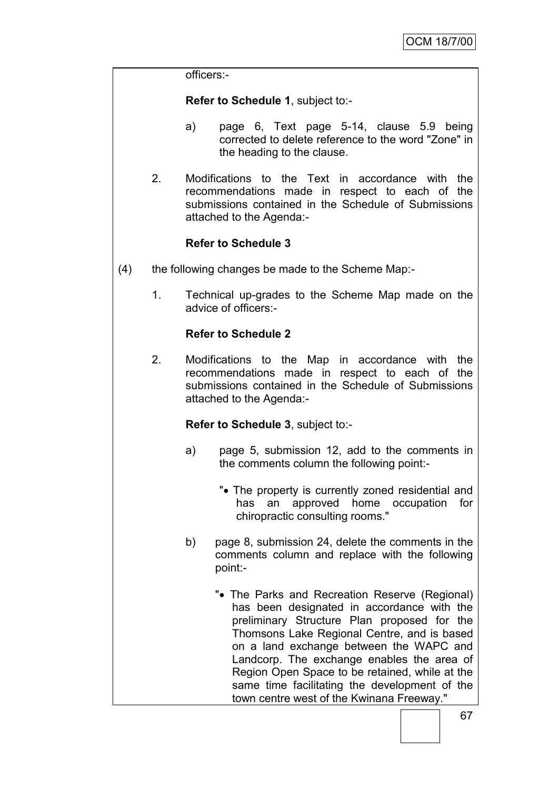officers:-

**Refer to Schedule 1**, subject to:-

- a) page 6, Text page 5-14, clause 5.9 being corrected to delete reference to the word "Zone" in the heading to the clause.
- 2. Modifications to the Text in accordance with the recommendations made in respect to each of the submissions contained in the Schedule of Submissions attached to the Agenda:-

# **Refer to Schedule 3**

- (4) the following changes be made to the Scheme Map:-
	- 1. Technical up-grades to the Scheme Map made on the advice of officers:-

# **Refer to Schedule 2**

2. Modifications to the Map in accordance with the recommendations made in respect to each of the submissions contained in the Schedule of Submissions attached to the Agenda:-

**Refer to Schedule 3**, subject to:-

- a) page 5, submission 12, add to the comments in the comments column the following point:-
	- "• The property is currently zoned residential and has an approved home occupation for chiropractic consulting rooms."
- b) page 8, submission 24, delete the comments in the comments column and replace with the following point:-
	- "• The Parks and Recreation Reserve (Regional) has been designated in accordance with the preliminary Structure Plan proposed for the Thomsons Lake Regional Centre, and is based on a land exchange between the WAPC and Landcorp. The exchange enables the area of Region Open Space to be retained, while at the same time facilitating the development of the town centre west of the Kwinana Freeway."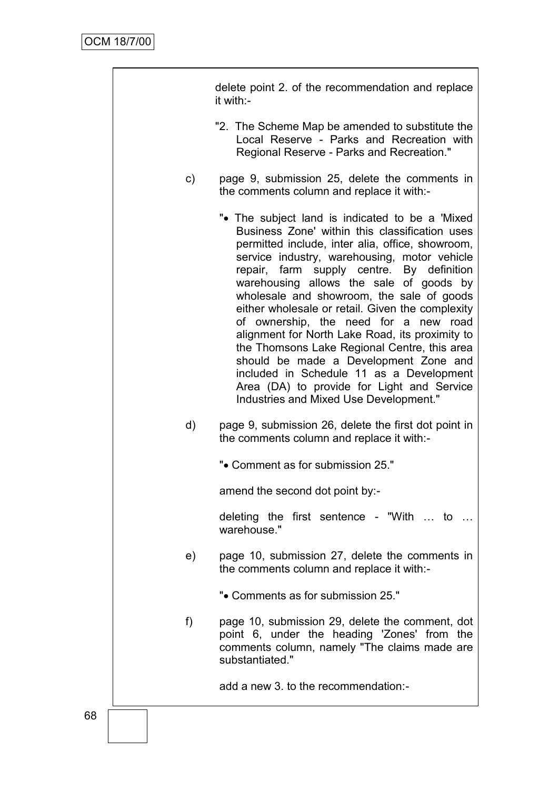|               | delete point 2. of the recommendation and replace<br>it with:-                                                                                                                                                                                                                                                                                                                                                                                                                                                                                                                                                                                                                                                           |  |
|---------------|--------------------------------------------------------------------------------------------------------------------------------------------------------------------------------------------------------------------------------------------------------------------------------------------------------------------------------------------------------------------------------------------------------------------------------------------------------------------------------------------------------------------------------------------------------------------------------------------------------------------------------------------------------------------------------------------------------------------------|--|
|               | "2. The Scheme Map be amended to substitute the<br>Local Reserve - Parks and Recreation with<br>Regional Reserve - Parks and Recreation."                                                                                                                                                                                                                                                                                                                                                                                                                                                                                                                                                                                |  |
| $\mathsf{c})$ | page 9, submission 25, delete the comments in<br>the comments column and replace it with:-                                                                                                                                                                                                                                                                                                                                                                                                                                                                                                                                                                                                                               |  |
|               | "• The subject land is indicated to be a 'Mixed'<br>Business Zone' within this classification uses<br>permitted include, inter alia, office, showroom,<br>service industry, warehousing, motor vehicle<br>repair, farm supply centre. By definition<br>warehousing allows the sale of goods by<br>wholesale and showroom, the sale of goods<br>either wholesale or retail. Given the complexity<br>of ownership, the need for a new road<br>alignment for North Lake Road, its proximity to<br>the Thomsons Lake Regional Centre, this area<br>should be made a Development Zone and<br>included in Schedule 11 as a Development<br>Area (DA) to provide for Light and Service<br>Industries and Mixed Use Development." |  |
| d)            | page 9, submission 26, delete the first dot point in<br>the comments column and replace it with:-                                                                                                                                                                                                                                                                                                                                                                                                                                                                                                                                                                                                                        |  |
|               | "• Comment as for submission 25."                                                                                                                                                                                                                                                                                                                                                                                                                                                                                                                                                                                                                                                                                        |  |
|               | amend the second dot point by:-                                                                                                                                                                                                                                                                                                                                                                                                                                                                                                                                                                                                                                                                                          |  |
|               | deleting the first sentence - "With  to<br>warehouse."                                                                                                                                                                                                                                                                                                                                                                                                                                                                                                                                                                                                                                                                   |  |
| e)            | page 10, submission 27, delete the comments in<br>the comments column and replace it with:-                                                                                                                                                                                                                                                                                                                                                                                                                                                                                                                                                                                                                              |  |
|               | ". Comments as for submission 25."                                                                                                                                                                                                                                                                                                                                                                                                                                                                                                                                                                                                                                                                                       |  |
| f)            | page 10, submission 29, delete the comment, dot<br>point 6, under the heading 'Zones' from the<br>comments column, namely "The claims made are<br>substantiated."                                                                                                                                                                                                                                                                                                                                                                                                                                                                                                                                                        |  |
|               | add a new 3. to the recommendation:-                                                                                                                                                                                                                                                                                                                                                                                                                                                                                                                                                                                                                                                                                     |  |
|               |                                                                                                                                                                                                                                                                                                                                                                                                                                                                                                                                                                                                                                                                                                                          |  |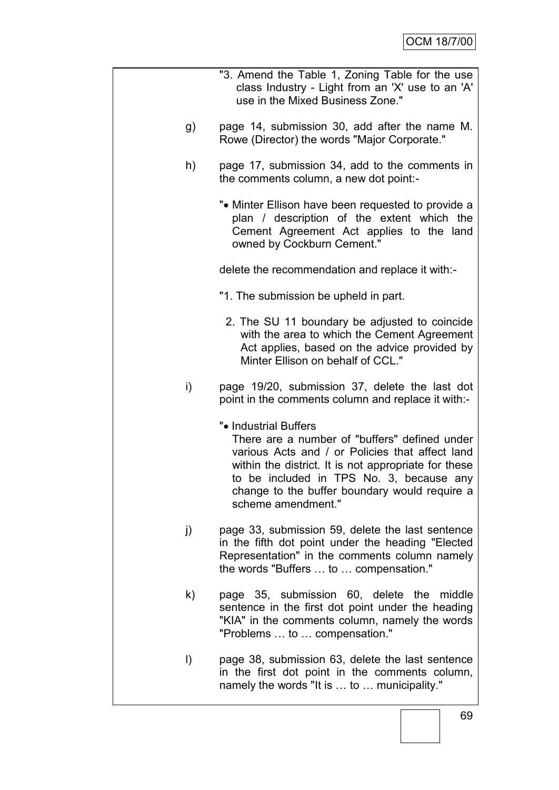|         | "3. Amend the Table 1, Zoning Table for the use<br>class Industry - Light from an 'X' use to an 'A'<br>use in the Mixed Business Zone."                                                                                                                                                              |
|---------|------------------------------------------------------------------------------------------------------------------------------------------------------------------------------------------------------------------------------------------------------------------------------------------------------|
| g)      | page 14, submission 30, add after the name M.<br>Rowe (Director) the words "Major Corporate."                                                                                                                                                                                                        |
| h)      | page 17, submission 34, add to the comments in<br>the comments column, a new dot point:-                                                                                                                                                                                                             |
|         | ". Minter Ellison have been requested to provide a<br>plan / description of the extent which the<br>Cement Agreement Act applies to the land<br>owned by Cockburn Cement."                                                                                                                           |
|         | delete the recommendation and replace it with:-                                                                                                                                                                                                                                                      |
|         | "1. The submission be upheld in part.                                                                                                                                                                                                                                                                |
|         | 2. The SU 11 boundary be adjusted to coincide<br>with the area to which the Cement Agreement<br>Act applies, based on the advice provided by<br>Minter Ellison on behalf of CCL."                                                                                                                    |
| i)      | page 19/20, submission 37, delete the last dot<br>point in the comments column and replace it with:-                                                                                                                                                                                                 |
|         | ". Industrial Buffers<br>There are a number of "buffers" defined under<br>various Acts and / or Policies that affect land<br>within the district. It is not appropriate for these<br>to be included in TPS No. 3, because any<br>change to the buffer boundary would require a<br>scheme amendment." |
| j)      | page 33, submission 59, delete the last sentence<br>in the fifth dot point under the heading "Elected<br>Representation" in the comments column namely<br>the words "Buffers  to  compensation."                                                                                                     |
| k)      | page 35, submission 60, delete the middle<br>sentence in the first dot point under the heading<br>"KIA" in the comments column, namely the words<br>"Problems  to  compensation."                                                                                                                    |
| $\vert$ | page 38, submission 63, delete the last sentence<br>in the first dot point in the comments column,<br>namely the words "It is  to  municipality."                                                                                                                                                    |
|         |                                                                                                                                                                                                                                                                                                      |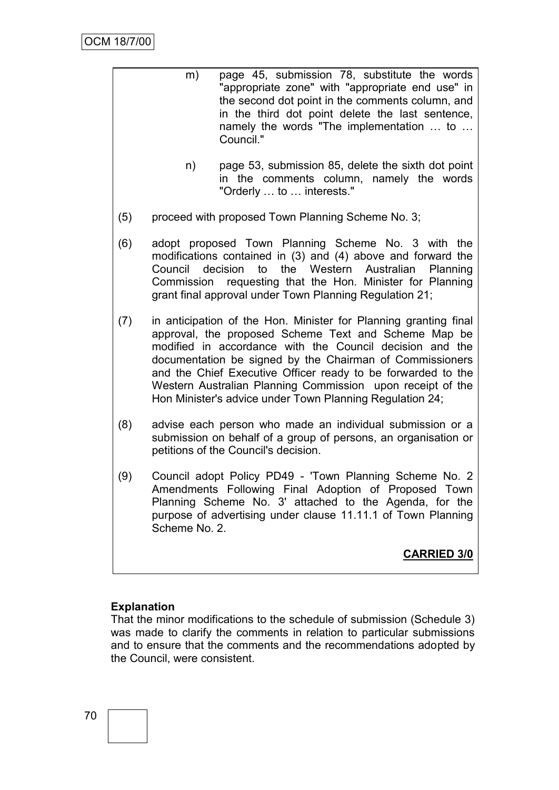| m) | page 45, submission 78, substitute the words     |
|----|--------------------------------------------------|
|    | "appropriate zone" with "appropriate end use" in |
|    | the second dot point in the comments column, and |
|    | in the third dot point delete the last sentence, |
|    | namely the words "The implementation  to         |
|    | Council."                                        |

- n) page 53, submission 85, delete the sixth dot point in the comments column, namely the words "Orderly … to … interests."
- (5) proceed with proposed Town Planning Scheme No. 3;
- (6) adopt proposed Town Planning Scheme No. 3 with the modifications contained in (3) and (4) above and forward the Council decision to the Western Australian Planning Commission requesting that the Hon. Minister for Planning grant final approval under Town Planning Regulation 21;
- (7) in anticipation of the Hon. Minister for Planning granting final approval, the proposed Scheme Text and Scheme Map be modified in accordance with the Council decision and the documentation be signed by the Chairman of Commissioners and the Chief Executive Officer ready to be forwarded to the Western Australian Planning Commission upon receipt of the Hon Minister's advice under Town Planning Regulation 24;
- (8) advise each person who made an individual submission or a submission on behalf of a group of persons, an organisation or petitions of the Council's decision.
- (9) Council adopt Policy PD49 'Town Planning Scheme No. 2 Amendments Following Final Adoption of Proposed Town Planning Scheme No. 3' attached to the Agenda, for the purpose of advertising under clause 11.11.1 of Town Planning Scheme No. 2.

**CARRIED 3/0**

#### **Explanation**

That the minor modifications to the schedule of submission (Schedule 3) was made to clarify the comments in relation to particular submissions and to ensure that the comments and the recommendations adopted by the Council, were consistent.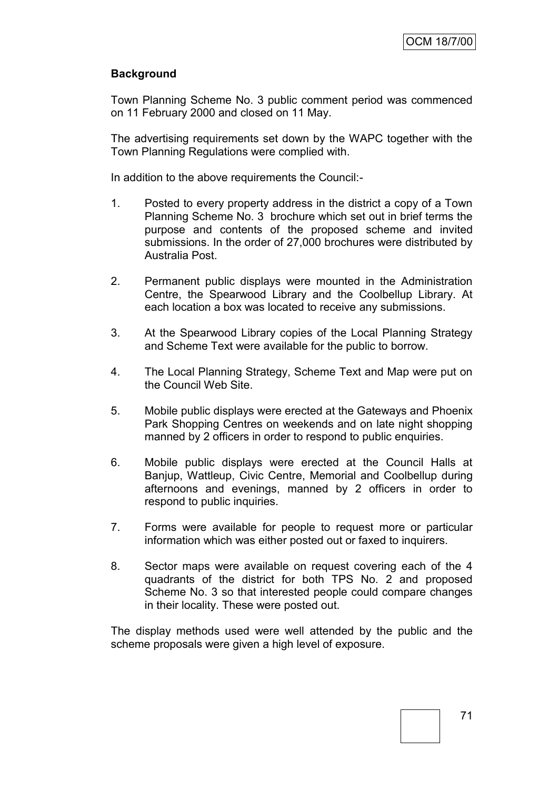## **Background**

Town Planning Scheme No. 3 public comment period was commenced on 11 February 2000 and closed on 11 May.

The advertising requirements set down by the WAPC together with the Town Planning Regulations were complied with.

In addition to the above requirements the Council:-

- 1. Posted to every property address in the district a copy of a Town Planning Scheme No. 3 brochure which set out in brief terms the purpose and contents of the proposed scheme and invited submissions. In the order of 27,000 brochures were distributed by Australia Post.
- 2. Permanent public displays were mounted in the Administration Centre, the Spearwood Library and the Coolbellup Library. At each location a box was located to receive any submissions.
- 3. At the Spearwood Library copies of the Local Planning Strategy and Scheme Text were available for the public to borrow.
- 4. The Local Planning Strategy, Scheme Text and Map were put on the Council Web Site.
- 5. Mobile public displays were erected at the Gateways and Phoenix Park Shopping Centres on weekends and on late night shopping manned by 2 officers in order to respond to public enquiries.
- 6. Mobile public displays were erected at the Council Halls at Banjup, Wattleup, Civic Centre, Memorial and Coolbellup during afternoons and evenings, manned by 2 officers in order to respond to public inquiries.
- 7. Forms were available for people to request more or particular information which was either posted out or faxed to inquirers.
- 8. Sector maps were available on request covering each of the 4 quadrants of the district for both TPS No. 2 and proposed Scheme No. 3 so that interested people could compare changes in their locality. These were posted out.

The display methods used were well attended by the public and the scheme proposals were given a high level of exposure.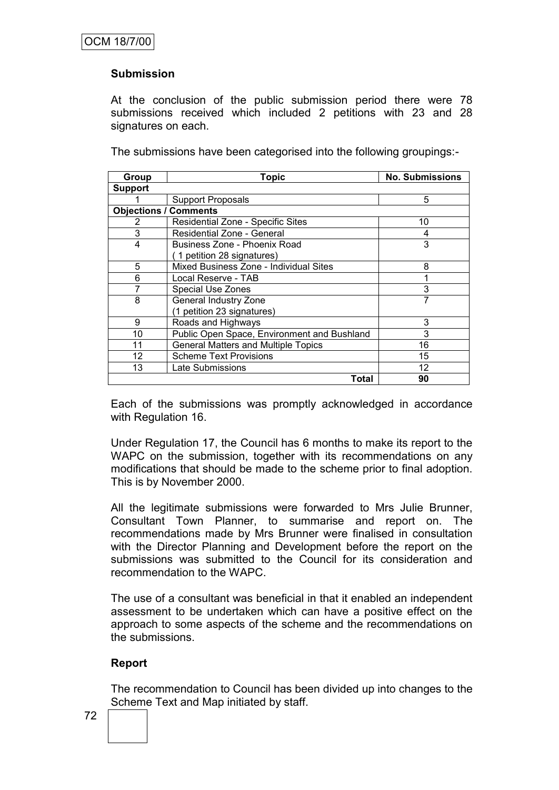## **Submission**

At the conclusion of the public submission period there were 78 submissions received which included 2 petitions with 23 and 28 signatures on each.

The submissions have been categorised into the following groupings:-

| Group                        | <b>Topic</b>                                | <b>No. Submissions</b> |  |  |
|------------------------------|---------------------------------------------|------------------------|--|--|
| <b>Support</b>               |                                             |                        |  |  |
|                              | <b>Support Proposals</b>                    | 5                      |  |  |
| <b>Objections / Comments</b> |                                             |                        |  |  |
| 2                            | Residential Zone - Specific Sites           | 10                     |  |  |
| 3                            | Residential Zone - General                  | 4                      |  |  |
| 4                            | Business Zone - Phoenix Road                | 3                      |  |  |
|                              | 1 petition 28 signatures)                   |                        |  |  |
| 5                            | Mixed Business Zone - Individual Sites      | 8                      |  |  |
| 6                            | Local Reserve - TAB                         |                        |  |  |
|                              | <b>Special Use Zones</b>                    | 3                      |  |  |
| 8                            | <b>General Industry Zone</b>                | 7                      |  |  |
|                              | (1 petition 23 signatures)                  |                        |  |  |
| 9                            | Roads and Highways                          | 3                      |  |  |
| 10                           | Public Open Space, Environment and Bushland | 3                      |  |  |
| 11                           | <b>General Matters and Multiple Topics</b>  | 16                     |  |  |
| 12                           | <b>Scheme Text Provisions</b>               | 15                     |  |  |
| 13                           | Late Submissions                            | 12                     |  |  |
|                              | Total                                       | 90                     |  |  |

Each of the submissions was promptly acknowledged in accordance with Regulation 16.

Under Regulation 17, the Council has 6 months to make its report to the WAPC on the submission, together with its recommendations on any modifications that should be made to the scheme prior to final adoption. This is by November 2000.

All the legitimate submissions were forwarded to Mrs Julie Brunner, Consultant Town Planner, to summarise and report on. The recommendations made by Mrs Brunner were finalised in consultation with the Director Planning and Development before the report on the submissions was submitted to the Council for its consideration and recommendation to the WAPC.

The use of a consultant was beneficial in that it enabled an independent assessment to be undertaken which can have a positive effect on the approach to some aspects of the scheme and the recommendations on the submissions.

#### **Report**

The recommendation to Council has been divided up into changes to the Scheme Text and Map initiated by staff.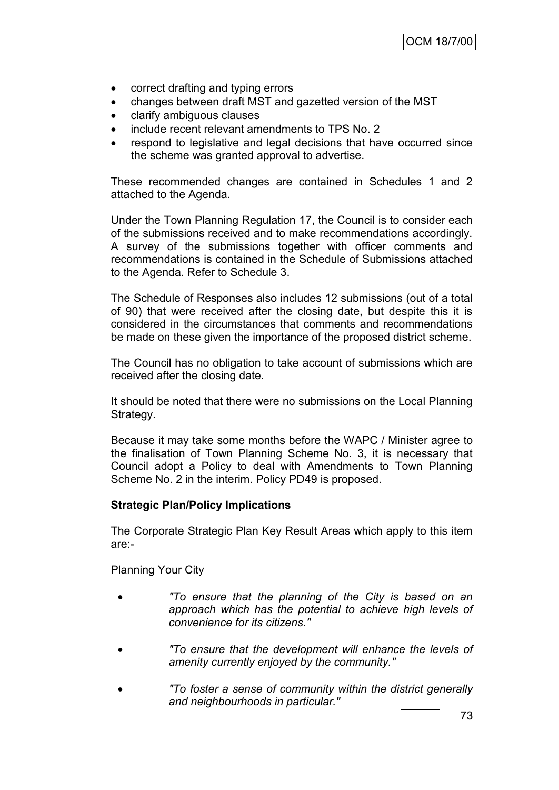- correct drafting and typing errors
- changes between draft MST and gazetted version of the MST
- clarify ambiguous clauses
- include recent relevant amendments to TPS No. 2
- respond to legislative and legal decisions that have occurred since the scheme was granted approval to advertise.

These recommended changes are contained in Schedules 1 and 2 attached to the Agenda.

Under the Town Planning Regulation 17, the Council is to consider each of the submissions received and to make recommendations accordingly. A survey of the submissions together with officer comments and recommendations is contained in the Schedule of Submissions attached to the Agenda. Refer to Schedule 3.

The Schedule of Responses also includes 12 submissions (out of a total of 90) that were received after the closing date, but despite this it is considered in the circumstances that comments and recommendations be made on these given the importance of the proposed district scheme.

The Council has no obligation to take account of submissions which are received after the closing date.

It should be noted that there were no submissions on the Local Planning Strategy.

Because it may take some months before the WAPC / Minister agree to the finalisation of Town Planning Scheme No. 3, it is necessary that Council adopt a Policy to deal with Amendments to Town Planning Scheme No. 2 in the interim. Policy PD49 is proposed.

#### **Strategic Plan/Policy Implications**

The Corporate Strategic Plan Key Result Areas which apply to this item are:-

Planning Your City

- *"To ensure that the planning of the City is based on an approach which has the potential to achieve high levels of convenience for its citizens."*
- *"To ensure that the development will enhance the levels of amenity currently enjoyed by the community."*
- *"To foster a sense of community within the district generally and neighbourhoods in particular."*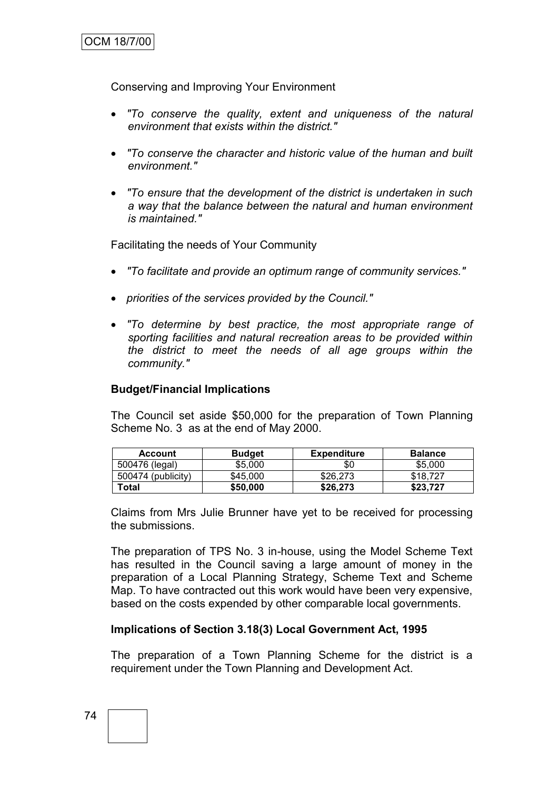Conserving and Improving Your Environment

- *"To conserve the quality, extent and uniqueness of the natural environment that exists within the district."*
- *"To conserve the character and historic value of the human and built environment."*
- *"To ensure that the development of the district is undertaken in such a way that the balance between the natural and human environment is maintained."*

Facilitating the needs of Your Community

- *"To facilitate and provide an optimum range of community services."*
- *priorities of the services provided by the Council."*
- *"To determine by best practice, the most appropriate range of sporting facilities and natural recreation areas to be provided within the district to meet the needs of all age groups within the community."*

#### **Budget/Financial Implications**

The Council set aside \$50,000 for the preparation of Town Planning Scheme No. 3 as at the end of May 2000.

| <b>Account</b>     | <b>Budget</b> | <b>Expenditure</b> | <b>Balance</b> |
|--------------------|---------------|--------------------|----------------|
| 500476 (legal)     | \$5,000       | \$0                | \$5,000        |
| 500474 (publicity) | \$45,000      | \$26,273           | \$18,727       |
| Total              | \$50,000      | \$26,273           | \$23,727       |

Claims from Mrs Julie Brunner have yet to be received for processing the submissions.

The preparation of TPS No. 3 in-house, using the Model Scheme Text has resulted in the Council saving a large amount of money in the preparation of a Local Planning Strategy, Scheme Text and Scheme Map. To have contracted out this work would have been very expensive, based on the costs expended by other comparable local governments.

#### **Implications of Section 3.18(3) Local Government Act, 1995**

The preparation of a Town Planning Scheme for the district is a requirement under the Town Planning and Development Act.

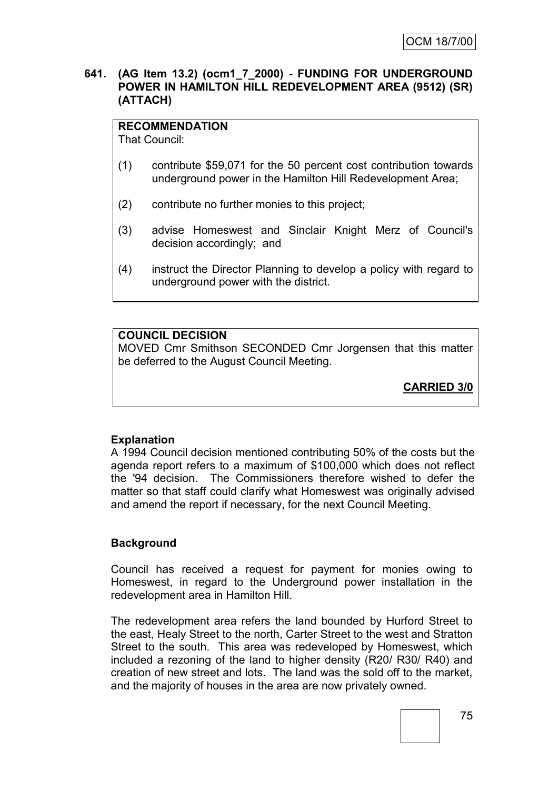#### **641. (AG Item 13.2) (ocm1\_7\_2000) - FUNDING FOR UNDERGROUND POWER IN HAMILTON HILL REDEVELOPMENT AREA (9512) (SR) (ATTACH)**

# **RECOMMENDATION**

That Council:

- (1) contribute \$59,071 for the 50 percent cost contribution towards underground power in the Hamilton Hill Redevelopment Area;
- (2) contribute no further monies to this project;
- (3) advise Homeswest and Sinclair Knight Merz of Council's decision accordingly; and
- (4) instruct the Director Planning to develop a policy with regard to underground power with the district.

# **COUNCIL DECISION**

MOVED Cmr Smithson SECONDED Cmr Jorgensen that this matter be deferred to the August Council Meeting.

**CARRIED 3/0**

#### **Explanation**

A 1994 Council decision mentioned contributing 50% of the costs but the agenda report refers to a maximum of \$100,000 which does not reflect the '94 decision. The Commissioners therefore wished to defer the matter so that staff could clarify what Homeswest was originally advised and amend the report if necessary, for the next Council Meeting.

#### **Background**

Council has received a request for payment for monies owing to Homeswest, in regard to the Underground power installation in the redevelopment area in Hamilton Hill.

The redevelopment area refers the land bounded by Hurford Street to the east, Healy Street to the north, Carter Street to the west and Stratton Street to the south. This area was redeveloped by Homeswest, which included a rezoning of the land to higher density (R20/ R30/ R40) and creation of new street and lots. The land was the sold off to the market, and the majority of houses in the area are now privately owned.

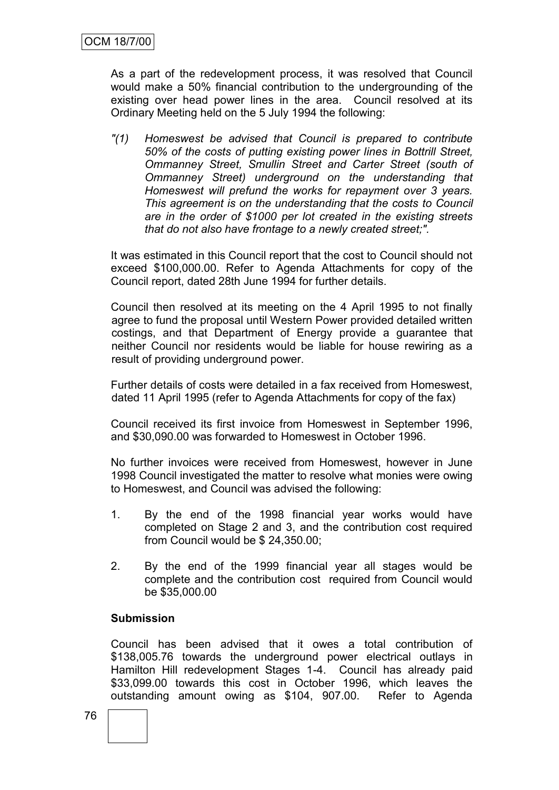As a part of the redevelopment process, it was resolved that Council would make a 50% financial contribution to the undergrounding of the existing over head power lines in the area. Council resolved at its Ordinary Meeting held on the 5 July 1994 the following:

*"(1) Homeswest be advised that Council is prepared to contribute 50% of the costs of putting existing power lines in Bottrill Street, Ommanney Street, Smullin Street and Carter Street (south of Ommanney Street) underground on the understanding that Homeswest will prefund the works for repayment over 3 years. This agreement is on the understanding that the costs to Council are in the order of \$1000 per lot created in the existing streets that do not also have frontage to a newly created street;".*

It was estimated in this Council report that the cost to Council should not exceed \$100,000.00. Refer to Agenda Attachments for copy of the Council report, dated 28th June 1994 for further details.

Council then resolved at its meeting on the 4 April 1995 to not finally agree to fund the proposal until Western Power provided detailed written costings, and that Department of Energy provide a guarantee that neither Council nor residents would be liable for house rewiring as a result of providing underground power.

Further details of costs were detailed in a fax received from Homeswest, dated 11 April 1995 (refer to Agenda Attachments for copy of the fax)

Council received its first invoice from Homeswest in September 1996, and \$30,090.00 was forwarded to Homeswest in October 1996.

No further invoices were received from Homeswest, however in June 1998 Council investigated the matter to resolve what monies were owing to Homeswest, and Council was advised the following:

- 1. By the end of the 1998 financial year works would have completed on Stage 2 and 3, and the contribution cost required from Council would be \$ 24,350.00;
- 2. By the end of the 1999 financial year all stages would be complete and the contribution cost required from Council would be \$35,000.00

#### **Submission**

Council has been advised that it owes a total contribution of \$138,005.76 towards the underground power electrical outlays in Hamilton Hill redevelopment Stages 1-4. Council has already paid \$33,099.00 towards this cost in October 1996, which leaves the outstanding amount owing as \$104, 907.00. Refer to Agenda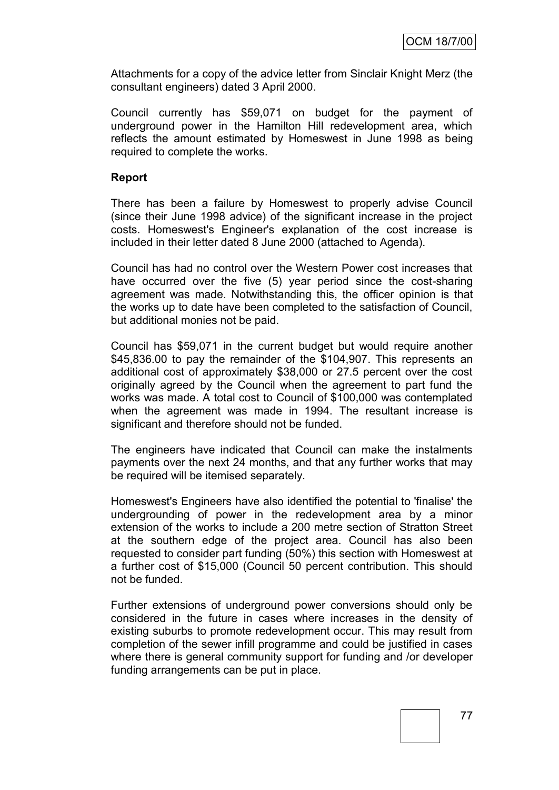Attachments for a copy of the advice letter from Sinclair Knight Merz (the consultant engineers) dated 3 April 2000.

Council currently has \$59,071 on budget for the payment of underground power in the Hamilton Hill redevelopment area, which reflects the amount estimated by Homeswest in June 1998 as being required to complete the works.

#### **Report**

There has been a failure by Homeswest to properly advise Council (since their June 1998 advice) of the significant increase in the project costs. Homeswest's Engineer's explanation of the cost increase is included in their letter dated 8 June 2000 (attached to Agenda).

Council has had no control over the Western Power cost increases that have occurred over the five (5) year period since the cost-sharing agreement was made. Notwithstanding this, the officer opinion is that the works up to date have been completed to the satisfaction of Council, but additional monies not be paid.

Council has \$59,071 in the current budget but would require another \$45,836.00 to pay the remainder of the \$104,907. This represents an additional cost of approximately \$38,000 or 27.5 percent over the cost originally agreed by the Council when the agreement to part fund the works was made. A total cost to Council of \$100,000 was contemplated when the agreement was made in 1994. The resultant increase is significant and therefore should not be funded.

The engineers have indicated that Council can make the instalments payments over the next 24 months, and that any further works that may be required will be itemised separately.

Homeswest's Engineers have also identified the potential to 'finalise' the undergrounding of power in the redevelopment area by a minor extension of the works to include a 200 metre section of Stratton Street at the southern edge of the project area. Council has also been requested to consider part funding (50%) this section with Homeswest at a further cost of \$15,000 (Council 50 percent contribution. This should not be funded.

Further extensions of underground power conversions should only be considered in the future in cases where increases in the density of existing suburbs to promote redevelopment occur. This may result from completion of the sewer infill programme and could be justified in cases where there is general community support for funding and /or developer funding arrangements can be put in place.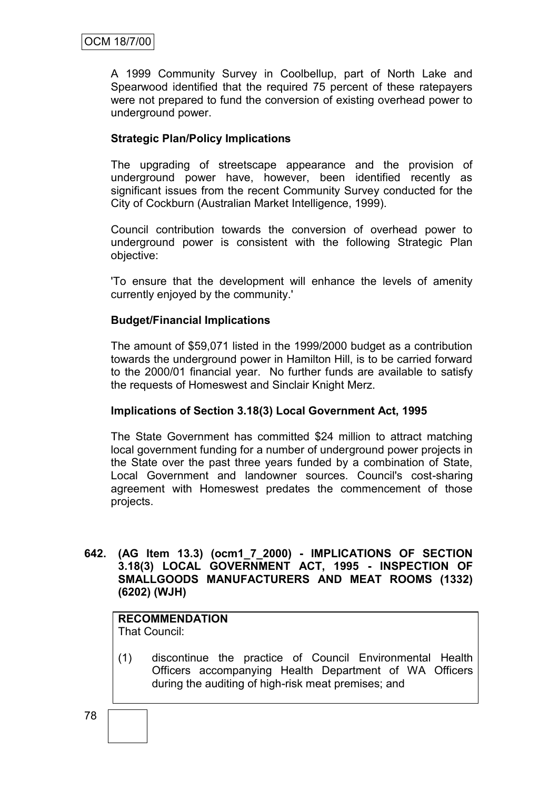A 1999 Community Survey in Coolbellup, part of North Lake and Spearwood identified that the required 75 percent of these ratepayers were not prepared to fund the conversion of existing overhead power to underground power.

## **Strategic Plan/Policy Implications**

The upgrading of streetscape appearance and the provision of underground power have, however, been identified recently as significant issues from the recent Community Survey conducted for the City of Cockburn (Australian Market Intelligence, 1999).

Council contribution towards the conversion of overhead power to underground power is consistent with the following Strategic Plan objective:

'To ensure that the development will enhance the levels of amenity currently enjoyed by the community.'

#### **Budget/Financial Implications**

The amount of \$59,071 listed in the 1999/2000 budget as a contribution towards the underground power in Hamilton Hill, is to be carried forward to the 2000/01 financial year. No further funds are available to satisfy the requests of Homeswest and Sinclair Knight Merz.

#### **Implications of Section 3.18(3) Local Government Act, 1995**

The State Government has committed \$24 million to attract matching local government funding for a number of underground power projects in the State over the past three years funded by a combination of State, Local Government and landowner sources. Council's cost-sharing agreement with Homeswest predates the commencement of those projects.

#### **642. (AG Item 13.3) (ocm1\_7\_2000) - IMPLICATIONS OF SECTION 3.18(3) LOCAL GOVERNMENT ACT, 1995 - INSPECTION OF SMALLGOODS MANUFACTURERS AND MEAT ROOMS (1332) (6202) (WJH)**

# **RECOMMENDATION**

That Council:

(1) discontinue the practice of Council Environmental Health Officers accompanying Health Department of WA Officers during the auditing of high-risk meat premises; and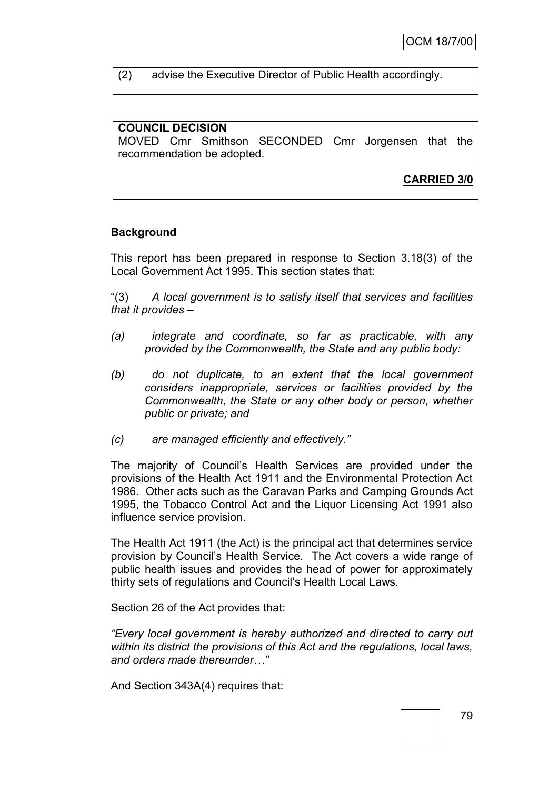(2) advise the Executive Director of Public Health accordingly.

## **COUNCIL DECISION**

MOVED Cmr Smithson SECONDED Cmr Jorgensen that the recommendation be adopted.

**CARRIED 3/0**

## **Background**

This report has been prepared in response to Section 3.18(3) of the Local Government Act 1995. This section states that:

"(3) *A local government is to satisfy itself that services and facilities that it provides –*

- *(a) integrate and coordinate, so far as practicable, with any provided by the Commonwealth, the State and any public body:*
- *(b) do not duplicate, to an extent that the local government considers inappropriate, services or facilities provided by the Commonwealth, the State or any other body or person, whether public or private; and*
- *(c) are managed efficiently and effectively."*

The majority of Council"s Health Services are provided under the provisions of the Health Act 1911 and the Environmental Protection Act 1986. Other acts such as the Caravan Parks and Camping Grounds Act 1995, the Tobacco Control Act and the Liquor Licensing Act 1991 also influence service provision.

The Health Act 1911 (the Act) is the principal act that determines service provision by Council"s Health Service. The Act covers a wide range of public health issues and provides the head of power for approximately thirty sets of regulations and Council"s Health Local Laws.

Section 26 of the Act provides that:

*"Every local government is hereby authorized and directed to carry out within its district the provisions of this Act and the regulations, local laws, and orders made thereunder…"*

And Section 343A(4) requires that: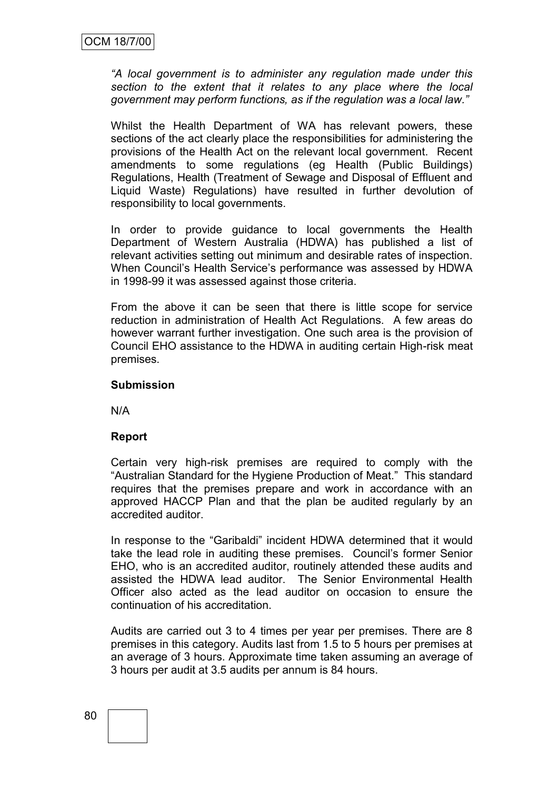*"A local government is to administer any regulation made under this section to the extent that it relates to any place where the local government may perform functions, as if the regulation was a local law."*

Whilst the Health Department of WA has relevant powers, these sections of the act clearly place the responsibilities for administering the provisions of the Health Act on the relevant local government. Recent amendments to some regulations (eg Health (Public Buildings) Regulations, Health (Treatment of Sewage and Disposal of Effluent and Liquid Waste) Regulations) have resulted in further devolution of responsibility to local governments.

In order to provide guidance to local governments the Health Department of Western Australia (HDWA) has published a list of relevant activities setting out minimum and desirable rates of inspection. When Council"s Health Service"s performance was assessed by HDWA in 1998-99 it was assessed against those criteria.

From the above it can be seen that there is little scope for service reduction in administration of Health Act Regulations. A few areas do however warrant further investigation. One such area is the provision of Council EHO assistance to the HDWA in auditing certain High-risk meat premises.

#### **Submission**

N/A

#### **Report**

Certain very high-risk premises are required to comply with the "Australian Standard for the Hygiene Production of Meat." This standard requires that the premises prepare and work in accordance with an approved HACCP Plan and that the plan be audited regularly by an accredited auditor.

In response to the "Garibaldi" incident HDWA determined that it would take the lead role in auditing these premises. Council"s former Senior EHO, who is an accredited auditor, routinely attended these audits and assisted the HDWA lead auditor. The Senior Environmental Health Officer also acted as the lead auditor on occasion to ensure the continuation of his accreditation.

Audits are carried out 3 to 4 times per year per premises. There are 8 premises in this category. Audits last from 1.5 to 5 hours per premises at an average of 3 hours. Approximate time taken assuming an average of 3 hours per audit at 3.5 audits per annum is 84 hours.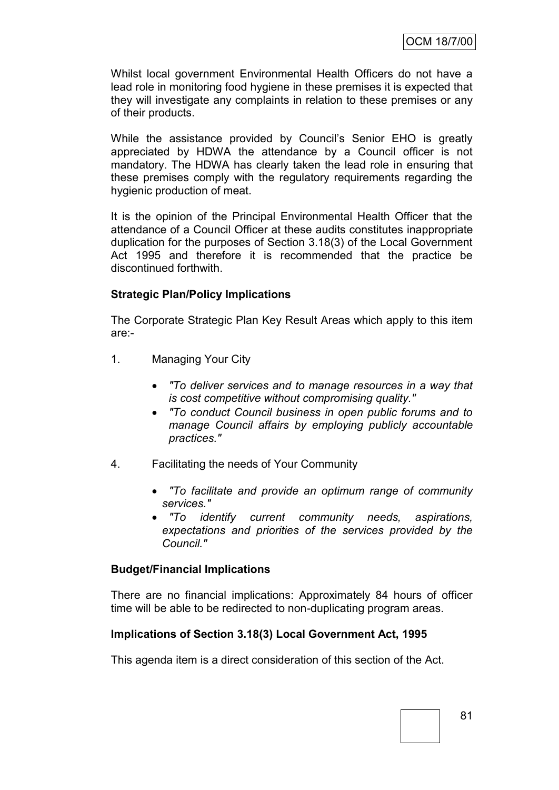Whilst local government Environmental Health Officers do not have a lead role in monitoring food hygiene in these premises it is expected that they will investigate any complaints in relation to these premises or any of their products.

While the assistance provided by Council's Senior EHO is greatly appreciated by HDWA the attendance by a Council officer is not mandatory. The HDWA has clearly taken the lead role in ensuring that these premises comply with the regulatory requirements regarding the hygienic production of meat.

It is the opinion of the Principal Environmental Health Officer that the attendance of a Council Officer at these audits constitutes inappropriate duplication for the purposes of Section 3.18(3) of the Local Government Act 1995 and therefore it is recommended that the practice be discontinued forthwith.

## **Strategic Plan/Policy Implications**

The Corporate Strategic Plan Key Result Areas which apply to this item are:-

- 1. Managing Your City
	- *"To deliver services and to manage resources in a way that is cost competitive without compromising quality."*
	- *"To conduct Council business in open public forums and to manage Council affairs by employing publicly accountable practices."*
- 4. Facilitating the needs of Your Community
	- *"To facilitate and provide an optimum range of community services."*
	- *"To identify current community needs, aspirations, expectations and priorities of the services provided by the Council."*

#### **Budget/Financial Implications**

There are no financial implications: Approximately 84 hours of officer time will be able to be redirected to non-duplicating program areas.

#### **Implications of Section 3.18(3) Local Government Act, 1995**

This agenda item is a direct consideration of this section of the Act.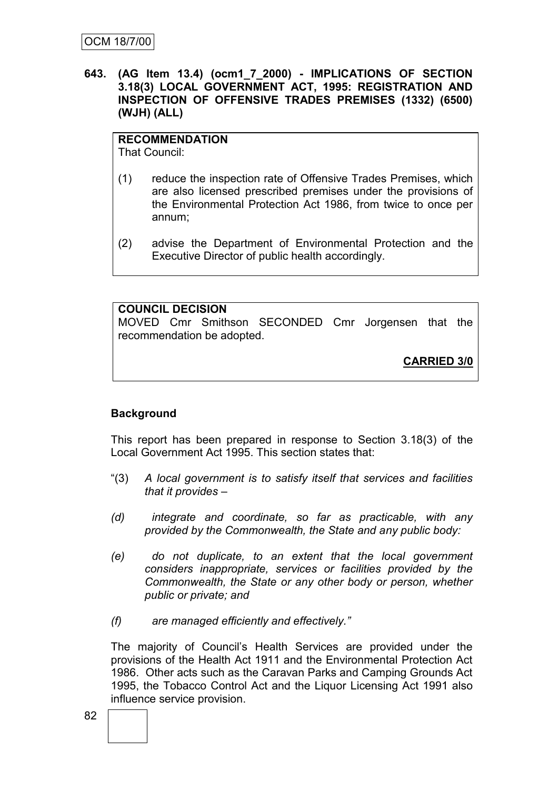**643. (AG Item 13.4) (ocm1\_7\_2000) - IMPLICATIONS OF SECTION 3.18(3) LOCAL GOVERNMENT ACT, 1995: REGISTRATION AND INSPECTION OF OFFENSIVE TRADES PREMISES (1332) (6500) (WJH) (ALL)**

# **RECOMMENDATION**

That Council:

- (1) reduce the inspection rate of Offensive Trades Premises, which are also licensed prescribed premises under the provisions of the Environmental Protection Act 1986, from twice to once per annum;
- (2) advise the Department of Environmental Protection and the Executive Director of public health accordingly.

**COUNCIL DECISION** MOVED Cmr Smithson SECONDED Cmr Jorgensen that the recommendation be adopted.

**CARRIED 3/0**

# **Background**

This report has been prepared in response to Section 3.18(3) of the Local Government Act 1995. This section states that:

- "(3) *A local government is to satisfy itself that services and facilities that it provides –*
- *(d) integrate and coordinate, so far as practicable, with any provided by the Commonwealth, the State and any public body:*
- *(e) do not duplicate, to an extent that the local government considers inappropriate, services or facilities provided by the Commonwealth, the State or any other body or person, whether public or private; and*
- *(f) are managed efficiently and effectively."*

The majority of Council"s Health Services are provided under the provisions of the Health Act 1911 and the Environmental Protection Act 1986. Other acts such as the Caravan Parks and Camping Grounds Act 1995, the Tobacco Control Act and the Liquor Licensing Act 1991 also influence service provision.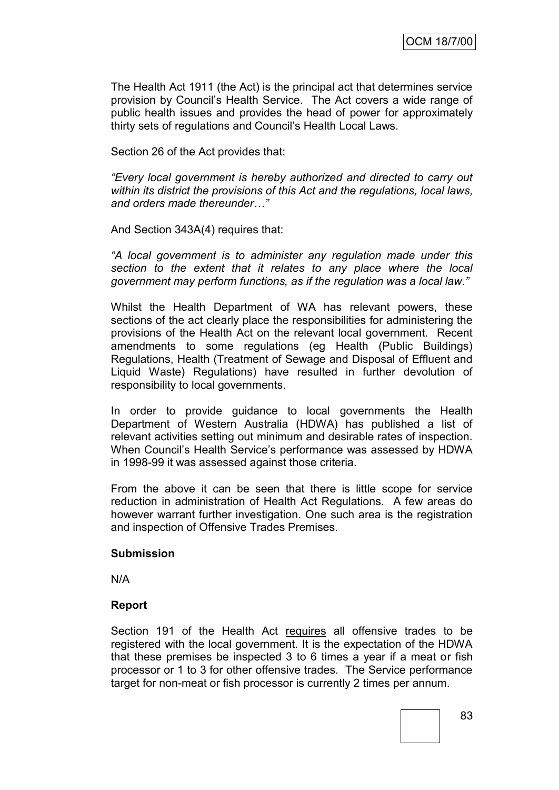The Health Act 1911 (the Act) is the principal act that determines service provision by Council"s Health Service. The Act covers a wide range of public health issues and provides the head of power for approximately thirty sets of regulations and Council"s Health Local Laws.

Section 26 of the Act provides that:

*"Every local government is hereby authorized and directed to carry out within its district the provisions of this Act and the regulations, local laws, and orders made thereunder…"*

And Section 343A(4) requires that:

*"A local government is to administer any regulation made under this section to the extent that it relates to any place where the local government may perform functions, as if the regulation was a local law."*

Whilst the Health Department of WA has relevant powers, these sections of the act clearly place the responsibilities for administering the provisions of the Health Act on the relevant local government. Recent amendments to some regulations (eg Health (Public Buildings) Regulations, Health (Treatment of Sewage and Disposal of Effluent and Liquid Waste) Regulations) have resulted in further devolution of responsibility to local governments.

In order to provide guidance to local governments the Health Department of Western Australia (HDWA) has published a list of relevant activities setting out minimum and desirable rates of inspection. When Council"s Health Service"s performance was assessed by HDWA in 1998-99 it was assessed against those criteria.

From the above it can be seen that there is little scope for service reduction in administration of Health Act Regulations. A few areas do however warrant further investigation. One such area is the registration and inspection of Offensive Trades Premises.

#### **Submission**

N/A

#### **Report**

Section 191 of the Health Act requires all offensive trades to be registered with the local government. It is the expectation of the HDWA that these premises be inspected 3 to 6 times a year if a meat or fish processor or 1 to 3 for other offensive trades. The Service performance target for non-meat or fish processor is currently 2 times per annum.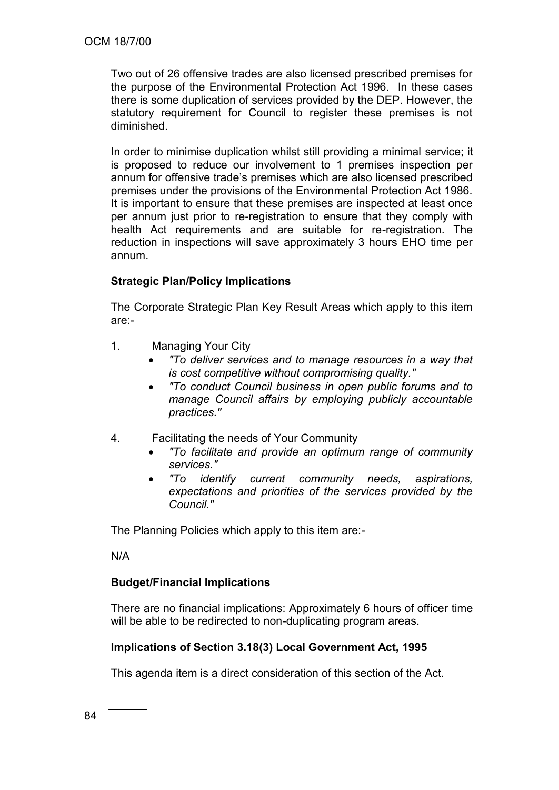Two out of 26 offensive trades are also licensed prescribed premises for the purpose of the Environmental Protection Act 1996. In these cases there is some duplication of services provided by the DEP. However, the statutory requirement for Council to register these premises is not diminished.

In order to minimise duplication whilst still providing a minimal service; it is proposed to reduce our involvement to 1 premises inspection per annum for offensive trade"s premises which are also licensed prescribed premises under the provisions of the Environmental Protection Act 1986. It is important to ensure that these premises are inspected at least once per annum just prior to re-registration to ensure that they comply with health Act requirements and are suitable for re-registration. The reduction in inspections will save approximately 3 hours EHO time per annum.

## **Strategic Plan/Policy Implications**

The Corporate Strategic Plan Key Result Areas which apply to this item are:-

- 1. Managing Your City
	- *"To deliver services and to manage resources in a way that is cost competitive without compromising quality."*
	- *"To conduct Council business in open public forums and to manage Council affairs by employing publicly accountable practices."*
- 4. Facilitating the needs of Your Community
	- *"To facilitate and provide an optimum range of community services."*
	- *"To identify current community needs, aspirations, expectations and priorities of the services provided by the Council."*

The Planning Policies which apply to this item are:-

N/A

# **Budget/Financial Implications**

There are no financial implications: Approximately 6 hours of officer time will be able to be redirected to non-duplicating program areas.

# **Implications of Section 3.18(3) Local Government Act, 1995**

This agenda item is a direct consideration of this section of the Act.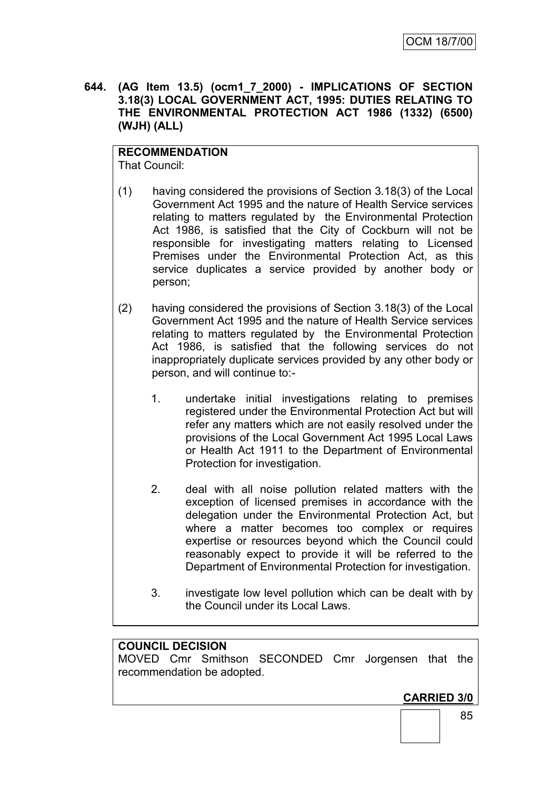**644. (AG Item 13.5) (ocm1\_7\_2000) - IMPLICATIONS OF SECTION 3.18(3) LOCAL GOVERNMENT ACT, 1995: DUTIES RELATING TO THE ENVIRONMENTAL PROTECTION ACT 1986 (1332) (6500) (WJH) (ALL)**

# **RECOMMENDATION**

That Council:

- (1) having considered the provisions of Section 3.18(3) of the Local Government Act 1995 and the nature of Health Service services relating to matters regulated by the Environmental Protection Act 1986, is satisfied that the City of Cockburn will not be responsible for investigating matters relating to Licensed Premises under the Environmental Protection Act, as this service duplicates a service provided by another body or person;
- (2) having considered the provisions of Section 3.18(3) of the Local Government Act 1995 and the nature of Health Service services relating to matters regulated by the Environmental Protection Act 1986, is satisfied that the following services do not inappropriately duplicate services provided by any other body or person, and will continue to:-
	- 1. undertake initial investigations relating to premises registered under the Environmental Protection Act but will refer any matters which are not easily resolved under the provisions of the Local Government Act 1995 Local Laws or Health Act 1911 to the Department of Environmental Protection for investigation.
	- 2. deal with all noise pollution related matters with the exception of licensed premises in accordance with the delegation under the Environmental Protection Act, but where a matter becomes too complex or requires expertise or resources beyond which the Council could reasonably expect to provide it will be referred to the Department of Environmental Protection for investigation.
	- 3. investigate low level pollution which can be dealt with by the Council under its Local Laws.

#### **COUNCIL DECISION**

MOVED Cmr Smithson SECONDED Cmr Jorgensen that the recommendation be adopted.

**CARRIED 3/0**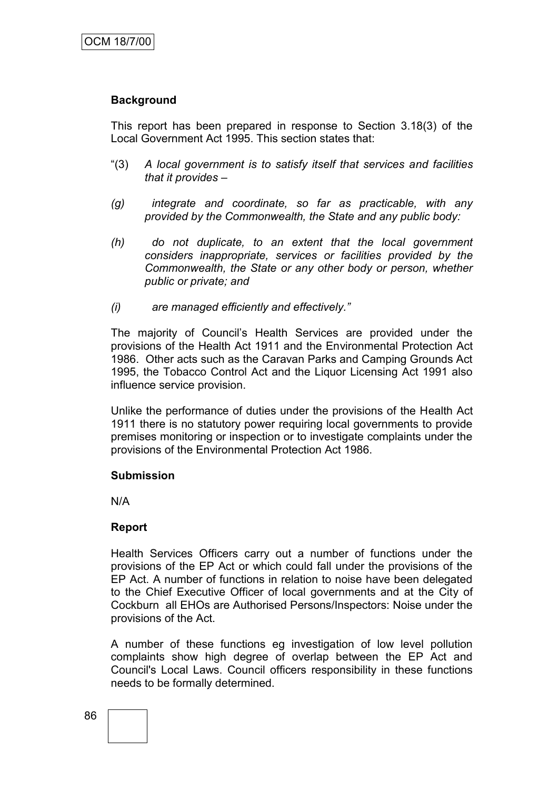## **Background**

This report has been prepared in response to Section 3.18(3) of the Local Government Act 1995. This section states that:

- "(3) *A local government is to satisfy itself that services and facilities that it provides –*
- *(g) integrate and coordinate, so far as practicable, with any provided by the Commonwealth, the State and any public body:*
- *(h) do not duplicate, to an extent that the local government considers inappropriate, services or facilities provided by the Commonwealth, the State or any other body or person, whether public or private; and*
- *(i) are managed efficiently and effectively."*

The majority of Council"s Health Services are provided under the provisions of the Health Act 1911 and the Environmental Protection Act 1986. Other acts such as the Caravan Parks and Camping Grounds Act 1995, the Tobacco Control Act and the Liquor Licensing Act 1991 also influence service provision.

Unlike the performance of duties under the provisions of the Health Act 1911 there is no statutory power requiring local governments to provide premises monitoring or inspection or to investigate complaints under the provisions of the Environmental Protection Act 1986.

#### **Submission**

N/A

#### **Report**

Health Services Officers carry out a number of functions under the provisions of the EP Act or which could fall under the provisions of the EP Act. A number of functions in relation to noise have been delegated to the Chief Executive Officer of local governments and at the City of Cockburn all EHOs are Authorised Persons/Inspectors: Noise under the provisions of the Act.

A number of these functions eg investigation of low level pollution complaints show high degree of overlap between the EP Act and Council's Local Laws. Council officers responsibility in these functions needs to be formally determined.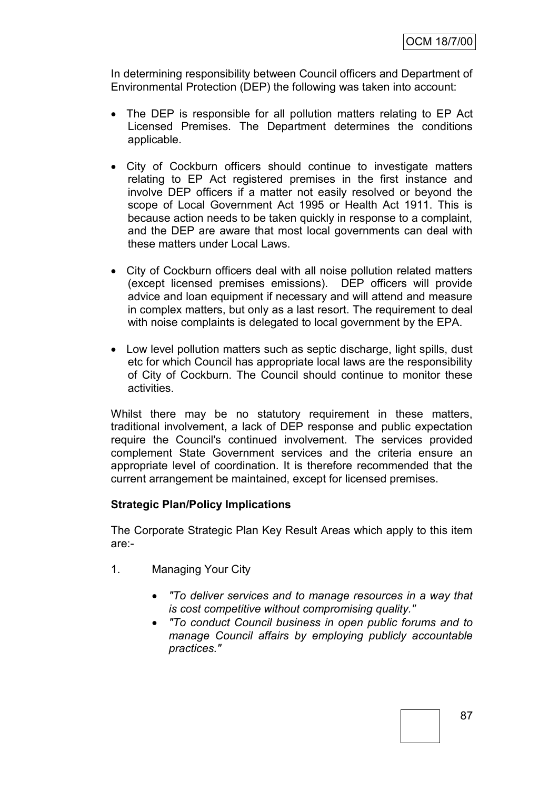In determining responsibility between Council officers and Department of Environmental Protection (DEP) the following was taken into account:

- The DEP is responsible for all pollution matters relating to EP Act Licensed Premises. The Department determines the conditions applicable.
- City of Cockburn officers should continue to investigate matters relating to EP Act registered premises in the first instance and involve DEP officers if a matter not easily resolved or beyond the scope of Local Government Act 1995 or Health Act 1911. This is because action needs to be taken quickly in response to a complaint, and the DEP are aware that most local governments can deal with these matters under Local Laws.
- City of Cockburn officers deal with all noise pollution related matters (except licensed premises emissions). DEP officers will provide advice and loan equipment if necessary and will attend and measure in complex matters, but only as a last resort. The requirement to deal with noise complaints is delegated to local government by the EPA.
- Low level pollution matters such as septic discharge, light spills, dust etc for which Council has appropriate local laws are the responsibility of City of Cockburn. The Council should continue to monitor these activities.

Whilst there may be no statutory requirement in these matters, traditional involvement, a lack of DEP response and public expectation require the Council's continued involvement. The services provided complement State Government services and the criteria ensure an appropriate level of coordination. It is therefore recommended that the current arrangement be maintained, except for licensed premises.

#### **Strategic Plan/Policy Implications**

The Corporate Strategic Plan Key Result Areas which apply to this item are:-

- 1. Managing Your City
	- *"To deliver services and to manage resources in a way that is cost competitive without compromising quality."*
	- *"To conduct Council business in open public forums and to manage Council affairs by employing publicly accountable practices."*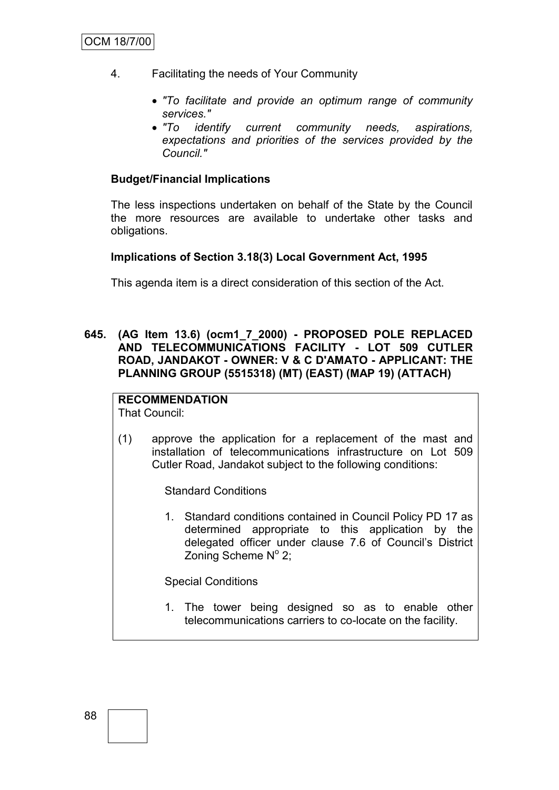- 4. Facilitating the needs of Your Community
	- *"To facilitate and provide an optimum range of community services."*
	- *"To identify current community needs, aspirations, expectations and priorities of the services provided by the Council."*

## **Budget/Financial Implications**

The less inspections undertaken on behalf of the State by the Council the more resources are available to undertake other tasks and obligations.

#### **Implications of Section 3.18(3) Local Government Act, 1995**

This agenda item is a direct consideration of this section of the Act.

**645. (AG Item 13.6) (ocm1\_7\_2000) - PROPOSED POLE REPLACED AND TELECOMMUNICATIONS FACILITY - LOT 509 CUTLER ROAD, JANDAKOT - OWNER: V & C D'AMATO - APPLICANT: THE PLANNING GROUP (5515318) (MT) (EAST) (MAP 19) (ATTACH)**

# **RECOMMENDATION**

That Council:

(1) approve the application for a replacement of the mast and installation of telecommunications infrastructure on Lot 509 Cutler Road, Jandakot subject to the following conditions:

Standard Conditions

1. Standard conditions contained in Council Policy PD 17 as determined appropriate to this application by the delegated officer under clause 7.6 of Council"s District Zoning Scheme  $N^{\circ}$  2;

Special Conditions

1. The tower being designed so as to enable other telecommunications carriers to co-locate on the facility.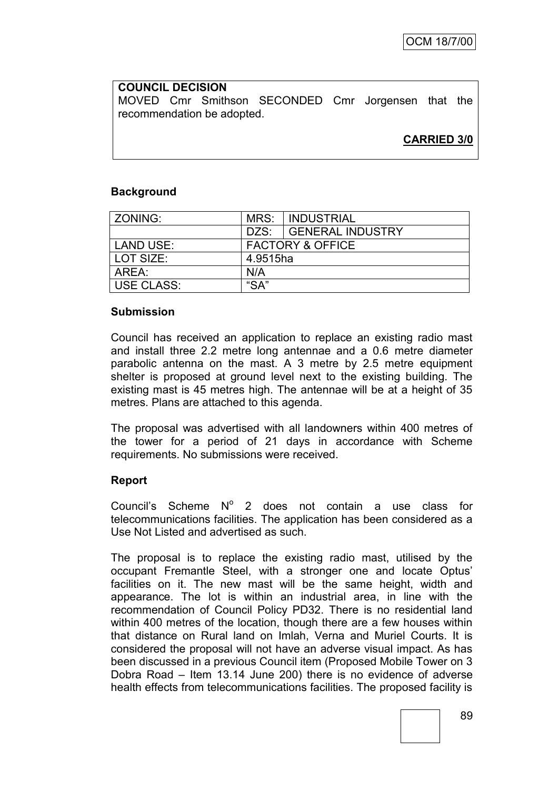**COUNCIL DECISION** MOVED Cmr Smithson SECONDED Cmr Jorgensen that the recommendation be adopted.

**CARRIED 3/0**

## **Background**

| ZONING:           |                             | MRS: INDUSTRIAL       |  |
|-------------------|-----------------------------|-----------------------|--|
|                   |                             | DZS: GENERAL INDUSTRY |  |
| LAND USE:         | <b>FACTORY &amp; OFFICE</b> |                       |  |
| l LOT SIZE:       | 4.9515ha                    |                       |  |
| AREA:             | N/A                         |                       |  |
| <b>USE CLASS:</b> | "SA"                        |                       |  |

#### **Submission**

Council has received an application to replace an existing radio mast and install three 2.2 metre long antennae and a 0.6 metre diameter parabolic antenna on the mast. A 3 metre by 2.5 metre equipment shelter is proposed at ground level next to the existing building. The existing mast is 45 metres high. The antennae will be at a height of 35 metres. Plans are attached to this agenda.

The proposal was advertised with all landowners within 400 metres of the tower for a period of 21 days in accordance with Scheme requirements. No submissions were received.

#### **Report**

Council's Scheme  $N^{\circ}$  2 does not contain a use class for telecommunications facilities. The application has been considered as a Use Not Listed and advertised as such.

The proposal is to replace the existing radio mast, utilised by the occupant Fremantle Steel, with a stronger one and locate Optus" facilities on it. The new mast will be the same height, width and appearance. The lot is within an industrial area, in line with the recommendation of Council Policy PD32. There is no residential land within 400 metres of the location, though there are a few houses within that distance on Rural land on Imlah, Verna and Muriel Courts. It is considered the proposal will not have an adverse visual impact. As has been discussed in a previous Council item (Proposed Mobile Tower on 3 Dobra Road – Item 13.14 June 200) there is no evidence of adverse health effects from telecommunications facilities. The proposed facility is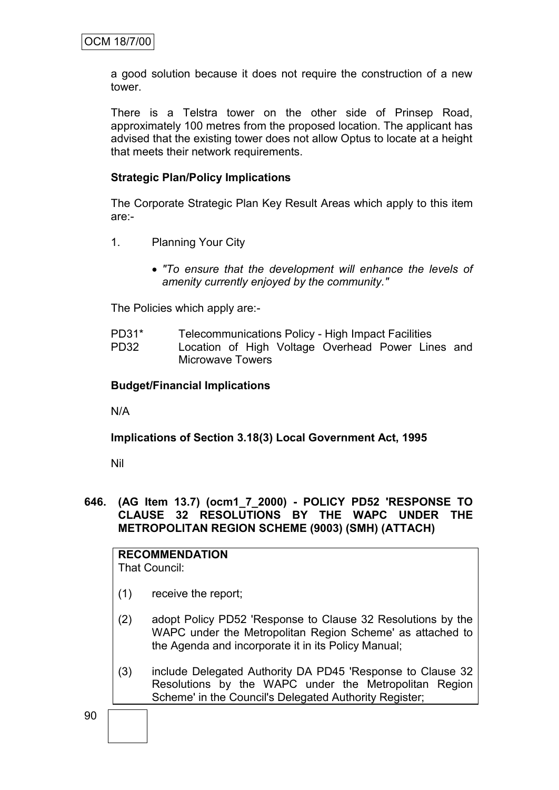a good solution because it does not require the construction of a new tower.

There is a Telstra tower on the other side of Prinsep Road, approximately 100 metres from the proposed location. The applicant has advised that the existing tower does not allow Optus to locate at a height that meets their network requirements.

## **Strategic Plan/Policy Implications**

The Corporate Strategic Plan Key Result Areas which apply to this item are:-

- 1. Planning Your City
	- *"To ensure that the development will enhance the levels of amenity currently enjoyed by the community."*

The Policies which apply are:-

- PD31\* Telecommunications Policy High Impact Facilities
- PD32 Location of High Voltage Overhead Power Lines and Microwave Towers

#### **Budget/Financial Implications**

N/A

#### **Implications of Section 3.18(3) Local Government Act, 1995**

Nil

#### **646. (AG Item 13.7) (ocm1\_7\_2000) - POLICY PD52 'RESPONSE TO CLAUSE 32 RESOLUTIONS BY THE WAPC UNDER THE METROPOLITAN REGION SCHEME (9003) (SMH) (ATTACH)**

# **RECOMMENDATION**

That Council:

- (1) receive the report;
- (2) adopt Policy PD52 'Response to Clause 32 Resolutions by the WAPC under the Metropolitan Region Scheme' as attached to the Agenda and incorporate it in its Policy Manual;
- (3) include Delegated Authority DA PD45 'Response to Clause 32 Resolutions by the WAPC under the Metropolitan Region Scheme' in the Council's Delegated Authority Register;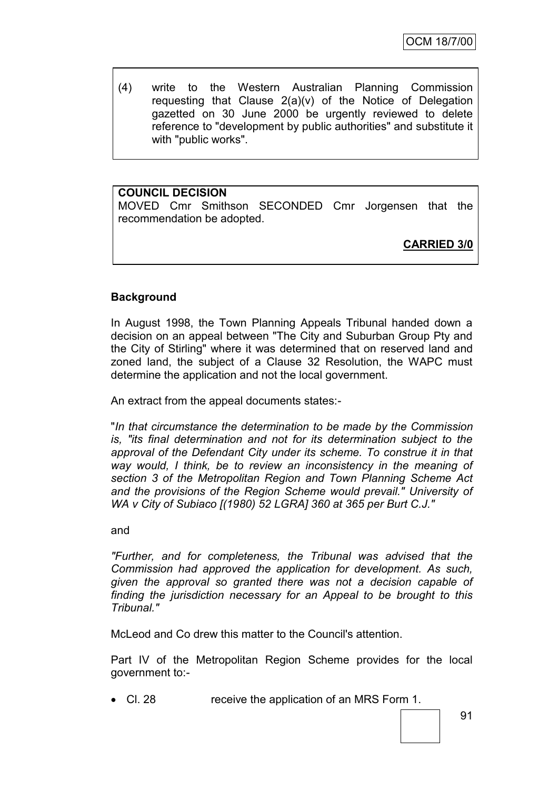(4) write to the Western Australian Planning Commission requesting that Clause 2(a)(v) of the Notice of Delegation gazetted on 30 June 2000 be urgently reviewed to delete reference to "development by public authorities" and substitute it with "public works".

## **COUNCIL DECISION**

MOVED Cmr Smithson SECONDED Cmr Jorgensen that the recommendation be adopted.

**CARRIED 3/0**

#### **Background**

In August 1998, the Town Planning Appeals Tribunal handed down a decision on an appeal between "The City and Suburban Group Pty and the City of Stirling" where it was determined that on reserved land and zoned land, the subject of a Clause 32 Resolution, the WAPC must determine the application and not the local government.

An extract from the appeal documents states:-

"*In that circumstance the determination to be made by the Commission is, "its final determination and not for its determination subject to the approval of the Defendant City under its scheme. To construe it in that way would, I think, be to review an inconsistency in the meaning of section 3 of the Metropolitan Region and Town Planning Scheme Act and the provisions of the Region Scheme would prevail." University of WA v City of Subiaco [(1980) 52 LGRA] 360 at 365 per Burt C.J."*

and

*"Further, and for completeness, the Tribunal was advised that the Commission had approved the application for development. As such, given the approval so granted there was not a decision capable of finding the jurisdiction necessary for an Appeal to be brought to this Tribunal."*

McLeod and Co drew this matter to the Council's attention.

Part IV of the Metropolitan Region Scheme provides for the local government to:-

Cl. 28 receive the application of an MRS Form 1.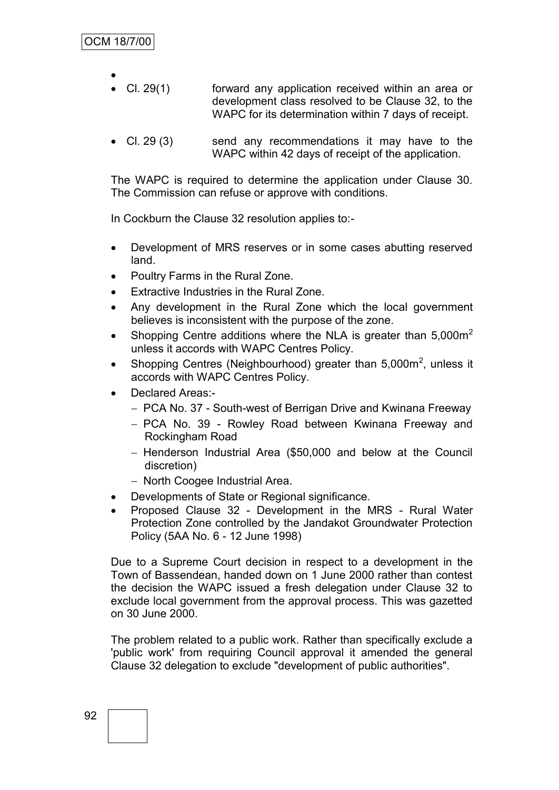- $\bullet$  Cl. 29(1) forward any application received within an area or development class resolved to be Clause 32, to the WAPC for its determination within 7 days of receipt.
- Cl. 29 (3) send any recommendations it may have to the WAPC within 42 days of receipt of the application.

The WAPC is required to determine the application under Clause 30. The Commission can refuse or approve with conditions.

In Cockburn the Clause 32 resolution applies to:-

- Development of MRS reserves or in some cases abutting reserved land.
- Poultry Farms in the Rural Zone.
- Extractive Industries in the Rural Zone.
- Any development in the Rural Zone which the local government believes is inconsistent with the purpose of the zone.
- Shopping Centre additions where the NLA is greater than  $5,000\,\mathrm{m}^2$ unless it accords with WAPC Centres Policy.
- Shopping Centres (Neighbourhood) greater than  $5,000\text{m}^2$ , unless it accords with WAPC Centres Policy.
- Declared Areas:-
	- PCA No. 37 South-west of Berrigan Drive and Kwinana Freeway
	- PCA No. 39 Rowley Road between Kwinana Freeway and Rockingham Road
	- Henderson Industrial Area (\$50,000 and below at the Council discretion)
	- North Coogee Industrial Area.
- Developments of State or Regional significance.
- Proposed Clause 32 Development in the MRS Rural Water Protection Zone controlled by the Jandakot Groundwater Protection Policy (5AA No. 6 - 12 June 1998)

Due to a Supreme Court decision in respect to a development in the Town of Bassendean, handed down on 1 June 2000 rather than contest the decision the WAPC issued a fresh delegation under Clause 32 to exclude local government from the approval process. This was gazetted on 30 June 2000.

The problem related to a public work. Rather than specifically exclude a 'public work' from requiring Council approval it amended the general Clause 32 delegation to exclude "development of public authorities".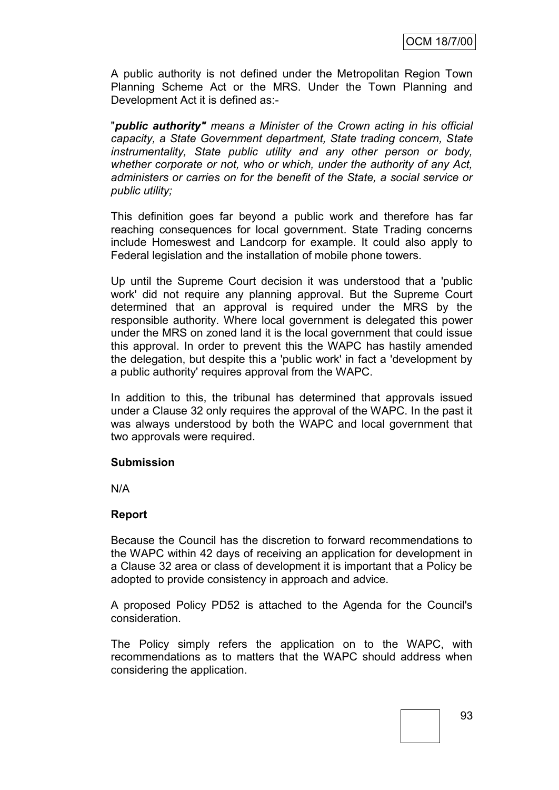A public authority is not defined under the Metropolitan Region Town Planning Scheme Act or the MRS. Under the Town Planning and Development Act it is defined as:-

"*public authority" means a Minister of the Crown acting in his official capacity, a State Government department, State trading concern, State instrumentality, State public utility and any other person or body, whether corporate or not, who or which, under the authority of any Act, administers or carries on for the benefit of the State, a social service or public utility;*

This definition goes far beyond a public work and therefore has far reaching consequences for local government. State Trading concerns include Homeswest and Landcorp for example. It could also apply to Federal legislation and the installation of mobile phone towers.

Up until the Supreme Court decision it was understood that a 'public work' did not require any planning approval. But the Supreme Court determined that an approval is required under the MRS by the responsible authority. Where local government is delegated this power under the MRS on zoned land it is the local government that could issue this approval. In order to prevent this the WAPC has hastily amended the delegation, but despite this a 'public work' in fact a 'development by a public authority' requires approval from the WAPC.

In addition to this, the tribunal has determined that approvals issued under a Clause 32 only requires the approval of the WAPC. In the past it was always understood by both the WAPC and local government that two approvals were required.

#### **Submission**

N/A

#### **Report**

Because the Council has the discretion to forward recommendations to the WAPC within 42 days of receiving an application for development in a Clause 32 area or class of development it is important that a Policy be adopted to provide consistency in approach and advice.

A proposed Policy PD52 is attached to the Agenda for the Council's consideration.

The Policy simply refers the application on to the WAPC, with recommendations as to matters that the WAPC should address when considering the application.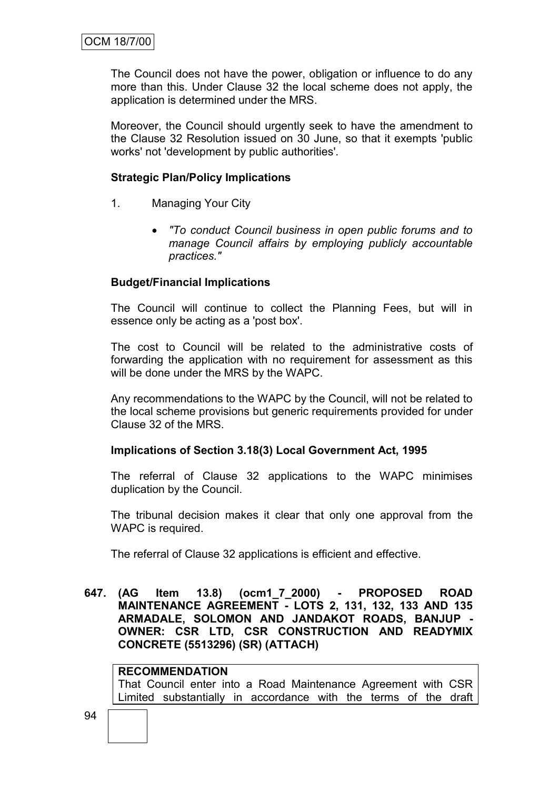The Council does not have the power, obligation or influence to do any more than this. Under Clause 32 the local scheme does not apply, the application is determined under the MRS.

Moreover, the Council should urgently seek to have the amendment to the Clause 32 Resolution issued on 30 June, so that it exempts 'public works' not 'development by public authorities'.

#### **Strategic Plan/Policy Implications**

- 1. Managing Your City
	- *"To conduct Council business in open public forums and to manage Council affairs by employing publicly accountable practices."*

#### **Budget/Financial Implications**

The Council will continue to collect the Planning Fees, but will in essence only be acting as a 'post box'.

The cost to Council will be related to the administrative costs of forwarding the application with no requirement for assessment as this will be done under the MRS by the WAPC.

Any recommendations to the WAPC by the Council, will not be related to the local scheme provisions but generic requirements provided for under Clause 32 of the MRS.

#### **Implications of Section 3.18(3) Local Government Act, 1995**

The referral of Clause 32 applications to the WAPC minimises duplication by the Council.

The tribunal decision makes it clear that only one approval from the WAPC is required.

The referral of Clause 32 applications is efficient and effective.

**647. (AG Item 13.8) (ocm1\_7\_2000) - PROPOSED ROAD MAINTENANCE AGREEMENT - LOTS 2, 131, 132, 133 AND 135 ARMADALE, SOLOMON AND JANDAKOT ROADS, BANJUP - OWNER: CSR LTD, CSR CONSTRUCTION AND READYMIX CONCRETE (5513296) (SR) (ATTACH)**

#### **RECOMMENDATION**

That Council enter into a Road Maintenance Agreement with CSR Limited substantially in accordance with the terms of the draft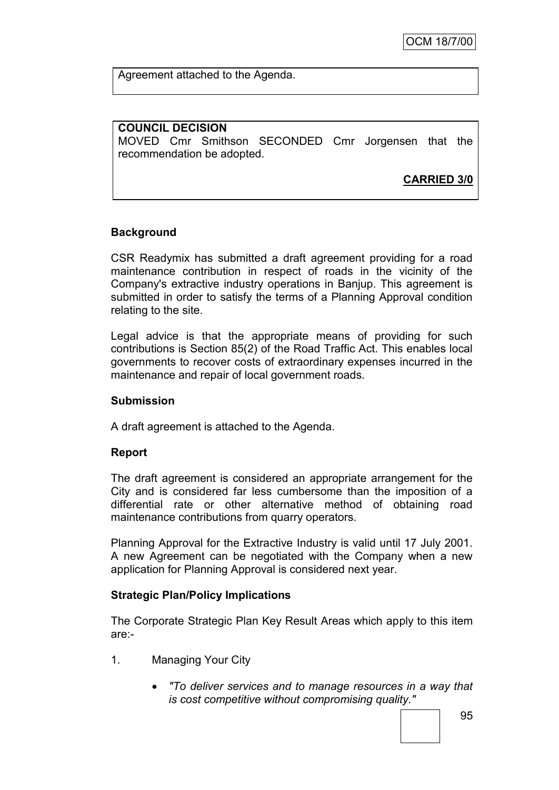Agreement attached to the Agenda.

**COUNCIL DECISION**

MOVED Cmr Smithson SECONDED Cmr Jorgensen that the recommendation be adopted.

**CARRIED 3/0**

# **Background**

CSR Readymix has submitted a draft agreement providing for a road maintenance contribution in respect of roads in the vicinity of the Company's extractive industry operations in Banjup. This agreement is submitted in order to satisfy the terms of a Planning Approval condition relating to the site.

Legal advice is that the appropriate means of providing for such contributions is Section 85(2) of the Road Traffic Act. This enables local governments to recover costs of extraordinary expenses incurred in the maintenance and repair of local government roads.

#### **Submission**

A draft agreement is attached to the Agenda.

#### **Report**

The draft agreement is considered an appropriate arrangement for the City and is considered far less cumbersome than the imposition of a differential rate or other alternative method of obtaining road maintenance contributions from quarry operators.

Planning Approval for the Extractive Industry is valid until 17 July 2001. A new Agreement can be negotiated with the Company when a new application for Planning Approval is considered next year.

#### **Strategic Plan/Policy Implications**

The Corporate Strategic Plan Key Result Areas which apply to this item are:-

- 1. Managing Your City
	- *"To deliver services and to manage resources in a way that is cost competitive without compromising quality."*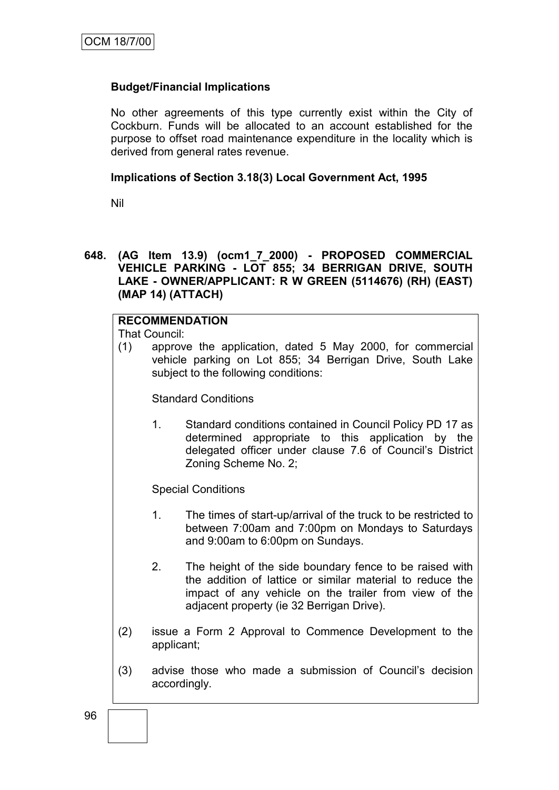## **Budget/Financial Implications**

No other agreements of this type currently exist within the City of Cockburn. Funds will be allocated to an account established for the purpose to offset road maintenance expenditure in the locality which is derived from general rates revenue.

#### **Implications of Section 3.18(3) Local Government Act, 1995**

Nil

#### **648. (AG Item 13.9) (ocm1\_7\_2000) - PROPOSED COMMERCIAL VEHICLE PARKING - LOT 855; 34 BERRIGAN DRIVE, SOUTH LAKE - OWNER/APPLICANT: R W GREEN (5114676) (RH) (EAST) (MAP 14) (ATTACH)**

## **RECOMMENDATION**

That Council:

(1) approve the application, dated 5 May 2000, for commercial vehicle parking on Lot 855; 34 Berrigan Drive, South Lake subject to the following conditions:

Standard Conditions

1. Standard conditions contained in Council Policy PD 17 as determined appropriate to this application by the delegated officer under clause 7.6 of Council"s District Zoning Scheme No. 2;

Special Conditions

- 1. The times of start-up/arrival of the truck to be restricted to between 7:00am and 7:00pm on Mondays to Saturdays and 9:00am to 6:00pm on Sundays.
- 2. The height of the side boundary fence to be raised with the addition of lattice or similar material to reduce the impact of any vehicle on the trailer from view of the adjacent property (ie 32 Berrigan Drive).
- (2) issue a Form 2 Approval to Commence Development to the applicant;
- (3) advise those who made a submission of Council"s decision accordingly.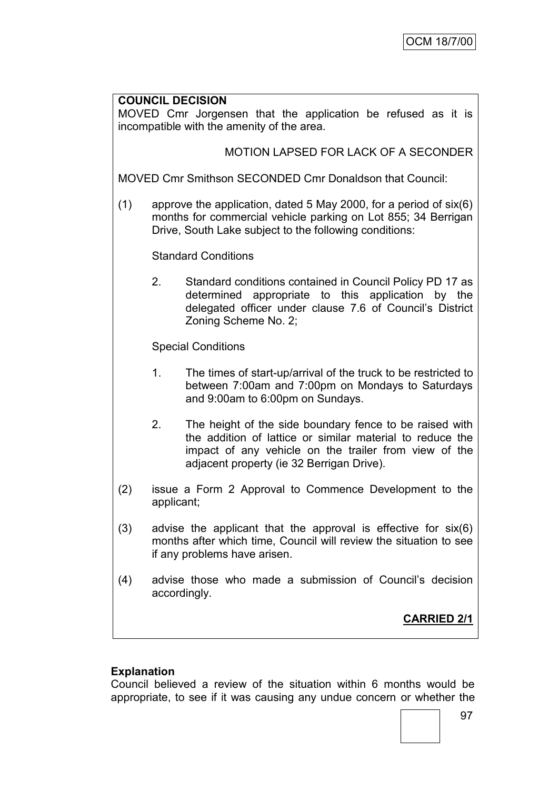## **COUNCIL DECISION**

MOVED Cmr Jorgensen that the application be refused as it is incompatible with the amenity of the area.

# MOTION LAPSED FOR LACK OF A SECONDER

MOVED Cmr Smithson SECONDED Cmr Donaldson that Council:

(1) approve the application, dated 5 May 2000, for a period of six(6) months for commercial vehicle parking on Lot 855; 34 Berrigan Drive, South Lake subject to the following conditions:

Standard Conditions

2. Standard conditions contained in Council Policy PD 17 as determined appropriate to this application by the delegated officer under clause 7.6 of Council"s District Zoning Scheme No. 2;

Special Conditions

- 1. The times of start-up/arrival of the truck to be restricted to between 7:00am and 7:00pm on Mondays to Saturdays and 9:00am to 6:00pm on Sundays.
- 2. The height of the side boundary fence to be raised with the addition of lattice or similar material to reduce the impact of any vehicle on the trailer from view of the adjacent property (ie 32 Berrigan Drive).
- (2) issue a Form 2 Approval to Commence Development to the applicant;
- (3) advise the applicant that the approval is effective for six(6) months after which time, Council will review the situation to see if any problems have arisen.
- (4) advise those who made a submission of Council"s decision accordingly.

# **CARRIED 2/1**

#### **Explanation**

Council believed a review of the situation within 6 months would be appropriate, to see if it was causing any undue concern or whether the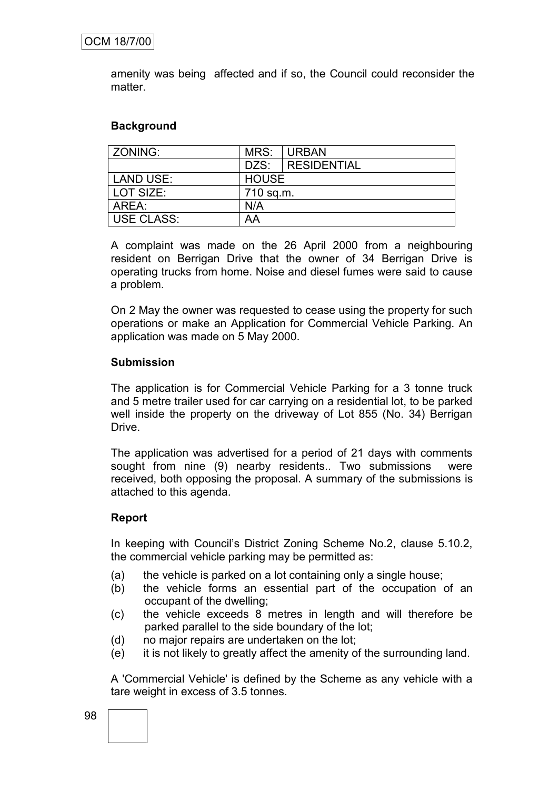amenity was being affected and if so, the Council could reconsider the matter.

#### **Background**

| ZONING:           | MRS:         | I URBAN          |  |
|-------------------|--------------|------------------|--|
|                   |              | DZS: RESIDENTIAL |  |
| <b>LAND USE:</b>  | <b>HOUSE</b> |                  |  |
| LOT SIZE:         | 710 sq.m.    |                  |  |
| AREA:             | N/A          |                  |  |
| <b>USE CLASS:</b> | AA           |                  |  |

A complaint was made on the 26 April 2000 from a neighbouring resident on Berrigan Drive that the owner of 34 Berrigan Drive is operating trucks from home. Noise and diesel fumes were said to cause a problem.

On 2 May the owner was requested to cease using the property for such operations or make an Application for Commercial Vehicle Parking. An application was made on 5 May 2000.

#### **Submission**

The application is for Commercial Vehicle Parking for a 3 tonne truck and 5 metre trailer used for car carrying on a residential lot, to be parked well inside the property on the driveway of Lot 855 (No. 34) Berrigan Drive.

The application was advertised for a period of 21 days with comments sought from nine (9) nearby residents.. Two submissions were received, both opposing the proposal. A summary of the submissions is attached to this agenda.

#### **Report**

In keeping with Council"s District Zoning Scheme No.2, clause 5.10.2, the commercial vehicle parking may be permitted as:

- (a) the vehicle is parked on a lot containing only a single house;
- (b) the vehicle forms an essential part of the occupation of an occupant of the dwelling;
- (c) the vehicle exceeds 8 metres in length and will therefore be parked parallel to the side boundary of the lot;
- (d) no major repairs are undertaken on the lot;
- (e) it is not likely to greatly affect the amenity of the surrounding land.

A 'Commercial Vehicle' is defined by the Scheme as any vehicle with a tare weight in excess of 3.5 tonnes.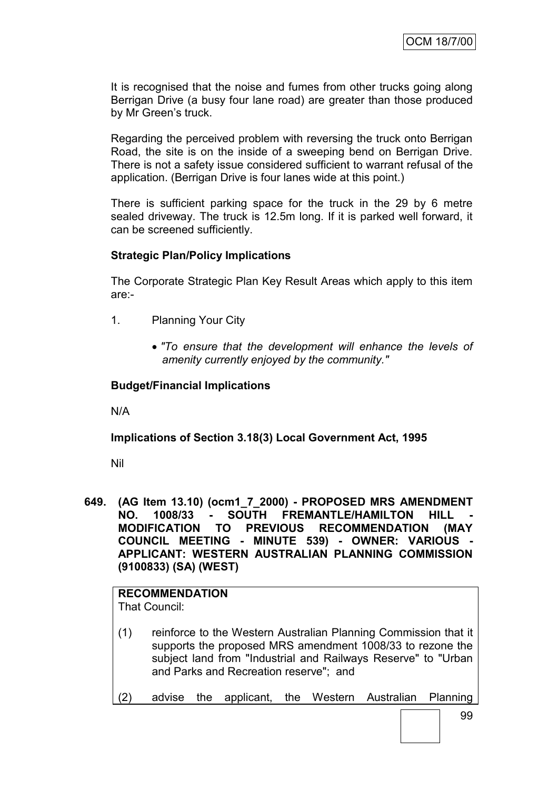It is recognised that the noise and fumes from other trucks going along Berrigan Drive (a busy four lane road) are greater than those produced by Mr Green's truck.

Regarding the perceived problem with reversing the truck onto Berrigan Road, the site is on the inside of a sweeping bend on Berrigan Drive. There is not a safety issue considered sufficient to warrant refusal of the application. (Berrigan Drive is four lanes wide at this point.)

There is sufficient parking space for the truck in the 29 by 6 metre sealed driveway. The truck is 12.5m long. If it is parked well forward, it can be screened sufficiently.

#### **Strategic Plan/Policy Implications**

The Corporate Strategic Plan Key Result Areas which apply to this item are:-

- 1. Planning Your City
	- *"To ensure that the development will enhance the levels of amenity currently enjoyed by the community."*

#### **Budget/Financial Implications**

N/A

#### **Implications of Section 3.18(3) Local Government Act, 1995**

Nil

**649. (AG Item 13.10) (ocm1\_7\_2000) - PROPOSED MRS AMENDMENT NO. 1008/33 - SOUTH FREMANTLE/HAMILTON HILL - MODIFICATION TO PREVIOUS RECOMMENDATION (MAY COUNCIL MEETING - MINUTE 539) - OWNER: VARIOUS - APPLICANT: WESTERN AUSTRALIAN PLANNING COMMISSION (9100833) (SA) (WEST)**

#### **RECOMMENDATION** That Council:

- (1) reinforce to the Western Australian Planning Commission that it supports the proposed MRS amendment 1008/33 to rezone the subject land from "Industrial and Railways Reserve" to "Urban and Parks and Recreation reserve"; and
- (2) advise the applicant, the Western Australian Planning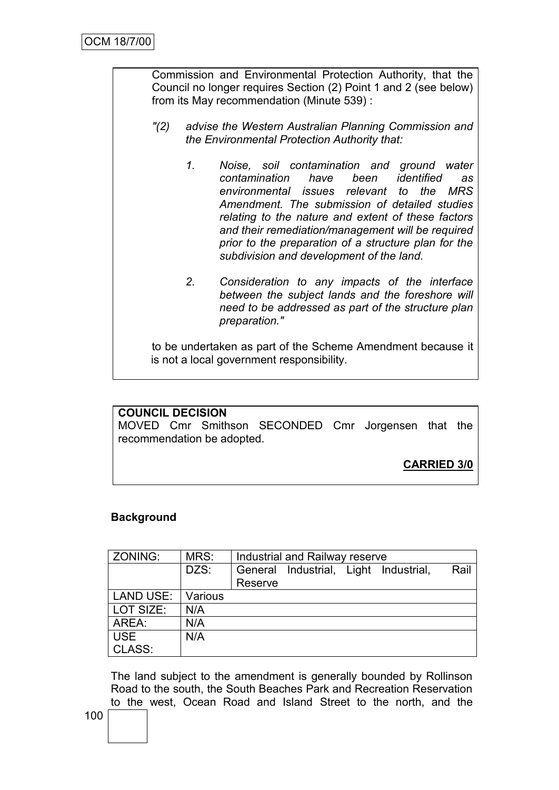Commission and Environmental Protection Authority, that the Council no longer requires Section (2) Point 1 and 2 (see below) from its May recommendation (Minute 539) :

- *"(2) advise the Western Australian Planning Commission and the Environmental Protection Authority that:*
	- *1. Noise, soil contamination and ground water contamination have been identified as environmental issues relevant to the MRS Amendment. The submission of detailed studies relating to the nature and extent of these factors and their remediation/management will be required prior to the preparation of a structure plan for the subdivision and development of the land.*
	- *2. Consideration to any impacts of the interface between the subject lands and the foreshore will need to be addressed as part of the structure plan preparation."*

to be undertaken as part of the Scheme Amendment because it is not a local government responsibility.

#### **COUNCIL DECISION**

MOVED Cmr Smithson SECONDED Cmr Jorgensen that the recommendation be adopted.

**CARRIED 3/0**

#### **Background**

| <b>ZONING:</b> | MRS:    | Industrial and Railway reserve |  |  |                               |      |
|----------------|---------|--------------------------------|--|--|-------------------------------|------|
|                | DZS:    | General                        |  |  | Industrial, Light Industrial, | Rail |
|                |         | Reserve                        |  |  |                               |      |
| LAND USE:      | Various |                                |  |  |                               |      |
| LOT SIZE:      | N/A     |                                |  |  |                               |      |
| AREA:          | N/A     |                                |  |  |                               |      |
| USE            | N/A     |                                |  |  |                               |      |
| CLASS:         |         |                                |  |  |                               |      |

The land subject to the amendment is generally bounded by Rollinson Road to the south, the South Beaches Park and Recreation Reservation to the west, Ocean Road and Island Street to the north, and the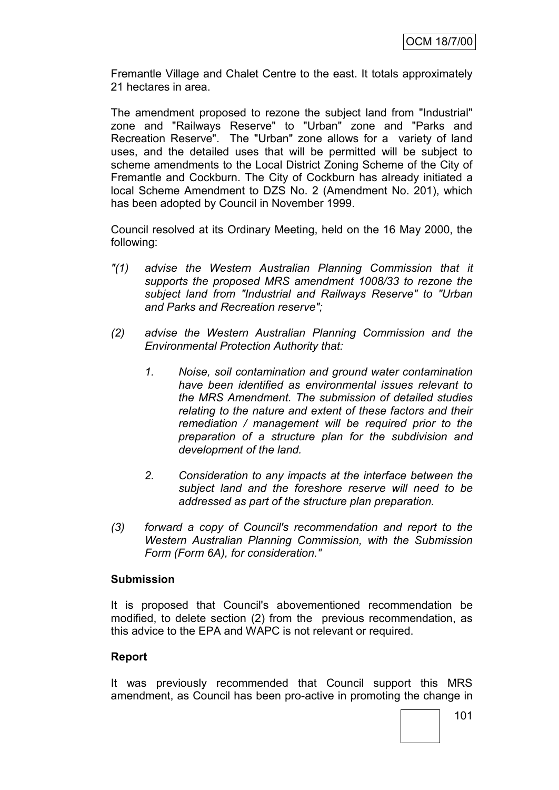Fremantle Village and Chalet Centre to the east. It totals approximately 21 hectares in area.

The amendment proposed to rezone the subject land from "Industrial" zone and "Railways Reserve" to "Urban" zone and "Parks and Recreation Reserve". The "Urban" zone allows for a variety of land uses, and the detailed uses that will be permitted will be subject to scheme amendments to the Local District Zoning Scheme of the City of Fremantle and Cockburn. The City of Cockburn has already initiated a local Scheme Amendment to DZS No. 2 (Amendment No. 201), which has been adopted by Council in November 1999.

Council resolved at its Ordinary Meeting, held on the 16 May 2000, the following:

- *"(1) advise the Western Australian Planning Commission that it supports the proposed MRS amendment 1008/33 to rezone the subject land from "Industrial and Railways Reserve" to "Urban and Parks and Recreation reserve";*
- *(2) advise the Western Australian Planning Commission and the Environmental Protection Authority that:*
	- *1. Noise, soil contamination and ground water contamination have been identified as environmental issues relevant to the MRS Amendment. The submission of detailed studies relating to the nature and extent of these factors and their remediation / management will be required prior to the preparation of a structure plan for the subdivision and development of the land.*
	- *2. Consideration to any impacts at the interface between the subject land and the foreshore reserve will need to be addressed as part of the structure plan preparation.*
- *(3) forward a copy of Council's recommendation and report to the Western Australian Planning Commission, with the Submission Form (Form 6A), for consideration."*

#### **Submission**

It is proposed that Council's abovementioned recommendation be modified, to delete section (2) from the previous recommendation, as this advice to the EPA and WAPC is not relevant or required.

#### **Report**

It was previously recommended that Council support this MRS amendment, as Council has been pro-active in promoting the change in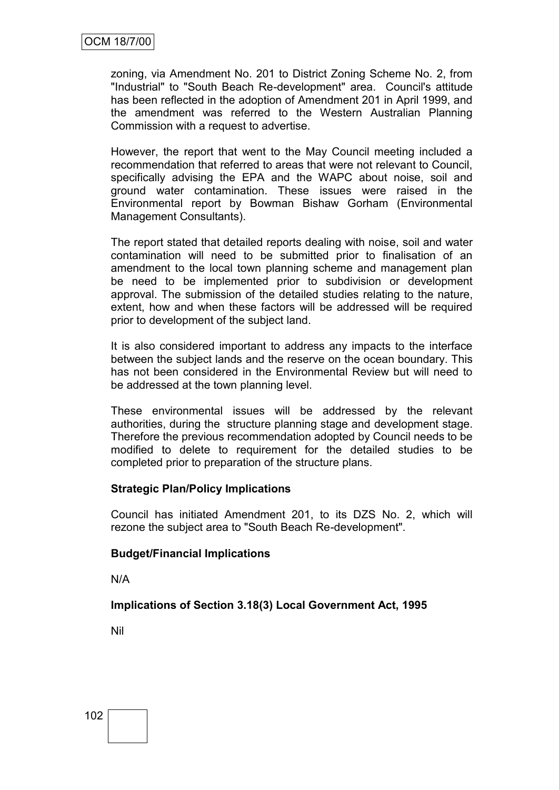zoning, via Amendment No. 201 to District Zoning Scheme No. 2, from "Industrial" to "South Beach Re-development" area. Council's attitude has been reflected in the adoption of Amendment 201 in April 1999, and the amendment was referred to the Western Australian Planning Commission with a request to advertise.

However, the report that went to the May Council meeting included a recommendation that referred to areas that were not relevant to Council, specifically advising the EPA and the WAPC about noise, soil and ground water contamination. These issues were raised in the Environmental report by Bowman Bishaw Gorham (Environmental Management Consultants).

The report stated that detailed reports dealing with noise, soil and water contamination will need to be submitted prior to finalisation of an amendment to the local town planning scheme and management plan be need to be implemented prior to subdivision or development approval. The submission of the detailed studies relating to the nature, extent, how and when these factors will be addressed will be required prior to development of the subject land.

It is also considered important to address any impacts to the interface between the subject lands and the reserve on the ocean boundary. This has not been considered in the Environmental Review but will need to be addressed at the town planning level.

These environmental issues will be addressed by the relevant authorities, during the structure planning stage and development stage. Therefore the previous recommendation adopted by Council needs to be modified to delete to requirement for the detailed studies to be completed prior to preparation of the structure plans.

# **Strategic Plan/Policy Implications**

Council has initiated Amendment 201, to its DZS No. 2, which will rezone the subject area to "South Beach Re-development".

#### **Budget/Financial Implications**

N/A

**Implications of Section 3.18(3) Local Government Act, 1995**

Nil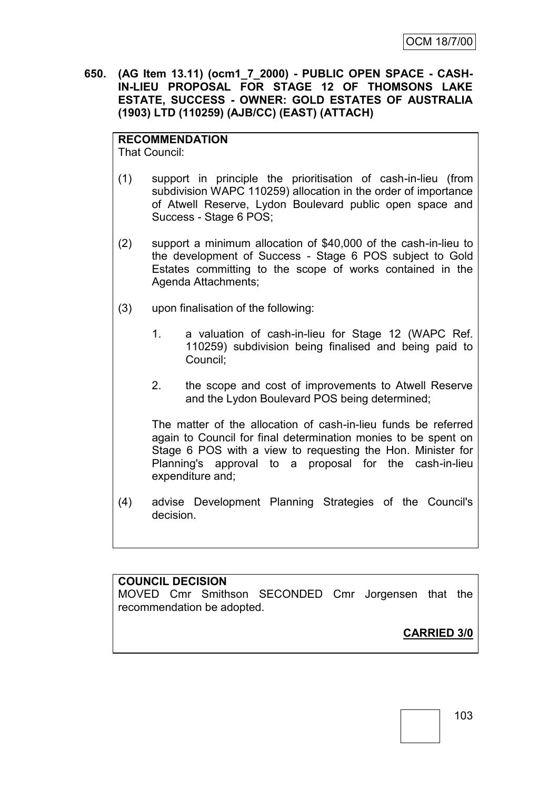**650. (AG Item 13.11) (ocm1\_7\_2000) - PUBLIC OPEN SPACE - CASH-IN-LIEU PROPOSAL FOR STAGE 12 OF THOMSONS LAKE ESTATE, SUCCESS - OWNER: GOLD ESTATES OF AUSTRALIA (1903) LTD (110259) (AJB/CC) (EAST) (ATTACH)**

# **RECOMMENDATION**

That Council:

- (1) support in principle the prioritisation of cash-in-lieu (from subdivision WAPC 110259) allocation in the order of importance of Atwell Reserve, Lydon Boulevard public open space and Success - Stage 6 POS;
- (2) support a minimum allocation of \$40,000 of the cash-in-lieu to the development of Success - Stage 6 POS subject to Gold Estates committing to the scope of works contained in the Agenda Attachments;
- (3) upon finalisation of the following:
	- 1. a valuation of cash-in-lieu for Stage 12 (WAPC Ref. 110259) subdivision being finalised and being paid to Council;
	- 2. the scope and cost of improvements to Atwell Reserve and the Lydon Boulevard POS being determined;

The matter of the allocation of cash-in-lieu funds be referred again to Council for final determination monies to be spent on Stage 6 POS with a view to requesting the Hon. Minister for Planning's approval to a proposal for the cash-in-lieu expenditure and;

(4) advise Development Planning Strategies of the Council's decision.

**COUNCIL DECISION** MOVED Cmr Smithson SECONDED Cmr Jorgensen that the recommendation be adopted.

**CARRIED 3/0**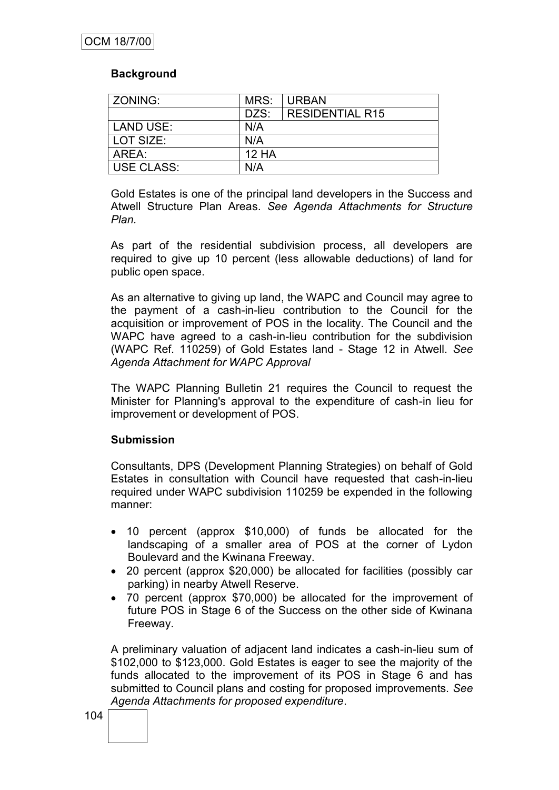### **Background**

| ZONING:           | MRS:         | <b>URBAN</b>           |
|-------------------|--------------|------------------------|
|                   | DZS:         | <b>RESIDENTIAL R15</b> |
| LAND USE:         | N/A          |                        |
| LOT SIZE:         | N/A          |                        |
| AREA:             | <b>12 HA</b> |                        |
| <b>USE CLASS:</b> | N/A          |                        |

Gold Estates is one of the principal land developers in the Success and Atwell Structure Plan Areas. *See Agenda Attachments for Structure Plan.*

As part of the residential subdivision process, all developers are required to give up 10 percent (less allowable deductions) of land for public open space.

As an alternative to giving up land, the WAPC and Council may agree to the payment of a cash-in-lieu contribution to the Council for the acquisition or improvement of POS in the locality. The Council and the WAPC have agreed to a cash-in-lieu contribution for the subdivision (WAPC Ref. 110259) of Gold Estates land - Stage 12 in Atwell. *See Agenda Attachment for WAPC Approval* 

The WAPC Planning Bulletin 21 requires the Council to request the Minister for Planning's approval to the expenditure of cash-in lieu for improvement or development of POS.

#### **Submission**

Consultants, DPS (Development Planning Strategies) on behalf of Gold Estates in consultation with Council have requested that cash-in-lieu required under WAPC subdivision 110259 be expended in the following manner:

- 10 percent (approx \$10,000) of funds be allocated for the landscaping of a smaller area of POS at the corner of Lydon Boulevard and the Kwinana Freeway.
- 20 percent (approx \$20,000) be allocated for facilities (possibly car parking) in nearby Atwell Reserve.
- 70 percent (approx \$70,000) be allocated for the improvement of future POS in Stage 6 of the Success on the other side of Kwinana Freeway.

A preliminary valuation of adjacent land indicates a cash-in-lieu sum of \$102,000 to \$123,000. Gold Estates is eager to see the majority of the funds allocated to the improvement of its POS in Stage 6 and has submitted to Council plans and costing for proposed improvements. *See Agenda Attachments for proposed expenditure*.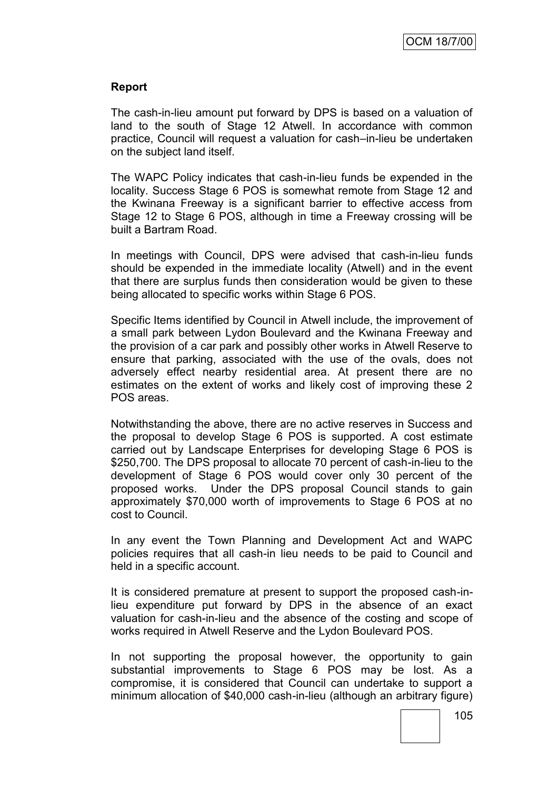## **Report**

The cash-in-lieu amount put forward by DPS is based on a valuation of land to the south of Stage 12 Atwell. In accordance with common practice, Council will request a valuation for cash–in-lieu be undertaken on the subject land itself.

The WAPC Policy indicates that cash-in-lieu funds be expended in the locality. Success Stage 6 POS is somewhat remote from Stage 12 and the Kwinana Freeway is a significant barrier to effective access from Stage 12 to Stage 6 POS, although in time a Freeway crossing will be built a Bartram Road.

In meetings with Council, DPS were advised that cash-in-lieu funds should be expended in the immediate locality (Atwell) and in the event that there are surplus funds then consideration would be given to these being allocated to specific works within Stage 6 POS.

Specific Items identified by Council in Atwell include, the improvement of a small park between Lydon Boulevard and the Kwinana Freeway and the provision of a car park and possibly other works in Atwell Reserve to ensure that parking, associated with the use of the ovals, does not adversely effect nearby residential area. At present there are no estimates on the extent of works and likely cost of improving these 2 POS areas.

Notwithstanding the above, there are no active reserves in Success and the proposal to develop Stage 6 POS is supported. A cost estimate carried out by Landscape Enterprises for developing Stage 6 POS is \$250,700. The DPS proposal to allocate 70 percent of cash-in-lieu to the development of Stage 6 POS would cover only 30 percent of the proposed works. Under the DPS proposal Council stands to gain approximately \$70,000 worth of improvements to Stage 6 POS at no cost to Council.

In any event the Town Planning and Development Act and WAPC policies requires that all cash-in lieu needs to be paid to Council and held in a specific account.

It is considered premature at present to support the proposed cash-inlieu expenditure put forward by DPS in the absence of an exact valuation for cash-in-lieu and the absence of the costing and scope of works required in Atwell Reserve and the Lydon Boulevard POS.

In not supporting the proposal however, the opportunity to gain substantial improvements to Stage 6 POS may be lost. As a compromise, it is considered that Council can undertake to support a minimum allocation of \$40,000 cash-in-lieu (although an arbitrary figure)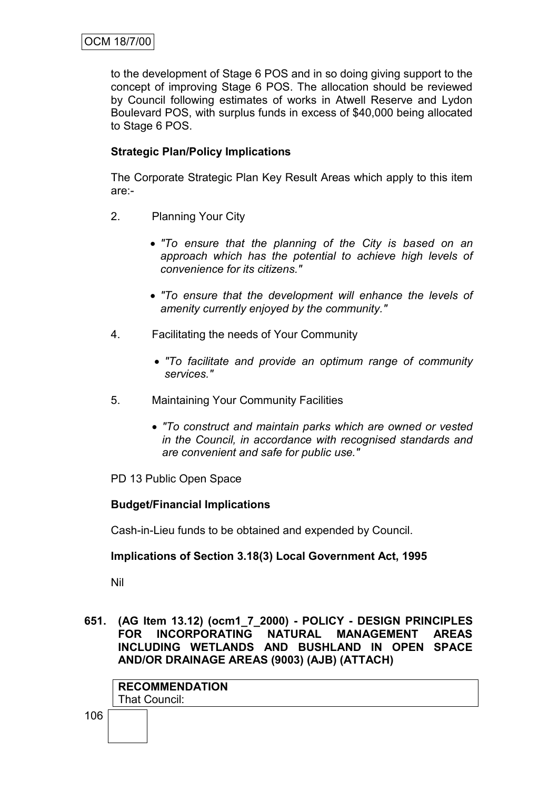to the development of Stage 6 POS and in so doing giving support to the concept of improving Stage 6 POS. The allocation should be reviewed by Council following estimates of works in Atwell Reserve and Lydon Boulevard POS, with surplus funds in excess of \$40,000 being allocated to Stage 6 POS.

## **Strategic Plan/Policy Implications**

The Corporate Strategic Plan Key Result Areas which apply to this item are:-

- 2. Planning Your City
	- *"To ensure that the planning of the City is based on an approach which has the potential to achieve high levels of convenience for its citizens."*
	- *"To ensure that the development will enhance the levels of amenity currently enjoyed by the community."*
- 4. Facilitating the needs of Your Community
	- *"To facilitate and provide an optimum range of community services."*
- 5. Maintaining Your Community Facilities
	- *"To construct and maintain parks which are owned or vested in the Council, in accordance with recognised standards and are convenient and safe for public use."*
- PD 13 Public Open Space

## **Budget/Financial Implications**

Cash-in-Lieu funds to be obtained and expended by Council.

## **Implications of Section 3.18(3) Local Government Act, 1995**

Nil

**651. (AG Item 13.12) (ocm1\_7\_2000) - POLICY - DESIGN PRINCIPLES FOR INCORPORATING NATURAL MANAGEMENT AREAS INCLUDING WETLANDS AND BUSHLAND IN OPEN SPACE AND/OR DRAINAGE AREAS (9003) (AJB) (ATTACH)**

| <b>RECOMMENDATION</b> |
|-----------------------|
| That Council:         |

106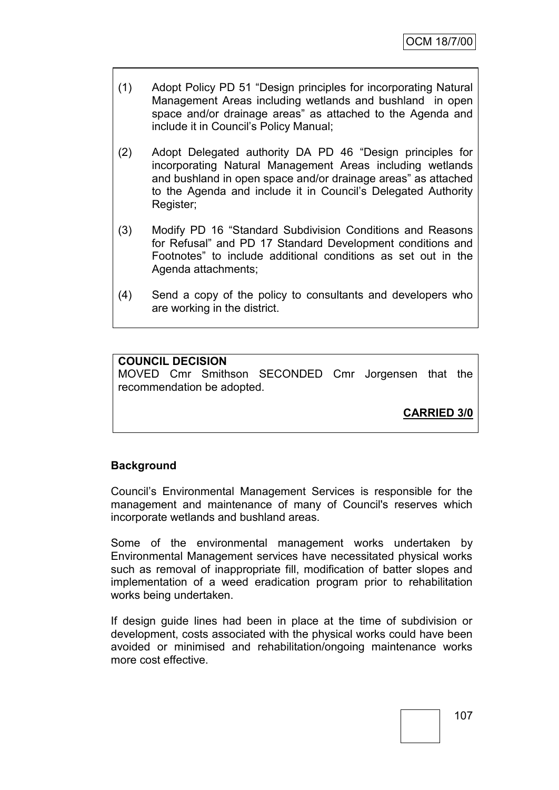- (1) Adopt Policy PD 51 "Design principles for incorporating Natural Management Areas including wetlands and bushland in open space and/or drainage areas" as attached to the Agenda and include it in Council"s Policy Manual;
- (2) Adopt Delegated authority DA PD 46 "Design principles for incorporating Natural Management Areas including wetlands and bushland in open space and/or drainage areas" as attached to the Agenda and include it in Council"s Delegated Authority Register;
- (3) Modify PD 16 "Standard Subdivision Conditions and Reasons for Refusal" and PD 17 Standard Development conditions and Footnotes" to include additional conditions as set out in the Agenda attachments;
- (4) Send a copy of the policy to consultants and developers who are working in the district.

## **COUNCIL DECISION**

MOVED Cmr Smithson SECONDED Cmr Jorgensen that the recommendation be adopted.

**CARRIED 3/0**

## **Background**

Council"s Environmental Management Services is responsible for the management and maintenance of many of Council's reserves which incorporate wetlands and bushland areas.

Some of the environmental management works undertaken by Environmental Management services have necessitated physical works such as removal of inappropriate fill, modification of batter slopes and implementation of a weed eradication program prior to rehabilitation works being undertaken.

If design guide lines had been in place at the time of subdivision or development, costs associated with the physical works could have been avoided or minimised and rehabilitation/ongoing maintenance works more cost effective.

107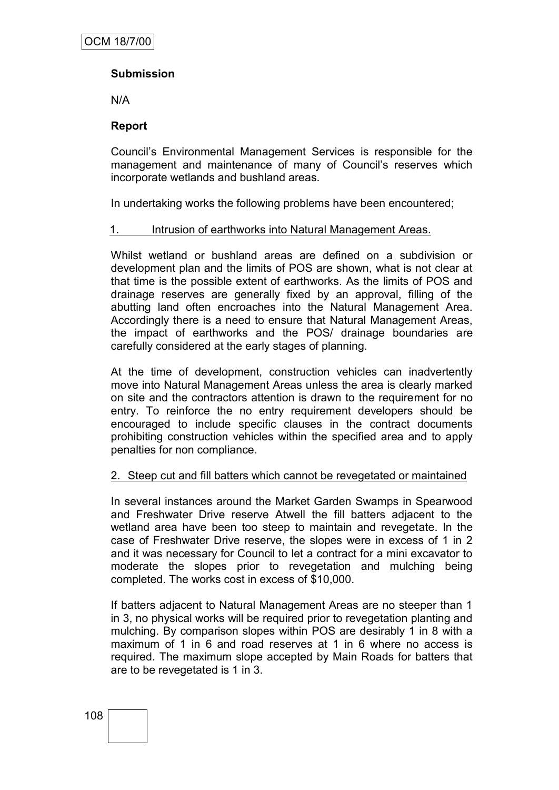## **Submission**

N/A

## **Report**

Council"s Environmental Management Services is responsible for the management and maintenance of many of Council's reserves which incorporate wetlands and bushland areas.

In undertaking works the following problems have been encountered;

#### 1. Intrusion of earthworks into Natural Management Areas.

Whilst wetland or bushland areas are defined on a subdivision or development plan and the limits of POS are shown, what is not clear at that time is the possible extent of earthworks. As the limits of POS and drainage reserves are generally fixed by an approval, filling of the abutting land often encroaches into the Natural Management Area. Accordingly there is a need to ensure that Natural Management Areas, the impact of earthworks and the POS/ drainage boundaries are carefully considered at the early stages of planning.

At the time of development, construction vehicles can inadvertently move into Natural Management Areas unless the area is clearly marked on site and the contractors attention is drawn to the requirement for no entry. To reinforce the no entry requirement developers should be encouraged to include specific clauses in the contract documents prohibiting construction vehicles within the specified area and to apply penalties for non compliance.

## 2. Steep cut and fill batters which cannot be revegetated or maintained

In several instances around the Market Garden Swamps in Spearwood and Freshwater Drive reserve Atwell the fill batters adjacent to the wetland area have been too steep to maintain and revegetate. In the case of Freshwater Drive reserve, the slopes were in excess of 1 in 2 and it was necessary for Council to let a contract for a mini excavator to moderate the slopes prior to revegetation and mulching being completed. The works cost in excess of \$10,000.

If batters adjacent to Natural Management Areas are no steeper than 1 in 3, no physical works will be required prior to revegetation planting and mulching. By comparison slopes within POS are desirably 1 in 8 with a maximum of 1 in 6 and road reserves at 1 in 6 where no access is required. The maximum slope accepted by Main Roads for batters that are to be revegetated is 1 in 3.

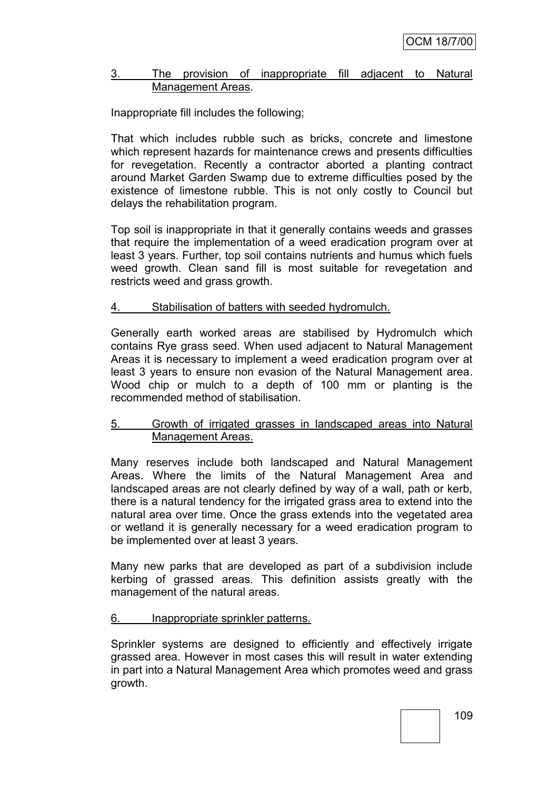#### 3. The provision of inappropriate fill adjacent to Natural Management Areas.

## Inappropriate fill includes the following;

That which includes rubble such as bricks, concrete and limestone which represent hazards for maintenance crews and presents difficulties for revegetation. Recently a contractor aborted a planting contract around Market Garden Swamp due to extreme difficulties posed by the existence of limestone rubble. This is not only costly to Council but delays the rehabilitation program.

Top soil is inappropriate in that it generally contains weeds and grasses that require the implementation of a weed eradication program over at least 3 years. Further, top soil contains nutrients and humus which fuels weed growth. Clean sand fill is most suitable for revegetation and restricts weed and grass growth.

## 4. Stabilisation of batters with seeded hydromulch.

Generally earth worked areas are stabilised by Hydromulch which contains Rye grass seed. When used adjacent to Natural Management Areas it is necessary to implement a weed eradication program over at least 3 years to ensure non evasion of the Natural Management area. Wood chip or mulch to a depth of 100 mm or planting is the recommended method of stabilisation.

#### 5. Growth of irrigated grasses in landscaped areas into Natural Management Areas.

Many reserves include both landscaped and Natural Management Areas. Where the limits of the Natural Management Area and landscaped areas are not clearly defined by way of a wall, path or kerb, there is a natural tendency for the irrigated grass area to extend into the natural area over time. Once the grass extends into the vegetated area or wetland it is generally necessary for a weed eradication program to be implemented over at least 3 years.

Many new parks that are developed as part of a subdivision include kerbing of grassed areas. This definition assists greatly with the management of the natural areas.

## 6. Inappropriate sprinkler patterns.

Sprinkler systems are designed to efficiently and effectively irrigate grassed area. However in most cases this will result in water extending in part into a Natural Management Area which promotes weed and grass growth.

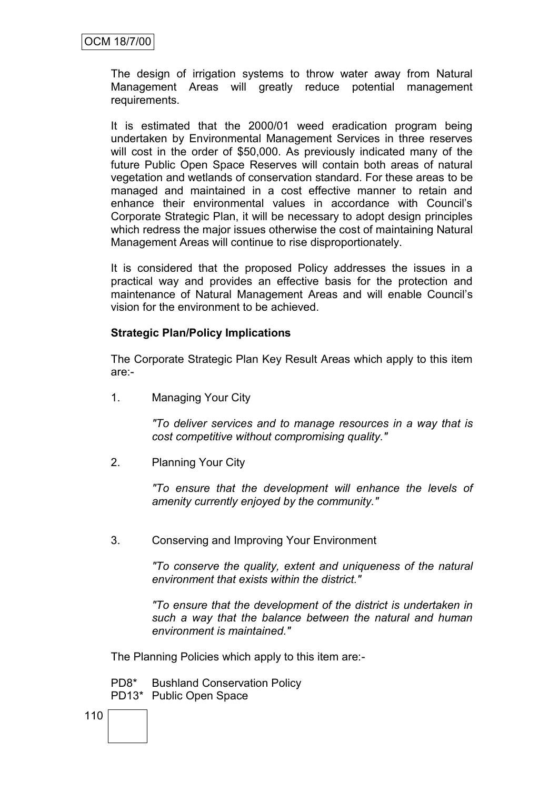The design of irrigation systems to throw water away from Natural Management Areas will greatly reduce potential management requirements.

It is estimated that the 2000/01 weed eradication program being undertaken by Environmental Management Services in three reserves will cost in the order of \$50,000. As previously indicated many of the future Public Open Space Reserves will contain both areas of natural vegetation and wetlands of conservation standard. For these areas to be managed and maintained in a cost effective manner to retain and enhance their environmental values in accordance with Council"s Corporate Strategic Plan, it will be necessary to adopt design principles which redress the major issues otherwise the cost of maintaining Natural Management Areas will continue to rise disproportionately.

It is considered that the proposed Policy addresses the issues in a practical way and provides an effective basis for the protection and maintenance of Natural Management Areas and will enable Council"s vision for the environment to be achieved.

## **Strategic Plan/Policy Implications**

The Corporate Strategic Plan Key Result Areas which apply to this item are:-

1. Managing Your City

*"To deliver services and to manage resources in a way that is cost competitive without compromising quality."*

2. Planning Your City

*"To ensure that the development will enhance the levels of amenity currently enjoyed by the community."*

3. Conserving and Improving Your Environment

*"To conserve the quality, extent and uniqueness of the natural environment that exists within the district."*

*"To ensure that the development of the district is undertaken in such a way that the balance between the natural and human environment is maintained."*

The Planning Policies which apply to this item are:-

PD8\* Bushland Conservation Policy PD13\* Public Open Space

110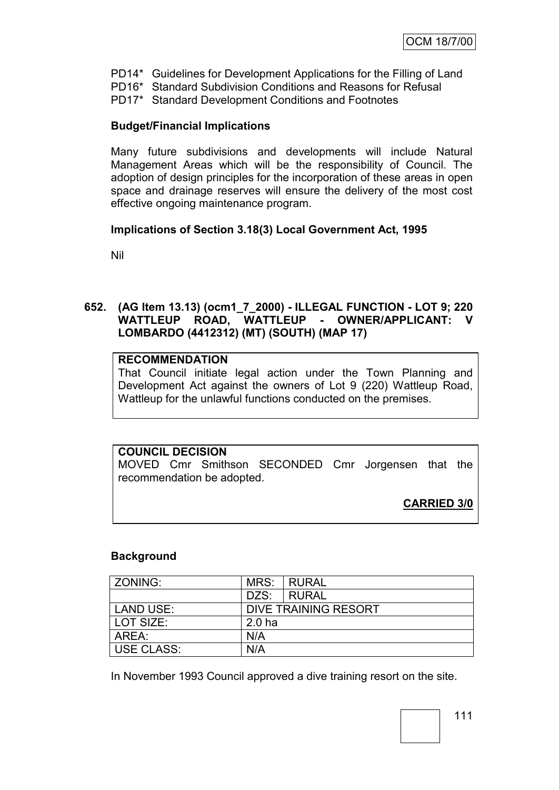- PD14\* Guidelines for Development Applications for the Filling of Land
- PD16\* Standard Subdivision Conditions and Reasons for Refusal
- PD17\* Standard Development Conditions and Footnotes

## **Budget/Financial Implications**

Many future subdivisions and developments will include Natural Management Areas which will be the responsibility of Council. The adoption of design principles for the incorporation of these areas in open space and drainage reserves will ensure the delivery of the most cost effective ongoing maintenance program.

## **Implications of Section 3.18(3) Local Government Act, 1995**

Nil

## **652. (AG Item 13.13) (ocm1\_7\_2000) - ILLEGAL FUNCTION - LOT 9; 220 WATTLEUP ROAD, WATTLEUP - OWNER/APPLICANT: V LOMBARDO (4412312) (MT) (SOUTH) (MAP 17)**

## **RECOMMENDATION**

That Council initiate legal action under the Town Planning and Development Act against the owners of Lot 9 (220) Wattleup Road, Wattleup for the unlawful functions conducted on the premises.

## **COUNCIL DECISION**

MOVED Cmr Smithson SECONDED Cmr Jorgensen that the recommendation be adopted.

**CARRIED 3/0**

## **Background**

| ZONING:           | MRS:              | <b>RURAL</b>         |
|-------------------|-------------------|----------------------|
|                   | DZS:              | I RURAL              |
| <b>LAND USE:</b>  |                   | DIVE TRAINING RESORT |
| l LOT SIZE:       | 2.0 <sub>ha</sub> |                      |
| AREA:             | N/A               |                      |
| <b>USE CLASS:</b> | N/A               |                      |

In November 1993 Council approved a dive training resort on the site.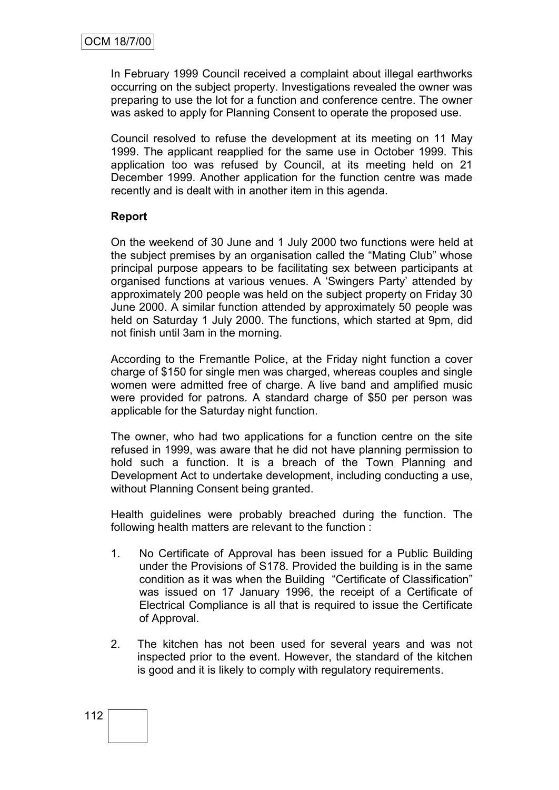In February 1999 Council received a complaint about illegal earthworks occurring on the subject property. Investigations revealed the owner was preparing to use the lot for a function and conference centre. The owner was asked to apply for Planning Consent to operate the proposed use.

Council resolved to refuse the development at its meeting on 11 May 1999. The applicant reapplied for the same use in October 1999. This application too was refused by Council, at its meeting held on 21 December 1999. Another application for the function centre was made recently and is dealt with in another item in this agenda.

## **Report**

On the weekend of 30 June and 1 July 2000 two functions were held at the subject premises by an organisation called the "Mating Club" whose principal purpose appears to be facilitating sex between participants at organised functions at various venues. A "Swingers Party" attended by approximately 200 people was held on the subject property on Friday 30 June 2000. A similar function attended by approximately 50 people was held on Saturday 1 July 2000. The functions, which started at 9pm, did not finish until 3am in the morning.

According to the Fremantle Police, at the Friday night function a cover charge of \$150 for single men was charged, whereas couples and single women were admitted free of charge. A live band and amplified music were provided for patrons. A standard charge of \$50 per person was applicable for the Saturday night function.

The owner, who had two applications for a function centre on the site refused in 1999, was aware that he did not have planning permission to hold such a function. It is a breach of the Town Planning and Development Act to undertake development, including conducting a use, without Planning Consent being granted.

Health guidelines were probably breached during the function. The following health matters are relevant to the function :

- 1. No Certificate of Approval has been issued for a Public Building under the Provisions of S178. Provided the building is in the same condition as it was when the Building "Certificate of Classification" was issued on 17 January 1996, the receipt of a Certificate of Electrical Compliance is all that is required to issue the Certificate of Approval.
- 2. The kitchen has not been used for several years and was not inspected prior to the event. However, the standard of the kitchen is good and it is likely to comply with regulatory requirements.

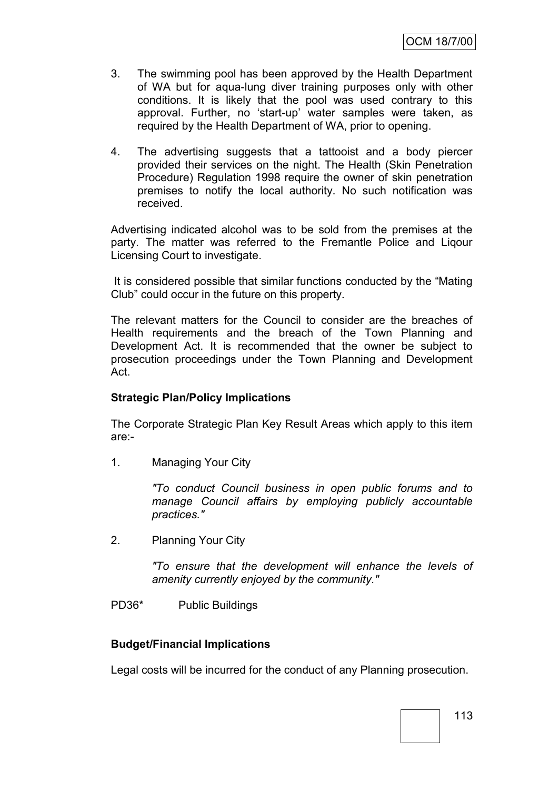- 3. The swimming pool has been approved by the Health Department of WA but for aqua-lung diver training purposes only with other conditions. It is likely that the pool was used contrary to this approval. Further, no "start-up" water samples were taken, as required by the Health Department of WA, prior to opening.
- 4. The advertising suggests that a tattooist and a body piercer provided their services on the night. The Health (Skin Penetration Procedure) Regulation 1998 require the owner of skin penetration premises to notify the local authority. No such notification was received.

Advertising indicated alcohol was to be sold from the premises at the party. The matter was referred to the Fremantle Police and Liqour Licensing Court to investigate.

It is considered possible that similar functions conducted by the "Mating Club" could occur in the future on this property.

The relevant matters for the Council to consider are the breaches of Health requirements and the breach of the Town Planning and Development Act. It is recommended that the owner be subject to prosecution proceedings under the Town Planning and Development Act.

## **Strategic Plan/Policy Implications**

The Corporate Strategic Plan Key Result Areas which apply to this item are:-

1. Managing Your City

*"To conduct Council business in open public forums and to manage Council affairs by employing publicly accountable practices."*

2. Planning Your City

*"To ensure that the development will enhance the levels of amenity currently enjoyed by the community."*

PD36\* Public Buildings

#### **Budget/Financial Implications**

Legal costs will be incurred for the conduct of any Planning prosecution.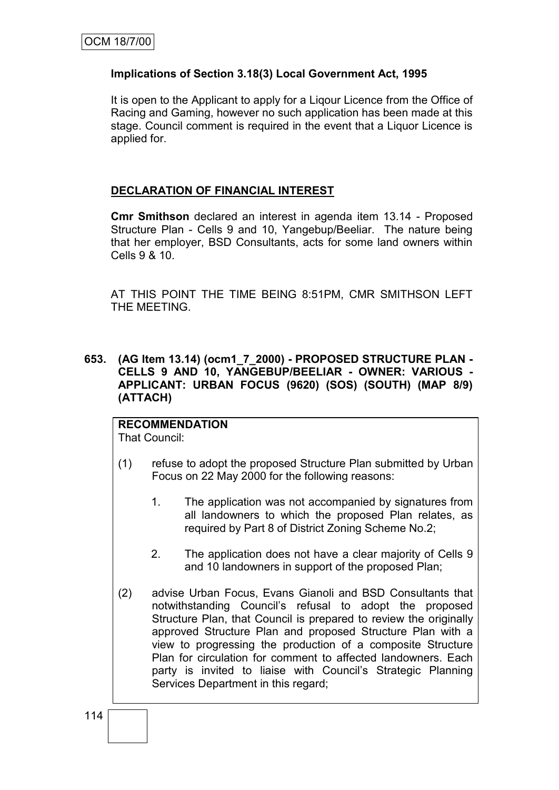## **Implications of Section 3.18(3) Local Government Act, 1995**

It is open to the Applicant to apply for a Liqour Licence from the Office of Racing and Gaming, however no such application has been made at this stage. Council comment is required in the event that a Liquor Licence is applied for.

## **DECLARATION OF FINANCIAL INTEREST**

**Cmr Smithson** declared an interest in agenda item 13.14 - Proposed Structure Plan - Cells 9 and 10, Yangebup/Beeliar. The nature being that her employer, BSD Consultants, acts for some land owners within Cells 9 & 10.

AT THIS POINT THE TIME BEING 8:51PM, CMR SMITHSON LEFT THE MEETING.

**653. (AG Item 13.14) (ocm1\_7\_2000) - PROPOSED STRUCTURE PLAN - CELLS 9 AND 10, YANGEBUP/BEELIAR - OWNER: VARIOUS - APPLICANT: URBAN FOCUS (9620) (SOS) (SOUTH) (MAP 8/9) (ATTACH)**

## **RECOMMENDATION**

That Council:

- (1) refuse to adopt the proposed Structure Plan submitted by Urban Focus on 22 May 2000 for the following reasons:
	- 1. The application was not accompanied by signatures from all landowners to which the proposed Plan relates, as required by Part 8 of District Zoning Scheme No.2;
	- 2. The application does not have a clear majority of Cells 9 and 10 landowners in support of the proposed Plan;
- (2) advise Urban Focus, Evans Gianoli and BSD Consultants that notwithstanding Council"s refusal to adopt the proposed Structure Plan, that Council is prepared to review the originally approved Structure Plan and proposed Structure Plan with a view to progressing the production of a composite Structure Plan for circulation for comment to affected landowners. Each party is invited to liaise with Council's Strategic Planning Services Department in this regard;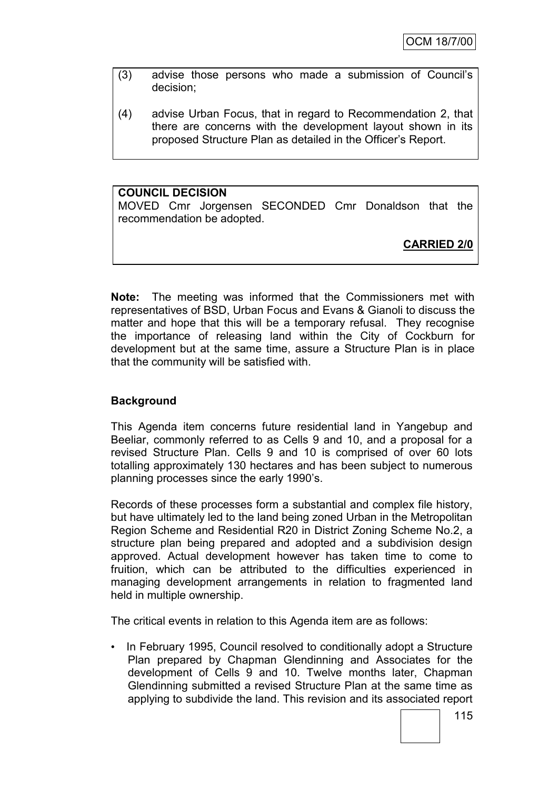- (3) advise those persons who made a submission of Council"s decision;
- (4) advise Urban Focus, that in regard to Recommendation 2, that there are concerns with the development layout shown in its proposed Structure Plan as detailed in the Officer"s Report.

## **COUNCIL DECISION**

MOVED Cmr Jorgensen SECONDED Cmr Donaldson that the recommendation be adopted.

**CARRIED 2/0**

**Note:** The meeting was informed that the Commissioners met with representatives of BSD, Urban Focus and Evans & Gianoli to discuss the matter and hope that this will be a temporary refusal. They recognise the importance of releasing land within the City of Cockburn for development but at the same time, assure a Structure Plan is in place that the community will be satisfied with.

## **Background**

This Agenda item concerns future residential land in Yangebup and Beeliar, commonly referred to as Cells 9 and 10, and a proposal for a revised Structure Plan. Cells 9 and 10 is comprised of over 60 lots totalling approximately 130 hectares and has been subject to numerous planning processes since the early 1990"s.

Records of these processes form a substantial and complex file history, but have ultimately led to the land being zoned Urban in the Metropolitan Region Scheme and Residential R20 in District Zoning Scheme No.2, a structure plan being prepared and adopted and a subdivision design approved. Actual development however has taken time to come to fruition, which can be attributed to the difficulties experienced in managing development arrangements in relation to fragmented land held in multiple ownership.

The critical events in relation to this Agenda item are as follows:

• In February 1995, Council resolved to conditionally adopt a Structure Plan prepared by Chapman Glendinning and Associates for the development of Cells 9 and 10. Twelve months later, Chapman Glendinning submitted a revised Structure Plan at the same time as applying to subdivide the land. This revision and its associated report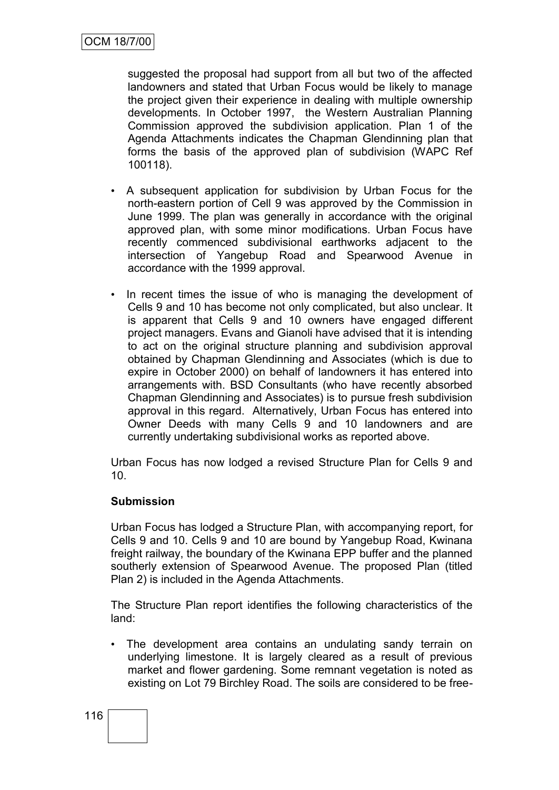suggested the proposal had support from all but two of the affected landowners and stated that Urban Focus would be likely to manage the project given their experience in dealing with multiple ownership developments. In October 1997, the Western Australian Planning Commission approved the subdivision application. Plan 1 of the Agenda Attachments indicates the Chapman Glendinning plan that forms the basis of the approved plan of subdivision (WAPC Ref 100118).

- A subsequent application for subdivision by Urban Focus for the north-eastern portion of Cell 9 was approved by the Commission in June 1999. The plan was generally in accordance with the original approved plan, with some minor modifications. Urban Focus have recently commenced subdivisional earthworks adjacent to the intersection of Yangebup Road and Spearwood Avenue in accordance with the 1999 approval.
- In recent times the issue of who is managing the development of Cells 9 and 10 has become not only complicated, but also unclear. It is apparent that Cells 9 and 10 owners have engaged different project managers. Evans and Gianoli have advised that it is intending to act on the original structure planning and subdivision approval obtained by Chapman Glendinning and Associates (which is due to expire in October 2000) on behalf of landowners it has entered into arrangements with. BSD Consultants (who have recently absorbed Chapman Glendinning and Associates) is to pursue fresh subdivision approval in this regard. Alternatively, Urban Focus has entered into Owner Deeds with many Cells 9 and 10 landowners and are currently undertaking subdivisional works as reported above.

Urban Focus has now lodged a revised Structure Plan for Cells 9 and 10.

## **Submission**

Urban Focus has lodged a Structure Plan, with accompanying report, for Cells 9 and 10. Cells 9 and 10 are bound by Yangebup Road, Kwinana freight railway, the boundary of the Kwinana EPP buffer and the planned southerly extension of Spearwood Avenue. The proposed Plan (titled Plan 2) is included in the Agenda Attachments.

The Structure Plan report identifies the following characteristics of the land:

• The development area contains an undulating sandy terrain on underlying limestone. It is largely cleared as a result of previous market and flower gardening. Some remnant vegetation is noted as existing on Lot 79 Birchley Road. The soils are considered to be free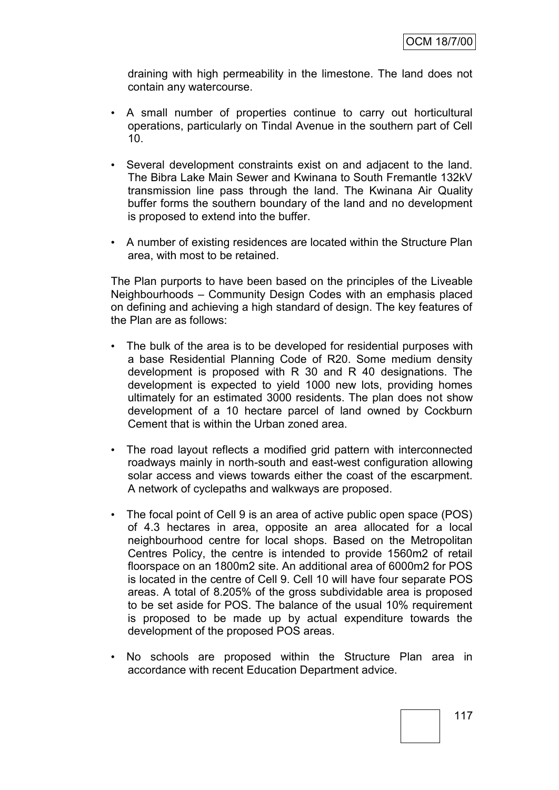draining with high permeability in the limestone. The land does not contain any watercourse.

- A small number of properties continue to carry out horticultural operations, particularly on Tindal Avenue in the southern part of Cell 10.
- Several development constraints exist on and adjacent to the land. The Bibra Lake Main Sewer and Kwinana to South Fremantle 132kV transmission line pass through the land. The Kwinana Air Quality buffer forms the southern boundary of the land and no development is proposed to extend into the buffer.
- A number of existing residences are located within the Structure Plan area, with most to be retained.

The Plan purports to have been based on the principles of the Liveable Neighbourhoods – Community Design Codes with an emphasis placed on defining and achieving a high standard of design. The key features of the Plan are as follows:

- The bulk of the area is to be developed for residential purposes with a base Residential Planning Code of R20. Some medium density development is proposed with R 30 and R 40 designations. The development is expected to yield 1000 new lots, providing homes ultimately for an estimated 3000 residents. The plan does not show development of a 10 hectare parcel of land owned by Cockburn Cement that is within the Urban zoned area.
- The road layout reflects a modified grid pattern with interconnected roadways mainly in north-south and east-west configuration allowing solar access and views towards either the coast of the escarpment. A network of cyclepaths and walkways are proposed.
- The focal point of Cell 9 is an area of active public open space (POS) of 4.3 hectares in area, opposite an area allocated for a local neighbourhood centre for local shops. Based on the Metropolitan Centres Policy, the centre is intended to provide 1560m2 of retail floorspace on an 1800m2 site. An additional area of 6000m2 for POS is located in the centre of Cell 9. Cell 10 will have four separate POS areas. A total of 8.205% of the gross subdividable area is proposed to be set aside for POS. The balance of the usual 10% requirement is proposed to be made up by actual expenditure towards the development of the proposed POS areas.
- No schools are proposed within the Structure Plan area in accordance with recent Education Department advice.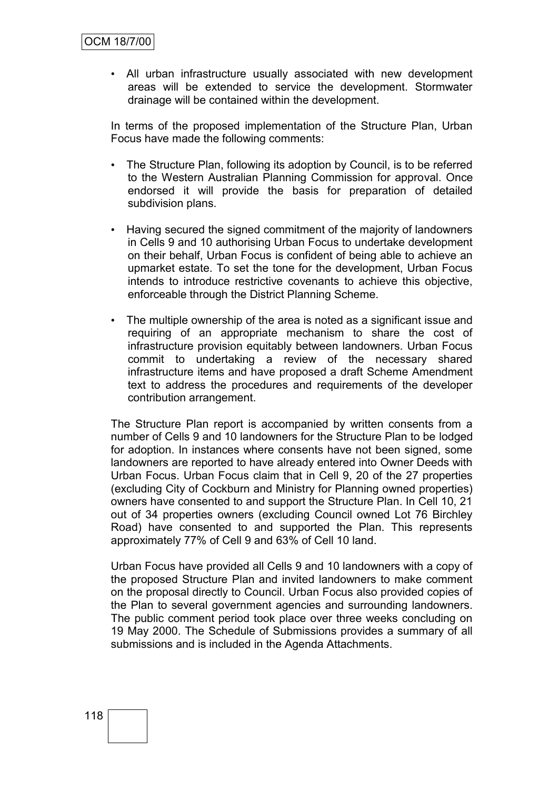• All urban infrastructure usually associated with new development areas will be extended to service the development. Stormwater drainage will be contained within the development.

In terms of the proposed implementation of the Structure Plan, Urban Focus have made the following comments:

- The Structure Plan, following its adoption by Council, is to be referred to the Western Australian Planning Commission for approval. Once endorsed it will provide the basis for preparation of detailed subdivision plans.
- Having secured the signed commitment of the majority of landowners in Cells 9 and 10 authorising Urban Focus to undertake development on their behalf, Urban Focus is confident of being able to achieve an upmarket estate. To set the tone for the development, Urban Focus intends to introduce restrictive covenants to achieve this objective, enforceable through the District Planning Scheme.
- The multiple ownership of the area is noted as a significant issue and requiring of an appropriate mechanism to share the cost of infrastructure provision equitably between landowners. Urban Focus commit to undertaking a review of the necessary shared infrastructure items and have proposed a draft Scheme Amendment text to address the procedures and requirements of the developer contribution arrangement.

The Structure Plan report is accompanied by written consents from a number of Cells 9 and 10 landowners for the Structure Plan to be lodged for adoption. In instances where consents have not been signed, some landowners are reported to have already entered into Owner Deeds with Urban Focus. Urban Focus claim that in Cell 9, 20 of the 27 properties (excluding City of Cockburn and Ministry for Planning owned properties) owners have consented to and support the Structure Plan. In Cell 10, 21 out of 34 properties owners (excluding Council owned Lot 76 Birchley Road) have consented to and supported the Plan. This represents approximately 77% of Cell 9 and 63% of Cell 10 land.

Urban Focus have provided all Cells 9 and 10 landowners with a copy of the proposed Structure Plan and invited landowners to make comment on the proposal directly to Council. Urban Focus also provided copies of the Plan to several government agencies and surrounding landowners. The public comment period took place over three weeks concluding on 19 May 2000. The Schedule of Submissions provides a summary of all submissions and is included in the Agenda Attachments.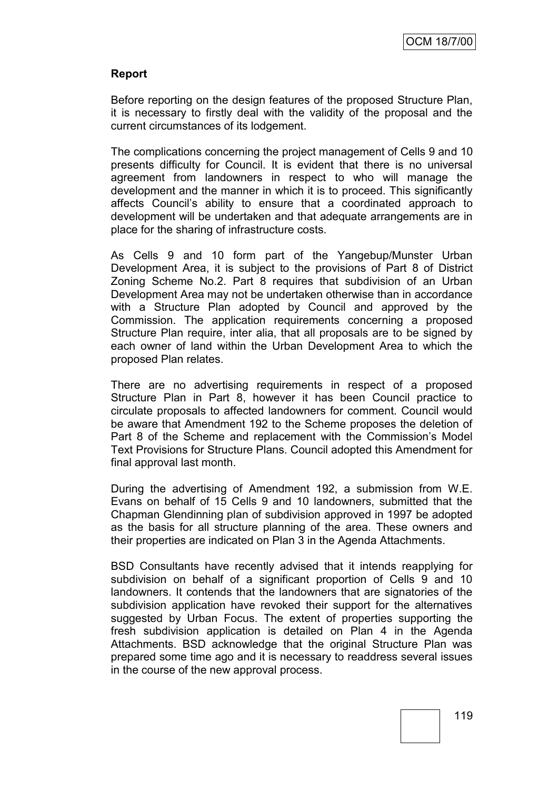## **Report**

Before reporting on the design features of the proposed Structure Plan, it is necessary to firstly deal with the validity of the proposal and the current circumstances of its lodgement.

The complications concerning the project management of Cells 9 and 10 presents difficulty for Council. It is evident that there is no universal agreement from landowners in respect to who will manage the development and the manner in which it is to proceed. This significantly affects Council"s ability to ensure that a coordinated approach to development will be undertaken and that adequate arrangements are in place for the sharing of infrastructure costs.

As Cells 9 and 10 form part of the Yangebup/Munster Urban Development Area, it is subject to the provisions of Part 8 of District Zoning Scheme No.2. Part 8 requires that subdivision of an Urban Development Area may not be undertaken otherwise than in accordance with a Structure Plan adopted by Council and approved by the Commission. The application requirements concerning a proposed Structure Plan require, inter alia, that all proposals are to be signed by each owner of land within the Urban Development Area to which the proposed Plan relates.

There are no advertising requirements in respect of a proposed Structure Plan in Part 8, however it has been Council practice to circulate proposals to affected landowners for comment. Council would be aware that Amendment 192 to the Scheme proposes the deletion of Part 8 of the Scheme and replacement with the Commission's Model Text Provisions for Structure Plans. Council adopted this Amendment for final approval last month.

During the advertising of Amendment 192, a submission from W.E. Evans on behalf of 15 Cells 9 and 10 landowners, submitted that the Chapman Glendinning plan of subdivision approved in 1997 be adopted as the basis for all structure planning of the area. These owners and their properties are indicated on Plan 3 in the Agenda Attachments.

BSD Consultants have recently advised that it intends reapplying for subdivision on behalf of a significant proportion of Cells 9 and 10 landowners. It contends that the landowners that are signatories of the subdivision application have revoked their support for the alternatives suggested by Urban Focus. The extent of properties supporting the fresh subdivision application is detailed on Plan 4 in the Agenda Attachments. BSD acknowledge that the original Structure Plan was prepared some time ago and it is necessary to readdress several issues in the course of the new approval process.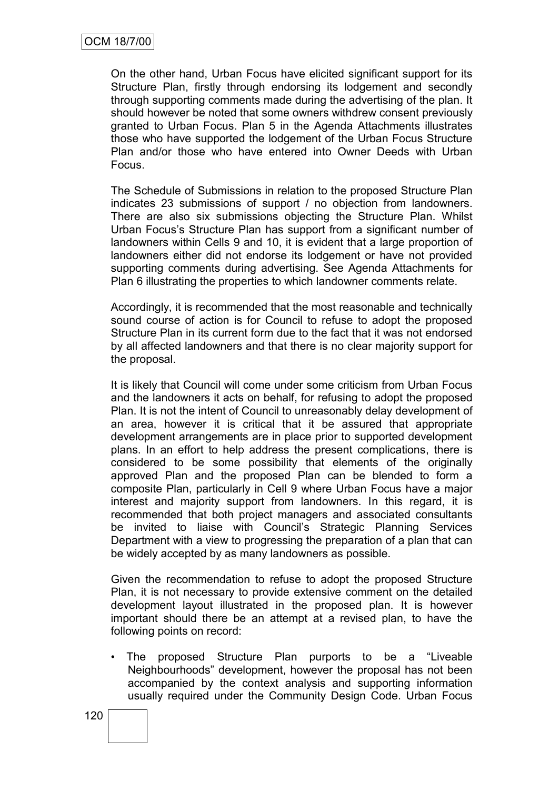On the other hand, Urban Focus have elicited significant support for its Structure Plan, firstly through endorsing its lodgement and secondly through supporting comments made during the advertising of the plan. It should however be noted that some owners withdrew consent previously granted to Urban Focus. Plan 5 in the Agenda Attachments illustrates those who have supported the lodgement of the Urban Focus Structure Plan and/or those who have entered into Owner Deeds with Urban Focus.

The Schedule of Submissions in relation to the proposed Structure Plan indicates 23 submissions of support / no objection from landowners. There are also six submissions objecting the Structure Plan. Whilst Urban Focus"s Structure Plan has support from a significant number of landowners within Cells 9 and 10, it is evident that a large proportion of landowners either did not endorse its lodgement or have not provided supporting comments during advertising. See Agenda Attachments for Plan 6 illustrating the properties to which landowner comments relate.

Accordingly, it is recommended that the most reasonable and technically sound course of action is for Council to refuse to adopt the proposed Structure Plan in its current form due to the fact that it was not endorsed by all affected landowners and that there is no clear majority support for the proposal.

It is likely that Council will come under some criticism from Urban Focus and the landowners it acts on behalf, for refusing to adopt the proposed Plan. It is not the intent of Council to unreasonably delay development of an area, however it is critical that it be assured that appropriate development arrangements are in place prior to supported development plans. In an effort to help address the present complications, there is considered to be some possibility that elements of the originally approved Plan and the proposed Plan can be blended to form a composite Plan, particularly in Cell 9 where Urban Focus have a major interest and majority support from landowners. In this regard, it is recommended that both project managers and associated consultants be invited to liaise with Council"s Strategic Planning Services Department with a view to progressing the preparation of a plan that can be widely accepted by as many landowners as possible.

Given the recommendation to refuse to adopt the proposed Structure Plan, it is not necessary to provide extensive comment on the detailed development layout illustrated in the proposed plan. It is however important should there be an attempt at a revised plan, to have the following points on record:

The proposed Structure Plan purports to be a "Liveable" Neighbourhoods" development, however the proposal has not been accompanied by the context analysis and supporting information usually required under the Community Design Code. Urban Focus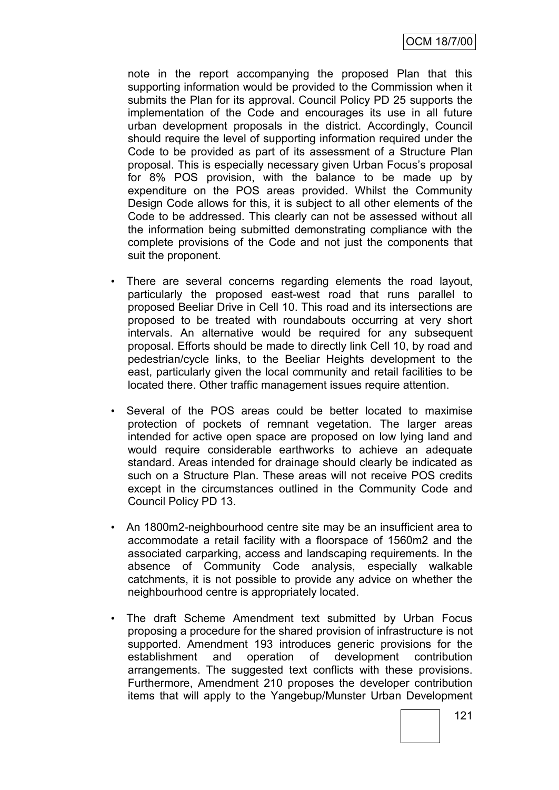OCM 18/7/00

note in the report accompanying the proposed Plan that this supporting information would be provided to the Commission when it submits the Plan for its approval. Council Policy PD 25 supports the implementation of the Code and encourages its use in all future urban development proposals in the district. Accordingly, Council should require the level of supporting information required under the Code to be provided as part of its assessment of a Structure Plan proposal. This is especially necessary given Urban Focus"s proposal for 8% POS provision, with the balance to be made up by expenditure on the POS areas provided. Whilst the Community Design Code allows for this, it is subject to all other elements of the Code to be addressed. This clearly can not be assessed without all the information being submitted demonstrating compliance with the complete provisions of the Code and not just the components that suit the proponent.

- There are several concerns regarding elements the road layout, particularly the proposed east-west road that runs parallel to proposed Beeliar Drive in Cell 10. This road and its intersections are proposed to be treated with roundabouts occurring at very short intervals. An alternative would be required for any subsequent proposal. Efforts should be made to directly link Cell 10, by road and pedestrian/cycle links, to the Beeliar Heights development to the east, particularly given the local community and retail facilities to be located there. Other traffic management issues require attention.
- Several of the POS areas could be better located to maximise protection of pockets of remnant vegetation. The larger areas intended for active open space are proposed on low lying land and would require considerable earthworks to achieve an adequate standard. Areas intended for drainage should clearly be indicated as such on a Structure Plan. These areas will not receive POS credits except in the circumstances outlined in the Community Code and Council Policy PD 13.
- An 1800m2-neighbourhood centre site may be an insufficient area to accommodate a retail facility with a floorspace of 1560m2 and the associated carparking, access and landscaping requirements. In the absence of Community Code analysis, especially walkable catchments, it is not possible to provide any advice on whether the neighbourhood centre is appropriately located.
- The draft Scheme Amendment text submitted by Urban Focus proposing a procedure for the shared provision of infrastructure is not supported. Amendment 193 introduces generic provisions for the establishment and operation of development contribution arrangements. The suggested text conflicts with these provisions. Furthermore, Amendment 210 proposes the developer contribution items that will apply to the Yangebup/Munster Urban Development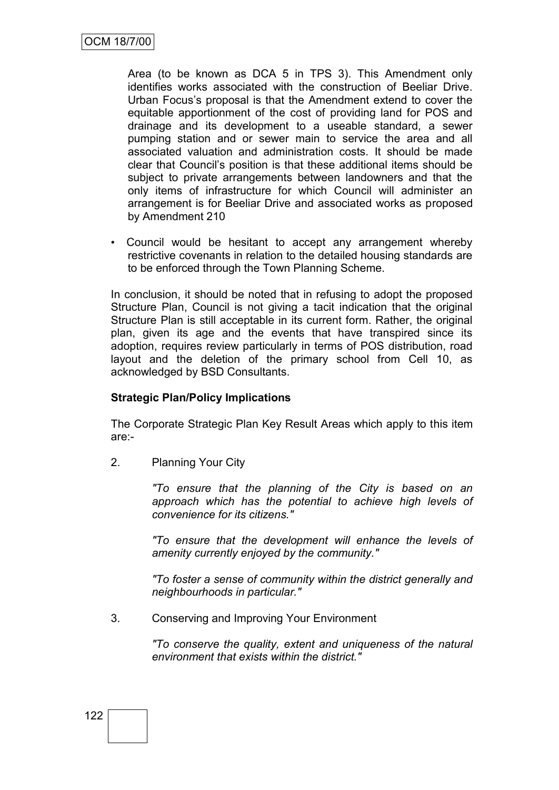Area (to be known as DCA 5 in TPS 3). This Amendment only identifies works associated with the construction of Beeliar Drive. Urban Focus"s proposal is that the Amendment extend to cover the equitable apportionment of the cost of providing land for POS and drainage and its development to a useable standard, a sewer pumping station and or sewer main to service the area and all associated valuation and administration costs. It should be made clear that Council"s position is that these additional items should be subject to private arrangements between landowners and that the only items of infrastructure for which Council will administer an arrangement is for Beeliar Drive and associated works as proposed by Amendment 210

• Council would be hesitant to accept any arrangement whereby restrictive covenants in relation to the detailed housing standards are to be enforced through the Town Planning Scheme.

In conclusion, it should be noted that in refusing to adopt the proposed Structure Plan, Council is not giving a tacit indication that the original Structure Plan is still acceptable in its current form. Rather, the original plan, given its age and the events that have transpired since its adoption, requires review particularly in terms of POS distribution, road layout and the deletion of the primary school from Cell 10, as acknowledged by BSD Consultants.

## **Strategic Plan/Policy Implications**

The Corporate Strategic Plan Key Result Areas which apply to this item are:-

2. Planning Your City

*"To ensure that the planning of the City is based on an approach which has the potential to achieve high levels of convenience for its citizens."*

*"To ensure that the development will enhance the levels of amenity currently enjoyed by the community."*

*"To foster a sense of community within the district generally and neighbourhoods in particular."*

3. Conserving and Improving Your Environment

*"To conserve the quality, extent and uniqueness of the natural environment that exists within the district."*

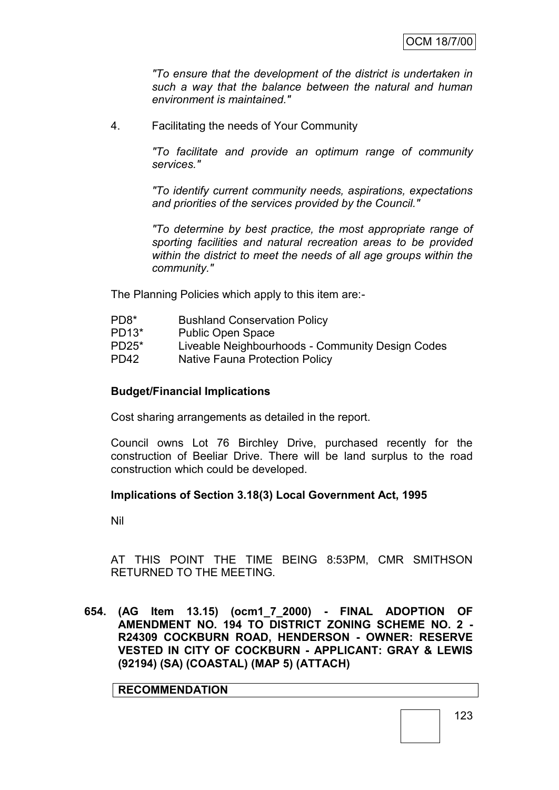*"To ensure that the development of the district is undertaken in such a way that the balance between the natural and human environment is maintained."*

4. Facilitating the needs of Your Community

*"To facilitate and provide an optimum range of community services."*

*"To identify current community needs, aspirations, expectations and priorities of the services provided by the Council."*

*"To determine by best practice, the most appropriate range of sporting facilities and natural recreation areas to be provided within the district to meet the needs of all age groups within the community."*

The Planning Policies which apply to this item are:-

| Liveable Neighbourhoods - Community Design Codes |
|--------------------------------------------------|
|                                                  |
|                                                  |

#### **Budget/Financial Implications**

Cost sharing arrangements as detailed in the report.

Council owns Lot 76 Birchley Drive, purchased recently for the construction of Beeliar Drive. There will be land surplus to the road construction which could be developed.

#### **Implications of Section 3.18(3) Local Government Act, 1995**

Nil

AT THIS POINT THE TIME BEING 8:53PM, CMR SMITHSON RETURNED TO THE MEETING.

**654. (AG Item 13.15) (ocm1\_7\_2000) - FINAL ADOPTION OF AMENDMENT NO. 194 TO DISTRICT ZONING SCHEME NO. 2 - R24309 COCKBURN ROAD, HENDERSON - OWNER: RESERVE VESTED IN CITY OF COCKBURN - APPLICANT: GRAY & LEWIS (92194) (SA) (COASTAL) (MAP 5) (ATTACH)**

**RECOMMENDATION**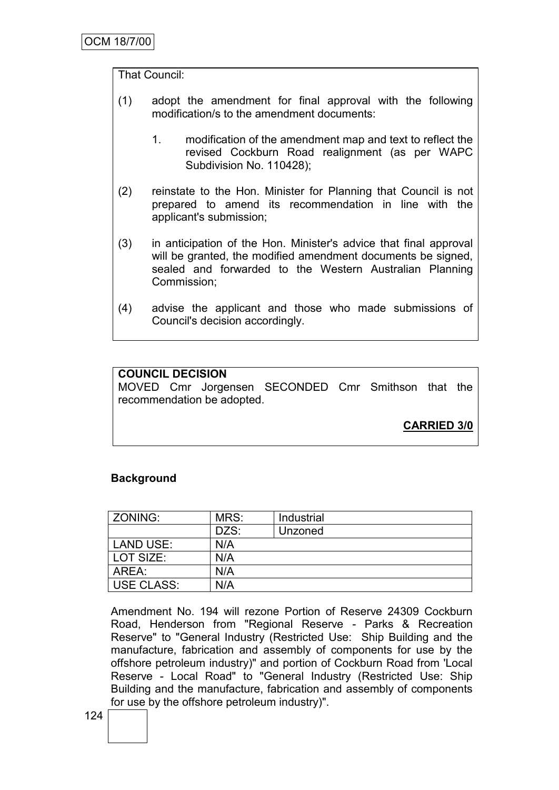## That Council:

- (1) adopt the amendment for final approval with the following modification/s to the amendment documents:
	- 1. modification of the amendment map and text to reflect the revised Cockburn Road realignment (as per WAPC Subdivision No. 110428);
- (2) reinstate to the Hon. Minister for Planning that Council is not prepared to amend its recommendation in line with the applicant's submission;
- (3) in anticipation of the Hon. Minister's advice that final approval will be granted, the modified amendment documents be signed, sealed and forwarded to the Western Australian Planning Commission;
- (4) advise the applicant and those who made submissions of Council's decision accordingly.

## **COUNCIL DECISION**

MOVED Cmr Jorgensen SECONDED Cmr Smithson that the recommendation be adopted.

**CARRIED 3/0**

## **Background**

| ZONING:    | MRS: | Industrial |
|------------|------|------------|
|            | DZS: | Unzoned    |
| LAND USE:  | N/A  |            |
| LOT SIZE:  | N/A  |            |
| AREA:      | N/A  |            |
| USE CLASS: | N/A  |            |

Amendment No. 194 will rezone Portion of Reserve 24309 Cockburn Road, Henderson from "Regional Reserve - Parks & Recreation Reserve" to "General Industry (Restricted Use: Ship Building and the manufacture, fabrication and assembly of components for use by the offshore petroleum industry)" and portion of Cockburn Road from 'Local Reserve - Local Road" to "General Industry (Restricted Use: Ship Building and the manufacture, fabrication and assembly of components for use by the offshore petroleum industry)".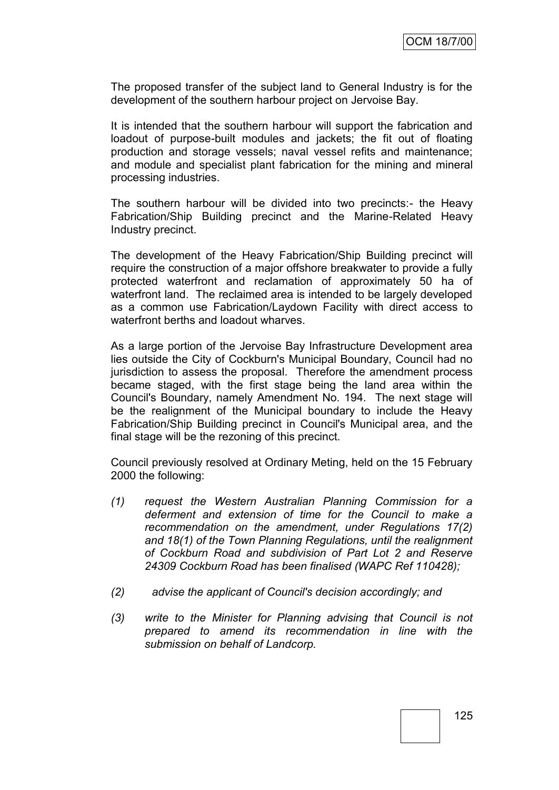The proposed transfer of the subject land to General Industry is for the development of the southern harbour project on Jervoise Bay.

It is intended that the southern harbour will support the fabrication and loadout of purpose-built modules and jackets; the fit out of floating production and storage vessels; naval vessel refits and maintenance; and module and specialist plant fabrication for the mining and mineral processing industries.

The southern harbour will be divided into two precincts:- the Heavy Fabrication/Ship Building precinct and the Marine-Related Heavy Industry precinct.

The development of the Heavy Fabrication/Ship Building precinct will require the construction of a major offshore breakwater to provide a fully protected waterfront and reclamation of approximately 50 ha of waterfront land. The reclaimed area is intended to be largely developed as a common use Fabrication/Laydown Facility with direct access to waterfront berths and loadout wharves.

As a large portion of the Jervoise Bay Infrastructure Development area lies outside the City of Cockburn's Municipal Boundary, Council had no jurisdiction to assess the proposal. Therefore the amendment process became staged, with the first stage being the land area within the Council's Boundary, namely Amendment No. 194. The next stage will be the realignment of the Municipal boundary to include the Heavy Fabrication/Ship Building precinct in Council's Municipal area, and the final stage will be the rezoning of this precinct.

Council previously resolved at Ordinary Meting, held on the 15 February 2000 the following:

- *(1) request the Western Australian Planning Commission for a deferment and extension of time for the Council to make a recommendation on the amendment, under Regulations 17(2) and 18(1) of the Town Planning Regulations, until the realignment of Cockburn Road and subdivision of Part Lot 2 and Reserve 24309 Cockburn Road has been finalised (WAPC Ref 110428);*
- *(2) advise the applicant of Council's decision accordingly; and*
- *(3) write to the Minister for Planning advising that Council is not prepared to amend its recommendation in line with the submission on behalf of Landcorp.*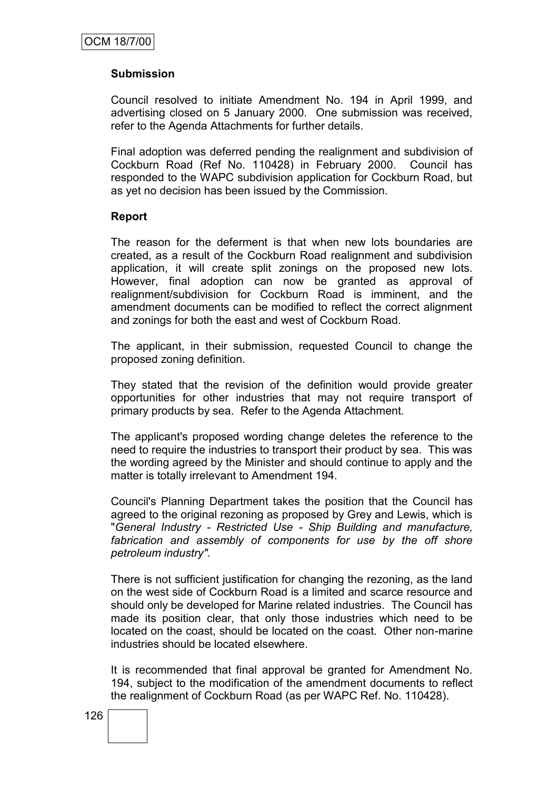## **Submission**

Council resolved to initiate Amendment No. 194 in April 1999, and advertising closed on 5 January 2000. One submission was received, refer to the Agenda Attachments for further details.

Final adoption was deferred pending the realignment and subdivision of Cockburn Road (Ref No. 110428) in February 2000. Council has responded to the WAPC subdivision application for Cockburn Road, but as yet no decision has been issued by the Commission.

#### **Report**

The reason for the deferment is that when new lots boundaries are created, as a result of the Cockburn Road realignment and subdivision application, it will create split zonings on the proposed new lots. However, final adoption can now be granted as approval of realignment/subdivision for Cockburn Road is imminent, and the amendment documents can be modified to reflect the correct alignment and zonings for both the east and west of Cockburn Road.

The applicant, in their submission, requested Council to change the proposed zoning definition.

They stated that the revision of the definition would provide greater opportunities for other industries that may not require transport of primary products by sea. Refer to the Agenda Attachment.

The applicant's proposed wording change deletes the reference to the need to require the industries to transport their product by sea. This was the wording agreed by the Minister and should continue to apply and the matter is totally irrelevant to Amendment 194.

Council's Planning Department takes the position that the Council has agreed to the original rezoning as proposed by Grey and Lewis, which is "*General Industry - Restricted Use - Ship Building and manufacture, fabrication and assembly of components for use by the off shore petroleum industry".* 

There is not sufficient justification for changing the rezoning, as the land on the west side of Cockburn Road is a limited and scarce resource and should only be developed for Marine related industries. The Council has made its position clear, that only those industries which need to be located on the coast, should be located on the coast. Other non-marine industries should be located elsewhere.

It is recommended that final approval be granted for Amendment No. 194, subject to the modification of the amendment documents to reflect the realignment of Cockburn Road (as per WAPC Ref. No. 110428).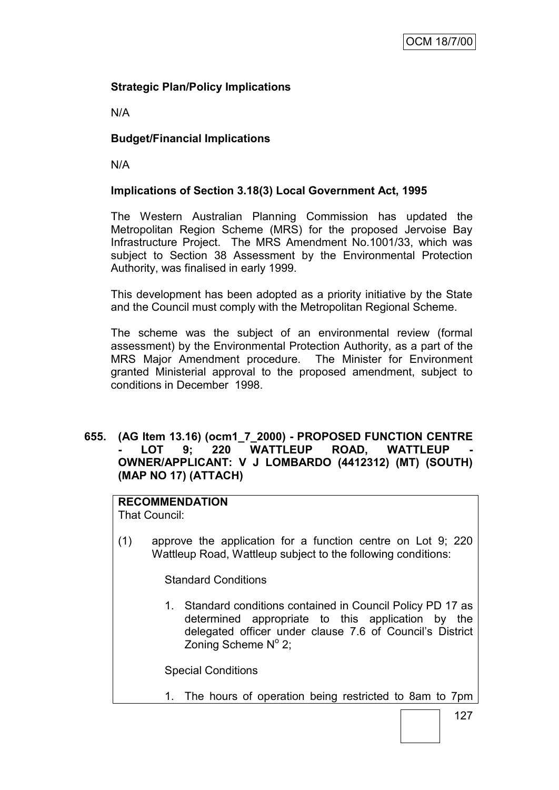## **Strategic Plan/Policy Implications**

N/A

## **Budget/Financial Implications**

N/A

## **Implications of Section 3.18(3) Local Government Act, 1995**

The Western Australian Planning Commission has updated the Metropolitan Region Scheme (MRS) for the proposed Jervoise Bay Infrastructure Project. The MRS Amendment No.1001/33, which was subject to Section 38 Assessment by the Environmental Protection Authority, was finalised in early 1999.

This development has been adopted as a priority initiative by the State and the Council must comply with the Metropolitan Regional Scheme.

The scheme was the subject of an environmental review (formal assessment) by the Environmental Protection Authority, as a part of the MRS Major Amendment procedure. The Minister for Environment granted Ministerial approval to the proposed amendment, subject to conditions in December 1998.

## **655. (AG Item 13.16) (ocm1\_7\_2000) - PROPOSED FUNCTION CENTRE**  LOT 9; 220 WATTLEUP ROAD, WATTLEUP **OWNER/APPLICANT: V J LOMBARDO (4412312) (MT) (SOUTH) (MAP NO 17) (ATTACH)**

## **RECOMMENDATION**

That Council:

(1) approve the application for a function centre on Lot 9; 220 Wattleup Road, Wattleup subject to the following conditions:

Standard Conditions

1. Standard conditions contained in Council Policy PD 17 as determined appropriate to this application by the delegated officer under clause 7.6 of Council"s District Zoning Scheme Nº 2;

Special Conditions

1. The hours of operation being restricted to 8am to 7pm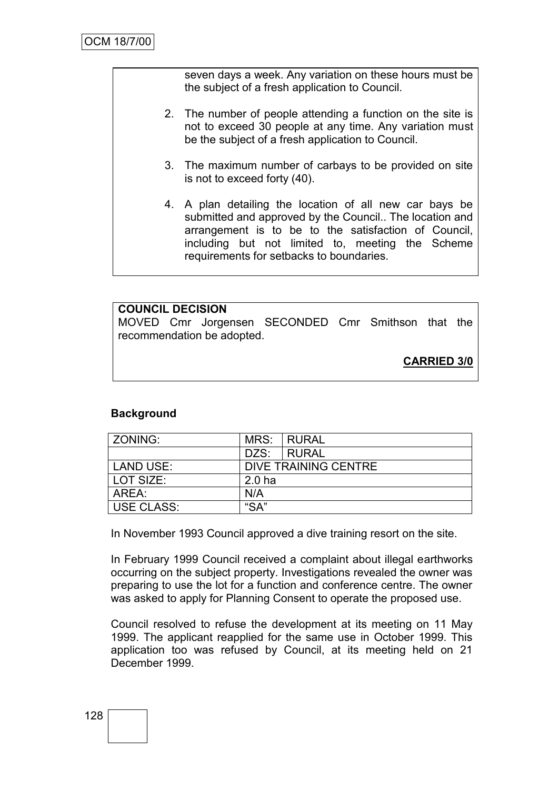seven days a week. Any variation on these hours must be the subject of a fresh application to Council.

- 2. The number of people attending a function on the site is not to exceed 30 people at any time. Any variation must be the subject of a fresh application to Council.
- 3. The maximum number of carbays to be provided on site is not to exceed forty (40).
- 4. A plan detailing the location of all new car bays be submitted and approved by the Council.. The location and arrangement is to be to the satisfaction of Council, including but not limited to, meeting the Scheme requirements for setbacks to boundaries.

# **COUNCIL DECISION** MOVED Cmr Jorgensen SECONDED Cmr Smithson that the recommendation be adopted.

**CARRIED 3/0**

## **Background**

| <b>ZONING:</b>    | MRS:              | I RURAL              |
|-------------------|-------------------|----------------------|
|                   | DZS:              | I RURAL              |
| LAND USE:         |                   | DIVE TRAINING CENTRE |
| LOT SIZE:         | 2.0 <sub>ha</sub> |                      |
| AREA:             | N/A               |                      |
| <b>USE CLASS:</b> | " $SA"$           |                      |

In November 1993 Council approved a dive training resort on the site.

In February 1999 Council received a complaint about illegal earthworks occurring on the subject property. Investigations revealed the owner was preparing to use the lot for a function and conference centre. The owner was asked to apply for Planning Consent to operate the proposed use.

Council resolved to refuse the development at its meeting on 11 May 1999. The applicant reapplied for the same use in October 1999. This application too was refused by Council, at its meeting held on 21 December 1999.

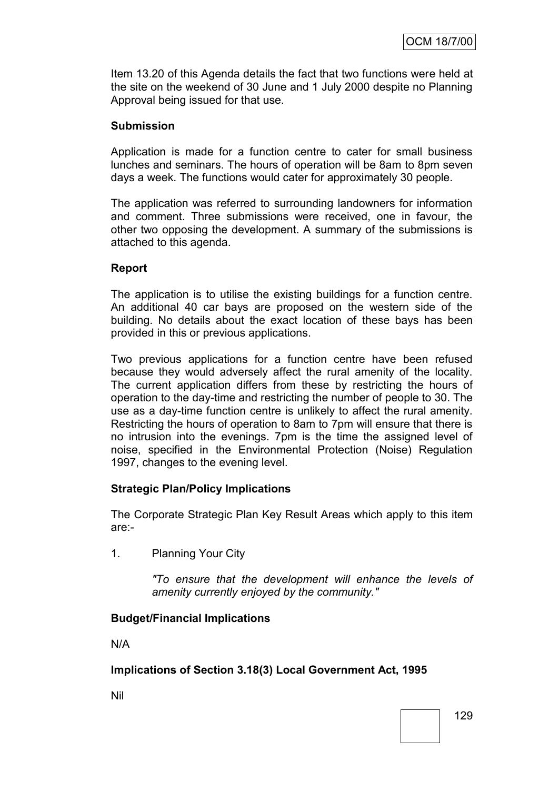Item 13.20 of this Agenda details the fact that two functions were held at the site on the weekend of 30 June and 1 July 2000 despite no Planning Approval being issued for that use.

## **Submission**

Application is made for a function centre to cater for small business lunches and seminars. The hours of operation will be 8am to 8pm seven days a week. The functions would cater for approximately 30 people.

The application was referred to surrounding landowners for information and comment. Three submissions were received, one in favour, the other two opposing the development. A summary of the submissions is attached to this agenda.

## **Report**

The application is to utilise the existing buildings for a function centre. An additional 40 car bays are proposed on the western side of the building. No details about the exact location of these bays has been provided in this or previous applications.

Two previous applications for a function centre have been refused because they would adversely affect the rural amenity of the locality. The current application differs from these by restricting the hours of operation to the day-time and restricting the number of people to 30. The use as a day-time function centre is unlikely to affect the rural amenity. Restricting the hours of operation to 8am to 7pm will ensure that there is no intrusion into the evenings. 7pm is the time the assigned level of noise, specified in the Environmental Protection (Noise) Regulation 1997, changes to the evening level.

## **Strategic Plan/Policy Implications**

The Corporate Strategic Plan Key Result Areas which apply to this item are:-

1. Planning Your City

*"To ensure that the development will enhance the levels of amenity currently enjoyed by the community."*

## **Budget/Financial Implications**

N/A

## **Implications of Section 3.18(3) Local Government Act, 1995**

Nil

129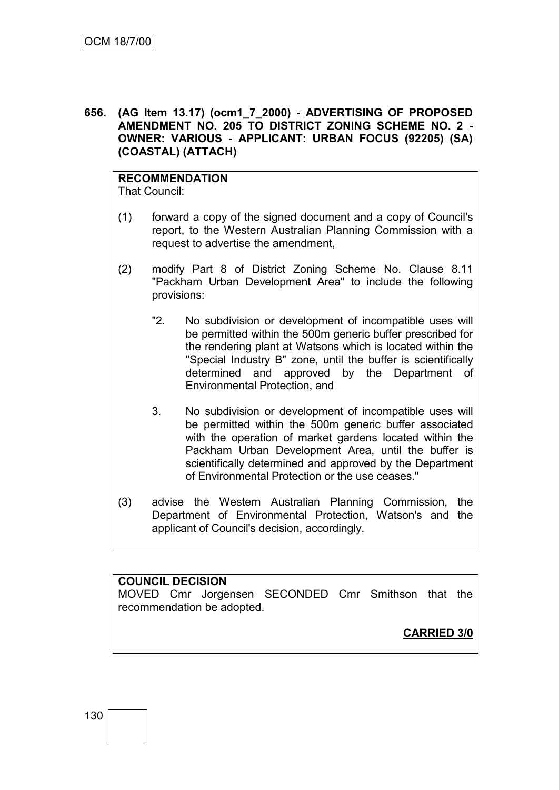**656. (AG Item 13.17) (ocm1\_7\_2000) - ADVERTISING OF PROPOSED AMENDMENT NO. 205 TO DISTRICT ZONING SCHEME NO. 2 - OWNER: VARIOUS - APPLICANT: URBAN FOCUS (92205) (SA) (COASTAL) (ATTACH)**

## **RECOMMENDATION**

That Council:

- (1) forward a copy of the signed document and a copy of Council's report, to the Western Australian Planning Commission with a request to advertise the amendment,
- (2) modify Part 8 of District Zoning Scheme No. Clause 8.11 "Packham Urban Development Area" to include the following provisions:
	- "2. No subdivision or development of incompatible uses will be permitted within the 500m generic buffer prescribed for the rendering plant at Watsons which is located within the "Special Industry B" zone, until the buffer is scientifically determined and approved by the Department of Environmental Protection, and
	- 3. No subdivision or development of incompatible uses will be permitted within the 500m generic buffer associated with the operation of market gardens located within the Packham Urban Development Area, until the buffer is scientifically determined and approved by the Department of Environmental Protection or the use ceases."
- (3) advise the Western Australian Planning Commission, the Department of Environmental Protection, Watson's and the applicant of Council's decision, accordingly.

#### **COUNCIL DECISION**

MOVED Cmr Jorgensen SECONDED Cmr Smithson that the recommendation be adopted.

**CARRIED 3/0**

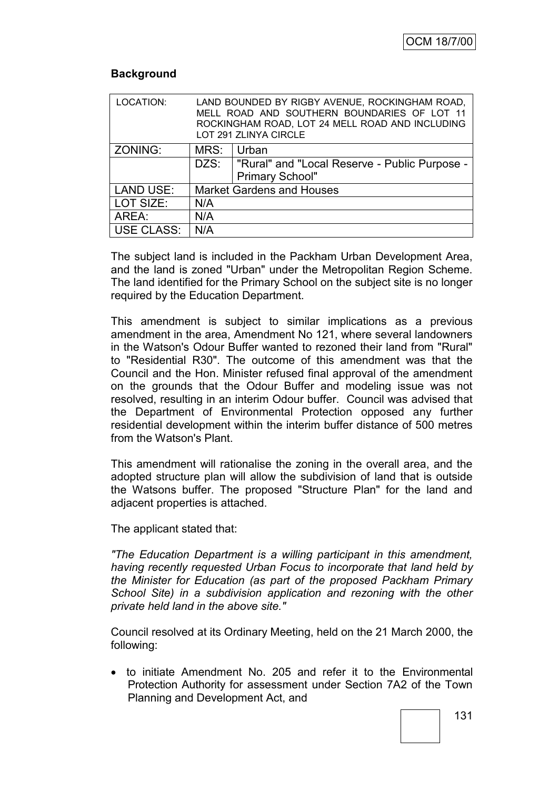## **Background**

| LOCATION:        |                                  | LAND BOUNDED BY RIGBY AVENUE, ROCKINGHAM ROAD,<br>MELL ROAD AND SOUTHERN BOUNDARIES OF LOT 11<br>ROCKINGHAM ROAD, LOT 24 MELL ROAD AND INCLUDING<br>LOT 291 ZLINYA CIRCLE |  |
|------------------|----------------------------------|---------------------------------------------------------------------------------------------------------------------------------------------------------------------------|--|
| ZONING:          | MRS:                             | Urban                                                                                                                                                                     |  |
|                  | DZS:                             | "Rural" and "Local Reserve - Public Purpose -                                                                                                                             |  |
|                  |                                  | <b>Primary School"</b>                                                                                                                                                    |  |
| <b>LAND USE:</b> | <b>Market Gardens and Houses</b> |                                                                                                                                                                           |  |
| LOT SIZE:        | N/A                              |                                                                                                                                                                           |  |
| AREA:            | N/A                              |                                                                                                                                                                           |  |
| USE CLASS:       | N/A                              |                                                                                                                                                                           |  |

The subject land is included in the Packham Urban Development Area, and the land is zoned "Urban" under the Metropolitan Region Scheme. The land identified for the Primary School on the subject site is no longer required by the Education Department.

This amendment is subject to similar implications as a previous amendment in the area, Amendment No 121, where several landowners in the Watson's Odour Buffer wanted to rezoned their land from "Rural" to "Residential R30". The outcome of this amendment was that the Council and the Hon. Minister refused final approval of the amendment on the grounds that the Odour Buffer and modeling issue was not resolved, resulting in an interim Odour buffer. Council was advised that the Department of Environmental Protection opposed any further residential development within the interim buffer distance of 500 metres from the Watson's Plant.

This amendment will rationalise the zoning in the overall area, and the adopted structure plan will allow the subdivision of land that is outside the Watsons buffer. The proposed "Structure Plan" for the land and adjacent properties is attached.

The applicant stated that:

*"The Education Department is a willing participant in this amendment, having recently requested Urban Focus to incorporate that land held by the Minister for Education (as part of the proposed Packham Primary School Site) in a subdivision application and rezoning with the other private held land in the above site."*

Council resolved at its Ordinary Meeting, held on the 21 March 2000, the following:

 to initiate Amendment No. 205 and refer it to the Environmental Protection Authority for assessment under Section 7A2 of the Town Planning and Development Act, and

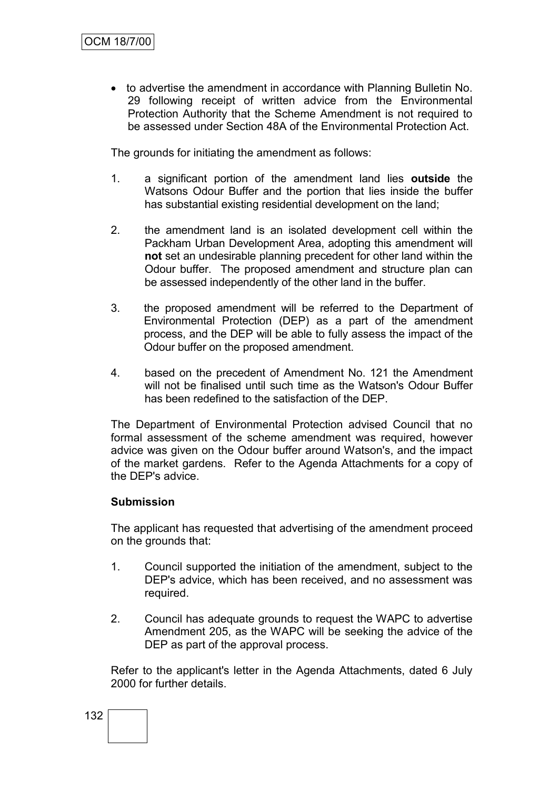to advertise the amendment in accordance with Planning Bulletin No. 29 following receipt of written advice from the Environmental Protection Authority that the Scheme Amendment is not required to be assessed under Section 48A of the Environmental Protection Act.

The grounds for initiating the amendment as follows:

- 1. a significant portion of the amendment land lies **outside** the Watsons Odour Buffer and the portion that lies inside the buffer has substantial existing residential development on the land;
- 2. the amendment land is an isolated development cell within the Packham Urban Development Area, adopting this amendment will **not** set an undesirable planning precedent for other land within the Odour buffer. The proposed amendment and structure plan can be assessed independently of the other land in the buffer.
- 3. the proposed amendment will be referred to the Department of Environmental Protection (DEP) as a part of the amendment process, and the DEP will be able to fully assess the impact of the Odour buffer on the proposed amendment.
- 4. based on the precedent of Amendment No. 121 the Amendment will not be finalised until such time as the Watson's Odour Buffer has been redefined to the satisfaction of the DEP.

The Department of Environmental Protection advised Council that no formal assessment of the scheme amendment was required, however advice was given on the Odour buffer around Watson's, and the impact of the market gardens. Refer to the Agenda Attachments for a copy of the DEP's advice.

## **Submission**

The applicant has requested that advertising of the amendment proceed on the grounds that:

- 1. Council supported the initiation of the amendment, subject to the DEP's advice, which has been received, and no assessment was required.
- 2. Council has adequate grounds to request the WAPC to advertise Amendment 205, as the WAPC will be seeking the advice of the DEP as part of the approval process.

Refer to the applicant's letter in the Agenda Attachments, dated 6 July 2000 for further details.

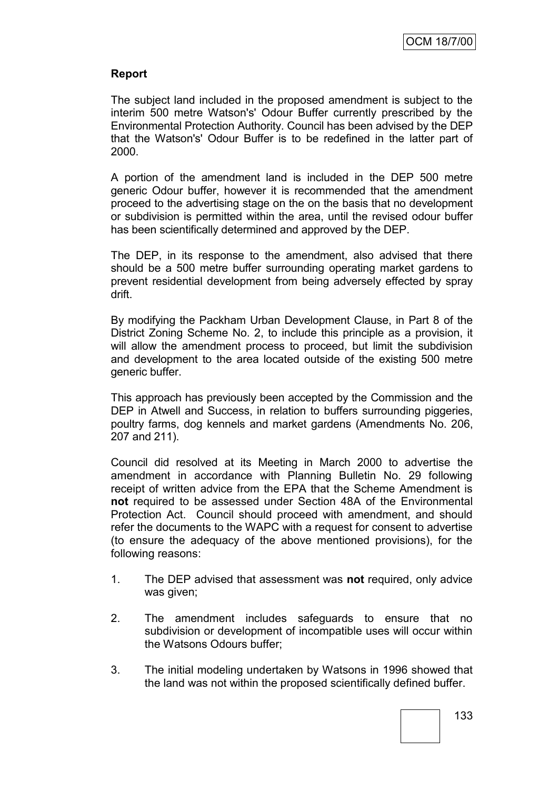## **Report**

The subject land included in the proposed amendment is subject to the interim 500 metre Watson's' Odour Buffer currently prescribed by the Environmental Protection Authority. Council has been advised by the DEP that the Watson's' Odour Buffer is to be redefined in the latter part of 2000.

A portion of the amendment land is included in the DEP 500 metre generic Odour buffer, however it is recommended that the amendment proceed to the advertising stage on the on the basis that no development or subdivision is permitted within the area, until the revised odour buffer has been scientifically determined and approved by the DEP.

The DEP, in its response to the amendment, also advised that there should be a 500 metre buffer surrounding operating market gardens to prevent residential development from being adversely effected by spray drift.

By modifying the Packham Urban Development Clause, in Part 8 of the District Zoning Scheme No. 2, to include this principle as a provision, it will allow the amendment process to proceed, but limit the subdivision and development to the area located outside of the existing 500 metre generic buffer.

This approach has previously been accepted by the Commission and the DEP in Atwell and Success, in relation to buffers surrounding piggeries, poultry farms, dog kennels and market gardens (Amendments No. 206, 207 and 211).

Council did resolved at its Meeting in March 2000 to advertise the amendment in accordance with Planning Bulletin No. 29 following receipt of written advice from the EPA that the Scheme Amendment is **not** required to be assessed under Section 48A of the Environmental Protection Act. Council should proceed with amendment, and should refer the documents to the WAPC with a request for consent to advertise (to ensure the adequacy of the above mentioned provisions), for the following reasons:

- 1. The DEP advised that assessment was **not** required, only advice was given;
- 2. The amendment includes safeguards to ensure that no subdivision or development of incompatible uses will occur within the Watsons Odours buffer;
- 3. The initial modeling undertaken by Watsons in 1996 showed that the land was not within the proposed scientifically defined buffer.

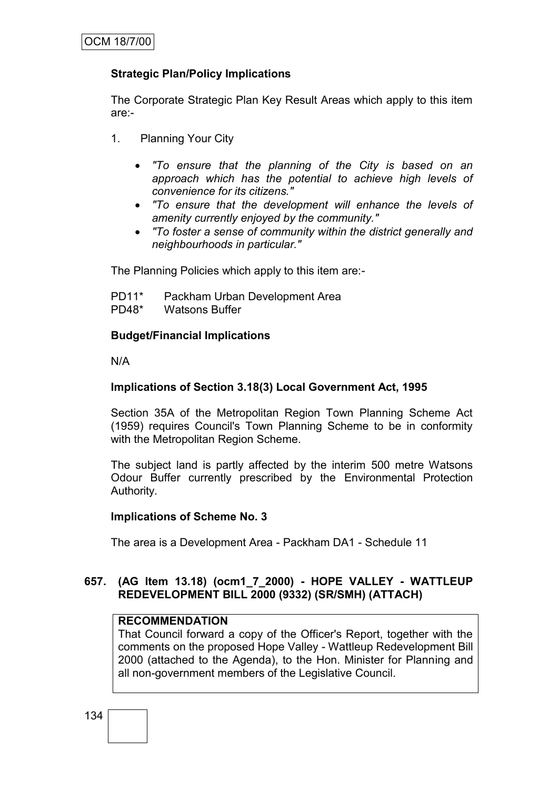## **Strategic Plan/Policy Implications**

The Corporate Strategic Plan Key Result Areas which apply to this item are:-

- 1. Planning Your City
	- *"To ensure that the planning of the City is based on an approach which has the potential to achieve high levels of convenience for its citizens."*
	- *"To ensure that the development will enhance the levels of amenity currently enjoyed by the community."*
	- *"To foster a sense of community within the district generally and neighbourhoods in particular."*

The Planning Policies which apply to this item are:-

| PD11*   | Packham Urban Development Area |
|---------|--------------------------------|
| $PD48*$ | <b>Watsons Buffer</b>          |

## **Budget/Financial Implications**

N/A

## **Implications of Section 3.18(3) Local Government Act, 1995**

Section 35A of the Metropolitan Region Town Planning Scheme Act (1959) requires Council's Town Planning Scheme to be in conformity with the Metropolitan Region Scheme.

The subject land is partly affected by the interim 500 metre Watsons Odour Buffer currently prescribed by the Environmental Protection Authority.

## **Implications of Scheme No. 3**

The area is a Development Area - Packham DA1 - Schedule 11

## **657. (AG Item 13.18) (ocm1\_7\_2000) - HOPE VALLEY - WATTLEUP REDEVELOPMENT BILL 2000 (9332) (SR/SMH) (ATTACH)**

## **RECOMMENDATION**

That Council forward a copy of the Officer's Report, together with the comments on the proposed Hope Valley - Wattleup Redevelopment Bill 2000 (attached to the Agenda), to the Hon. Minister for Planning and all non-government members of the Legislative Council.

134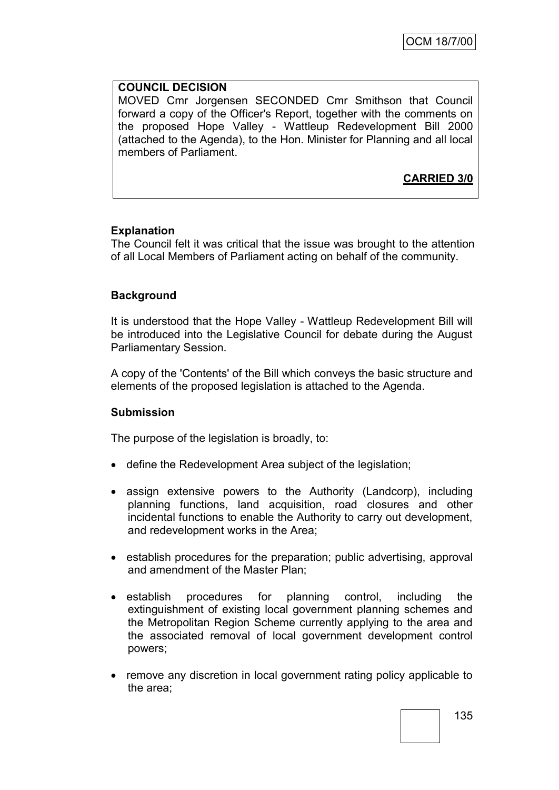## **COUNCIL DECISION**

MOVED Cmr Jorgensen SECONDED Cmr Smithson that Council forward a copy of the Officer's Report, together with the comments on the proposed Hope Valley - Wattleup Redevelopment Bill 2000 (attached to the Agenda), to the Hon. Minister for Planning and all local members of Parliament.

**CARRIED 3/0**

## **Explanation**

The Council felt it was critical that the issue was brought to the attention of all Local Members of Parliament acting on behalf of the community.

## **Background**

It is understood that the Hope Valley - Wattleup Redevelopment Bill will be introduced into the Legislative Council for debate during the August Parliamentary Session.

A copy of the 'Contents' of the Bill which conveys the basic structure and elements of the proposed legislation is attached to the Agenda.

## **Submission**

The purpose of the legislation is broadly, to:

- define the Redevelopment Area subject of the legislation;
- assign extensive powers to the Authority (Landcorp), including planning functions, land acquisition, road closures and other incidental functions to enable the Authority to carry out development, and redevelopment works in the Area;
- establish procedures for the preparation; public advertising, approval and amendment of the Master Plan;
- establish procedures for planning control, including the extinguishment of existing local government planning schemes and the Metropolitan Region Scheme currently applying to the area and the associated removal of local government development control powers;
- remove any discretion in local government rating policy applicable to the area;

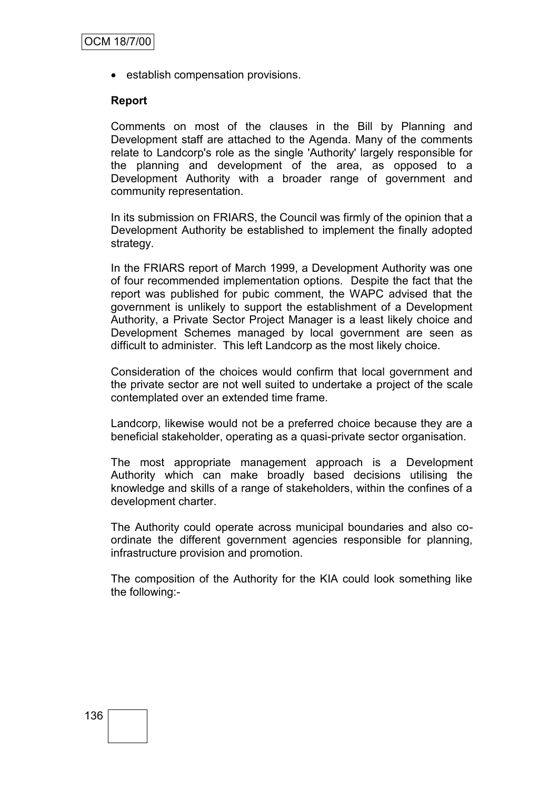• establish compensation provisions.

#### **Report**

Comments on most of the clauses in the Bill by Planning and Development staff are attached to the Agenda. Many of the comments relate to Landcorp's role as the single 'Authority' largely responsible for the planning and development of the area, as opposed to a Development Authority with a broader range of government and community representation.

In its submission on FRIARS, the Council was firmly of the opinion that a Development Authority be established to implement the finally adopted strategy.

In the FRIARS report of March 1999, a Development Authority was one of four recommended implementation options. Despite the fact that the report was published for pubic comment, the WAPC advised that the government is unlikely to support the establishment of a Development Authority, a Private Sector Project Manager is a least likely choice and Development Schemes managed by local government are seen as difficult to administer. This left Landcorp as the most likely choice.

Consideration of the choices would confirm that local government and the private sector are not well suited to undertake a project of the scale contemplated over an extended time frame.

Landcorp, likewise would not be a preferred choice because they are a beneficial stakeholder, operating as a quasi-private sector organisation.

The most appropriate management approach is a Development Authority which can make broadly based decisions utilising the knowledge and skills of a range of stakeholders, within the confines of a development charter.

The Authority could operate across municipal boundaries and also coordinate the different government agencies responsible for planning, infrastructure provision and promotion.

The composition of the Authority for the KIA could look something like the following:-

## 136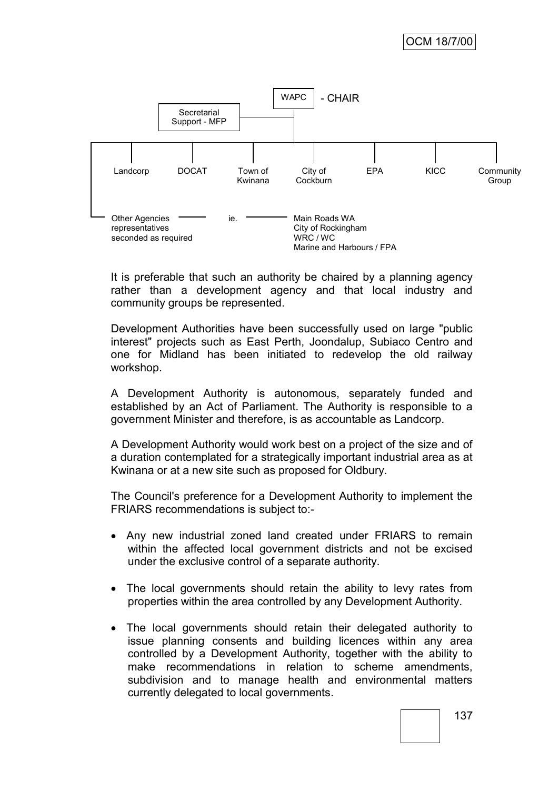

It is preferable that such an authority be chaired by a planning agency rather than a development agency and that local industry and community groups be represented.

Development Authorities have been successfully used on large "public interest" projects such as East Perth, Joondalup, Subiaco Centro and one for Midland has been initiated to redevelop the old railway workshop.

A Development Authority is autonomous, separately funded and established by an Act of Parliament. The Authority is responsible to a government Minister and therefore, is as accountable as Landcorp.

A Development Authority would work best on a project of the size and of a duration contemplated for a strategically important industrial area as at Kwinana or at a new site such as proposed for Oldbury.

The Council's preference for a Development Authority to implement the FRIARS recommendations is subject to:-

- Any new industrial zoned land created under FRIARS to remain within the affected local government districts and not be excised under the exclusive control of a separate authority.
- The local governments should retain the ability to levy rates from properties within the area controlled by any Development Authority.
- The local governments should retain their delegated authority to issue planning consents and building licences within any area controlled by a Development Authority, together with the ability to make recommendations in relation to scheme amendments, subdivision and to manage health and environmental matters currently delegated to local governments.

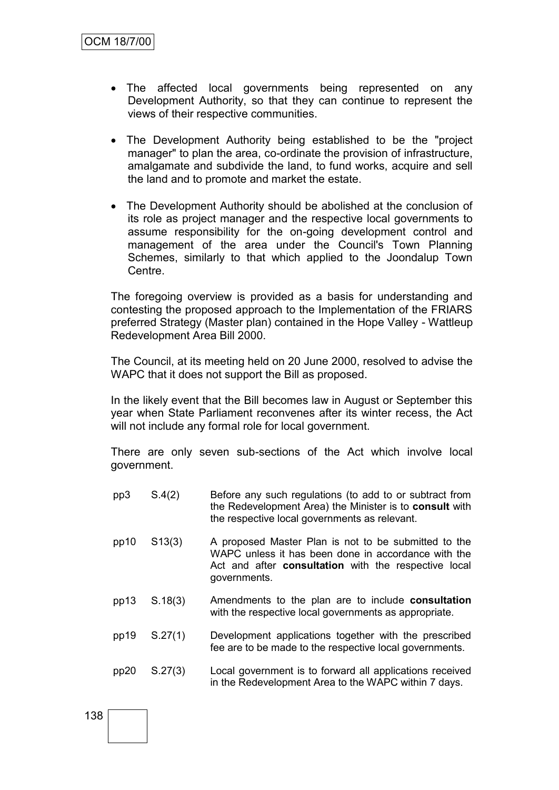- The affected local governments being represented on any Development Authority, so that they can continue to represent the views of their respective communities.
- The Development Authority being established to be the "project manager" to plan the area, co-ordinate the provision of infrastructure, amalgamate and subdivide the land, to fund works, acquire and sell the land and to promote and market the estate.
- The Development Authority should be abolished at the conclusion of its role as project manager and the respective local governments to assume responsibility for the on-going development control and management of the area under the Council's Town Planning Schemes, similarly to that which applied to the Joondalup Town Centre.

The foregoing overview is provided as a basis for understanding and contesting the proposed approach to the Implementation of the FRIARS preferred Strategy (Master plan) contained in the Hope Valley - Wattleup Redevelopment Area Bill 2000.

The Council, at its meeting held on 20 June 2000, resolved to advise the WAPC that it does not support the Bill as proposed.

In the likely event that the Bill becomes law in August or September this year when State Parliament reconvenes after its winter recess, the Act will not include any formal role for local government.

There are only seven sub-sections of the Act which involve local government.

- pp3 S.4(2) Before any such regulations (to add to or subtract from the Redevelopment Area) the Minister is to **consult** with the respective local governments as relevant.
- pp10 S13(3) A proposed Master Plan is not to be submitted to the WAPC unless it has been done in accordance with the Act and after **consultation** with the respective local governments.
- pp13 S.18(3) Amendments to the plan are to include **consultation** with the respective local governments as appropriate.
- pp19 S.27(1) Development applications together with the prescribed fee are to be made to the respective local governments.
- pp20 S.27(3) Local government is to forward all applications received in the Redevelopment Area to the WAPC within 7 days.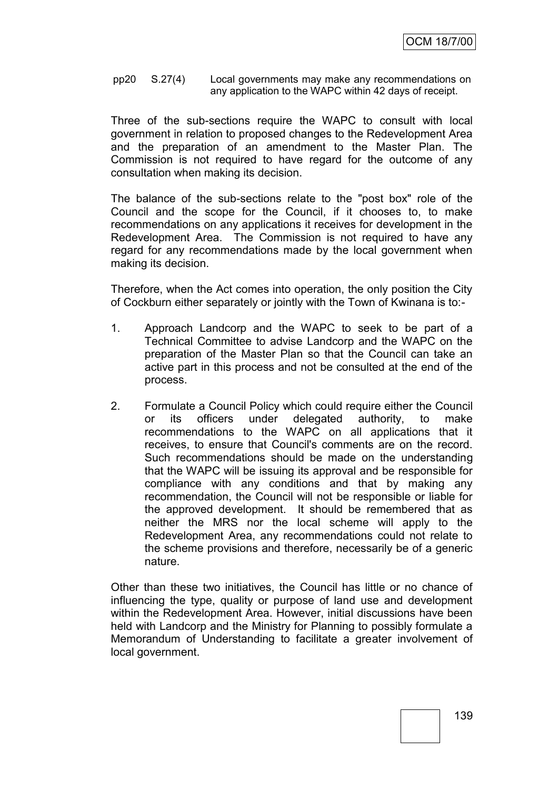pp20 S.27(4) Local governments may make any recommendations on any application to the WAPC within 42 days of receipt.

Three of the sub-sections require the WAPC to consult with local government in relation to proposed changes to the Redevelopment Area and the preparation of an amendment to the Master Plan. The Commission is not required to have regard for the outcome of any consultation when making its decision.

The balance of the sub-sections relate to the "post box" role of the Council and the scope for the Council, if it chooses to, to make recommendations on any applications it receives for development in the Redevelopment Area. The Commission is not required to have any regard for any recommendations made by the local government when making its decision.

Therefore, when the Act comes into operation, the only position the City of Cockburn either separately or jointly with the Town of Kwinana is to:-

- 1. Approach Landcorp and the WAPC to seek to be part of a Technical Committee to advise Landcorp and the WAPC on the preparation of the Master Plan so that the Council can take an active part in this process and not be consulted at the end of the process.
- 2. Formulate a Council Policy which could require either the Council or its officers under delegated authority, to make recommendations to the WAPC on all applications that it receives, to ensure that Council's comments are on the record. Such recommendations should be made on the understanding that the WAPC will be issuing its approval and be responsible for compliance with any conditions and that by making any recommendation, the Council will not be responsible or liable for the approved development. It should be remembered that as neither the MRS nor the local scheme will apply to the Redevelopment Area, any recommendations could not relate to the scheme provisions and therefore, necessarily be of a generic nature.

Other than these two initiatives, the Council has little or no chance of influencing the type, quality or purpose of land use and development within the Redevelopment Area. However, initial discussions have been held with Landcorp and the Ministry for Planning to possibly formulate a Memorandum of Understanding to facilitate a greater involvement of local government.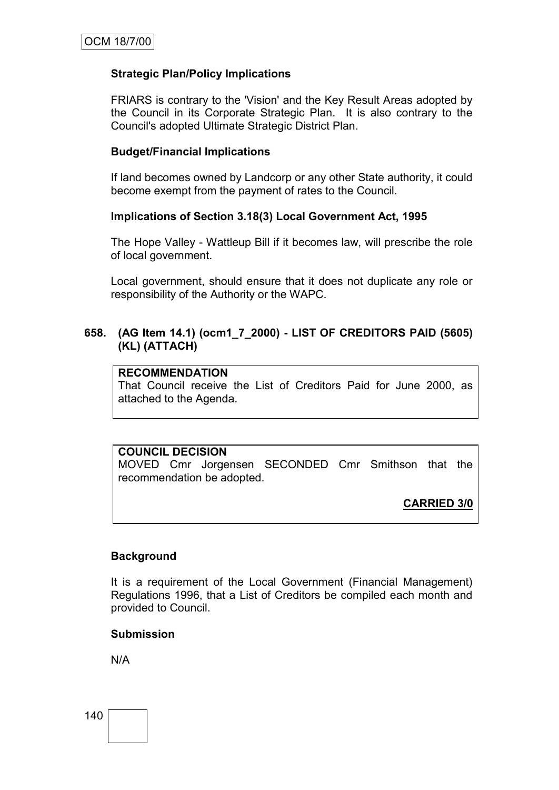## **Strategic Plan/Policy Implications**

FRIARS is contrary to the 'Vision' and the Key Result Areas adopted by the Council in its Corporate Strategic Plan. It is also contrary to the Council's adopted Ultimate Strategic District Plan.

## **Budget/Financial Implications**

If land becomes owned by Landcorp or any other State authority, it could become exempt from the payment of rates to the Council.

## **Implications of Section 3.18(3) Local Government Act, 1995**

The Hope Valley - Wattleup Bill if it becomes law, will prescribe the role of local government.

Local government, should ensure that it does not duplicate any role or responsibility of the Authority or the WAPC.

## **658. (AG Item 14.1) (ocm1\_7\_2000) - LIST OF CREDITORS PAID (5605) (KL) (ATTACH)**

#### **RECOMMENDATION**

That Council receive the List of Creditors Paid for June 2000, as attached to the Agenda.

## **COUNCIL DECISION**

MOVED Cmr Jorgensen SECONDED Cmr Smithson that the recommendation be adopted.

**CARRIED 3/0**

## **Background**

It is a requirement of the Local Government (Financial Management) Regulations 1996, that a List of Creditors be compiled each month and provided to Council.

#### **Submission**

N/A

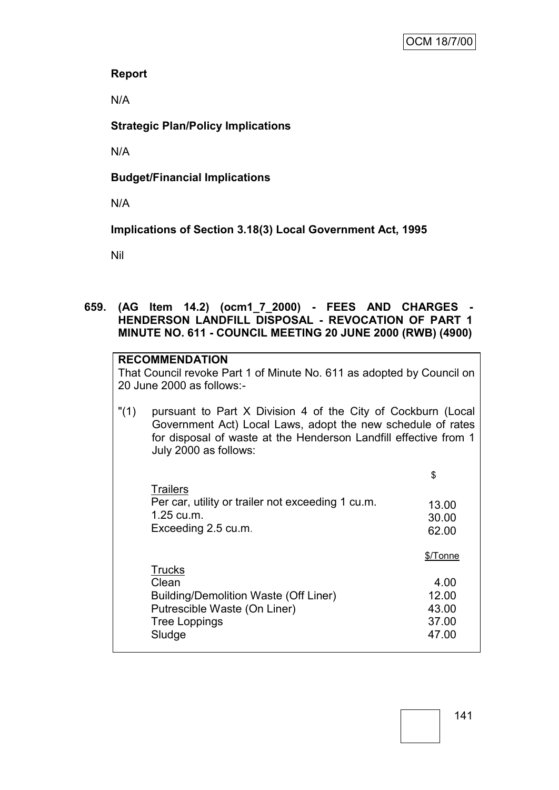## **Report**

N/A

# **Strategic Plan/Policy Implications**

N/A

# **Budget/Financial Implications**

N/A

**Implications of Section 3.18(3) Local Government Act, 1995**

Nil

## **659. (AG Item 14.2) (ocm1\_7\_2000) - FEES AND CHARGES - HENDERSON LANDFILL DISPOSAL - REVOCATION OF PART 1 MINUTE NO. 611 - COUNCIL MEETING 20 JUNE 2000 (RWB) (4900)**

|         | <b>RECOMMENDATION</b><br>That Council revoke Part 1 of Minute No. 611 as adopted by Council on<br>20 June 2000 as follows:-                                                                                              |                                                      |
|---------|--------------------------------------------------------------------------------------------------------------------------------------------------------------------------------------------------------------------------|------------------------------------------------------|
| " $(1)$ | pursuant to Part X Division 4 of the City of Cockburn (Local<br>Government Act) Local Laws, adopt the new schedule of rates<br>for disposal of waste at the Henderson Landfill effective from 1<br>July 2000 as follows: |                                                      |
|         |                                                                                                                                                                                                                          | \$                                                   |
|         | <b>Trailers</b><br>Per car, utility or trailer not exceeding 1 cu.m.<br>1.25 cu.m.<br>Exceeding 2.5 cu.m.                                                                                                                | 13.00<br>30.00<br>62.00                              |
|         | <b>Trucks</b><br>Clean<br><b>Building/Demolition Waste (Off Liner)</b><br>Putrescible Waste (On Liner)<br><b>Tree Loppings</b><br>Sludge                                                                                 | \$/Tonne<br>4.00<br>12.00<br>43.00<br>37.00<br>47.00 |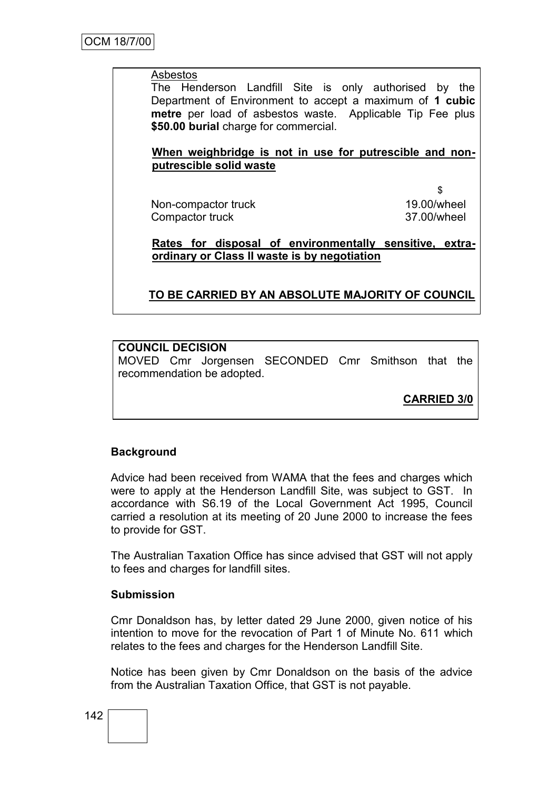#### Asbestos

The Henderson Landfill Site is only authorised by the Department of Environment to accept a maximum of **1 cubic metre** per load of asbestos waste. Applicable Tip Fee plus **\$50.00 burial** charge for commercial.

### **When weighbridge is not in use for putrescible and nonputrescible solid waste**

Non-compactor truck Compactor truck

\$ 19.00/wheel 37.00/wheel

**Rates for disposal of environmentally sensitive, extraordinary or Class II waste is by negotiation**

## **TO BE CARRIED BY AN ABSOLUTE MAJORITY OF COUNCIL**

### **COUNCIL DECISION**

MOVED Cmr Jorgensen SECONDED Cmr Smithson that the recommendation be adopted.

# **CARRIED 3/0**

#### **Background**

Advice had been received from WAMA that the fees and charges which were to apply at the Henderson Landfill Site, was subject to GST. In accordance with S6.19 of the Local Government Act 1995, Council carried a resolution at its meeting of 20 June 2000 to increase the fees to provide for GST.

The Australian Taxation Office has since advised that GST will not apply to fees and charges for landfill sites.

#### **Submission**

Cmr Donaldson has, by letter dated 29 June 2000, given notice of his intention to move for the revocation of Part 1 of Minute No. 611 which relates to the fees and charges for the Henderson Landfill Site.

Notice has been given by Cmr Donaldson on the basis of the advice from the Australian Taxation Office, that GST is not payable.

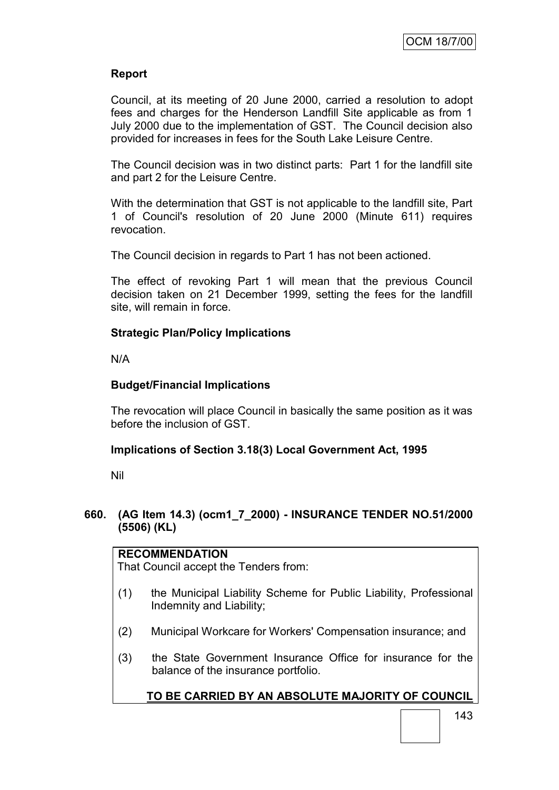## **Report**

Council, at its meeting of 20 June 2000, carried a resolution to adopt fees and charges for the Henderson Landfill Site applicable as from 1 July 2000 due to the implementation of GST. The Council decision also provided for increases in fees for the South Lake Leisure Centre.

The Council decision was in two distinct parts: Part 1 for the landfill site and part 2 for the Leisure Centre.

With the determination that GST is not applicable to the landfill site, Part 1 of Council's resolution of 20 June 2000 (Minute 611) requires revocation.

The Council decision in regards to Part 1 has not been actioned.

The effect of revoking Part 1 will mean that the previous Council decision taken on 21 December 1999, setting the fees for the landfill site, will remain in force.

### **Strategic Plan/Policy Implications**

N/A

### **Budget/Financial Implications**

The revocation will place Council in basically the same position as it was before the inclusion of GST.

### **Implications of Section 3.18(3) Local Government Act, 1995**

Nil

### **660. (AG Item 14.3) (ocm1\_7\_2000) - INSURANCE TENDER NO.51/2000 (5506) (KL)**

# **RECOMMENDATION**

That Council accept the Tenders from:

- (1) the Municipal Liability Scheme for Public Liability, Professional Indemnity and Liability;
- (2) Municipal Workcare for Workers' Compensation insurance; and
- (3) the State Government Insurance Office for insurance for the balance of the insurance portfolio.

# **TO BE CARRIED BY AN ABSOLUTE MAJORITY OF COUNCIL**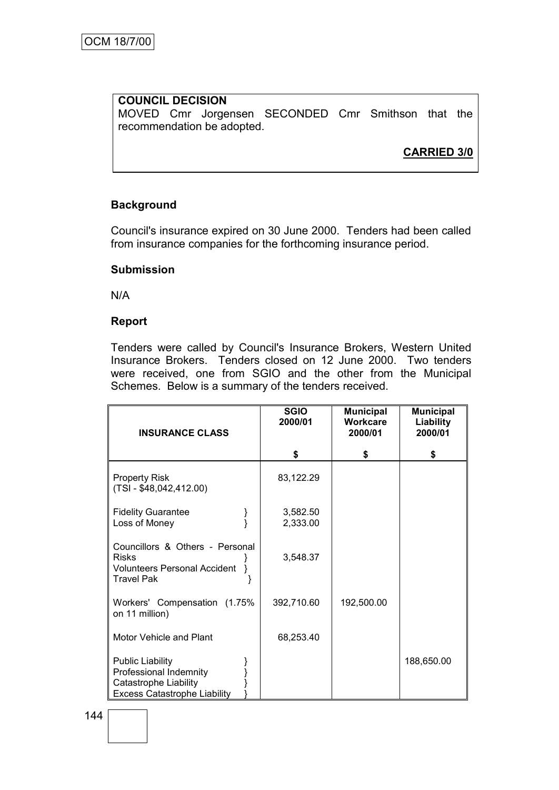#### **COUNCIL DECISION** MOVED Cmr Jorgensen SECONDED Cmr Smithson that the recommendation be adopted.

# **CARRIED 3/0**

### **Background**

Council's insurance expired on 30 June 2000. Tenders had been called from insurance companies for the forthcoming insurance period.

#### **Submission**

N/A

#### **Report**

Tenders were called by Council's Insurance Brokers, Western United Insurance Brokers. Tenders closed on 12 June 2000. Two tenders were received, one from SGIO and the other from the Municipal Schemes. Below is a summary of the tenders received.

| <b>INSURANCE CLASS</b>                                                                                            | <b>SGIO</b><br>2000/01 | <b>Municipal</b><br>Workcare<br>2000/01 | <b>Municipal</b><br>Liability<br>2000/01 |
|-------------------------------------------------------------------------------------------------------------------|------------------------|-----------------------------------------|------------------------------------------|
|                                                                                                                   | \$                     | S                                       | S                                        |
| <b>Property Risk</b><br>$(TSI - $48,042,412.00)$                                                                  | 83,122.29              |                                         |                                          |
| <b>Fidelity Guarantee</b><br>Loss of Money                                                                        | 3,582.50<br>2,333.00   |                                         |                                          |
| Councillors & Others - Personal<br><b>Risks</b><br><b>Volunteers Personal Accident</b><br><b>Travel Pak</b>       | 3,548.37               |                                         |                                          |
| Workers' Compensation (1.75%)<br>on 11 million)                                                                   | 392,710.60             | 192,500.00                              |                                          |
| Motor Vehicle and Plant                                                                                           | 68,253.40              |                                         |                                          |
| <b>Public Liability</b><br>Professional Indemnity<br>Catastrophe Liability<br><b>Excess Catastrophe Liability</b> |                        |                                         | 188,650.00                               |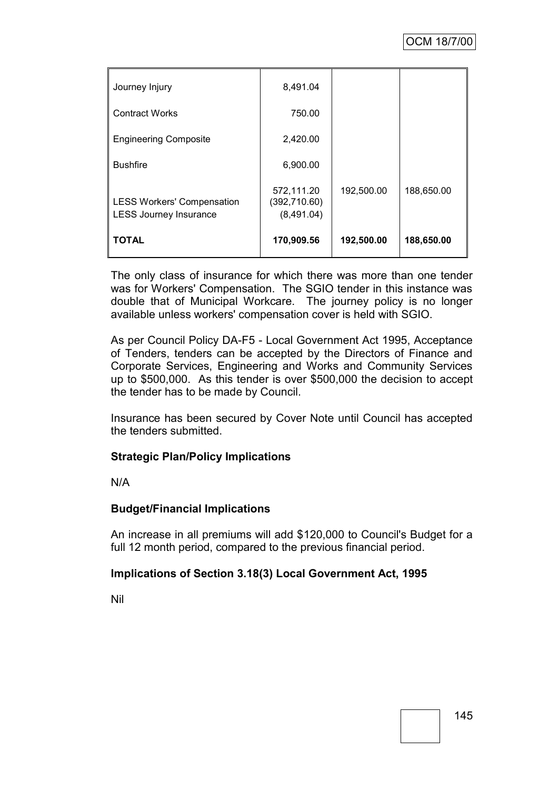| Journey Injury                                                     | 8,491.04                                 |            |            |
|--------------------------------------------------------------------|------------------------------------------|------------|------------|
| <b>Contract Works</b>                                              | 750.00                                   |            |            |
| <b>Engineering Composite</b>                                       | 2,420.00                                 |            |            |
| <b>Bushfire</b>                                                    | 6,900.00                                 |            |            |
| <b>LESS Workers' Compensation</b><br><b>LESS Journey Insurance</b> | 572,111.20<br>(392,710.60)<br>(8,491.04) | 192,500.00 | 188,650.00 |
| <b>TOTAL</b>                                                       | 170,909.56                               | 192,500.00 | 188,650.00 |

The only class of insurance for which there was more than one tender was for Workers' Compensation. The SGIO tender in this instance was double that of Municipal Workcare. The journey policy is no longer available unless workers' compensation cover is held with SGIO.

As per Council Policy DA-F5 - Local Government Act 1995, Acceptance of Tenders, tenders can be accepted by the Directors of Finance and Corporate Services, Engineering and Works and Community Services up to \$500,000. As this tender is over \$500,000 the decision to accept the tender has to be made by Council.

Insurance has been secured by Cover Note until Council has accepted the tenders submitted.

# **Strategic Plan/Policy Implications**

N/A

### **Budget/Financial Implications**

An increase in all premiums will add \$120,000 to Council's Budget for a full 12 month period, compared to the previous financial period.

### **Implications of Section 3.18(3) Local Government Act, 1995**

Nil

145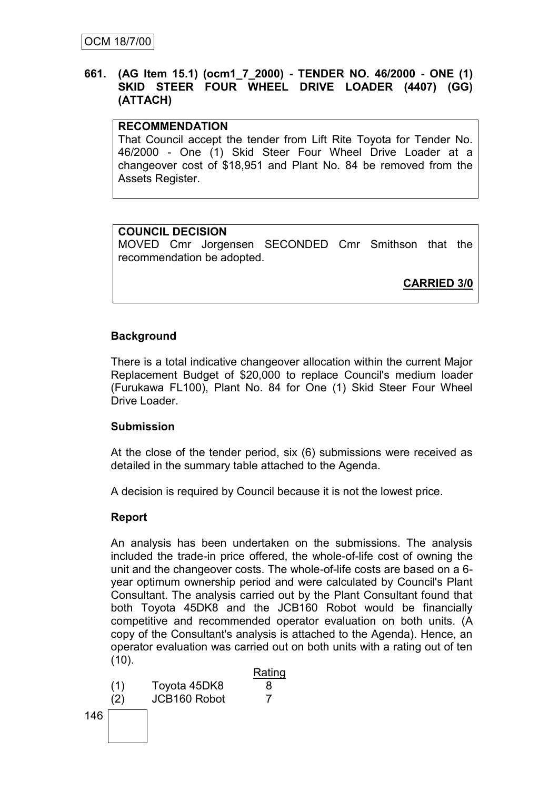### **661. (AG Item 15.1) (ocm1\_7\_2000) - TENDER NO. 46/2000 - ONE (1) SKID STEER FOUR WHEEL DRIVE LOADER (4407) (GG) (ATTACH)**

## **RECOMMENDATION**

That Council accept the tender from Lift Rite Toyota for Tender No. 46/2000 - One (1) Skid Steer Four Wheel Drive Loader at a changeover cost of \$18,951 and Plant No. 84 be removed from the Assets Register.

## **COUNCIL DECISION**

MOVED Cmr Jorgensen SECONDED Cmr Smithson that the recommendation be adopted.

**CARRIED 3/0**

# **Background**

There is a total indicative changeover allocation within the current Major Replacement Budget of \$20,000 to replace Council's medium loader (Furukawa FL100), Plant No. 84 for One (1) Skid Steer Four Wheel Drive Loader.

### **Submission**

At the close of the tender period, six (6) submissions were received as detailed in the summary table attached to the Agenda.

A decision is required by Council because it is not the lowest price.

# **Report**

An analysis has been undertaken on the submissions. The analysis included the trade-in price offered, the whole-of-life cost of owning the unit and the changeover costs. The whole-of-life costs are based on a 6 year optimum ownership period and were calculated by Council's Plant Consultant. The analysis carried out by the Plant Consultant found that both Toyota 45DK8 and the JCB160 Robot would be financially competitive and recommended operator evaluation on both units. (A copy of the Consultant's analysis is attached to the Agenda). Hence, an operator evaluation was carried out on both units with a rating out of ten  $(10).$ 

Rating (1) Toyota 45DK8 8 (2) JCB160 Robot 7146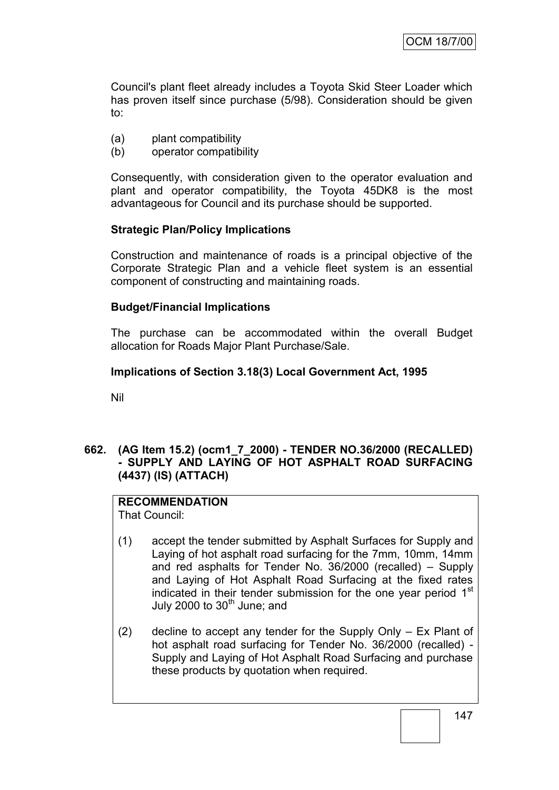Council's plant fleet already includes a Toyota Skid Steer Loader which has proven itself since purchase (5/98). Consideration should be given to:

- (a) plant compatibility
- (b) operator compatibility

Consequently, with consideration given to the operator evaluation and plant and operator compatibility, the Toyota 45DK8 is the most advantageous for Council and its purchase should be supported.

### **Strategic Plan/Policy Implications**

Construction and maintenance of roads is a principal objective of the Corporate Strategic Plan and a vehicle fleet system is an essential component of constructing and maintaining roads.

## **Budget/Financial Implications**

The purchase can be accommodated within the overall Budget allocation for Roads Major Plant Purchase/Sale.

## **Implications of Section 3.18(3) Local Government Act, 1995**

Nil

## **662. (AG Item 15.2) (ocm1\_7\_2000) - TENDER NO.36/2000 (RECALLED) - SUPPLY AND LAYING OF HOT ASPHALT ROAD SURFACING (4437) (IS) (ATTACH)**

# **RECOMMENDATION**

That Council:

- (1) accept the tender submitted by Asphalt Surfaces for Supply and Laying of hot asphalt road surfacing for the 7mm, 10mm, 14mm and red asphalts for Tender No. 36/2000 (recalled) – Supply and Laying of Hot Asphalt Road Surfacing at the fixed rates indicated in their tender submission for the one year period  $1<sup>st</sup>$ July 2000 to  $30<sup>th</sup>$  June; and
- (2) decline to accept any tender for the Supply Only Ex Plant of hot asphalt road surfacing for Tender No. 36/2000 (recalled) - Supply and Laying of Hot Asphalt Road Surfacing and purchase these products by quotation when required.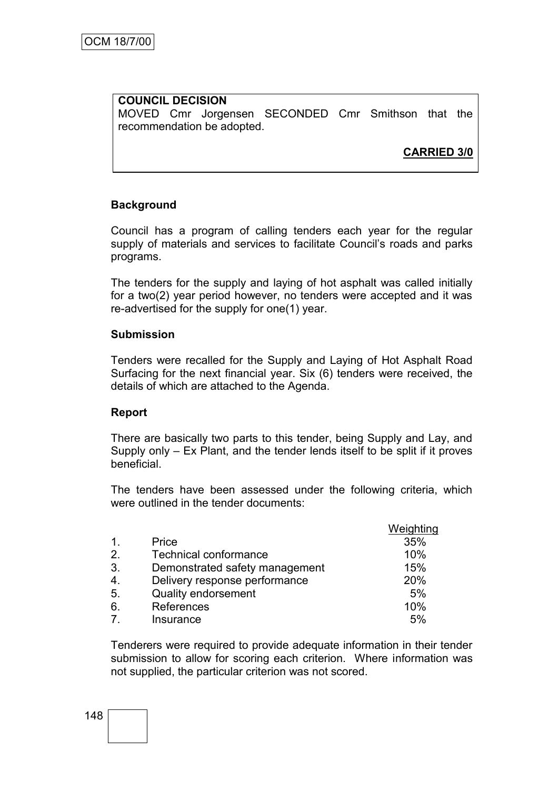#### **COUNCIL DECISION** MOVED Cmr Jorgensen SECONDED Cmr Smithson that the recommendation be adopted.

**CARRIED 3/0**

### **Background**

Council has a program of calling tenders each year for the regular supply of materials and services to facilitate Council's roads and parks programs.

The tenders for the supply and laying of hot asphalt was called initially for a two(2) year period however, no tenders were accepted and it was re-advertised for the supply for one(1) year.

#### **Submission**

Tenders were recalled for the Supply and Laying of Hot Asphalt Road Surfacing for the next financial year. Six (6) tenders were received, the details of which are attached to the Agenda.

### **Report**

There are basically two parts to this tender, being Supply and Lay, and Supply only – Ex Plant, and the tender lends itself to be split if it proves beneficial.

The tenders have been assessed under the following criteria, which were outlined in the tender documents:

|                |                                | Weighting |
|----------------|--------------------------------|-----------|
| $\mathbf{1}$ . | Price                          | 35%       |
| 2.             | Technical conformance          | 10%       |
| 3.             | Demonstrated safety management | 15%       |
| 4.             | Delivery response performance  | 20%       |
| 5.             | <b>Quality endorsement</b>     | 5%        |
| 6.             | References                     | 10%       |
| 7 <sub>1</sub> | Insurance                      | 5%        |

Tenderers were required to provide adequate information in their tender submission to allow for scoring each criterion. Where information was not supplied, the particular criterion was not scored.

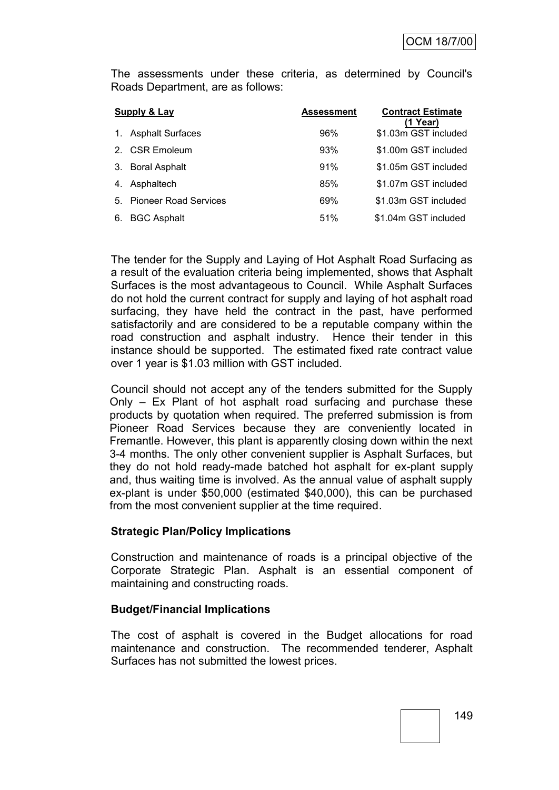The assessments under these criteria, as determined by Council's Roads Department, are as follows:

| Supply & Lay |                          | <b>Assessment</b> | <b>Contract Estimate</b><br>(1 Year) |
|--------------|--------------------------|-------------------|--------------------------------------|
| 1.           | <b>Asphalt Surfaces</b>  | 96%               | \$1.03m GST included                 |
|              | 2. CSR Emoleum           | 93%               | \$1.00m GST included                 |
| 3.           | <b>Boral Asphalt</b>     | 91%               | \$1.05m GST included                 |
| 4.           | Asphaltech               | 85%               | \$1.07m GST included                 |
|              | 5. Pioneer Road Services | 69%               | \$1.03m GST included                 |
| 6.           | <b>BGC Asphalt</b>       | 51%               | \$1.04m GST included                 |

The tender for the Supply and Laying of Hot Asphalt Road Surfacing as a result of the evaluation criteria being implemented, shows that Asphalt Surfaces is the most advantageous to Council. While Asphalt Surfaces do not hold the current contract for supply and laying of hot asphalt road surfacing, they have held the contract in the past, have performed satisfactorily and are considered to be a reputable company within the road construction and asphalt industry. Hence their tender in this instance should be supported. The estimated fixed rate contract value over 1 year is \$1.03 million with GST included.

Council should not accept any of the tenders submitted for the Supply Only – Ex Plant of hot asphalt road surfacing and purchase these products by quotation when required. The preferred submission is from Pioneer Road Services because they are conveniently located in Fremantle. However, this plant is apparently closing down within the next 3-4 months. The only other convenient supplier is Asphalt Surfaces, but they do not hold ready-made batched hot asphalt for ex-plant supply and, thus waiting time is involved. As the annual value of asphalt supply ex-plant is under \$50,000 (estimated \$40,000), this can be purchased from the most convenient supplier at the time required.

### **Strategic Plan/Policy Implications**

Construction and maintenance of roads is a principal objective of the Corporate Strategic Plan. Asphalt is an essential component of maintaining and constructing roads.

#### **Budget/Financial Implications**

The cost of asphalt is covered in the Budget allocations for road maintenance and construction. The recommended tenderer, Asphalt Surfaces has not submitted the lowest prices.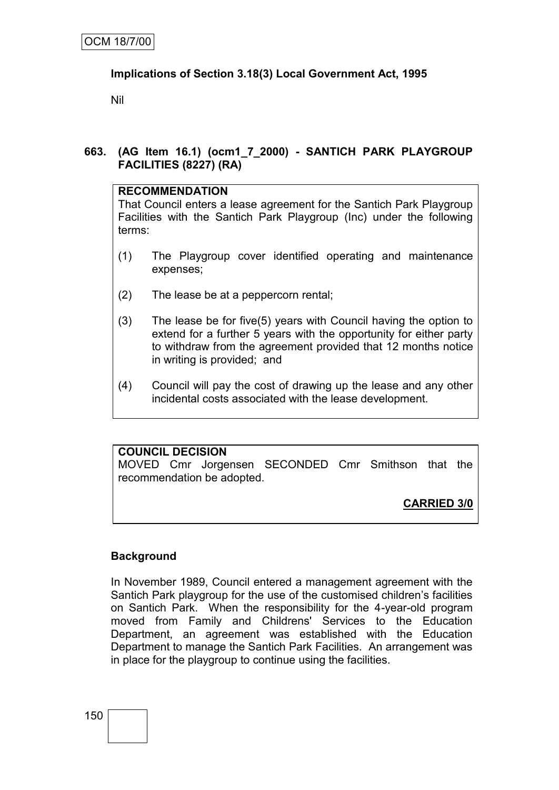# **Implications of Section 3.18(3) Local Government Act, 1995**

Nil

**663. (AG Item 16.1) (ocm1\_7\_2000) - SANTICH PARK PLAYGROUP FACILITIES (8227) (RA)**

# **RECOMMENDATION**

That Council enters a lease agreement for the Santich Park Playgroup Facilities with the Santich Park Playgroup (Inc) under the following terms:

- (1) The Playgroup cover identified operating and maintenance expenses;
- (2) The lease be at a peppercorn rental;
- (3) The lease be for five(5) years with Council having the option to extend for a further 5 years with the opportunity for either party to withdraw from the agreement provided that 12 months notice in writing is provided; and
- (4) Council will pay the cost of drawing up the lease and any other incidental costs associated with the lease development.

# **COUNCIL DECISION**

MOVED Cmr Jorgensen SECONDED Cmr Smithson that the recommendation be adopted.

**CARRIED 3/0**

# **Background**

In November 1989, Council entered a management agreement with the Santich Park playgroup for the use of the customised children's facilities on Santich Park. When the responsibility for the 4-year-old program moved from Family and Childrens' Services to the Education Department, an agreement was established with the Education Department to manage the Santich Park Facilities. An arrangement was in place for the playgroup to continue using the facilities.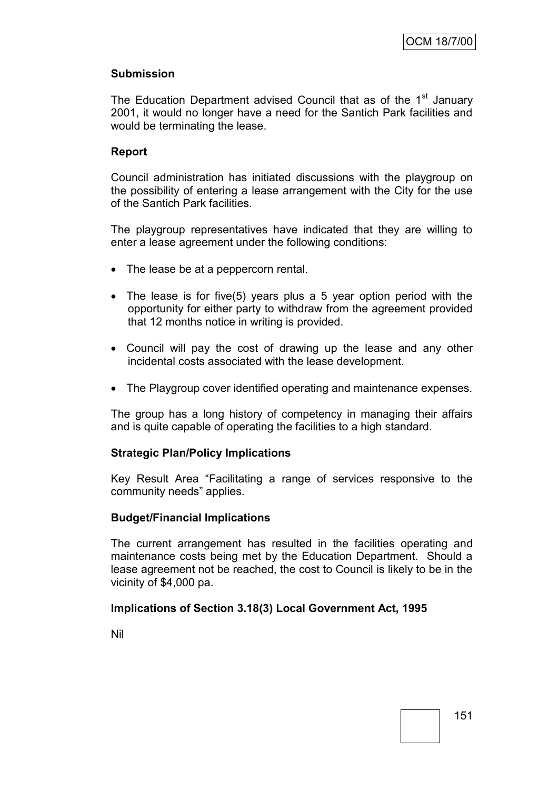### **Submission**

The Education Department advised Council that as of the 1<sup>st</sup> January 2001, it would no longer have a need for the Santich Park facilities and would be terminating the lease.

## **Report**

Council administration has initiated discussions with the playgroup on the possibility of entering a lease arrangement with the City for the use of the Santich Park facilities.

The playgroup representatives have indicated that they are willing to enter a lease agreement under the following conditions:

- The lease be at a peppercorn rental.
- The lease is for five(5) years plus a 5 year option period with the opportunity for either party to withdraw from the agreement provided that 12 months notice in writing is provided.
- Council will pay the cost of drawing up the lease and any other incidental costs associated with the lease development.
- The Playgroup cover identified operating and maintenance expenses.

The group has a long history of competency in managing their affairs and is quite capable of operating the facilities to a high standard.

### **Strategic Plan/Policy Implications**

Key Result Area "Facilitating a range of services responsive to the community needs" applies.

#### **Budget/Financial Implications**

The current arrangement has resulted in the facilities operating and maintenance costs being met by the Education Department. Should a lease agreement not be reached, the cost to Council is likely to be in the vicinity of \$4,000 pa.

### **Implications of Section 3.18(3) Local Government Act, 1995**

Nil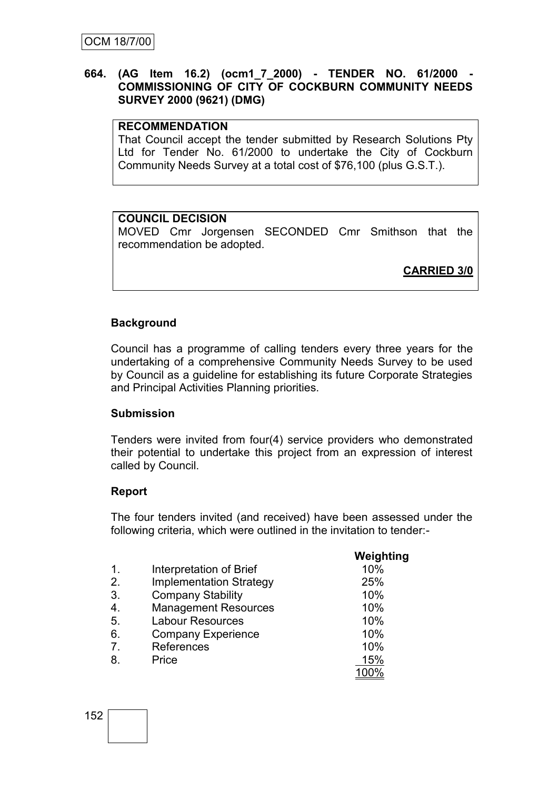### **664. (AG Item 16.2) (ocm1\_7\_2000) - TENDER NO. 61/2000 - COMMISSIONING OF CITY OF COCKBURN COMMUNITY NEEDS SURVEY 2000 (9621) (DMG)**

### **RECOMMENDATION**

That Council accept the tender submitted by Research Solutions Pty Ltd for Tender No. 61/2000 to undertake the City of Cockburn Community Needs Survey at a total cost of \$76,100 (plus G.S.T.).

### **COUNCIL DECISION**

MOVED Cmr Jorgensen SECONDED Cmr Smithson that the recommendation be adopted.

**CARRIED 3/0**

### **Background**

Council has a programme of calling tenders every three years for the undertaking of a comprehensive Community Needs Survey to be used by Council as a guideline for establishing its future Corporate Strategies and Principal Activities Planning priorities.

### **Submission**

Tenders were invited from four(4) service providers who demonstrated their potential to undertake this project from an expression of interest called by Council.

### **Report**

The four tenders invited (and received) have been assessed under the following criteria, which were outlined in the invitation to tender:-

|                |                                | Weighting |
|----------------|--------------------------------|-----------|
| $\mathbf{1}$ . | Interpretation of Brief        | 10%       |
| 2.             | <b>Implementation Strategy</b> | 25%       |
| 3.             | <b>Company Stability</b>       | 10%       |
| 4.             | <b>Management Resources</b>    | 10%       |
| 5.             | <b>Labour Resources</b>        | 10%       |
| 6.             | <b>Company Experience</b>      | 10%       |
| 7.             | References                     | 10%       |
| 8.             | Price                          | 15%       |
|                |                                | 100%      |

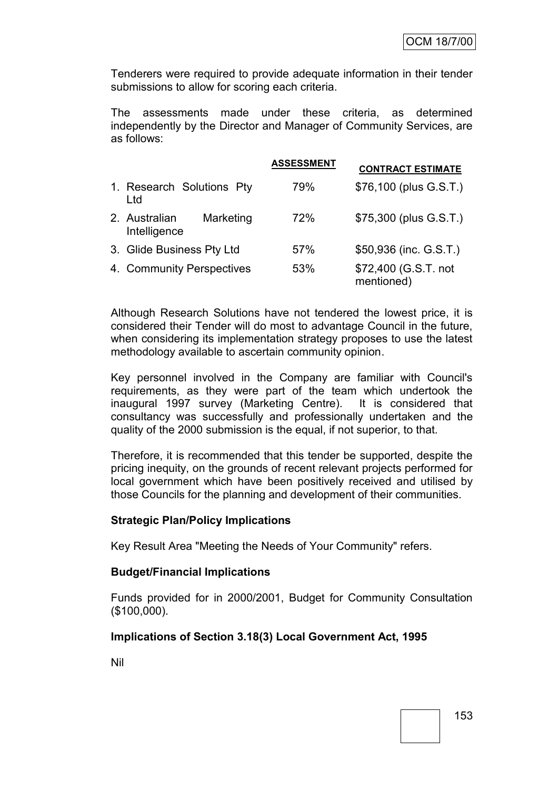Tenderers were required to provide adequate information in their tender submissions to allow for scoring each criteria.

The assessments made under these criteria, as determined independently by the Director and Manager of Community Services, are as follows:

|                                            | <b>ASSESSMENT</b> | <b>CONTRACT ESTIMATE</b>           |
|--------------------------------------------|-------------------|------------------------------------|
| 1. Research Solutions Pty<br>Ltd           | 79%               | \$76,100 (plus G.S.T.)             |
| Marketing<br>2. Australian<br>Intelligence | 72%               | \$75,300 (plus G.S.T.)             |
| 3. Glide Business Pty Ltd                  | 57%               | \$50,936 (inc. G.S.T.)             |
| 4. Community Perspectives                  | 53%               | \$72,400 (G.S.T. not<br>mentioned) |

Although Research Solutions have not tendered the lowest price, it is considered their Tender will do most to advantage Council in the future, when considering its implementation strategy proposes to use the latest methodology available to ascertain community opinion.

Key personnel involved in the Company are familiar with Council's requirements, as they were part of the team which undertook the inaugural 1997 survey (Marketing Centre). It is considered that consultancy was successfully and professionally undertaken and the quality of the 2000 submission is the equal, if not superior, to that.

Therefore, it is recommended that this tender be supported, despite the pricing inequity, on the grounds of recent relevant projects performed for local government which have been positively received and utilised by those Councils for the planning and development of their communities.

### **Strategic Plan/Policy Implications**

Key Result Area "Meeting the Needs of Your Community" refers.

### **Budget/Financial Implications**

Funds provided for in 2000/2001, Budget for Community Consultation (\$100,000).

### **Implications of Section 3.18(3) Local Government Act, 1995**

Nil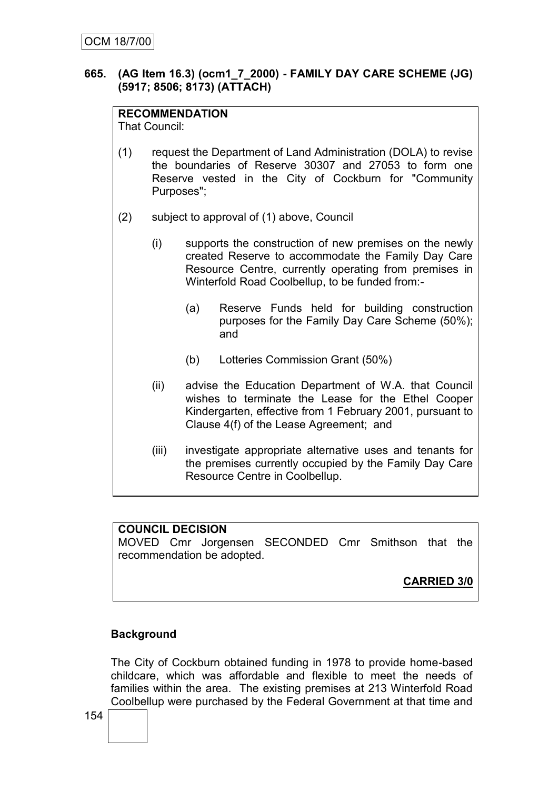### **665. (AG Item 16.3) (ocm1\_7\_2000) - FAMILY DAY CARE SCHEME (JG) (5917; 8506; 8173) (ATTACH)**

# **RECOMMENDATION**

That Council:

- (1) request the Department of Land Administration (DOLA) to revise the boundaries of Reserve 30307 and 27053 to form one Reserve vested in the City of Cockburn for "Community Purposes";
- (2) subject to approval of (1) above, Council
	- (i) supports the construction of new premises on the newly created Reserve to accommodate the Family Day Care Resource Centre, currently operating from premises in Winterfold Road Coolbellup, to be funded from:-
		- (a) Reserve Funds held for building construction purposes for the Family Day Care Scheme (50%); and
		- (b) Lotteries Commission Grant (50%)
	- (ii) advise the Education Department of W.A. that Council wishes to terminate the Lease for the Ethel Cooper Kindergarten, effective from 1 February 2001, pursuant to Clause 4(f) of the Lease Agreement; and
	- (iii) investigate appropriate alternative uses and tenants for the premises currently occupied by the Family Day Care Resource Centre in Coolbellup.

### **COUNCIL DECISION**

MOVED Cmr Jorgensen SECONDED Cmr Smithson that the recommendation be adopted.

**CARRIED 3/0**

### **Background**

The City of Cockburn obtained funding in 1978 to provide home-based childcare, which was affordable and flexible to meet the needs of families within the area. The existing premises at 213 Winterfold Road Coolbellup were purchased by the Federal Government at that time and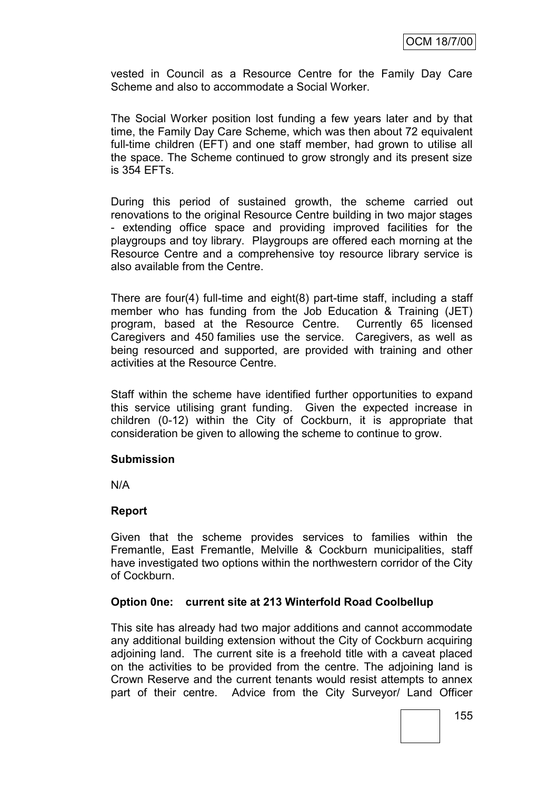vested in Council as a Resource Centre for the Family Day Care Scheme and also to accommodate a Social Worker.

The Social Worker position lost funding a few years later and by that time, the Family Day Care Scheme, which was then about 72 equivalent full-time children (EFT) and one staff member, had grown to utilise all the space. The Scheme continued to grow strongly and its present size is 354 EFTs.

During this period of sustained growth, the scheme carried out renovations to the original Resource Centre building in two major stages - extending office space and providing improved facilities for the playgroups and toy library. Playgroups are offered each morning at the Resource Centre and a comprehensive toy resource library service is also available from the Centre.

There are four(4) full-time and eight(8) part-time staff, including a staff member who has funding from the Job Education & Training (JET) program, based at the Resource Centre. Currently 65 licensed Caregivers and 450 families use the service. Caregivers, as well as being resourced and supported, are provided with training and other activities at the Resource Centre.

Staff within the scheme have identified further opportunities to expand this service utilising grant funding. Given the expected increase in children (0-12) within the City of Cockburn, it is appropriate that consideration be given to allowing the scheme to continue to grow.

### **Submission**

N/A

### **Report**

Given that the scheme provides services to families within the Fremantle, East Fremantle, Melville & Cockburn municipalities, staff have investigated two options within the northwestern corridor of the City of Cockburn.

### **Option 0ne: current site at 213 Winterfold Road Coolbellup**

This site has already had two major additions and cannot accommodate any additional building extension without the City of Cockburn acquiring adjoining land. The current site is a freehold title with a caveat placed on the activities to be provided from the centre. The adjoining land is Crown Reserve and the current tenants would resist attempts to annex part of their centre. Advice from the City Surveyor/ Land Officer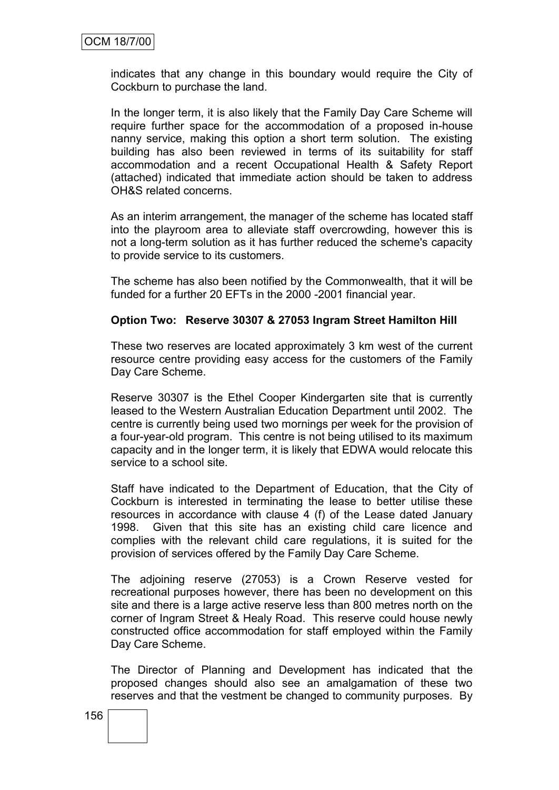indicates that any change in this boundary would require the City of Cockburn to purchase the land.

In the longer term, it is also likely that the Family Day Care Scheme will require further space for the accommodation of a proposed in-house nanny service, making this option a short term solution. The existing building has also been reviewed in terms of its suitability for staff accommodation and a recent Occupational Health & Safety Report (attached) indicated that immediate action should be taken to address OH&S related concerns.

As an interim arrangement, the manager of the scheme has located staff into the playroom area to alleviate staff overcrowding, however this is not a long-term solution as it has further reduced the scheme's capacity to provide service to its customers.

The scheme has also been notified by the Commonwealth, that it will be funded for a further 20 EFTs in the 2000 -2001 financial year.

#### **Option Two: Reserve 30307 & 27053 Ingram Street Hamilton Hill**

These two reserves are located approximately 3 km west of the current resource centre providing easy access for the customers of the Family Day Care Scheme.

Reserve 30307 is the Ethel Cooper Kindergarten site that is currently leased to the Western Australian Education Department until 2002. The centre is currently being used two mornings per week for the provision of a four-year-old program. This centre is not being utilised to its maximum capacity and in the longer term, it is likely that EDWA would relocate this service to a school site.

Staff have indicated to the Department of Education, that the City of Cockburn is interested in terminating the lease to better utilise these resources in accordance with clause 4 (f) of the Lease dated January 1998. Given that this site has an existing child care licence and complies with the relevant child care regulations, it is suited for the provision of services offered by the Family Day Care Scheme.

The adjoining reserve (27053) is a Crown Reserve vested for recreational purposes however, there has been no development on this site and there is a large active reserve less than 800 metres north on the corner of Ingram Street & Healy Road. This reserve could house newly constructed office accommodation for staff employed within the Family Day Care Scheme.

The Director of Planning and Development has indicated that the proposed changes should also see an amalgamation of these two reserves and that the vestment be changed to community purposes. By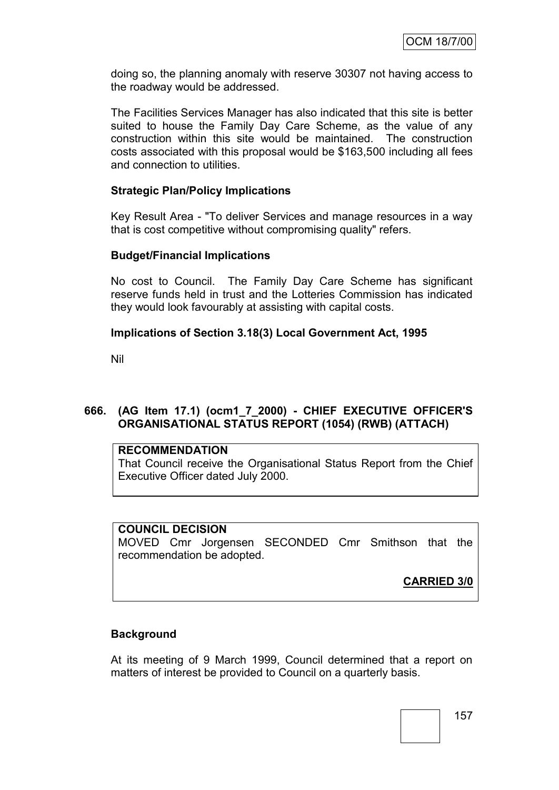doing so, the planning anomaly with reserve 30307 not having access to the roadway would be addressed.

The Facilities Services Manager has also indicated that this site is better suited to house the Family Day Care Scheme, as the value of any construction within this site would be maintained. The construction costs associated with this proposal would be \$163,500 including all fees and connection to utilities.

### **Strategic Plan/Policy Implications**

Key Result Area - "To deliver Services and manage resources in a way that is cost competitive without compromising quality" refers.

#### **Budget/Financial Implications**

No cost to Council. The Family Day Care Scheme has significant reserve funds held in trust and the Lotteries Commission has indicated they would look favourably at assisting with capital costs.

### **Implications of Section 3.18(3) Local Government Act, 1995**

Nil

## **666. (AG Item 17.1) (ocm1\_7\_2000) - CHIEF EXECUTIVE OFFICER'S ORGANISATIONAL STATUS REPORT (1054) (RWB) (ATTACH)**

### **RECOMMENDATION**

That Council receive the Organisational Status Report from the Chief Executive Officer dated July 2000.

#### **COUNCIL DECISION**

MOVED Cmr Jorgensen SECONDED Cmr Smithson that the recommendation be adopted.

**CARRIED 3/0**

### **Background**

At its meeting of 9 March 1999, Council determined that a report on matters of interest be provided to Council on a quarterly basis.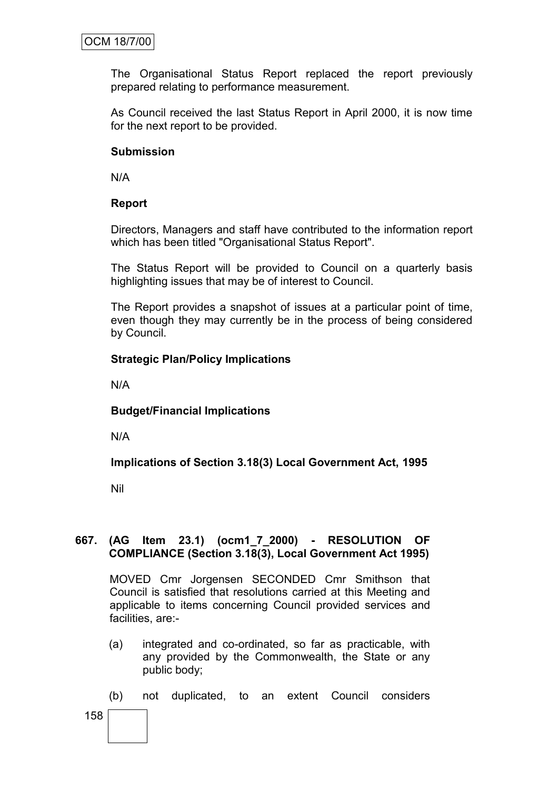The Organisational Status Report replaced the report previously prepared relating to performance measurement.

As Council received the last Status Report in April 2000, it is now time for the next report to be provided.

### **Submission**

N/A

### **Report**

Directors, Managers and staff have contributed to the information report which has been titled "Organisational Status Report".

The Status Report will be provided to Council on a quarterly basis highlighting issues that may be of interest to Council.

The Report provides a snapshot of issues at a particular point of time, even though they may currently be in the process of being considered by Council.

### **Strategic Plan/Policy Implications**

N/A

### **Budget/Financial Implications**

N/A

### **Implications of Section 3.18(3) Local Government Act, 1995**

Nil

#### **667. (AG Item 23.1) (ocm1\_7\_2000) - RESOLUTION OF COMPLIANCE (Section 3.18(3), Local Government Act 1995)**

MOVED Cmr Jorgensen SECONDED Cmr Smithson that Council is satisfied that resolutions carried at this Meeting and applicable to items concerning Council provided services and facilities, are:-

- (a) integrated and co-ordinated, so far as practicable, with any provided by the Commonwealth, the State or any public body;
- (b) not duplicated, to an extent Council considers
- 158